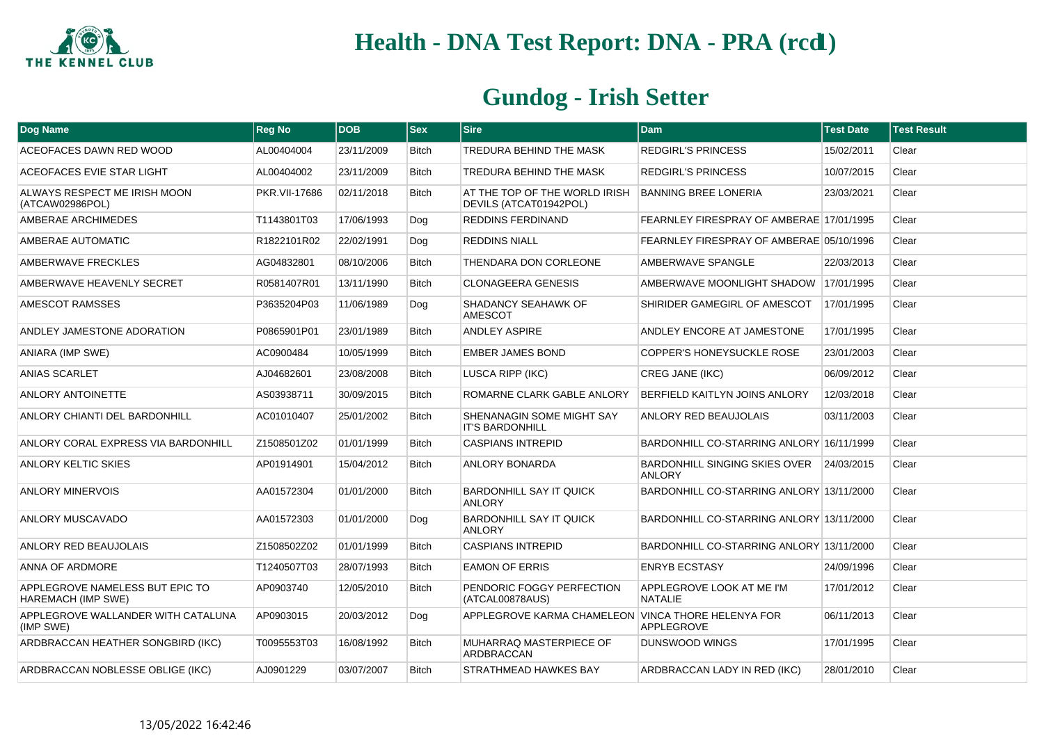

| Dog Name                                                     | <b>Reg No</b> | <b>DOB</b> | $ $ Sex      | <b>Sire</b>                                             | <b>Dam</b>                                                | <b>Test Date</b> | <b>Test Result</b> |
|--------------------------------------------------------------|---------------|------------|--------------|---------------------------------------------------------|-----------------------------------------------------------|------------------|--------------------|
| ACEOFACES DAWN RED WOOD                                      | AL00404004    | 23/11/2009 | <b>Bitch</b> | TREDURA BEHIND THE MASK                                 | <b>REDGIRL'S PRINCESS</b>                                 | 15/02/2011       | Clear              |
| ACEOFACES EVIE STAR LIGHT                                    | AL00404002    | 23/11/2009 | <b>Bitch</b> | TREDURA BEHIND THE MASK                                 | <b>REDGIRL'S PRINCESS</b>                                 | 10/07/2015       | Clear              |
| ALWAYS RESPECT ME IRISH MOON<br>(ATCAW02986POL)              | PKR.VII-17686 | 02/11/2018 | <b>Bitch</b> | AT THE TOP OF THE WORLD IRISH<br>DEVILS (ATCAT01942POL) | <b>BANNING BREE LONERIA</b>                               | 23/03/2021       | Clear              |
| AMBERAE ARCHIMEDES                                           | T1143801T03   | 17/06/1993 | Dog          | REDDINS FERDINAND                                       | FEARNLEY FIRESPRAY OF AMBERAE 17/01/1995                  |                  | Clear              |
| AMBERAE AUTOMATIC                                            | R1822101R02   | 22/02/1991 | Dog          | <b>REDDINS NIALL</b>                                    | FEARNLEY FIRESPRAY OF AMBERAE 05/10/1996                  |                  | Clear              |
| <b>AMBERWAVE FRECKLES</b>                                    | AG04832801    | 08/10/2006 | <b>Bitch</b> | THENDARA DON CORLEONE                                   | AMBERWAVE SPANGLE                                         | 22/03/2013       | Clear              |
| AMBERWAVE HEAVENLY SECRET                                    | R0581407R01   | 13/11/1990 | <b>Bitch</b> | CLONAGEERA GENESIS                                      | AMBERWAVE MOONLIGHT SHADOW 17/01/1995                     |                  | Clear              |
| AMESCOT RAMSSES                                              | P3635204P03   | 11/06/1989 | Dog          | SHADANCY SEAHAWK OF<br><b>AMESCOT</b>                   | SHIRIDER GAMEGIRL OF AMESCOT                              | 17/01/1995       | Clear              |
| ANDLEY JAMESTONE ADORATION                                   | P0865901P01   | 23/01/1989 | <b>Bitch</b> | <b>ANDLEY ASPIRE</b>                                    | ANDLEY ENCORE AT JAMESTONE                                | 17/01/1995       | Clear              |
| ANIARA (IMP SWE)                                             | AC0900484     | 10/05/1999 | <b>Bitch</b> | <b>EMBER JAMES BOND</b>                                 | COPPER'S HONEYSUCKLE ROSE                                 | 23/01/2003       | Clear              |
| <b>ANIAS SCARLET</b>                                         | AJ04682601    | 23/08/2008 | <b>Bitch</b> | <b>LUSCA RIPP (IKC)</b>                                 | <b>CREG JANE (IKC)</b>                                    | 06/09/2012       | Clear              |
| ANLORY ANTOINETTE                                            | AS03938711    | 30/09/2015 | <b>Bitch</b> | ROMARNE CLARK GABLE ANLORY                              | BERFIELD KAITLYN JOINS ANLORY                             | 12/03/2018       | Clear              |
| ANLORY CHIANTI DEL BARDONHILL                                | AC01010407    | 25/01/2002 | <b>Bitch</b> | SHENANAGIN SOME MIGHT SAY<br><b>IT'S BARDONHILL</b>     | ANLORY RED BEAUJOLAIS                                     | 03/11/2003       | Clear              |
| ANLORY CORAL EXPRESS VIA BARDONHILL                          | Z1508501Z02   | 01/01/1999 | <b>Bitch</b> | <b>CASPIANS INTREPID</b>                                | BARDONHILL CO-STARRING ANLORY 16/11/1999                  |                  | Clear              |
| ANLORY KELTIC SKIES                                          | AP01914901    | 15/04/2012 | <b>Bitch</b> | <b>ANLORY BONARDA</b>                                   | BARDONHILL SINGING SKIES OVER 24/03/2015<br><b>ANLORY</b> |                  | Clear              |
| <b>ANLORY MINERVOIS</b>                                      | AA01572304    | 01/01/2000 | <b>Bitch</b> | BARDONHILL SAY IT QUICK<br><b>ANLORY</b>                | BARDONHILL CO-STARRING ANLORY 13/11/2000                  |                  | Clear              |
| ANLORY MUSCAVADO                                             | AA01572303    | 01/01/2000 | Dog          | <b>BARDONHILL SAY IT QUICK</b><br><b>ANLORY</b>         | BARDONHILL CO-STARRING ANLORY 13/11/2000                  |                  | Clear              |
| ANLORY RED BEAUJOLAIS                                        | Z1508502Z02   | 01/01/1999 | <b>Bitch</b> | <b>CASPIANS INTREPID</b>                                | BARDONHILL CO-STARRING ANLORY 13/11/2000                  |                  | Clear              |
| ANNA OF ARDMORE                                              | T1240507T03   | 28/07/1993 | <b>Bitch</b> | <b>EAMON OF ERRIS</b>                                   | <b>ENRYB ECSTASY</b>                                      | 24/09/1996       | Clear              |
| APPLEGROVE NAMELESS BUT EPIC TO<br><b>HAREMACH (IMP SWE)</b> | AP0903740     | 12/05/2010 | <b>Bitch</b> | PENDORIC FOGGY PERFECTION<br>(ATCAL00878AUS)            | APPLEGROVE LOOK AT ME I'M<br><b>NATALIE</b>               | 17/01/2012       | Clear              |
| APPLEGROVE WALLANDER WITH CATALUNA<br>(IMP SWE)              | AP0903015     | 20/03/2012 | Dog          | APPLEGROVE KARMA CHAMELEON VINCA THORE HELENYA FOR      | APPLEGROVE                                                | 06/11/2013       | Clear              |
| ARDBRACCAN HEATHER SONGBIRD (IKC)                            | T0095553T03   | 16/08/1992 | <b>Bitch</b> | MUHARRAQ MASTERPIECE OF<br>ARDBRACCAN                   | DUNSWOOD WINGS                                            | 17/01/1995       | Clear              |
| ARDBRACCAN NOBLESSE OBLIGE (IKC)                             | AJ0901229     | 03/07/2007 | <b>Bitch</b> | STRATHMEAD HAWKES BAY                                   | ARDBRACCAN LADY IN RED (IKC)                              | 28/01/2010       | Clear              |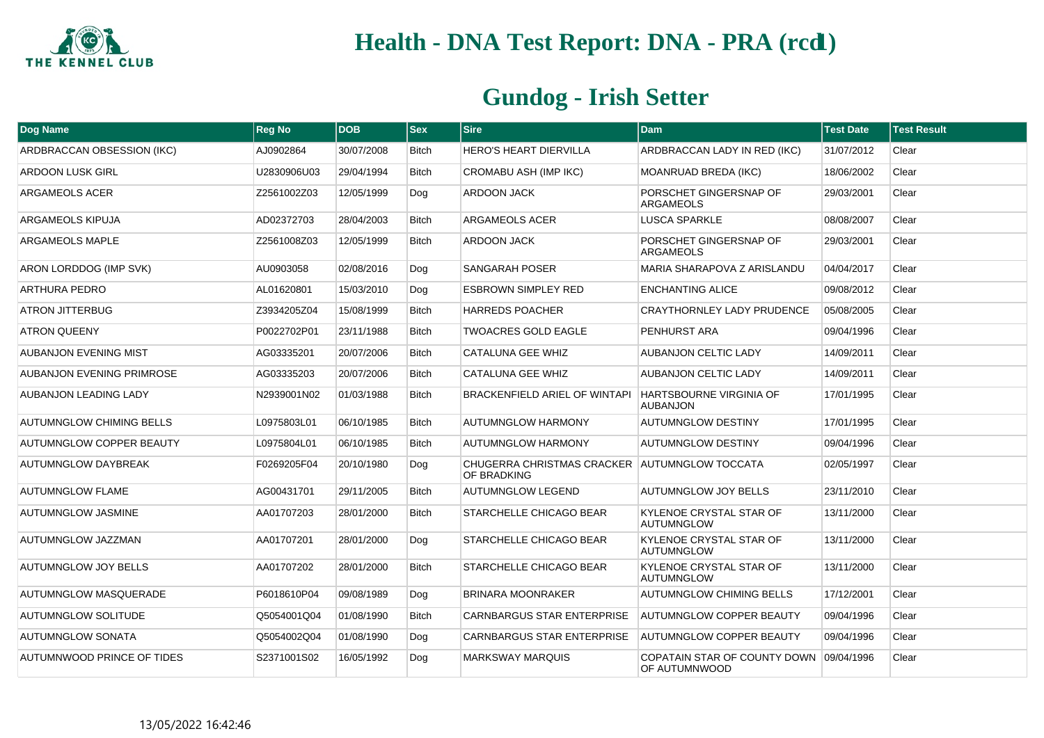

| Dog Name                        | <b>Reg No</b> | <b>DOB</b> | <b>Sex</b>   | <b>Sire</b>                                                  | <b>Dam</b>                                               | <b>Test Date</b> | <b>Test Result</b> |
|---------------------------------|---------------|------------|--------------|--------------------------------------------------------------|----------------------------------------------------------|------------------|--------------------|
| ARDBRACCAN OBSESSION (IKC)      | AJ0902864     | 30/07/2008 | <b>Bitch</b> | HERO'S HEART DIERVILLA                                       | ARDBRACCAN LADY IN RED (IKC)                             | 31/07/2012       | Clear              |
| <b>ARDOON LUSK GIRL</b>         | U2830906U03   | 29/04/1994 | <b>Bitch</b> | CROMABU ASH (IMP IKC)                                        | <b>MOANRUAD BREDA (IKC)</b>                              | 18/06/2002       | Clear              |
| ARGAMEOLS ACER                  | Z2561002Z03   | 12/05/1999 | Dog          | ARDOON JACK                                                  | PORSCHET GINGERSNAP OF<br><b>ARGAMEOLS</b>               | 29/03/2001       | Clear              |
| ARGAMEOLS KIPUJA                | AD02372703    | 28/04/2003 | <b>Bitch</b> | ARGAMEOLS ACER                                               | <b>LUSCA SPARKLE</b>                                     | 08/08/2007       | Clear              |
| ARGAMEOLS MAPLE                 | Z2561008Z03   | 12/05/1999 | <b>Bitch</b> | ARDOON JACK                                                  | PORSCHET GINGERSNAP OF<br><b>ARGAMEOLS</b>               | 29/03/2001       | Clear              |
| ARON LORDDOG (IMP SVK)          | AU0903058     | 02/08/2016 | Dog          | <b>SANGARAH POSER</b>                                        | MARIA SHARAPOVA Z ARISLANDU                              | 04/04/2017       | Clear              |
| <b>ARTHURA PEDRO</b>            | AL01620801    | 15/03/2010 | Dog          | <b>ESBROWN SIMPLEY RED</b>                                   | <b>ENCHANTING ALICE</b>                                  | 09/08/2012       | Clear              |
| ATRON JITTERBUG                 | Z3934205Z04   | 15/08/1999 | <b>Bitch</b> | <b>HARREDS POACHER</b>                                       | CRAYTHORNLEY LADY PRUDENCE                               | 05/08/2005       | Clear              |
| <b>ATRON QUEENY</b>             | P0022702P01   | 23/11/1988 | <b>Bitch</b> | <b>TWOACRES GOLD EAGLE</b>                                   | PENHURST ARA                                             | 09/04/1996       | Clear              |
| <b>AUBANJON EVENING MIST</b>    | AG03335201    | 20/07/2006 | <b>Bitch</b> | <b>CATALUNA GEE WHIZ</b>                                     | <b>AUBANJON CELTIC LADY</b>                              | 14/09/2011       | Clear              |
| AUBANJON EVENING PRIMROSE       | AG03335203    | 20/07/2006 | <b>Bitch</b> | CATALUNA GEE WHIZ                                            | <b>AUBANJON CELTIC LADY</b>                              | 14/09/2011       | Clear              |
| AUBANJON LEADING LADY           | N2939001N02   | 01/03/1988 | Bitch        | BRACKENFIELD ARIEL OF WINTAPI                                | <b>HARTSBOURNE VIRGINIA OF</b><br><b>AUBANJON</b>        | 17/01/1995       | Clear              |
| <b>AUTUMNGLOW CHIMING BELLS</b> | L0975803L01   | 06/10/1985 | <b>Bitch</b> | <b>AUTUMNGLOW HARMONY</b>                                    | <b>AUTUMNGLOW DESTINY</b>                                | 17/01/1995       | Clear              |
| <b>AUTUMNGLOW COPPER BEAUTY</b> | L0975804L01   | 06/10/1985 | <b>Bitch</b> | <b>AUTUMNGLOW HARMONY</b>                                    | <b>AUTUMNGLOW DESTINY</b>                                | 09/04/1996       | Clear              |
| AUTUMNGLOW DAYBREAK             | F0269205F04   | 20/10/1980 | Dog          | CHUGERRA CHRISTMAS CRACKER AUTUMNGLOW TOCCATA<br>OF BRADKING |                                                          | 02/05/1997       | Clear              |
| <b>AUTUMNGLOW FLAME</b>         | AG00431701    | 29/11/2005 | <b>Bitch</b> | AUTUMNGLOW LEGEND                                            | <b>AUTUMNGLOW JOY BELLS</b>                              | 23/11/2010       | Clear              |
| <b>AUTUMNGLOW JASMINE</b>       | AA01707203    | 28/01/2000 | <b>Bitch</b> | STARCHELLE CHICAGO BEAR                                      | KYLENOE CRYSTAL STAR OF<br><b>AUTUMNGLOW</b>             | 13/11/2000       | Clear              |
| AUTUMNGLOW JAZZMAN              | AA01707201    | 28/01/2000 | Dog          | STARCHELLE CHICAGO BEAR                                      | KYLENOE CRYSTAL STAR OF<br>AUTUMNGLOW                    | 13/11/2000       | Clear              |
| AUTUMNGLOW JOY BELLS            | AA01707202    | 28/01/2000 | <b>Bitch</b> | STARCHELLE CHICAGO BEAR                                      | KYLENOE CRYSTAL STAR OF<br><b>AUTUMNGLOW</b>             | 13/11/2000       | Clear              |
| <b>AUTUMNGLOW MASQUERADE</b>    | P6018610P04   | 09/08/1989 | Dog          | <b>BRINARA MOONRAKER</b>                                     | <b>AUTUMNGLOW CHIMING BELLS</b>                          | 17/12/2001       | Clear              |
| <b>AUTUMNGLOW SOLITUDE</b>      | Q5054001Q04   | 01/08/1990 | <b>Bitch</b> | <b>CARNBARGUS STAR ENTERPRISE</b>                            | <b>AUTUMNGLOW COPPER BEAUTY</b>                          | 09/04/1996       | Clear              |
| <b>AUTUMNGLOW SONATA</b>        | Q5054002Q04   | 01/08/1990 | Dog          | <b>CARNBARGUS STAR ENTERPRISE</b>                            | <b>AUTUMNGLOW COPPER BEAUTY</b>                          | 09/04/1996       | Clear              |
| AUTUMNWOOD PRINCE OF TIDES      | S2371001S02   | 16/05/1992 | Dog          | <b>MARKSWAY MARQUIS</b>                                      | COPATAIN STAR OF COUNTY DOWN 09/04/1996<br>OF AUTUMNWOOD |                  | Clear              |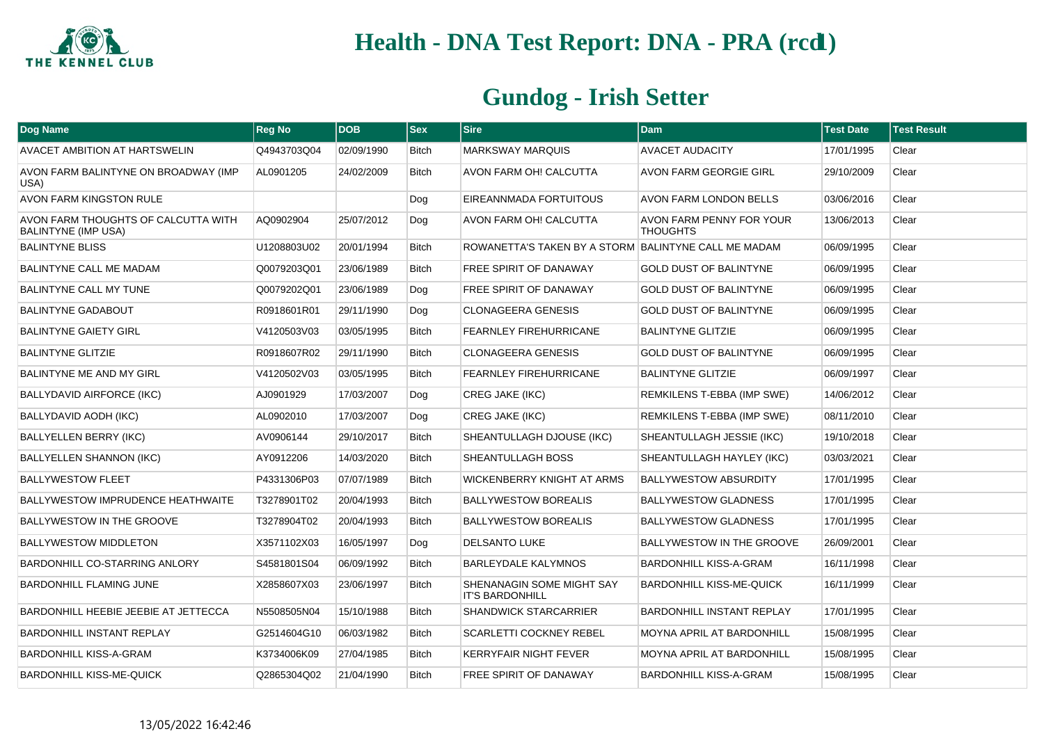

| Dog Name                                                          | Reg No      | <b>DOB</b> | <b>Sex</b>   | $ S$ ire                                             | <b>Dam</b>                                  | <b>Test Date</b> | <b>Test Result</b> |
|-------------------------------------------------------------------|-------------|------------|--------------|------------------------------------------------------|---------------------------------------------|------------------|--------------------|
| <b>AVACET AMBITION AT HARTSWELIN</b>                              | Q4943703Q04 | 02/09/1990 | <b>Bitch</b> | <b>MARKSWAY MARQUIS</b>                              | <b>AVACET AUDACITY</b>                      | 17/01/1995       | Clear              |
| AVON FARM BALINTYNE ON BROADWAY (IMP<br>USA)                      | AL0901205   | 24/02/2009 | <b>Bitch</b> | AVON FARM OH! CALCUTTA                               | <b>AVON FARM GEORGIE GIRL</b>               | 29/10/2009       | Clear              |
| AVON FARM KINGSTON RULE                                           |             |            | Dog          | EIREANNMADA FORTUITOUS                               | AVON FARM LONDON BELLS                      | 03/06/2016       | Clear              |
| AVON FARM THOUGHTS OF CALCUTTA WITH<br><b>BALINTYNE (IMP USA)</b> | AQ0902904   | 25/07/2012 | Dog          | AVON FARM OH! CALCUTTA                               | AVON FARM PENNY FOR YOUR<br><b>THOUGHTS</b> | 13/06/2013       | Clear              |
| <b>BALINTYNE BLISS</b>                                            | U1208803U02 | 20/01/1994 | <b>Bitch</b> | ROWANETTA'S TAKEN BY A STORM BALINTYNE CALL ME MADAM |                                             | 06/09/1995       | Clear              |
| <b>BALINTYNE CALL ME MADAM</b>                                    | Q0079203Q01 | 23/06/1989 | <b>Bitch</b> | <b>FREE SPIRIT OF DANAWAY</b>                        | <b>GOLD DUST OF BALINTYNE</b>               | 06/09/1995       | Clear              |
| <b>BALINTYNE CALL MY TUNE</b>                                     | Q0079202Q01 | 23/06/1989 | Dog          | <b>FREE SPIRIT OF DANAWAY</b>                        | <b>GOLD DUST OF BALINTYNE</b>               | 06/09/1995       | Clear              |
| <b>BALINTYNE GADABOUT</b>                                         | R0918601R01 | 29/11/1990 | Dog          | <b>CLONAGEERA GENESIS</b>                            | <b>GOLD DUST OF BALINTYNE</b>               | 06/09/1995       | Clear              |
| <b>BALINTYNE GAIETY GIRL</b>                                      | V4120503V03 | 03/05/1995 | <b>Bitch</b> | FEARNLEY FIREHURRICANE                               | <b>BALINTYNE GLITZIE</b>                    | 06/09/1995       | Clear              |
| <b>BALINTYNE GLITZIE</b>                                          | R0918607R02 | 29/11/1990 | <b>Bitch</b> | <b>CLONAGEERA GENESIS</b>                            | <b>GOLD DUST OF BALINTYNE</b>               | 06/09/1995       | Clear              |
| <b>BALINTYNE ME AND MY GIRL</b>                                   | V4120502V03 | 03/05/1995 | <b>Bitch</b> | <b>FEARNLEY FIREHURRICANE</b>                        | <b>BALINTYNE GLITZIE</b>                    | 06/09/1997       | Clear              |
| <b>BALLYDAVID AIRFORCE (IKC)</b>                                  | AJ0901929   | 17/03/2007 | Dog          | CREG JAKE (IKC)                                      | REMKILENS T-EBBA (IMP SWE)                  | 14/06/2012       | Clear              |
| BALLYDAVID AODH (IKC)                                             | AL0902010   | 17/03/2007 | Dog          | <b>CREG JAKE (IKC)</b>                               | REMKILENS T-EBBA (IMP SWE)                  | 08/11/2010       | Clear              |
| <b>BALLYELLEN BERRY (IKC)</b>                                     | AV0906144   | 29/10/2017 | <b>Bitch</b> | SHEANTULLAGH DJOUSE (IKC)                            | SHEANTULLAGH JESSIE (IKC)                   | 19/10/2018       | Clear              |
| <b>BALLYELLEN SHANNON (IKC)</b>                                   | AY0912206   | 14/03/2020 | <b>Bitch</b> | SHEANTULLAGH BOSS                                    | SHEANTULLAGH HAYLEY (IKC)                   | 03/03/2021       | Clear              |
| <b>BALLYWESTOW FLEET</b>                                          | P4331306P03 | 07/07/1989 | <b>Bitch</b> | WICKENBERRY KNIGHT AT ARMS                           | <b>BALLYWESTOW ABSURDITY</b>                | 17/01/1995       | Clear              |
| BALLYWESTOW IMPRUDENCE HEATHWAITE                                 | T3278901T02 | 20/04/1993 | <b>Bitch</b> | <b>BALLYWESTOW BOREALIS</b>                          | <b>BALLYWESTOW GLADNESS</b>                 | 17/01/1995       | Clear              |
| <b>BALLYWESTOW IN THE GROOVE</b>                                  | T3278904T02 | 20/04/1993 | <b>Bitch</b> | <b>BALLYWESTOW BOREALIS</b>                          | <b>BALLYWESTOW GLADNESS</b>                 | 17/01/1995       | Clear              |
| <b>BALLYWESTOW MIDDLETON</b>                                      | X3571102X03 | 16/05/1997 | Dog          | <b>DELSANTO LUKE</b>                                 | BALLYWESTOW IN THE GROOVE                   | 26/09/2001       | Clear              |
| <b>BARDONHILL CO-STARRING ANLORY</b>                              | S4581801S04 | 06/09/1992 | <b>Bitch</b> | <b>BARLEYDALE KALYMNOS</b>                           | <b>BARDONHILL KISS-A-GRAM</b>               | 16/11/1998       | Clear              |
| <b>BARDONHILL FLAMING JUNE</b>                                    | X2858607X03 | 23/06/1997 | <b>Bitch</b> | SHENANAGIN SOME MIGHT SAY<br><b>IT'S BARDONHILL</b>  | <b>BARDONHILL KISS-ME-QUICK</b>             | 16/11/1999       | Clear              |
| BARDONHILL HEEBIE JEEBIE AT JETTECCA                              | N5508505N04 | 15/10/1988 | <b>Bitch</b> | SHANDWICK STARCARRIER                                | <b>BARDONHILL INSTANT REPLAY</b>            | 17/01/1995       | Clear              |
| BARDONHILL INSTANT REPLAY                                         | G2514604G10 | 06/03/1982 | <b>Bitch</b> | SCARLETTI COCKNEY REBEL                              | <b>MOYNA APRIL AT BARDONHILL</b>            | 15/08/1995       | Clear              |
| <b>BARDONHILL KISS-A-GRAM</b>                                     | K3734006K09 | 27/04/1985 | Bitch        | KERRYFAIR NIGHT FEVER                                | <b>MOYNA APRIL AT BARDONHILL</b>            | 15/08/1995       | Clear              |
| <b>BARDONHILL KISS-ME-QUICK</b>                                   | Q2865304Q02 | 21/04/1990 | <b>Bitch</b> | <b>FREE SPIRIT OF DANAWAY</b>                        | <b>BARDONHILL KISS-A-GRAM</b>               | 15/08/1995       | Clear              |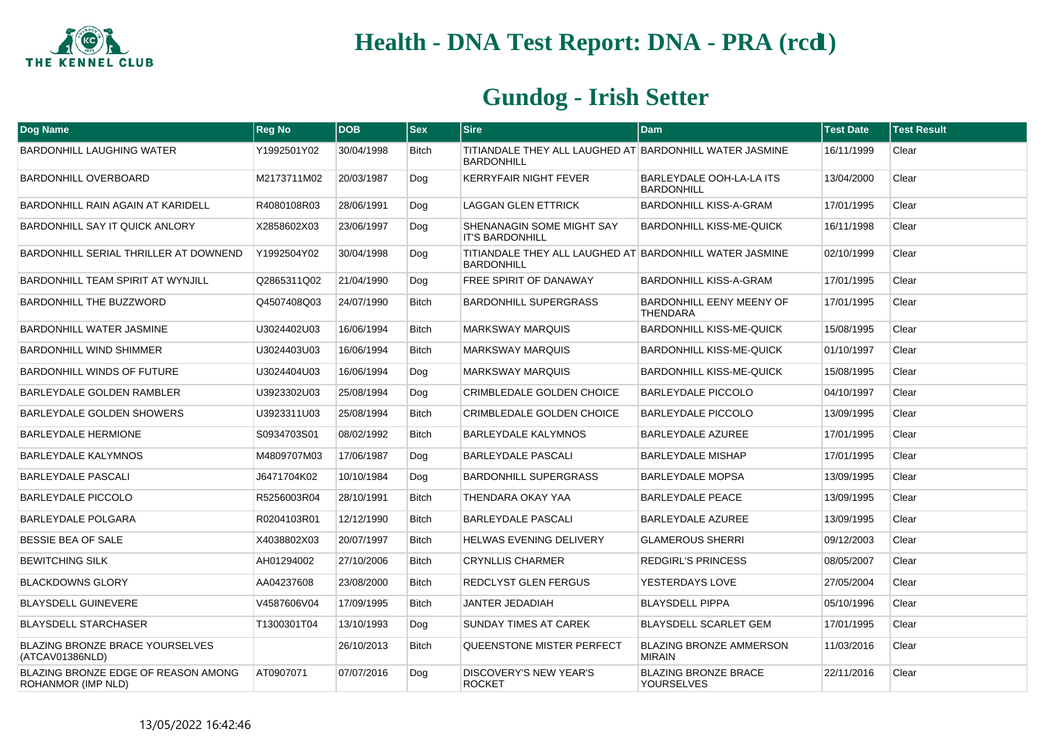

| Dog Name                                                  | <b>Reg No</b> | <b>DOB</b> | $ $ Sex      | <b>Sire</b>                                                                  | <b>Dam</b>                                       | <b>Test Date</b> | <b>Test Result</b> |
|-----------------------------------------------------------|---------------|------------|--------------|------------------------------------------------------------------------------|--------------------------------------------------|------------------|--------------------|
| BARDONHILL LAUGHING WATER                                 | Y1992501Y02   | 30/04/1998 | <b>Bitch</b> | TITIANDALE THEY ALL LAUGHED AT BARDONHILL WATER JASMINE<br><b>BARDONHILL</b> |                                                  | 16/11/1999       | Clear              |
| <b>BARDONHILL OVERBOARD</b>                               | M2173711M02   | 20/03/1987 | Dog          | <b>KERRYFAIR NIGHT FEVER</b>                                                 | BARLEYDALE OOH-LA-LA ITS<br><b>BARDONHILL</b>    | 13/04/2000       | Clear              |
| <b>BARDONHILL RAIN AGAIN AT KARIDELL</b>                  | R4080108R03   | 28/06/1991 | Dog          | <b>LAGGAN GLEN ETTRICK</b>                                                   | BARDONHILL KISS-A-GRAM                           | 17/01/1995       | Clear              |
| <b>BARDONHILL SAY IT QUICK ANLORY</b>                     | X2858602X03   | 23/06/1997 | Dog          | SHENANAGIN SOME MIGHT SAY<br><b>IT'S BARDONHILL</b>                          | <b>BARDONHILL KISS-ME-QUICK</b>                  | 16/11/1998       | Clear              |
| BARDONHILL SERIAL THRILLER AT DOWNEND                     | Y1992504Y02   | 30/04/1998 | Dog          | TITIANDALE THEY ALL LAUGHED AT BARDONHILL WATER JASMINE<br><b>BARDONHILL</b> |                                                  | 02/10/1999       | Clear              |
| BARDONHILL TEAM SPIRIT AT WYNJILL                         | Q2865311Q02   | 21/04/1990 | Dog          | <b>FREE SPIRIT OF DANAWAY</b>                                                | BARDONHILL KISS-A-GRAM                           | 17/01/1995       | Clear              |
| <b>BARDONHILL THE BUZZWORD</b>                            | Q4507408Q03   | 24/07/1990 | <b>Bitch</b> | <b>BARDONHILL SUPERGRASS</b>                                                 | BARDONHILL EENY MEENY OF<br><b>THENDARA</b>      | 17/01/1995       | Clear              |
| <b>BARDONHILL WATER JASMINE</b>                           | U3024402U03   | 16/06/1994 | <b>Bitch</b> | <b>MARKSWAY MARQUIS</b>                                                      | <b>BARDONHILL KISS-ME-QUICK</b>                  | 15/08/1995       | Clear              |
| <b>BARDONHILL WIND SHIMMER</b>                            | U3024403U03   | 16/06/1994 | <b>Bitch</b> | <b>MARKSWAY MARQUIS</b>                                                      | <b>BARDONHILL KISS-ME-QUICK</b>                  | 01/10/1997       | Clear              |
| <b>BARDONHILL WINDS OF FUTURE</b>                         | U3024404U03   | 16/06/1994 | Dog          | <b>MARKSWAY MARQUIS</b>                                                      | <b>BARDONHILL KISS-ME-QUICK</b>                  | 15/08/1995       | Clear              |
| BARLEYDALE GOLDEN RAMBLER                                 | U3923302U03   | 25/08/1994 | Dog          | <b>CRIMBLEDALE GOLDEN CHOICE</b>                                             | <b>BARLEYDALE PICCOLO</b>                        | 04/10/1997       | Clear              |
| BARLEYDALE GOLDEN SHOWERS                                 | U3923311U03   | 25/08/1994 | <b>Bitch</b> | <b>CRIMBLEDALE GOLDEN CHOICE</b>                                             | <b>BARLEYDALE PICCOLO</b>                        | 13/09/1995       | Clear              |
| <b>BARLEYDALE HERMIONE</b>                                | S0934703S01   | 08/02/1992 | <b>Bitch</b> | BARLEYDALE KALYMNOS                                                          | <b>BARLEYDALE AZUREE</b>                         | 17/01/1995       | Clear              |
| <b>BARLEYDALE KALYMNOS</b>                                | M4809707M03   | 17/06/1987 | Dog          | BARLEYDALE PASCALI                                                           | <b>BARLEYDALE MISHAP</b>                         | 17/01/1995       | Clear              |
| <b>BARLEYDALE PASCALI</b>                                 | J6471704K02   | 10/10/1984 | Dog          | <b>BARDONHILL SUPERGRASS</b>                                                 | <b>BARLEYDALE MOPSA</b>                          | 13/09/1995       | Clear              |
| <b>BARLEYDALE PICCOLO</b>                                 | R5256003R04   | 28/10/1991 | <b>Bitch</b> | THENDARA OKAY YAA                                                            | <b>BARLEYDALE PEACE</b>                          | 13/09/1995       | Clear              |
| <b>BARLEYDALE POLGARA</b>                                 | R0204103R01   | 12/12/1990 | <b>Bitch</b> | <b>BARLEYDALE PASCALI</b>                                                    | <b>BARLEYDALE AZUREE</b>                         | 13/09/1995       | Clear              |
| <b>BESSIE BEA OF SALE</b>                                 | X4038802X03   | 20/07/1997 | <b>Bitch</b> | <b>HELWAS EVENING DELIVERY</b>                                               | <b>GLAMEROUS SHERRI</b>                          | 09/12/2003       | Clear              |
| <b>BEWITCHING SILK</b>                                    | AH01294002    | 27/10/2006 | <b>Bitch</b> | <b>CRYNLLIS CHARMER</b>                                                      | <b>REDGIRL'S PRINCESS</b>                        | 08/05/2007       | Clear              |
| <b>BLACKDOWNS GLORY</b>                                   | AA04237608    | 23/08/2000 | <b>Bitch</b> | REDCLYST GLEN FERGUS                                                         | YESTERDAYS LOVE                                  | 27/05/2004       | Clear              |
| <b>BLAYSDELL GUINEVERE</b>                                | V4587606V04   | 17/09/1995 | <b>Bitch</b> | JANTER JEDADIAH                                                              | <b>BLAYSDELL PIPPA</b>                           | 05/10/1996       | Clear              |
| <b>BLAYSDELL STARCHASER</b>                               | T1300301T04   | 13/10/1993 | Dog          | SUNDAY TIMES AT CAREK                                                        | BLAYSDELL SCARLET GEM                            | 17/01/1995       | Clear              |
| <b>BLAZING BRONZE BRACE YOURSELVES</b><br>(ATCAV01386NLD) |               | 26/10/2013 | <b>Bitch</b> | QUEENSTONE MISTER PERFECT                                                    | <b>BLAZING BRONZE AMMERSON</b><br><b>MIRAIN</b>  | 11/03/2016       | Clear              |
| BLAZING BRONZE EDGE OF REASON AMONG<br>ROHANMOR (IMP NLD) | AT0907071     | 07/07/2016 | Dog          | DISCOVERY'S NEW YEAR'S<br><b>ROCKET</b>                                      | <b>BLAZING BRONZE BRACE</b><br><b>YOURSELVES</b> | 22/11/2016       | Clear              |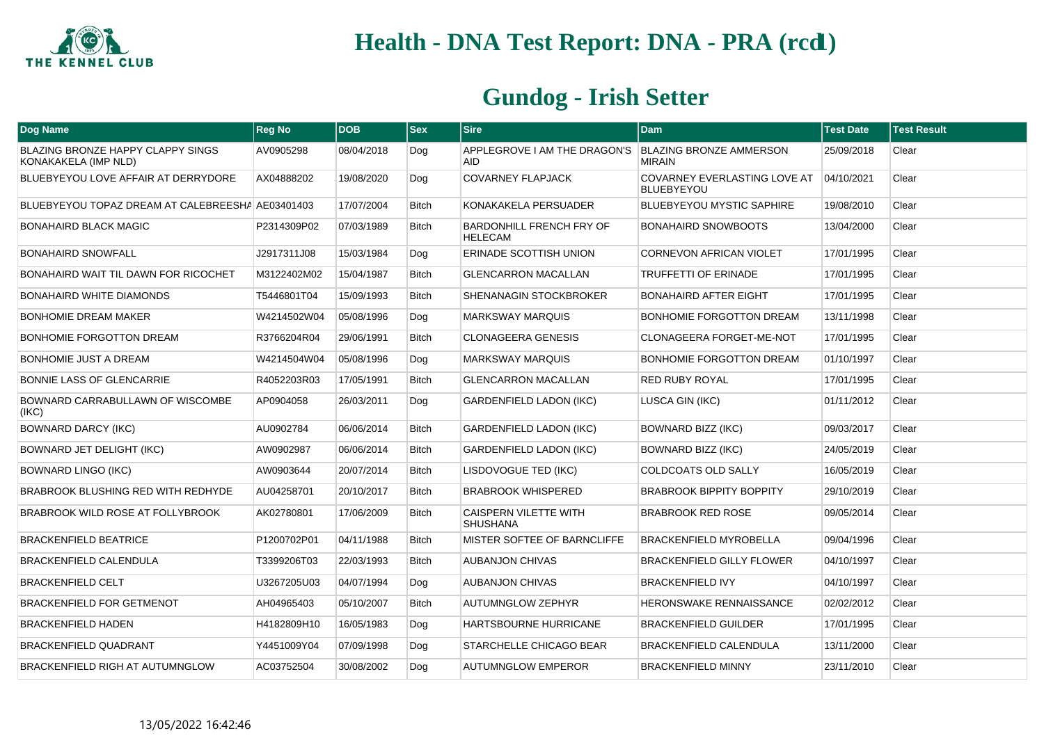

| <b>Dog Name</b>                                                  | <b>Reg No</b> | <b>DOB</b> | <b>Sex</b>   | <b>Sire</b>                                                          | <b>Dam</b>                                        | <b>Test Date</b> | <b>Test Result</b> |
|------------------------------------------------------------------|---------------|------------|--------------|----------------------------------------------------------------------|---------------------------------------------------|------------------|--------------------|
| <b>BLAZING BRONZE HAPPY CLAPPY SINGS</b><br>KONAKAKELA (IMP NLD) | AV0905298     | 08/04/2018 | Dog          | APPLEGROVE I AM THE DRAGON'S   BLAZING BRONZE AMMERSON<br><b>AID</b> | <b>MIRAIN</b>                                     | 25/09/2018       | Clear              |
| BLUEBYEYOU LOVE AFFAIR AT DERRYDORE                              | AX04888202    | 19/08/2020 | Dog          | <b>COVARNEY FLAPJACK</b>                                             | COVARNEY EVERLASTING LOVE AT<br><b>BLUEBYEYOU</b> | 04/10/2021       | Clear              |
| BLUEBYEYOU TOPAZ DREAM AT CALEBREESHA AE03401403                 |               | 17/07/2004 | <b>Bitch</b> | KONAKAKELA PERSUADER                                                 | <b>BLUEBYEYOU MYSTIC SAPHIRE</b>                  | 19/08/2010       | Clear              |
| <b>BONAHAIRD BLACK MAGIC</b>                                     | P2314309P02   | 07/03/1989 | Bitch        | BARDONHILL FRENCH FRY OF<br><b>HELECAM</b>                           | <b>BONAHAIRD SNOWBOOTS</b>                        | 13/04/2000       | Clear              |
| <b>BONAHAIRD SNOWFALL</b>                                        | J2917311J08   | 15/03/1984 | Dog          | ERINADE SCOTTISH UNION                                               | <b>CORNEVON AFRICAN VIOLET</b>                    | 17/01/1995       | Clear              |
| <b>BONAHAIRD WAIT TIL DAWN FOR RICOCHET</b>                      | M3122402M02   | 15/04/1987 | <b>Bitch</b> | <b>GLENCARRON MACALLAN</b>                                           | <b>TRUFFETTI OF ERINADE</b>                       | 17/01/1995       | Clear              |
| <b>BONAHAIRD WHITE DIAMONDS</b>                                  | T5446801T04   | 15/09/1993 | Bitch        | SHENANAGIN STOCKBROKER                                               | <b>BONAHAIRD AFTER EIGHT</b>                      | 17/01/1995       | Clear              |
| <b>BONHOMIE DREAM MAKER</b>                                      | W4214502W04   | 05/08/1996 | Dog          | <b>MARKSWAY MARQUIS</b>                                              | BONHOMIE FORGOTTON DREAM                          | 13/11/1998       | Clear              |
| BONHOMIE FORGOTTON DREAM                                         | R3766204R04   | 29/06/1991 | <b>Bitch</b> | <b>CLONAGEERA GENESIS</b>                                            | CLONAGEERA FORGET-ME-NOT                          | 17/01/1995       | Clear              |
| <b>BONHOMIE JUST A DREAM</b>                                     | W4214504W04   | 05/08/1996 | Dog          | <b>MARKSWAY MARQUIS</b>                                              | <b>BONHOMIE FORGOTTON DREAM</b>                   | 01/10/1997       | Clear              |
| <b>BONNIE LASS OF GLENCARRIE</b>                                 | R4052203R03   | 17/05/1991 | <b>Bitch</b> | <b>GLENCARRON MACALLAN</b>                                           | <b>RED RUBY ROYAL</b>                             | 17/01/1995       | Clear              |
| BOWNARD CARRABULLAWN OF WISCOMBE<br>(IKC)                        | AP0904058     | 26/03/2011 | Dog          | <b>GARDENFIELD LADON (IKC)</b>                                       | LUSCA GIN (IKC)                                   | 01/11/2012       | Clear              |
| <b>BOWNARD DARCY (IKC)</b>                                       | AU0902784     | 06/06/2014 | <b>Bitch</b> | <b>GARDENFIELD LADON (IKC)</b>                                       | BOWNARD BIZZ (IKC)                                | 09/03/2017       | Clear              |
| <b>BOWNARD JET DELIGHT (IKC)</b>                                 | AW0902987     | 06/06/2014 | <b>Bitch</b> | <b>GARDENFIELD LADON (IKC)</b>                                       | BOWNARD BIZZ (IKC)                                | 24/05/2019       | Clear              |
| BOWNARD LINGO (IKC)                                              | AW0903644     | 20/07/2014 | <b>Bitch</b> | LISDOVOGUE TED (IKC)                                                 | <b>COLDCOATS OLD SALLY</b>                        | 16/05/2019       | Clear              |
| <b>BRABROOK BLUSHING RED WITH REDHYDE</b>                        | AU04258701    | 20/10/2017 | <b>Bitch</b> | <b>BRABROOK WHISPERED</b>                                            | <b>BRABROOK BIPPITY BOPPITY</b>                   | 29/10/2019       | Clear              |
| BRABROOK WILD ROSE AT FOLLYBROOK                                 | AK02780801    | 17/06/2009 | <b>Bitch</b> | CAISPERN VILETTE WITH<br><b>SHUSHANA</b>                             | <b>BRABROOK RED ROSE</b>                          | 09/05/2014       | Clear              |
| <b>BRACKENFIELD BEATRICE</b>                                     | P1200702P01   | 04/11/1988 | <b>Bitch</b> | MISTER SOFTEE OF BARNCLIFFE                                          | <b>BRACKENFIELD MYROBELLA</b>                     | 09/04/1996       | Clear              |
| <b>BRACKENFIELD CALENDULA</b>                                    | T3399206T03   | 22/03/1993 | <b>Bitch</b> | <b>AUBANJON CHIVAS</b>                                               | <b>BRACKENFIELD GILLY FLOWER</b>                  | 04/10/1997       | Clear              |
| <b>BRACKENFIELD CELT</b>                                         | U3267205U03   | 04/07/1994 | Dog          | <b>AUBANJON CHIVAS</b>                                               | <b>BRACKENFIELD IVY</b>                           | 04/10/1997       | Clear              |
| BRACKENFIELD FOR GETMENOT                                        | AH04965403    | 05/10/2007 | Bitch        | <b>AUTUMNGLOW ZEPHYR</b>                                             | <b>HERONSWAKE RENNAISSANCE</b>                    | 02/02/2012       | Clear              |
| <b>BRACKENFIELD HADEN</b>                                        | H4182809H10   | 16/05/1983 | Dog          | HARTSBOURNE HURRICANE                                                | <b>BRACKENFIELD GUILDER</b>                       | 17/01/1995       | Clear              |
| <b>BRACKENFIELD QUADRANT</b>                                     | Y4451009Y04   | 07/09/1998 | Dog          | STARCHELLE CHICAGO BEAR                                              | <b>BRACKENFIELD CALENDULA</b>                     | 13/11/2000       | Clear              |
| BRACKENFIELD RIGH AT AUTUMNGLOW                                  | AC03752504    | 30/08/2002 | Dog          | <b>AUTUMNGLOW EMPEROR</b>                                            | <b>BRACKENFIELD MINNY</b>                         | 23/11/2010       | Clear              |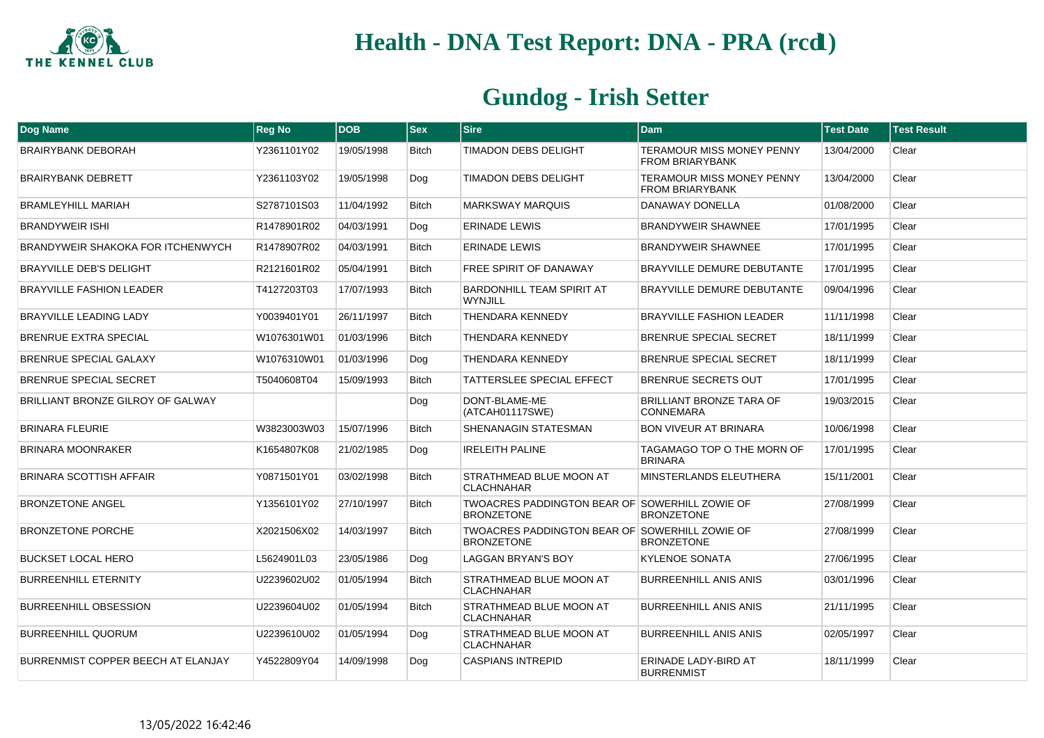

| <b>Dog Name</b>                    | <b>Reg No</b> | <b>DOB</b> | <b>Sex</b>   | <b>Sire</b>                                                         | <b>Dam</b>                                                 | <b>Test Date</b> | <b>Test Result</b> |
|------------------------------------|---------------|------------|--------------|---------------------------------------------------------------------|------------------------------------------------------------|------------------|--------------------|
| <b>BRAIRYBANK DEBORAH</b>          | Y2361101Y02   | 19/05/1998 | <b>Bitch</b> | <b>TIMADON DEBS DELIGHT</b>                                         | <b>TERAMOUR MISS MONEY PENNY</b><br><b>FROM BRIARYBANK</b> | 13/04/2000       | Clear              |
| <b>BRAIRYBANK DEBRETT</b>          | Y2361103Y02   | 19/05/1998 | Dog          | <b>TIMADON DEBS DELIGHT</b>                                         | <b>TERAMOUR MISS MONEY PENNY</b><br><b>FROM BRIARYBANK</b> | 13/04/2000       | Clear              |
| <b>BRAMLEYHILL MARIAH</b>          | S2787101S03   | 11/04/1992 | <b>Bitch</b> | <b>MARKSWAY MARQUIS</b>                                             | <b>DANAWAY DONELLA</b>                                     | 01/08/2000       | Clear              |
| <b>BRANDYWEIR ISHI</b>             | R1478901R02   | 04/03/1991 | Dog          | <b>ERINADE LEWIS</b>                                                | <b>BRANDYWEIR SHAWNEE</b>                                  | 17/01/1995       | Clear              |
| BRANDYWEIR SHAKOKA FOR ITCHENWYCH  | R1478907R02   | 04/03/1991 | <b>Bitch</b> | <b>ERINADE LEWIS</b>                                                | <b>BRANDYWEIR SHAWNEE</b>                                  | 17/01/1995       | Clear              |
| <b>BRAYVILLE DEB'S DELIGHT</b>     | R2121601R02   | 05/04/1991 | <b>Bitch</b> | <b>FREE SPIRIT OF DANAWAY</b>                                       | <b>BRAYVILLE DEMURE DEBUTANTE</b>                          | 17/01/1995       | Clear              |
| <b>BRAYVILLE FASHION LEADER</b>    | T4127203T03   | 17/07/1993 | <b>Bitch</b> | <b>BARDONHILL TEAM SPIRIT AT</b><br>WYNJILL                         | <b>BRAYVILLE DEMURE DEBUTANTE</b>                          | 09/04/1996       | Clear              |
| <b>BRAYVILLE LEADING LADY</b>      | Y0039401Y01   | 26/11/1997 | <b>Bitch</b> | <b>THENDARA KENNEDY</b>                                             | <b>BRAYVILLE FASHION LEADER</b>                            | 11/11/1998       | Clear              |
| <b>BRENRUE EXTRA SPECIAL</b>       | W1076301W01   | 01/03/1996 | <b>Bitch</b> | <b>THENDARA KENNEDY</b>                                             | <b>BRENRUE SPECIAL SECRET</b>                              | 18/11/1999       | Clear              |
| BRENRUE SPECIAL GALAXY             | W1076310W01   | 01/03/1996 | Dog          | THENDARA KENNEDY                                                    | <b>BRENRUE SPECIAL SECRET</b>                              | 18/11/1999       | Clear              |
| <b>BRENRUE SPECIAL SECRET</b>      | T5040608T04   | 15/09/1993 | <b>Bitch</b> | TATTERSLEE SPECIAL EFFECT                                           | <b>BRENRUE SECRETS OUT</b>                                 | 17/01/1995       | Clear              |
| BRILLIANT BRONZE GILROY OF GALWAY  |               |            | Dog          | DONT-BLAME-ME<br>(ATCAH01117SWE)                                    | <b>BRILLIANT BRONZE TARA OF</b><br><b>CONNEMARA</b>        | 19/03/2015       | Clear              |
| <b>BRINARA FLEURIE</b>             | W3823003W03   | 15/07/1996 | <b>Bitch</b> | SHENANAGIN STATESMAN                                                | <b>BON VIVEUR AT BRINARA</b>                               | 10/06/1998       | Clear              |
| <b>BRINARA MOONRAKER</b>           | K1654807K08   | 21/02/1985 | Dog          | <b>IRELEITH PALINE</b>                                              | TAGAMAGO TOP O THE MORN OF<br><b>BRINARA</b>               | 17/01/1995       | Clear              |
| BRINARA SCOTTISH AFFAIR            | Y0871501Y01   | 03/02/1998 | <b>Bitch</b> | STRATHMEAD BLUE MOON AT<br><b>CLACHNAHAR</b>                        | MINSTERLANDS ELEUTHERA                                     | 15/11/2001       | Clear              |
| <b>BRONZETONE ANGEL</b>            | Y1356101Y02   | 27/10/1997 | <b>Bitch</b> | TWOACRES PADDINGTON BEAR OF SOWERHILL ZOWIE OF<br><b>BRONZETONE</b> | <b>BRONZETONE</b>                                          | 27/08/1999       | Clear              |
| <b>BRONZETONE PORCHE</b>           | X2021506X02   | 14/03/1997 | <b>Bitch</b> | TWOACRES PADDINGTON BEAR OF SOWERHILL ZOWIE OF<br><b>BRONZETONE</b> | <b>BRONZETONE</b>                                          | 27/08/1999       | Clear              |
| <b>BUCKSET LOCAL HERO</b>          | L5624901L03   | 23/05/1986 | Dog          | <b>LAGGAN BRYAN'S BOY</b>                                           | <b>KYLENOE SONATA</b>                                      | 27/06/1995       | Clear              |
| <b>BURREENHILL ETERNITY</b>        | U2239602U02   | 01/05/1994 | <b>Bitch</b> | STRATHMEAD BLUE MOON AT<br><b>CLACHNAHAR</b>                        | <b>BURREENHILL ANIS ANIS</b>                               | 03/01/1996       | Clear              |
| <b>BURREENHILL OBSESSION</b>       | U2239604U02   | 01/05/1994 | <b>Bitch</b> | STRATHMEAD BLUE MOON AT<br><b>CLACHNAHAR</b>                        | <b>BURREENHILL ANIS ANIS</b>                               | 21/11/1995       | Clear              |
| <b>BURREENHILL QUORUM</b>          | U2239610U02   | 01/05/1994 | Dog          | STRATHMEAD BLUE MOON AT<br><b>CLACHNAHAR</b>                        | <b>BURREENHILL ANIS ANIS</b>                               | 02/05/1997       | Clear              |
| BURRENMIST COPPER BEECH AT ELANJAY | Y4522809Y04   | 14/09/1998 | Dog          | <b>CASPIANS INTREPID</b>                                            | ERINADE LADY-BIRD AT<br><b>BURRENMIST</b>                  | 18/11/1999       | Clear              |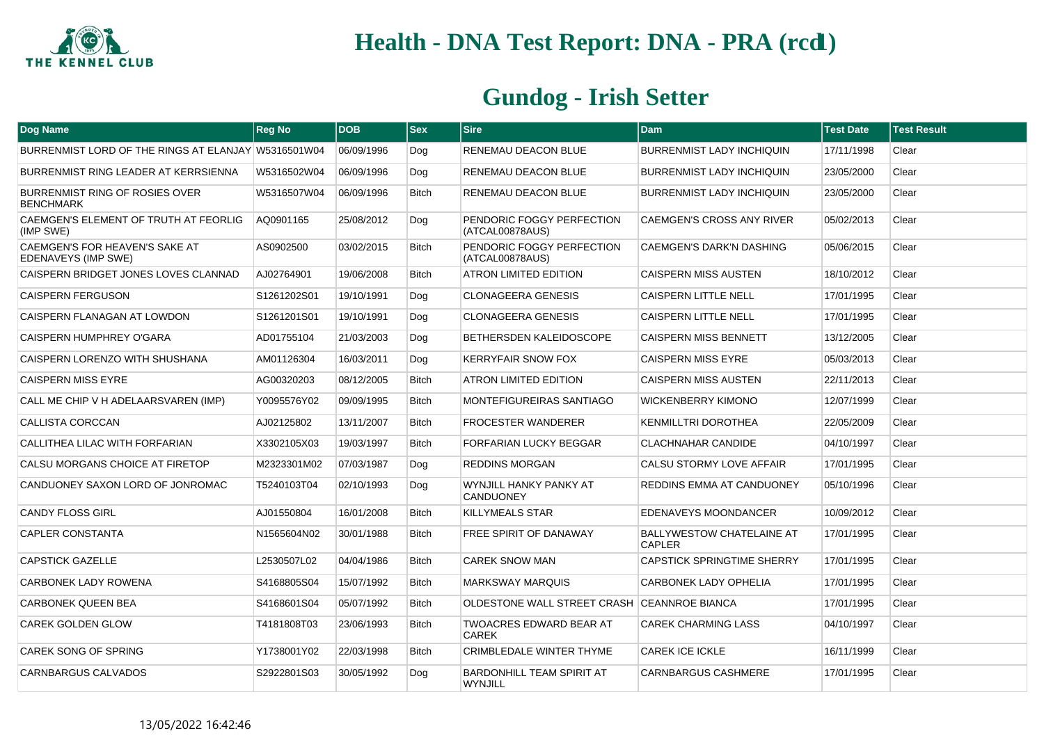

| Dog Name                                              | <b>Reg No</b> | <b>DOB</b> | <b>Sex</b>   | <b>Sire</b>                                    | <b>Dam</b>                                        | <b>Test Date</b> | <b>Test Result</b> |
|-------------------------------------------------------|---------------|------------|--------------|------------------------------------------------|---------------------------------------------------|------------------|--------------------|
| BURRENMIST LORD OF THE RINGS AT ELANJAY W5316501W04   |               | 06/09/1996 | Dog          | RENEMAU DEACON BLUE                            | <b>BURRENMIST LADY INCHIQUIN</b>                  | 17/11/1998       | Clear              |
| BURRENMIST RING LEADER AT KERRSIENNA                  | W5316502W04   | 06/09/1996 | Dog          | RENEMAU DEACON BLUE                            | <b>BURRENMIST LADY INCHIQUIN</b>                  | 23/05/2000       | Clear              |
| BURRENMIST RING OF ROSIES OVER<br><b>BENCHMARK</b>    | W5316507W04   | 06/09/1996 | <b>Bitch</b> | RENEMAU DEACON BLUE                            | BURRENMIST LADY INCHIQUIN                         | 23/05/2000       | Clear              |
| CAEMGEN'S ELEMENT OF TRUTH AT FEORLIG<br>(IMP SWE)    | AQ0901165     | 25/08/2012 | Dog          | PENDORIC FOGGY PERFECTION<br>(ATCAL00878AUS)   | <b>CAEMGEN'S CROSS ANY RIVER</b>                  | 05/02/2013       | Clear              |
| CAEMGEN'S FOR HEAVEN'S SAKE AT<br>EDENAVEYS (IMP SWE) | AS0902500     | 03/02/2015 | <b>Bitch</b> | PENDORIC FOGGY PERFECTION<br>(ATCAL00878AUS)   | <b>CAEMGEN'S DARK'N DASHING</b>                   | 05/06/2015       | Clear              |
| CAISPERN BRIDGET JONES LOVES CLANNAD                  | AJ02764901    | 19/06/2008 | <b>Bitch</b> | <b>ATRON LIMITED EDITION</b>                   | <b>CAISPERN MISS AUSTEN</b>                       | 18/10/2012       | Clear              |
| <b>CAISPERN FERGUSON</b>                              | S1261202S01   | 19/10/1991 | Dog          | <b>CLONAGEERA GENESIS</b>                      | <b>CAISPERN LITTLE NELL</b>                       | 17/01/1995       | Clear              |
| CAISPERN FLANAGAN AT LOWDON                           | S1261201S01   | 19/10/1991 | Dog          | <b>CLONAGEERA GENESIS</b>                      | <b>CAISPERN LITTLE NELL</b>                       | 17/01/1995       | Clear              |
| CAISPERN HUMPHREY O'GARA                              | AD01755104    | 21/03/2003 | Dog          | BETHERSDEN KALEIDOSCOPE                        | <b>CAISPERN MISS BENNETT</b>                      | 13/12/2005       | Clear              |
| CAISPERN LORENZO WITH SHUSHANA                        | AM01126304    | 16/03/2011 | Dog          | <b>KERRYFAIR SNOW FOX</b>                      | <b>CAISPERN MISS EYRE</b>                         | 05/03/2013       | Clear              |
| <b>CAISPERN MISS EYRE</b>                             | AG00320203    | 08/12/2005 | <b>Bitch</b> | <b>ATRON LIMITED EDITION</b>                   | <b>CAISPERN MISS AUSTEN</b>                       | 22/11/2013       | Clear              |
| CALL ME CHIP V H ADELAARSVAREN (IMP)                  | Y0095576Y02   | 09/09/1995 | <b>Bitch</b> | MONTEFIGUREIRAS SANTIAGO                       | <b>WICKENBERRY KIMONO</b>                         | 12/07/1999       | Clear              |
| CALLISTA CORCCAN                                      | AJ02125802    | 13/11/2007 | Bitch        | <b>FROCESTER WANDERER</b>                      | <b>KENMILLTRI DOROTHEA</b>                        | 22/05/2009       | Clear              |
| CALLITHEA LILAC WITH FORFARIAN                        | X3302105X03   | 19/03/1997 | <b>Bitch</b> | <b>FORFARIAN LUCKY BEGGAR</b>                  | <b>CLACHNAHAR CANDIDE</b>                         | 04/10/1997       | Clear              |
| CALSU MORGANS CHOICE AT FIRETOP                       | M2323301M02   | 07/03/1987 | Dog          | <b>REDDINS MORGAN</b>                          | CALSU STORMY LOVE AFFAIR                          | 17/01/1995       | Clear              |
| CANDUONEY SAXON LORD OF JONROMAC                      | T5240103T04   | 02/10/1993 | Dog          | WYNJILL HANKY PANKY AT<br><b>CANDUONEY</b>     | REDDINS EMMA AT CANDUONEY                         | 05/10/1996       | Clear              |
| <b>CANDY FLOSS GIRL</b>                               | AJ01550804    | 16/01/2008 | <b>Bitch</b> | <b>KILLYMEALS STAR</b>                         | EDENAVEYS MOONDANCER                              | 10/09/2012       | Clear              |
| <b>CAPLER CONSTANTA</b>                               | N1565604N02   | 30/01/1988 | <b>Bitch</b> | FREE SPIRIT OF DANAWAY                         | <b>BALLYWESTOW CHATELAINE AT</b><br><b>CAPLER</b> | 17/01/1995       | Clear              |
| <b>CAPSTICK GAZELLE</b>                               | L2530507L02   | 04/04/1986 | Bitch        | <b>CAREK SNOW MAN</b>                          | <b>CAPSTICK SPRINGTIME SHERRY</b>                 | 17/01/1995       | Clear              |
| CARBONEK LADY ROWENA                                  | S4168805S04   | 15/07/1992 | Bitch        | <b>MARKSWAY MARQUIS</b>                        | CARBONEK LADY OPHELIA                             | 17/01/1995       | Clear              |
| <b>CARBONEK QUEEN BEA</b>                             | S4168601S04   | 05/07/1992 | Bitch        | OLDESTONE WALL STREET CRASH CEANNROE BIANCA    |                                                   | 17/01/1995       | Clear              |
| <b>CAREK GOLDEN GLOW</b>                              | T4181808T03   | 23/06/1993 | <b>Bitch</b> | <b>TWOACRES EDWARD BEAR AT</b><br><b>CAREK</b> | <b>CAREK CHARMING LASS</b>                        | 04/10/1997       | Clear              |
| <b>CAREK SONG OF SPRING</b>                           | Y1738001Y02   | 22/03/1998 | <b>Bitch</b> | CRIMBLEDALE WINTER THYME                       | <b>CAREK ICE ICKLE</b>                            | 16/11/1999       | Clear              |
| CARNBARGUS CALVADOS                                   | S2922801S03   | 30/05/1992 | Dog          | BARDONHILL TEAM SPIRIT AT<br><b>WYNJILL</b>    | <b>CARNBARGUS CASHMERE</b>                        | 17/01/1995       | Clear              |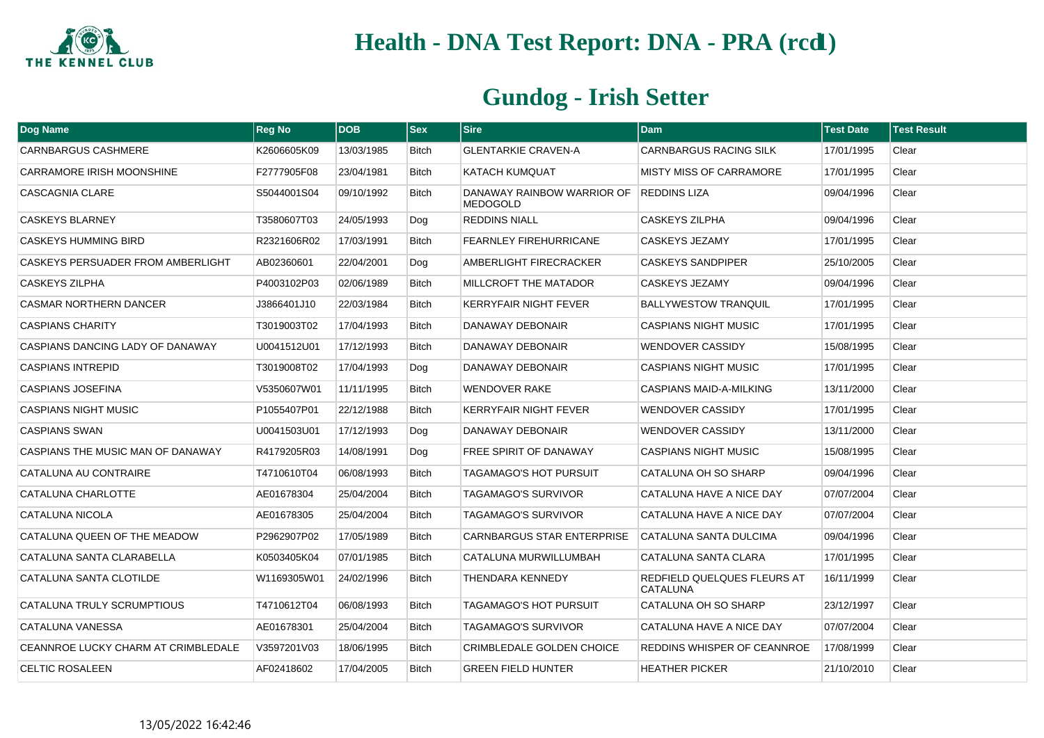

| <b>Dog Name</b>                     | <b>Reg No</b> | <b>DOB</b> | <b>Sex</b>   | <b>Sire</b>                                   | Dam                                            | <b>Test Date</b> | <b>Test Result</b> |
|-------------------------------------|---------------|------------|--------------|-----------------------------------------------|------------------------------------------------|------------------|--------------------|
| <b>CARNBARGUS CASHMERE</b>          | K2606605K09   | 13/03/1985 | Bitch        | <b>GLENTARKIE CRAVEN-A</b>                    | CARNBARGUS RACING SILK                         | 17/01/1995       | Clear              |
| CARRAMORE IRISH MOONSHINE           | F2777905F08   | 23/04/1981 | <b>Bitch</b> | KATACH KUMQUAT                                | <b>MISTY MISS OF CARRAMORE</b>                 | 17/01/1995       | Clear              |
| CASCAGNIA CLARE                     | S5044001S04   | 09/10/1992 | <b>Bitch</b> | DANAWAY RAINBOW WARRIOR OF<br><b>MEDOGOLD</b> | <b>REDDINS LIZA</b>                            | 09/04/1996       | Clear              |
| <b>CASKEYS BLARNEY</b>              | T3580607T03   | 24/05/1993 | Dog          | <b>REDDINS NIALL</b>                          | CASKEYS ZILPHA                                 | 09/04/1996       | Clear              |
| <b>CASKEYS HUMMING BIRD</b>         | R2321606R02   | 17/03/1991 | <b>Bitch</b> | <b>FEARNLEY FIREHURRICANE</b>                 | CASKEYS JEZAMY                                 | 17/01/1995       | Clear              |
| CASKEYS PERSUADER FROM AMBERLIGHT   | AB02360601    | 22/04/2001 | Dog          | AMBERLIGHT FIRECRACKER                        | <b>CASKEYS SANDPIPER</b>                       | 25/10/2005       | Clear              |
| <b>CASKEYS ZILPHA</b>               | P4003102P03   | 02/06/1989 | <b>Bitch</b> | MILLCROFT THE MATADOR                         | CASKEYS JEZAMY                                 | 09/04/1996       | Clear              |
| <b>CASMAR NORTHERN DANCER</b>       | J3866401J10   | 22/03/1984 | <b>Bitch</b> | KERRYFAIR NIGHT FEVER                         | <b>BALLYWESTOW TRANQUIL</b>                    | 17/01/1995       | Clear              |
| <b>CASPIANS CHARITY</b>             | T3019003T02   | 17/04/1993 | Bitch        | DANAWAY DEBONAIR                              | <b>CASPIANS NIGHT MUSIC</b>                    | 17/01/1995       | Clear              |
| CASPIANS DANCING LADY OF DANAWAY    | U0041512U01   | 17/12/1993 | <b>Bitch</b> | DANAWAY DEBONAIR                              | <b>WENDOVER CASSIDY</b>                        | 15/08/1995       | Clear              |
| <b>CASPIANS INTREPID</b>            | T3019008T02   | 17/04/1993 | Dog          | DANAWAY DEBONAIR                              | <b>CASPIANS NIGHT MUSIC</b>                    | 17/01/1995       | Clear              |
| <b>CASPIANS JOSEFINA</b>            | V5350607W01   | 11/11/1995 | Bitch        | <b>WENDOVER RAKE</b>                          | <b>CASPIANS MAID-A-MILKING</b>                 | 13/11/2000       | Clear              |
| <b>CASPIANS NIGHT MUSIC</b>         | P1055407P01   | 22/12/1988 | Bitch        | KERRYFAIR NIGHT FEVER                         | <b>WENDOVER CASSIDY</b>                        | 17/01/1995       | Clear              |
| <b>CASPIANS SWAN</b>                | U0041503U01   | 17/12/1993 | Dog          | DANAWAY DEBONAIR                              | <b>WENDOVER CASSIDY</b>                        | 13/11/2000       | Clear              |
| CASPIANS THE MUSIC MAN OF DANAWAY   | R4179205R03   | 14/08/1991 | Dog          | FREE SPIRIT OF DANAWAY                        | <b>CASPIANS NIGHT MUSIC</b>                    | 15/08/1995       | Clear              |
| CATALUNA AU CONTRAIRE               | T4710610T04   | 06/08/1993 | Bitch        | <b>TAGAMAGO'S HOT PURSUIT</b>                 | CATALUNA OH SO SHARP                           | 09/04/1996       | Clear              |
| CATALUNA CHARLOTTE                  | AE01678304    | 25/04/2004 | Bitch        | TAGAMAGO'S SURVIVOR                           | CATALUNA HAVE A NICE DAY                       | 07/07/2004       | Clear              |
| CATALUNA NICOLA                     | AE01678305    | 25/04/2004 | Bitch        | TAGAMAGO'S SURVIVOR                           | CATALUNA HAVE A NICE DAY                       | 07/07/2004       | Clear              |
| CATALUNA QUEEN OF THE MEADOW        | P2962907P02   | 17/05/1989 | Bitch        | <b>CARNBARGUS STAR ENTERPRISE</b>             | CATALUNA SANTA DULCIMA                         | 09/04/1996       | Clear              |
| CATALUNA SANTA CLARABELLA           | K0503405K04   | 07/01/1985 | Bitch        | CATALUNA MURWILLUMBAH                         | CATALUNA SANTA CLARA                           | 17/01/1995       | Clear              |
| CATALUNA SANTA CLOTILDE             | W1169305W01   | 24/02/1996 | Bitch        | THENDARA KENNEDY                              | REDFIELD QUELQUES FLEURS AT<br><b>CATALUNA</b> | 16/11/1999       | Clear              |
| CATALUNA TRULY SCRUMPTIOUS          | T4710612T04   | 06/08/1993 | Bitch        | TAGAMAGO'S HOT PURSUIT                        | CATALUNA OH SO SHARP                           | 23/12/1997       | Clear              |
| CATALUNA VANESSA                    | AE01678301    | 25/04/2004 | Bitch        | TAGAMAGO'S SURVIVOR                           | CATALUNA HAVE A NICE DAY                       | 07/07/2004       | Clear              |
| CEANNROE LUCKY CHARM AT CRIMBLEDALE | V3597201V03   | 18/06/1995 | Bitch        | <b>CRIMBLEDALE GOLDEN CHOICE</b>              | REDDINS WHISPER OF CEANNROE                    | 17/08/1999       | Clear              |
| <b>CELTIC ROSALEEN</b>              | AF02418602    | 17/04/2005 | Bitch        | <b>GREEN FIELD HUNTER</b>                     | <b>HEATHER PICKER</b>                          | 21/10/2010       | Clear              |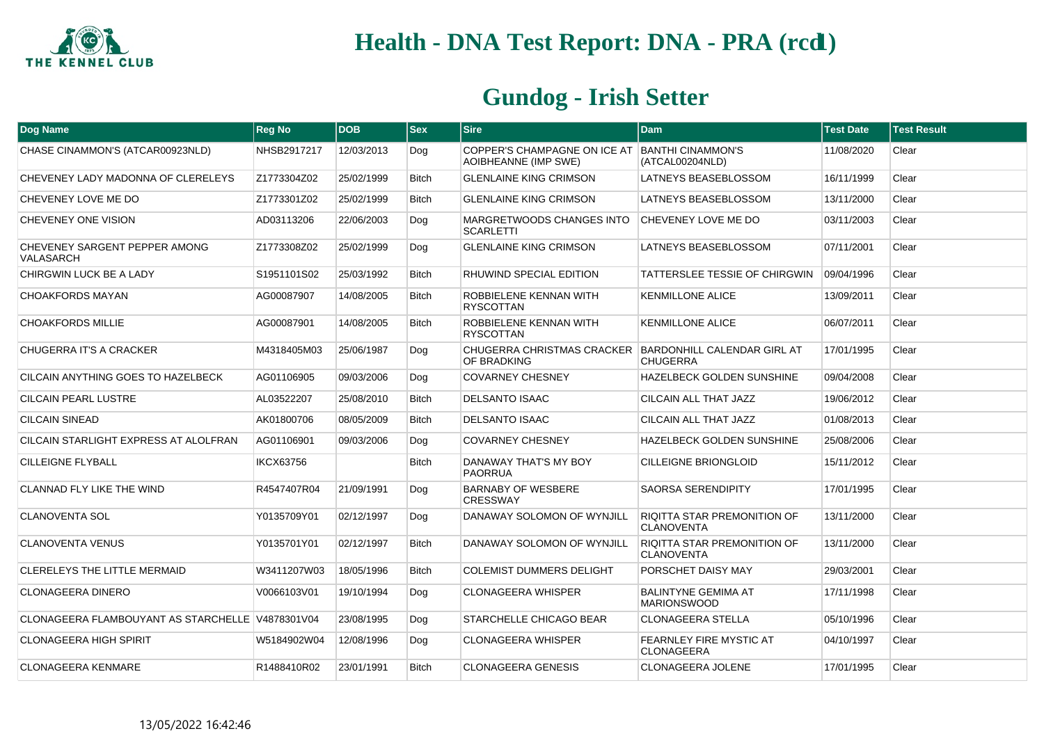

| Dog Name                                         | <b>Reg No</b> | <b>DOB</b> | <b>Sex</b>   | <b>Sire</b>                                                                  | <b>Dam</b>                                              | <b>Test Date</b> | <b>Test Result</b> |
|--------------------------------------------------|---------------|------------|--------------|------------------------------------------------------------------------------|---------------------------------------------------------|------------------|--------------------|
| CHASE CINAMMON'S (ATCAR00923NLD)                 | NHSB2917217   | 12/03/2013 | Dog          | COPPER'S CHAMPAGNE ON ICE AT<br><b>AOIBHEANNE (IMP SWE)</b>                  | <b>BANTHI CINAMMON'S</b><br>(ATCAL00204NLD)             | 11/08/2020       | Clear              |
| CHEVENEY LADY MADONNA OF CLERELEYS               | Z1773304Z02   | 25/02/1999 | <b>Bitch</b> | <b>GLENLAINE KING CRIMSON</b>                                                | LATNEYS BEASEBLOSSOM                                    | 16/11/1999       | Clear              |
| CHEVENEY LOVE ME DO                              | Z1773301Z02   | 25/02/1999 | <b>Bitch</b> | <b>GLENLAINE KING CRIMSON</b>                                                | LATNEYS BEASEBLOSSOM                                    | 13/11/2000       | Clear              |
| <b>CHEVENEY ONE VISION</b>                       | AD03113206    | 22/06/2003 | Dog          | MARGRETWOODS CHANGES INTO<br><b>SCARLETTI</b>                                | CHEVENEY LOVE ME DO                                     | 03/11/2003       | Clear              |
| CHEVENEY SARGENT PEPPER AMONG<br>VALASARCH       | Z1773308Z02   | 25/02/1999 | Dog          | <b>GLENLAINE KING CRIMSON</b>                                                | LATNEYS BEASEBLOSSOM                                    | 07/11/2001       | Clear              |
| CHIRGWIN LUCK BE A LADY                          | S1951101S02   | 25/03/1992 | <b>Bitch</b> | RHUWIND SPECIAL EDITION                                                      | <b>TATTERSLEE TESSIE OF CHIRGWIN</b>                    | 09/04/1996       | Clear              |
| <b>CHOAKFORDS MAYAN</b>                          | AG00087907    | 14/08/2005 | <b>Bitch</b> | ROBBIELENE KENNAN WITH<br><b>RYSCOTTAN</b>                                   | <b>KENMILLONE ALICE</b>                                 | 13/09/2011       | Clear              |
| <b>CHOAKFORDS MILLIE</b>                         | AG00087901    | 14/08/2005 | <b>Bitch</b> | ROBBIELENE KENNAN WITH<br><b>RYSCOTTAN</b>                                   | <b>KENMILLONE ALICE</b>                                 | 06/07/2011       | Clear              |
| CHUGERRA IT'S A CRACKER                          | M4318405M03   | 25/06/1987 | Dog          | CHUGERRA CHRISTMAS CRACKER BARDONHILL CALENDAR GIRL AT<br><b>OF BRADKING</b> | <b>CHUGERRA</b>                                         | 17/01/1995       | Clear              |
| CILCAIN ANYTHING GOES TO HAZELBECK               | AG01106905    | 09/03/2006 | Dog          | <b>COVARNEY CHESNEY</b>                                                      | HAZELBECK GOLDEN SUNSHINE                               | 09/04/2008       | Clear              |
| <b>CILCAIN PEARL LUSTRE</b>                      | AL03522207    | 25/08/2010 | <b>Bitch</b> | <b>DELSANTO ISAAC</b>                                                        | CILCAIN ALL THAT JAZZ                                   | 19/06/2012       | Clear              |
| <b>CILCAIN SINEAD</b>                            | AK01800706    | 08/05/2009 | <b>Bitch</b> | <b>DELSANTO ISAAC</b>                                                        | CILCAIN ALL THAT JAZZ                                   | 01/08/2013       | Clear              |
| CILCAIN STARLIGHT EXPRESS AT ALOLFRAN            | AG01106901    | 09/03/2006 | Dog          | <b>COVARNEY CHESNEY</b>                                                      | HAZELBECK GOLDEN SUNSHINE                               | 25/08/2006       | Clear              |
| <b>CILLEIGNE FLYBALL</b>                         | IKCX63756     |            | <b>Bitch</b> | DANAWAY THAT'S MY BOY<br><b>PAORRUA</b>                                      | <b>CILLEIGNE BRIONGLOID</b>                             | 15/11/2012       | Clear              |
| CLANNAD FLY LIKE THE WIND                        | R4547407R04   | 21/09/1991 | Dog          | <b>BARNABY OF WESBERE</b><br><b>CRESSWAY</b>                                 | <b>SAORSA SERENDIPITY</b>                               | 17/01/1995       | Clear              |
| <b>CLANOVENTA SOL</b>                            | Y0135709Y01   | 02/12/1997 | Dog          | DANAWAY SOLOMON OF WYNJILL                                                   | <b>RIQITTA STAR PREMONITION OF</b><br><b>CLANOVENTA</b> | 13/11/2000       | Clear              |
| <b>CLANOVENTA VENUS</b>                          | Y0135701Y01   | 02/12/1997 | <b>Bitch</b> | DANAWAY SOLOMON OF WYNJILL                                                   | <b>RIQITTA STAR PREMONITION OF</b><br><b>CLANOVENTA</b> | 13/11/2000       | Clear              |
| <b>CLERELEYS THE LITTLE MERMAID</b>              | W3411207W03   | 18/05/1996 | <b>Bitch</b> | <b>COLEMIST DUMMERS DELIGHT</b>                                              | PORSCHET DAISY MAY                                      | 29/03/2001       | Clear              |
| <b>CLONAGEERA DINERO</b>                         | V0066103V01   | 19/10/1994 | Dog          | <b>CLONAGEERA WHISPER</b>                                                    | <b>BALINTYNE GEMIMA AT</b><br><b>MARIONSWOOD</b>        | 17/11/1998       | Clear              |
| CLONAGEERA FLAMBOUYANT AS STARCHELLE V4878301V04 |               | 23/08/1995 | Dog          | STARCHELLE CHICAGO BEAR                                                      | <b>CLONAGEERA STELLA</b>                                | 05/10/1996       | Clear              |
| <b>CLONAGEERA HIGH SPIRIT</b>                    | W5184902W04   | 12/08/1996 | Dog          | <b>CLONAGEERA WHISPER</b>                                                    | FEARNLEY FIRE MYSTIC AT<br>CLONAGEERA                   | 04/10/1997       | Clear              |
| <b>CLONAGEERA KENMARE</b>                        | R1488410R02   | 23/01/1991 | <b>Bitch</b> | <b>CLONAGEERA GENESIS</b>                                                    | CLONAGEERA JOLENE                                       | 17/01/1995       | Clear              |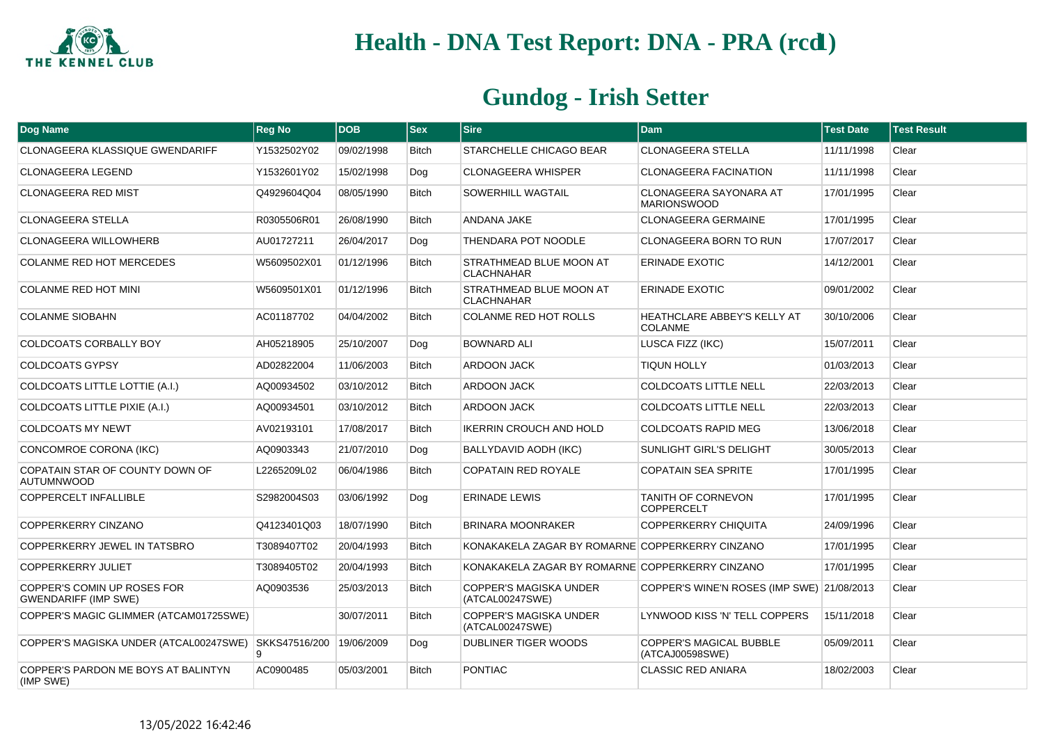

| Dog Name                                                   | <b>Reg No</b> | <b>DOB</b> | <b>Sex</b>   | <b>Sire</b>                                     | <b>Dam</b>                                           | <b>Test Date</b> | <b>Test Result</b> |
|------------------------------------------------------------|---------------|------------|--------------|-------------------------------------------------|------------------------------------------------------|------------------|--------------------|
| CLONAGEERA KLASSIQUE GWENDARIFF                            | Y1532502Y02   | 09/02/1998 | <b>Bitch</b> | STARCHELLE CHICAGO BEAR                         | <b>CLONAGEERA STELLA</b>                             | 11/11/1998       | Clear              |
| CLONAGEERA LEGEND                                          | Y1532601Y02   | 15/02/1998 | Dog          | <b>CLONAGEERA WHISPER</b>                       | <b>CLONAGEERA FACINATION</b>                         | 11/11/1998       | Clear              |
| <b>CLONAGEERA RED MIST</b>                                 | Q4929604Q04   | 08/05/1990 | <b>Bitch</b> | SOWERHILL WAGTAIL                               | CLONAGEERA SAYONARA AT<br><b>MARIONSWOOD</b>         | 17/01/1995       | Clear              |
| <b>CLONAGEERA STELLA</b>                                   | R0305506R01   | 26/08/1990 | <b>Bitch</b> | ANDANA JAKE                                     | <b>CLONAGEERA GERMAINE</b>                           | 17/01/1995       | Clear              |
| <b>CLONAGEERA WILLOWHERB</b>                               | AU01727211    | 26/04/2017 | Dog          | THENDARA POT NOODLE                             | <b>CLONAGEERA BORN TO RUN</b>                        | 17/07/2017       | Clear              |
| <b>COLANME RED HOT MERCEDES</b>                            | W5609502X01   | 01/12/1996 | <b>Bitch</b> | STRATHMEAD BLUE MOON AT<br><b>CLACHNAHAR</b>    | <b>ERINADE EXOTIC</b>                                | 14/12/2001       | Clear              |
| <b>COLANME RED HOT MINI</b>                                | W5609501X01   | 01/12/1996 | <b>Bitch</b> | STRATHMEAD BLUE MOON AT<br><b>CLACHNAHAR</b>    | <b>ERINADE EXOTIC</b>                                | 09/01/2002       | Clear              |
| <b>COLANME SIOBAHN</b>                                     | AC01187702    | 04/04/2002 | <b>Bitch</b> | COLANME RED HOT ROLLS                           | <b>HEATHCLARE ABBEY'S KELLY AT</b><br><b>COLANME</b> | 30/10/2006       | Clear              |
| COLDCOATS CORBALLY BOY                                     | AH05218905    | 25/10/2007 | Dog          | <b>BOWNARD ALI</b>                              | LUSCA FIZZ (IKC)                                     | 15/07/2011       | Clear              |
| <b>COLDCOATS GYPSY</b>                                     | AD02822004    | 11/06/2003 | <b>Bitch</b> | <b>ARDOON JACK</b>                              | <b>TIQUN HOLLY</b>                                   | 01/03/2013       | Clear              |
| COLDCOATS LITTLE LOTTIE (A.I.)                             | AQ00934502    | 03/10/2012 | <b>Bitch</b> | ARDOON JACK                                     | <b>COLDCOATS LITTLE NELL</b>                         | 22/03/2013       | Clear              |
| COLDCOATS LITTLE PIXIE (A.I.)                              | AQ00934501    | 03/10/2012 | <b>Bitch</b> | <b>ARDOON JACK</b>                              | <b>COLDCOATS LITTLE NELL</b>                         | 22/03/2013       | Clear              |
| <b>COLDCOATS MY NEWT</b>                                   | AV02193101    | 17/08/2017 | <b>Bitch</b> | IKERRIN CROUCH AND HOLD                         | <b>COLDCOATS RAPID MEG</b>                           | 13/06/2018       | Clear              |
| CONCOMROE CORONA (IKC)                                     | AQ0903343     | 21/07/2010 | Dog          | BALLYDAVID AODH (IKC)                           | SUNLIGHT GIRL'S DELIGHT                              | 30/05/2013       | Clear              |
| COPATAIN STAR OF COUNTY DOWN OF<br><b>AUTUMNWOOD</b>       | L2265209L02   | 06/04/1986 | <b>Bitch</b> | <b>COPATAIN RED ROYALE</b>                      | <b>COPATAIN SEA SPRITE</b>                           | 17/01/1995       | Clear              |
| <b>COPPERCELT INFALLIBLE</b>                               | S2982004S03   | 03/06/1992 | Dog          | <b>ERINADE LEWIS</b>                            | <b>TANITH OF CORNEVON</b><br><b>COPPERCELT</b>       | 17/01/1995       | Clear              |
| COPPERKERRY CINZANO                                        | Q4123401Q03   | 18/07/1990 | <b>Bitch</b> | <b>BRINARA MOONRAKER</b>                        | <b>COPPERKERRY CHIQUITA</b>                          | 24/09/1996       | Clear              |
| COPPERKERRY JEWEL IN TATSBRO                               | T3089407T02   | 20/04/1993 | <b>Bitch</b> | KONAKAKELA ZAGAR BY ROMARNE COPPERKERRY CINZANO |                                                      | 17/01/1995       | Clear              |
| COPPERKERRY JULIET                                         | T3089405T02   | 20/04/1993 | <b>Bitch</b> | KONAKAKELA ZAGAR BY ROMARNE COPPERKERRY CINZANO |                                                      | 17/01/1995       | Clear              |
| COPPER'S COMIN UP ROSES FOR<br><b>GWENDARIFF (IMP SWE)</b> | AQ0903536     | 25/03/2013 | <b>Bitch</b> | COPPER'S MAGISKA UNDER<br>(ATCAL00247SWE)       | COPPER'S WINE'N ROSES (IMP SWE) 21/08/2013           |                  | Clear              |
| COPPER'S MAGIC GLIMMER (ATCAM01725SWE)                     |               | 30/07/2011 | <b>Bitch</b> | COPPER'S MAGISKA UNDER<br>(ATCAL00247SWE)       | LYNWOOD KISS 'N' TELL COPPERS                        | 15/11/2018       | Clear              |
| COPPER'S MAGISKA UNDER (ATCAL00247SWE) SKKS47516/200       | 9             | 19/06/2009 | Dog          | DUBLINER TIGER WOODS                            | COPPER'S MAGICAL BUBBLE<br>(ATCAJ00598SWE)           | 05/09/2011       | Clear              |
| COPPER'S PARDON ME BOYS AT BALINTYN<br>(IMP SWE)           | AC0900485     | 05/03/2001 | <b>Bitch</b> | <b>PONTIAC</b>                                  | <b>CLASSIC RED ANIARA</b>                            | 18/02/2003       | Clear              |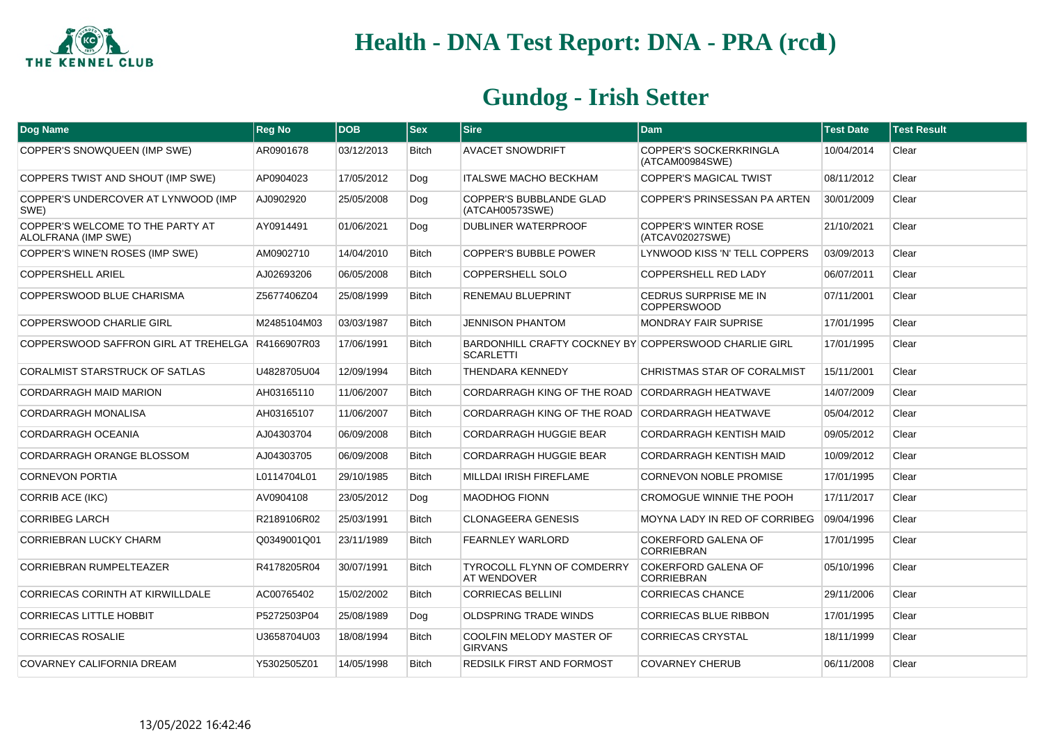

| Dog Name                                                | <b>Reg No</b> | <b>DOB</b> | <b>Sex</b>   | <b>Sire</b>                                                               | Dam                                              | <b>Test Date</b> | <b>Test Result</b> |
|---------------------------------------------------------|---------------|------------|--------------|---------------------------------------------------------------------------|--------------------------------------------------|------------------|--------------------|
| COPPER'S SNOWQUEEN (IMP SWE)                            | AR0901678     | 03/12/2013 | <b>Bitch</b> | <b>AVACET SNOWDRIFT</b>                                                   | <b>COPPER'S SOCKERKRINGLA</b><br>(ATCAM00984SWE) | 10/04/2014       | Clear              |
| COPPERS TWIST AND SHOUT (IMP SWE)                       | AP0904023     | 17/05/2012 | Dog          | <b>ITALSWE MACHO BECKHAM</b>                                              | COPPER'S MAGICAL TWIST                           | 08/11/2012       | Clear              |
| COPPER'S UNDERCOVER AT LYNWOOD (IMP<br>SWE)             | AJ0902920     | 25/05/2008 | Dog          | COPPER'S BUBBLANDE GLAD<br>(ATCAH00573SWE)                                | COPPER'S PRINSESSAN PA ARTEN                     | 30/01/2009       | Clear              |
| COPPER'S WELCOME TO THE PARTY AT<br>ALOLFRANA (IMP SWE) | AY0914491     | 01/06/2021 | Dog          | <b>DUBLINER WATERPROOF</b>                                                | <b>COPPER'S WINTER ROSE</b><br>(ATCAV02027SWE)   | 21/10/2021       | Clear              |
| COPPER'S WINE'N ROSES (IMP SWE)                         | AM0902710     | 14/04/2010 | <b>Bitch</b> | <b>COPPER'S BUBBLE POWER</b>                                              | LYNWOOD KISS 'N' TELL COPPERS                    | 03/09/2013       | Clear              |
| <b>COPPERSHELL ARIEL</b>                                | AJ02693206    | 06/05/2008 | <b>Bitch</b> | <b>COPPERSHELL SOLO</b>                                                   | <b>COPPERSHELL RED LADY</b>                      | 06/07/2011       | Clear              |
| COPPERSWOOD BLUE CHARISMA                               | Z5677406Z04   | 25/08/1999 | <b>Bitch</b> | <b>RENEMAU BLUEPRINT</b>                                                  | CEDRUS SURPRISE ME IN<br><b>COPPERSWOOD</b>      | 07/11/2001       | Clear              |
| <b>COPPERSWOOD CHARLIE GIRL</b>                         | M2485104M03   | 03/03/1987 | <b>Bitch</b> | <b>JENNISON PHANTOM</b>                                                   | <b>MONDRAY FAIR SUPRISE</b>                      | 17/01/1995       | Clear              |
| COPPERSWOOD SAFFRON GIRL AT TREHELGA R4166907R03        |               | 17/06/1991 | <b>Bitch</b> | BARDONHILL CRAFTY COCKNEY BY COPPERSWOOD CHARLIE GIRL<br><b>SCARLETTI</b> |                                                  | 17/01/1995       | Clear              |
| CORALMIST STARSTRUCK OF SATLAS                          | U4828705U04   | 12/09/1994 | <b>Bitch</b> | THENDARA KENNEDY                                                          | CHRISTMAS STAR OF CORALMIST                      | 15/11/2001       | Clear              |
| CORDARRAGH MAID MARION                                  | AH03165110    | 11/06/2007 | <b>Bitch</b> | CORDARRAGH KING OF THE ROAD                                               | <b>CORDARRAGH HEATWAVE</b>                       | 14/07/2009       | Clear              |
| <b>CORDARRAGH MONALISA</b>                              | AH03165107    | 11/06/2007 | <b>Bitch</b> | CORDARRAGH KING OF THE ROAD CORDARRAGH HEATWAVE                           |                                                  | 05/04/2012       | Clear              |
| CORDARRAGH OCEANIA                                      | AJ04303704    | 06/09/2008 | <b>Bitch</b> | <b>CORDARRAGH HUGGIE BEAR</b>                                             | <b>CORDARRAGH KENTISH MAID</b>                   | 09/05/2012       | Clear              |
| CORDARRAGH ORANGE BLOSSOM                               | AJ04303705    | 06/09/2008 | <b>Bitch</b> | CORDARRAGH HUGGIE BEAR                                                    | CORDARRAGH KENTISH MAID                          | 10/09/2012       | Clear              |
| <b>CORNEVON PORTIA</b>                                  | L0114704L01   | 29/10/1985 | <b>Bitch</b> | MILLDAI IRISH FIREFLAME                                                   | <b>CORNEVON NOBLE PROMISE</b>                    | 17/01/1995       | Clear              |
| <b>CORRIB ACE (IKC)</b>                                 | AV0904108     | 23/05/2012 | Dog          | <b>MAODHOG FIONN</b>                                                      | CROMOGUE WINNIE THE POOH                         | 17/11/2017       | Clear              |
| <b>CORRIBEG LARCH</b>                                   | R2189106R02   | 25/03/1991 | <b>Bitch</b> | <b>CLONAGEERA GENESIS</b>                                                 | MOYNA LADY IN RED OF CORRIBEG                    | 09/04/1996       | Clear              |
| <b>CORRIEBRAN LUCKY CHARM</b>                           | Q0349001Q01   | 23/11/1989 | <b>Bitch</b> | <b>FEARNLEY WARLORD</b>                                                   | <b>COKERFORD GALENA OF</b><br><b>CORRIEBRAN</b>  | 17/01/1995       | Clear              |
| CORRIEBRAN RUMPELTEAZER                                 | R4178205R04   | 30/07/1991 | <b>Bitch</b> | <b>TYROCOLL FLYNN OF COMDERRY</b><br><b>AT WENDOVER</b>                   | <b>COKERFORD GALENA OF</b><br><b>CORRIEBRAN</b>  | 05/10/1996       | Clear              |
| CORRIECAS CORINTH AT KIRWILLDALE                        | AC00765402    | 15/02/2002 | <b>Bitch</b> | <b>CORRIECAS BELLINI</b>                                                  | <b>CORRIECAS CHANCE</b>                          | 29/11/2006       | Clear              |
| <b>CORRIECAS LITTLE HOBBIT</b>                          | P5272503P04   | 25/08/1989 | Dog          | <b>OLDSPRING TRADE WINDS</b>                                              | CORRIECAS BLUE RIBBON                            | 17/01/1995       | Clear              |
| <b>CORRIECAS ROSALIE</b>                                | U3658704U03   | 18/08/1994 | <b>Bitch</b> | COOLFIN MELODY MASTER OF<br><b>GIRVANS</b>                                | <b>CORRIECAS CRYSTAL</b>                         | 18/11/1999       | Clear              |
| COVARNEY CALIFORNIA DREAM                               | Y5302505Z01   | 14/05/1998 | <b>Bitch</b> | REDSILK FIRST AND FORMOST                                                 | <b>COVARNEY CHERUB</b>                           | 06/11/2008       | Clear              |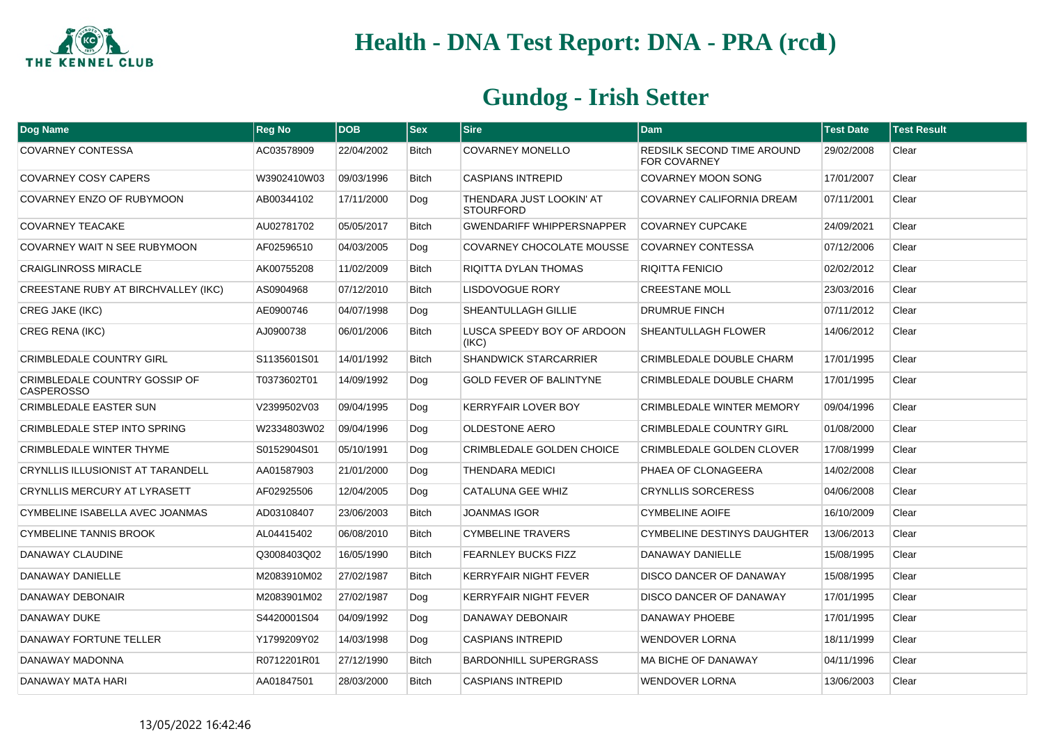

| Dog Name                                           | <b>Reg No</b> | <b>DOB</b> | <b>Sex</b>   | <b>Sire</b>                                  | <b>Dam</b>                                        | <b>Test Date</b> | <b>Test Result</b> |
|----------------------------------------------------|---------------|------------|--------------|----------------------------------------------|---------------------------------------------------|------------------|--------------------|
| <b>COVARNEY CONTESSA</b>                           | AC03578909    | 22/04/2002 | <b>Bitch</b> | <b>COVARNEY MONELLO</b>                      | REDSILK SECOND TIME AROUND<br><b>FOR COVARNEY</b> | 29/02/2008       | Clear              |
| <b>COVARNEY COSY CAPERS</b>                        | W3902410W03   | 09/03/1996 | <b>Bitch</b> | CASPIANS INTREPID                            | COVARNEY MOON SONG                                | 17/01/2007       | Clear              |
| COVARNEY ENZO OF RUBYMOON                          | AB00344102    | 17/11/2000 | Dog          | THENDARA JUST LOOKIN' AT<br><b>STOURFORD</b> | COVARNEY CALIFORNIA DREAM                         | 07/11/2001       | Clear              |
| <b>COVARNEY TEACAKE</b>                            | AU02781702    | 05/05/2017 | Bitch        | <b>GWENDARIFF WHIPPERSNAPPER</b>             | <b>COVARNEY CUPCAKE</b>                           | 24/09/2021       | Clear              |
| COVARNEY WAIT N SEE RUBYMOON                       | AF02596510    | 04/03/2005 | Dog          | COVARNEY CHOCOLATE MOUSSE                    | <b>COVARNEY CONTESSA</b>                          | 07/12/2006       | Clear              |
| <b>CRAIGLINROSS MIRACLE</b>                        | AK00755208    | 11/02/2009 | <b>Bitch</b> | RIQITTA DYLAN THOMAS                         | <b>RIQITTA FENICIO</b>                            | 02/02/2012       | Clear              |
| CREESTANE RUBY AT BIRCHVALLEY (IKC)                | AS0904968     | 07/12/2010 | <b>Bitch</b> | <b>LISDOVOGUE RORY</b>                       | <b>CREESTANE MOLL</b>                             | 23/03/2016       | Clear              |
| <b>CREG JAKE (IKC)</b>                             | AE0900746     | 04/07/1998 | Dog          | SHEANTULLAGH GILLIE                          | <b>DRUMRUE FINCH</b>                              | 07/11/2012       | Clear              |
| <b>CREG RENA (IKC)</b>                             | AJ0900738     | 06/01/2006 | <b>Bitch</b> | LUSCA SPEEDY BOY OF ARDOON<br>(IKC)          | <b>SHEANTULLAGH FLOWER</b>                        | 14/06/2012       | Clear              |
| <b>CRIMBLEDALE COUNTRY GIRL</b>                    | S1135601S01   | 14/01/1992 | <b>Bitch</b> | <b>SHANDWICK STARCARRIER</b>                 | CRIMBLEDALE DOUBLE CHARM                          | 17/01/1995       | Clear              |
| CRIMBLEDALE COUNTRY GOSSIP OF<br><b>CASPEROSSO</b> | T0373602T01   | 14/09/1992 | Dog          | <b>GOLD FEVER OF BALINTYNE</b>               | CRIMBLEDALE DOUBLE CHARM                          | 17/01/1995       | Clear              |
| <b>CRIMBLEDALE EASTER SUN</b>                      | V2399502V03   | 09/04/1995 | Dog          | <b>KERRYFAIR LOVER BOY</b>                   | <b>CRIMBLEDALE WINTER MEMORY</b>                  | 09/04/1996       | Clear              |
| CRIMBLEDALE STEP INTO SPRING                       | W2334803W02   | 09/04/1996 | Dog          | <b>OLDESTONE AERO</b>                        | <b>CRIMBLEDALE COUNTRY GIRL</b>                   | 01/08/2000       | Clear              |
| <b>CRIMBLEDALE WINTER THYME</b>                    | S0152904S01   | 05/10/1991 | Dog          | CRIMBLEDALE GOLDEN CHOICE                    | CRIMBLEDALE GOLDEN CLOVER                         | 17/08/1999       | Clear              |
| <b>CRYNLLIS ILLUSIONIST AT TARANDELL</b>           | AA01587903    | 21/01/2000 | Dog          | <b>THENDARA MEDICI</b>                       | PHAEA OF CLONAGEERA                               | 14/02/2008       | Clear              |
| <b>CRYNLLIS MERCURY AT LYRASETT</b>                | AF02925506    | 12/04/2005 | Dog          | CATALUNA GEE WHIZ                            | <b>CRYNLLIS SORCERESS</b>                         | 04/06/2008       | Clear              |
| CYMBELINE ISABELLA AVEC JOANMAS                    | AD03108407    | 23/06/2003 | Bitch        | <b>JOANMAS IGOR</b>                          | <b>CYMBELINE AOIFE</b>                            | 16/10/2009       | Clear              |
| <b>CYMBELINE TANNIS BROOK</b>                      | AL04415402    | 06/08/2010 | <b>Bitch</b> | <b>CYMBELINE TRAVERS</b>                     | <b>CYMBELINE DESTINYS DAUGHTER</b>                | 13/06/2013       | Clear              |
| DANAWAY CLAUDINE                                   | Q3008403Q02   | 16/05/1990 | <b>Bitch</b> | <b>FEARNLEY BUCKS FIZZ</b>                   | DANAWAY DANIELLE                                  | 15/08/1995       | Clear              |
| DANAWAY DANIELLE                                   | M2083910M02   | 27/02/1987 | <b>Bitch</b> | KERRYFAIR NIGHT FEVER                        | DISCO DANCER OF DANAWAY                           | 15/08/1995       | Clear              |
| DANAWAY DEBONAIR                                   | M2083901M02   | 27/02/1987 | Dog          | <b>KERRYFAIR NIGHT FEVER</b>                 | DISCO DANCER OF DANAWAY                           | 17/01/1995       | Clear              |
| DANAWAY DUKE                                       | S4420001S04   | 04/09/1992 | Dog          | DANAWAY DEBONAIR                             | DANAWAY PHOEBE                                    | 17/01/1995       | Clear              |
| DANAWAY FORTUNE TELLER                             | Y1799209Y02   | 14/03/1998 | Dog          | <b>CASPIANS INTREPID</b>                     | <b>WENDOVER LORNA</b>                             | 18/11/1999       | Clear              |
| DANAWAY MADONNA                                    | R0712201R01   | 27/12/1990 | <b>Bitch</b> | <b>BARDONHILL SUPERGRASS</b>                 | <b>MA BICHE OF DANAWAY</b>                        | 04/11/1996       | Clear              |
| DANAWAY MATA HARI                                  | AA01847501    | 28/03/2000 | <b>Bitch</b> | <b>CASPIANS INTREPID</b>                     | <b>WENDOVER LORNA</b>                             | 13/06/2003       | Clear              |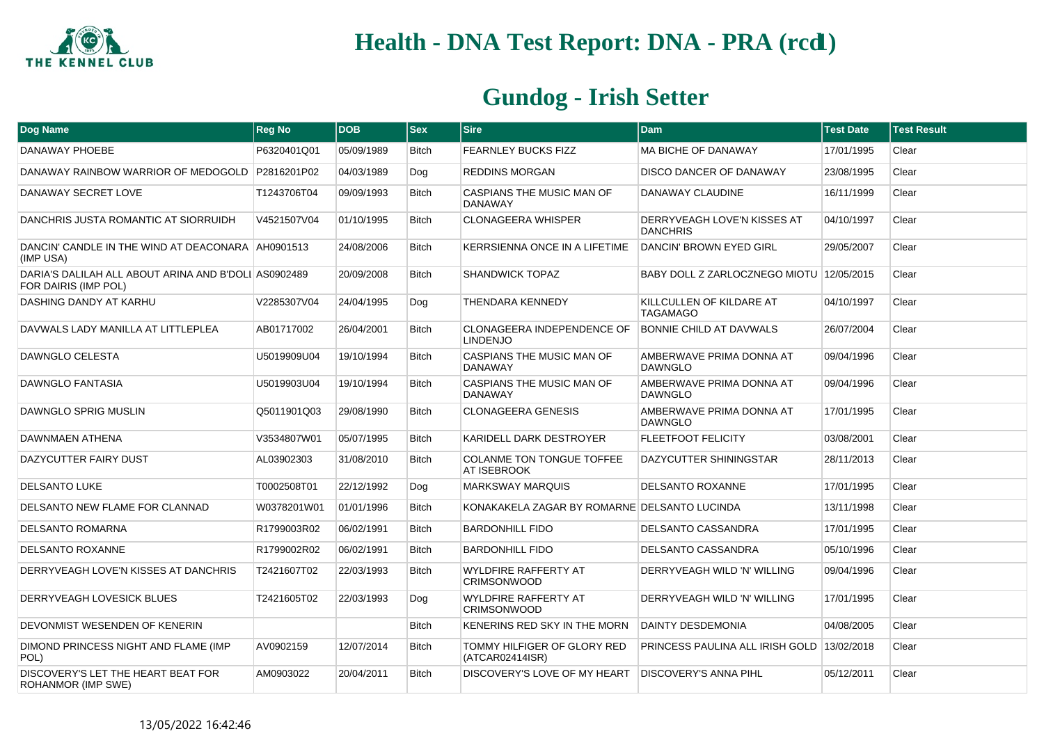

| Dog Name                                                                     | <b>Reg No</b> | <b>DOB</b> | <b>Sex</b>   | <b>Sire</b>                                        | <b>Dam</b>                                     | <b>Test Date</b> | <b>Test Result</b> |
|------------------------------------------------------------------------------|---------------|------------|--------------|----------------------------------------------------|------------------------------------------------|------------------|--------------------|
| DANAWAY PHOEBE                                                               | P6320401Q01   | 05/09/1989 | <b>Bitch</b> | <b>FEARNLEY BUCKS FIZZ</b>                         | <b>MA BICHE OF DANAWAY</b>                     | 17/01/1995       | Clear              |
| DANAWAY RAINBOW WARRIOR OF MEDOGOLD   P2816201P02                            |               | 04/03/1989 | Dog          | <b>REDDINS MORGAN</b>                              | DISCO DANCER OF DANAWAY                        | 23/08/1995       | Clear              |
| DANAWAY SECRET LOVE                                                          | T1243706T04   | 09/09/1993 | <b>Bitch</b> | CASPIANS THE MUSIC MAN OF<br><b>DANAWAY</b>        | DANAWAY CLAUDINE                               | 16/11/1999       | Clear              |
| DANCHRIS JUSTA ROMANTIC AT SIORRUIDH                                         | V4521507V04   | 01/10/1995 | <b>Bitch</b> | <b>CLONAGEERA WHISPER</b>                          | DERRYVEAGH LOVE'N KISSES AT<br><b>DANCHRIS</b> | 04/10/1997       | Clear              |
| DANCIN' CANDLE IN THE WIND AT DEACONARA AH0901513<br>(IMP USA)               |               | 24/08/2006 | <b>Bitch</b> | KERRSIENNA ONCE IN A LIFETIME                      | DANCIN' BROWN EYED GIRL                        | 29/05/2007       | Clear              |
| DARIA'S DALILAH ALL ABOUT ARINA AND B'DOLI AS0902489<br>FOR DAIRIS (IMP POL) |               | 20/09/2008 | <b>Bitch</b> | <b>SHANDWICK TOPAZ</b>                             | BABY DOLL Z ZARLOCZNEGO MIOTU 12/05/2015       |                  | Clear              |
| DASHING DANDY AT KARHU                                                       | V2285307V04   | 24/04/1995 | Dog          | THENDARA KENNEDY                                   | KILLCULLEN OF KILDARE AT<br><b>TAGAMAGO</b>    | 04/10/1997       | Clear              |
| DAVWALS LADY MANILLA AT LITTLEPLEA                                           | AB01717002    | 26/04/2001 | <b>Bitch</b> | CLONAGEERA INDEPENDENCE OF<br><b>LINDENJO</b>      | <b>BONNIE CHILD AT DAVWALS</b>                 | 26/07/2004       | Clear              |
| DAWNGLO CELESTA                                                              | U5019909U04   | 19/10/1994 | <b>Bitch</b> | CASPIANS THE MUSIC MAN OF<br><b>DANAWAY</b>        | AMBERWAVE PRIMA DONNA AT<br><b>DAWNGLO</b>     | 09/04/1996       | Clear              |
| <b>DAWNGLO FANTASIA</b>                                                      | U5019903U04   | 19/10/1994 | <b>Bitch</b> | <b>CASPIANS THE MUSIC MAN OF</b><br><b>DANAWAY</b> | AMBERWAVE PRIMA DONNA AT<br><b>DAWNGLO</b>     | 09/04/1996       | Clear              |
| DAWNGLO SPRIG MUSLIN                                                         | Q5011901Q03   | 29/08/1990 | <b>Bitch</b> | <b>CLONAGEERA GENESIS</b>                          | AMBERWAVE PRIMA DONNA AT<br><b>DAWNGLO</b>     | 17/01/1995       | Clear              |
| DAWNMAEN ATHENA                                                              | V3534807W01   | 05/07/1995 | <b>Bitch</b> | KARIDELL DARK DESTROYER                            | <b>FLEETFOOT FELICITY</b>                      | 03/08/2001       | Clear              |
| DAZYCUTTER FAIRY DUST                                                        | AL03902303    | 31/08/2010 | <b>Bitch</b> | <b>COLANME TON TONGUE TOFFEE</b><br>AT ISEBROOK    | DAZYCUTTER SHININGSTAR                         | 28/11/2013       | Clear              |
| <b>DELSANTO LUKE</b>                                                         | T0002508T01   | 22/12/1992 | Dog          | <b>MARKSWAY MARQUIS</b>                            | <b>DELSANTO ROXANNE</b>                        | 17/01/1995       | Clear              |
| DELSANTO NEW FLAME FOR CLANNAD                                               | W0378201W01   | 01/01/1996 | <b>Bitch</b> | KONAKAKELA ZAGAR BY ROMARNE DELSANTO LUCINDA       |                                                | 13/11/1998       | Clear              |
| <b>DELSANTO ROMARNA</b>                                                      | R1799003R02   | 06/02/1991 | <b>Bitch</b> | <b>BARDONHILL FIDO</b>                             | DELSANTO CASSANDRA                             | 17/01/1995       | Clear              |
| <b>DELSANTO ROXANNE</b>                                                      | R1799002R02   | 06/02/1991 | <b>Bitch</b> | <b>BARDONHILL FIDO</b>                             | <b>DELSANTO CASSANDRA</b>                      | 05/10/1996       | Clear              |
| DERRYVEAGH LOVE'N KISSES AT DANCHRIS                                         | T2421607T02   | 22/03/1993 | <b>Bitch</b> | <b>WYLDFIRE RAFFERTY AT</b><br><b>CRIMSONWOOD</b>  | DERRYVEAGH WILD 'N' WILLING                    | 09/04/1996       | Clear              |
| DERRYVEAGH LOVESICK BLUES                                                    | T2421605T02   | 22/03/1993 | Dog          | <b>WYLDFIRE RAFFERTY AT</b><br><b>CRIMSONWOOD</b>  | DERRYVEAGH WILD 'N' WILLING                    | 17/01/1995       | Clear              |
| DEVONMIST WESENDEN OF KENERIN                                                |               |            | <b>Bitch</b> | KENERINS RED SKY IN THE MORN                       | <b>DAINTY DESDEMONIA</b>                       | 04/08/2005       | Clear              |
| DIMOND PRINCESS NIGHT AND FLAME (IMP<br>POL)                                 | AV0902159     | 12/07/2014 | <b>Bitch</b> | TOMMY HILFIGER OF GLORY RED<br>(ATCAR02414ISR)     | PRINCESS PAULINA ALL IRISH GOLD 13/02/2018     |                  | Clear              |
| DISCOVERY'S LET THE HEART BEAT FOR<br>ROHANMOR (IMP SWE)                     | AM0903022     | 20/04/2011 | <b>Bitch</b> | DISCOVERY'S LOVE OF MY HEART                       | <b>DISCOVERY'S ANNA PIHL</b>                   | 05/12/2011       | Clear              |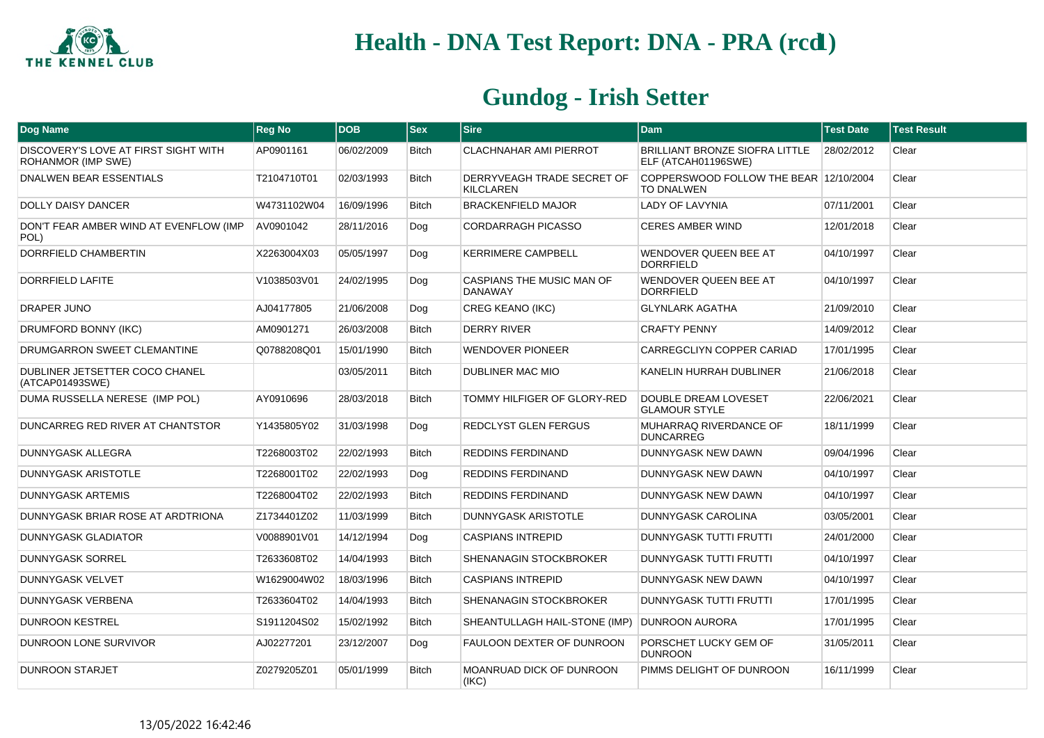

| Dog Name                                                   | <b>Reg No</b> | <b>DOB</b> | $ $ Sex      | <b>Sire</b>                                    | <b>Dam</b>                                                  | <b>Test Date</b> | <b>Test Result</b> |
|------------------------------------------------------------|---------------|------------|--------------|------------------------------------------------|-------------------------------------------------------------|------------------|--------------------|
| DISCOVERY'S LOVE AT FIRST SIGHT WITH<br>ROHANMOR (IMP SWE) | AP0901161     | 06/02/2009 | <b>Bitch</b> | CLACHNAHAR AMI PIERROT                         | BRILLIANT BRONZE SIOFRA LITTLE<br>ELF (ATCAH01196SWE)       | 28/02/2012       | Clear              |
| DNALWEN BEAR ESSENTIALS                                    | T2104710T01   | 02/03/1993 | <b>Bitch</b> | DERRYVEAGH TRADE SECRET OF<br><b>KILCLAREN</b> | COPPERSWOOD FOLLOW THE BEAR 12/10/2004<br><b>TO DNALWEN</b> |                  | Clear              |
| <b>DOLLY DAISY DANCER</b>                                  | W4731102W04   | 16/09/1996 | <b>Bitch</b> | <b>BRACKENFIELD MAJOR</b>                      | LADY OF LAVYNIA                                             | 07/11/2001       | Clear              |
| DON'T FEAR AMBER WIND AT EVENFLOW (IMP<br>POL)             | AV0901042     | 28/11/2016 | Dog          | CORDARRAGH PICASSO                             | <b>CERES AMBER WIND</b>                                     | 12/01/2018       | Clear              |
| DORRFIELD CHAMBERTIN                                       | X2263004X03   | 05/05/1997 | Dog          | <b>KERRIMERE CAMPBELL</b>                      | WENDOVER QUEEN BEE AT<br><b>DORRFIELD</b>                   | 04/10/1997       | Clear              |
| DORRFIELD LAFITE                                           | V1038503V01   | 24/02/1995 | Dog          | CASPIANS THE MUSIC MAN OF<br><b>DANAWAY</b>    | <b>WENDOVER QUEEN BEE AT</b><br><b>DORRFIELD</b>            | 04/10/1997       | Clear              |
| <b>DRAPER JUNO</b>                                         | AJ04177805    | 21/06/2008 | Dog          | <b>CREG KEANO (IKC)</b>                        | <b>GLYNLARK AGATHA</b>                                      | 21/09/2010       | Clear              |
| DRUMFORD BONNY (IKC)                                       | AM0901271     | 26/03/2008 | <b>Bitch</b> | <b>DERRY RIVER</b>                             | <b>CRAFTY PENNY</b>                                         | 14/09/2012       | Clear              |
| DRUMGARRON SWEET CLEMANTINE                                | Q0788208Q01   | 15/01/1990 | <b>Bitch</b> | <b>WENDOVER PIONEER</b>                        | CARREGCLIYN COPPER CARIAD                                   | 17/01/1995       | Clear              |
| DUBLINER JETSETTER COCO CHANEL<br>(ATCAP01493SWE)          |               | 03/05/2011 | <b>Bitch</b> | DUBLINER MAC MIO                               | KANELIN HURRAH DUBLINER                                     | 21/06/2018       | Clear              |
| DUMA RUSSELLA NERESE (IMP POL)                             | AY0910696     | 28/03/2018 | <b>Bitch</b> | TOMMY HILFIGER OF GLORY-RED                    | <b>DOUBLE DREAM LOVESET</b><br><b>GLAMOUR STYLE</b>         | 22/06/2021       | Clear              |
| DUNCARREG RED RIVER AT CHANTSTOR                           | Y1435805Y02   | 31/03/1998 | Dog          | REDCLYST GLEN FERGUS                           | MUHARRAQ RIVERDANCE OF<br><b>DUNCARREG</b>                  | 18/11/1999       | Clear              |
| DUNNYGASK ALLEGRA                                          | T2268003T02   | 22/02/1993 | <b>Bitch</b> | <b>REDDINS FERDINAND</b>                       | DUNNYGASK NEW DAWN                                          | 09/04/1996       | Clear              |
| DUNNYGASK ARISTOTLE                                        | T2268001T02   | 22/02/1993 | Dog          | REDDINS FERDINAND                              | DUNNYGASK NEW DAWN                                          | 04/10/1997       | Clear              |
| DUNNYGASK ARTEMIS                                          | T2268004T02   | 22/02/1993 | Bitch        | REDDINS FERDINAND                              | DUNNYGASK NEW DAWN                                          | 04/10/1997       | Clear              |
| DUNNYGASK BRIAR ROSE AT ARDTRIONA                          | Z1734401Z02   | 11/03/1999 | <b>Bitch</b> | DUNNYGASK ARISTOTLE                            | <b>DUNNYGASK CAROLINA</b>                                   | 03/05/2001       | Clear              |
| DUNNYGASK GLADIATOR                                        | V0088901V01   | 14/12/1994 | Dog          | <b>CASPIANS INTREPID</b>                       | <b>DUNNYGASK TUTTI FRUTTI</b>                               | 24/01/2000       | Clear              |
| <b>DUNNYGASK SORREL</b>                                    | T2633608T02   | 14/04/1993 | <b>Bitch</b> | SHENANAGIN STOCKBROKER                         | <b>DUNNYGASK TUTTI FRUTTI</b>                               | 04/10/1997       | Clear              |
| <b>DUNNYGASK VELVET</b>                                    | W1629004W02   | 18/03/1996 | <b>Bitch</b> | <b>CASPIANS INTREPID</b>                       | DUNNYGASK NEW DAWN                                          | 04/10/1997       | Clear              |
| DUNNYGASK VERBENA                                          | T2633604T02   | 14/04/1993 | <b>Bitch</b> | SHENANAGIN STOCKBROKER                         | DUNNYGASK TUTTI FRUTTI                                      | 17/01/1995       | Clear              |
| <b>DUNROON KESTREL</b>                                     | S1911204S02   | 15/02/1992 | <b>Bitch</b> | SHEANTULLAGH HAIL-STONE (IMP)                  | <b>DUNROON AURORA</b>                                       | 17/01/1995       | Clear              |
| DUNROON LONE SURVIVOR                                      | AJ02277201    | 23/12/2007 | Dog          | FAULOON DEXTER OF DUNROON                      | PORSCHET LUCKY GEM OF<br><b>DUNROON</b>                     | 31/05/2011       | Clear              |
| <b>DUNROON STARJET</b>                                     | Z0279205Z01   | 05/01/1999 | <b>Bitch</b> | MOANRUAD DICK OF DUNROON<br>(IKC)              | PIMMS DELIGHT OF DUNROON                                    | 16/11/1999       | Clear              |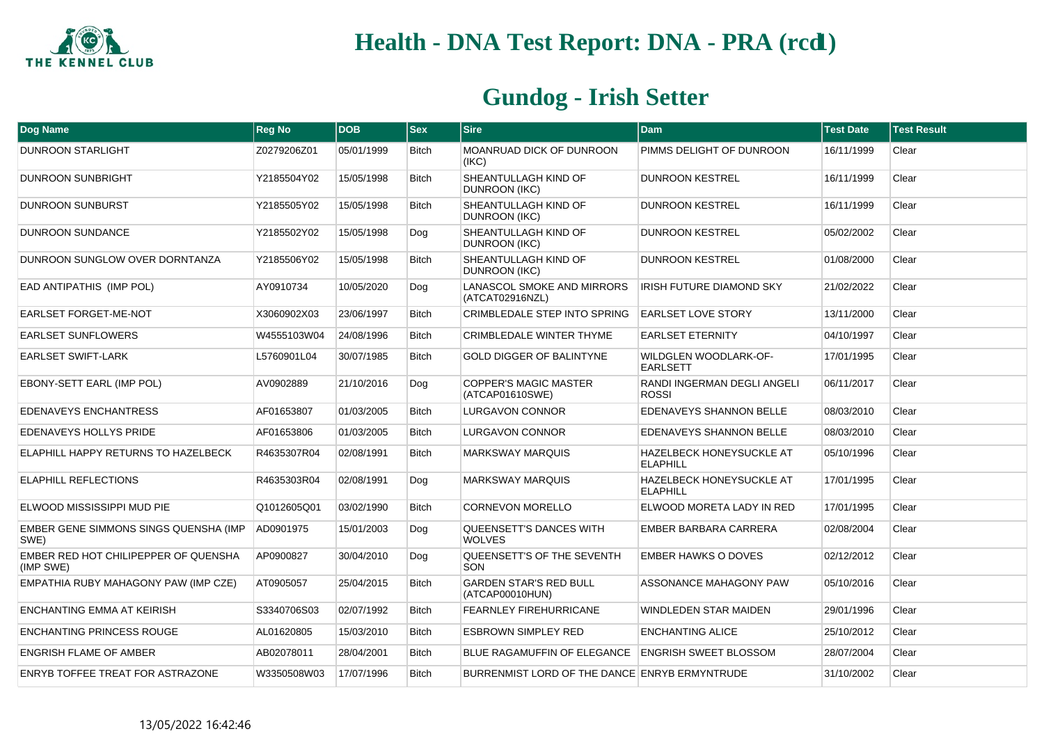

| Dog Name                                          | <b>Reg No</b> | <b>DOB</b> | <b>Sex</b>   | <b>Sire</b>                                      | <b>Dam</b>                                         | <b>Test Date</b> | <b>Test Result</b> |
|---------------------------------------------------|---------------|------------|--------------|--------------------------------------------------|----------------------------------------------------|------------------|--------------------|
| <b>DUNROON STARLIGHT</b>                          | Z0279206Z01   | 05/01/1999 | <b>Bitch</b> | MOANRUAD DICK OF DUNROON<br>(IKC)                | PIMMS DELIGHT OF DUNROON                           | 16/11/1999       | Clear              |
| DUNROON SUNBRIGHT                                 | Y2185504Y02   | 15/05/1998 | <b>Bitch</b> | SHEANTULLAGH KIND OF<br><b>DUNROON (IKC)</b>     | <b>DUNROON KESTREL</b>                             | 16/11/1999       | Clear              |
| <b>DUNROON SUNBURST</b>                           | Y2185505Y02   | 15/05/1998 | <b>Bitch</b> | SHEANTULLAGH KIND OF<br><b>DUNROON (IKC)</b>     | <b>DUNROON KESTREL</b>                             | 16/11/1999       | Clear              |
| <b>DUNROON SUNDANCE</b>                           | Y2185502Y02   | 15/05/1998 | Dog          | SHEANTULLAGH KIND OF<br><b>DUNROON (IKC)</b>     | <b>DUNROON KESTREL</b>                             | 05/02/2002       | Clear              |
| DUNROON SUNGLOW OVER DORNTANZA                    | Y2185506Y02   | 15/05/1998 | <b>Bitch</b> | SHEANTULLAGH KIND OF<br>DUNROON (IKC)            | <b>DUNROON KESTREL</b>                             | 01/08/2000       | Clear              |
| EAD ANTIPATHIS (IMP POL)                          | AY0910734     | 10/05/2020 | Dog          | LANASCOL SMOKE AND MIRRORS<br>(ATCAT02916NZL)    | <b>IRISH FUTURE DIAMOND SKY</b>                    | 21/02/2022       | Clear              |
| <b>EARLSET FORGET-ME-NOT</b>                      | X3060902X03   | 23/06/1997 | <b>Bitch</b> | CRIMBLEDALE STEP INTO SPRING                     | <b>EARLSET LOVE STORY</b>                          | 13/11/2000       | Clear              |
| <b>EARLSET SUNFLOWERS</b>                         | W4555103W04   | 24/08/1996 | <b>Bitch</b> | CRIMBLEDALE WINTER THYME                         | <b>EARLSET ETERNITY</b>                            | 04/10/1997       | Clear              |
| <b>EARLSET SWIFT-LARK</b>                         | L5760901L04   | 30/07/1985 | <b>Bitch</b> | <b>GOLD DIGGER OF BALINTYNE</b>                  | WILDGLEN WOODLARK-OF-<br><b>EARLSETT</b>           | 17/01/1995       | Clear              |
| EBONY-SETT EARL (IMP POL)                         | AV0902889     | 21/10/2016 | Dog          | <b>COPPER'S MAGIC MASTER</b><br>(ATCAP01610SWE)  | RANDI INGERMAN DEGLI ANGELI<br><b>ROSSI</b>        | 06/11/2017       | Clear              |
| EDENAVEYS ENCHANTRESS                             | AF01653807    | 01/03/2005 | <b>Bitch</b> | <b>LURGAVON CONNOR</b>                           | EDENAVEYS SHANNON BELLE                            | 08/03/2010       | Clear              |
| EDENAVEYS HOLLYS PRIDE                            | AF01653806    | 01/03/2005 | <b>Bitch</b> | <b>LURGAVON CONNOR</b>                           | <b>EDENAVEYS SHANNON BELLE</b>                     | 08/03/2010       | Clear              |
| ELAPHILL HAPPY RETURNS TO HAZELBECK               | R4635307R04   | 02/08/1991 | <b>Bitch</b> | <b>MARKSWAY MARQUIS</b>                          | HAZELBECK HONEYSUCKLE AT<br><b>ELAPHILL</b>        | 05/10/1996       | Clear              |
| <b>ELAPHILL REFLECTIONS</b>                       | R4635303R04   | 02/08/1991 | Dog          | <b>MARKSWAY MARQUIS</b>                          | <b>HAZELBECK HONEYSUCKLE AT</b><br><b>ELAPHILL</b> | 17/01/1995       | Clear              |
| ELWOOD MISSISSIPPI MUD PIE                        | Q1012605Q01   | 03/02/1990 | <b>Bitch</b> | <b>CORNEVON MORELLO</b>                          | ELWOOD MORETA LADY IN RED                          | 17/01/1995       | Clear              |
| EMBER GENE SIMMONS SINGS QUENSHA (IMP<br>SWE)     | AD0901975     | 15/01/2003 | Dog          | QUEENSETT'S DANCES WITH<br><b>WOLVES</b>         | EMBER BARBARA CARRERA                              | 02/08/2004       | Clear              |
| EMBER RED HOT CHILIPEPPER OF QUENSHA<br>(IMP SWE) | AP0900827     | 30/04/2010 | Dog          | QUEENSETT'S OF THE SEVENTH<br>SON                | <b>EMBER HAWKS O DOVES</b>                         | 02/12/2012       | Clear              |
| EMPATHIA RUBY MAHAGONY PAW (IMP CZE)              | AT0905057     | 25/04/2015 | Bitch        | <b>GARDEN STAR'S RED BULL</b><br>(ATCAP00010HUN) | ASSONANCE MAHAGONY PAW                             | 05/10/2016       | Clear              |
| ENCHANTING EMMA AT KEIRISH                        | S3340706S03   | 02/07/1992 | <b>Bitch</b> | <b>FEARNLEY FIREHURRICANE</b>                    | <b>WINDLEDEN STAR MAIDEN</b>                       | 29/01/1996       | Clear              |
| <b>ENCHANTING PRINCESS ROUGE</b>                  | AL01620805    | 15/03/2010 | <b>Bitch</b> | <b>ESBROWN SIMPLEY RED</b>                       | <b>ENCHANTING ALICE</b>                            | 25/10/2012       | Clear              |
| <b>ENGRISH FLAME OF AMBER</b>                     | AB02078011    | 28/04/2001 | <b>Bitch</b> | <b>BLUE RAGAMUFFIN OF ELEGANCE</b>               | <b>ENGRISH SWEET BLOSSOM</b>                       | 28/07/2004       | Clear              |
| ENRYB TOFFEE TREAT FOR ASTRAZONE                  | W3350508W03   | 17/07/1996 | <b>Bitch</b> | BURRENMIST LORD OF THE DANCE ENRYB ERMYNTRUDE    |                                                    | 31/10/2002       | Clear              |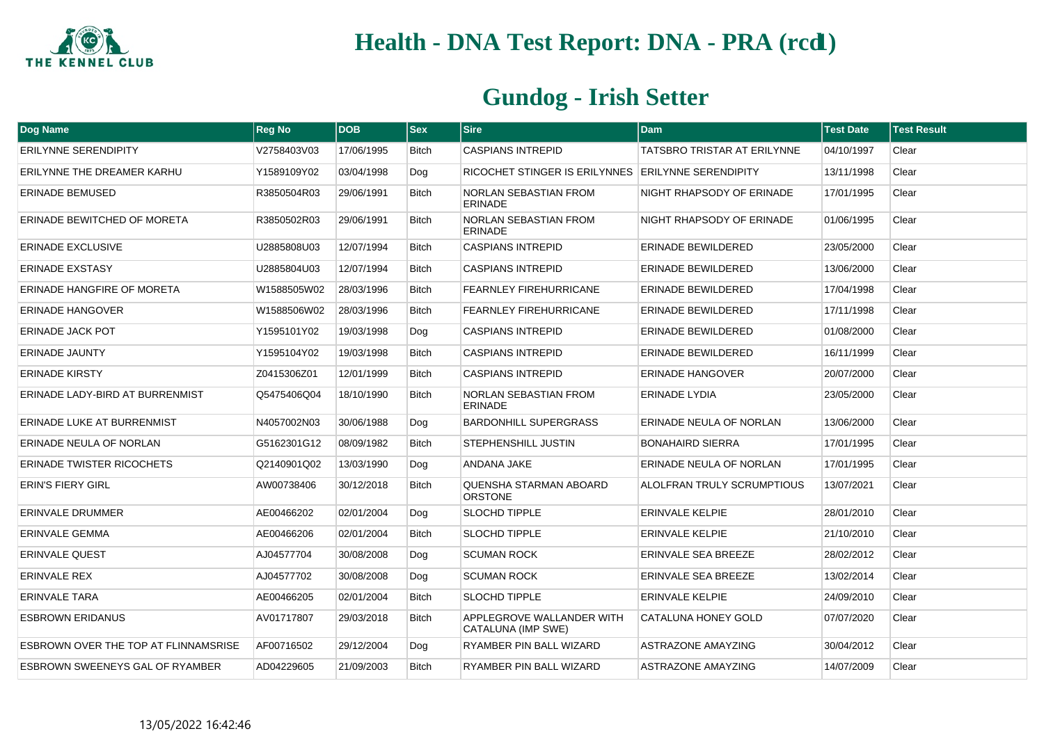

| <b>Dog Name</b>                      | <b>Reg No</b> | <b>DOB</b> | <b>Sex</b>   | <b>Sire</b>                                        | <b>Dam</b>                         | <b>Test Date</b> | <b>Test Result</b> |
|--------------------------------------|---------------|------------|--------------|----------------------------------------------------|------------------------------------|------------------|--------------------|
| ERILYNNE SERENDIPITY                 | V2758403V03   | 17/06/1995 | <b>Bitch</b> | <b>CASPIANS INTREPID</b>                           | <b>TATSBRO TRISTAR AT ERILYNNE</b> | 04/10/1997       | Clear              |
| ERILYNNE THE DREAMER KARHU           | Y1589109Y02   | 03/04/1998 | Dog          | RICOCHET STINGER IS ERILYNNES ERILYNNE SERENDIPITY |                                    | 13/11/1998       | Clear              |
| <b>ERINADE BEMUSED</b>               | R3850504R03   | 29/06/1991 | <b>Bitch</b> | NORLAN SEBASTIAN FROM<br><b>ERINADE</b>            | NIGHT RHAPSODY OF ERINADE          | 17/01/1995       | Clear              |
| ERINADE BEWITCHED OF MORETA          | R3850502R03   | 29/06/1991 | <b>Bitch</b> | NORLAN SEBASTIAN FROM<br><b>ERINADE</b>            | NIGHT RHAPSODY OF ERINADE          | 01/06/1995       | Clear              |
| <b>ERINADE EXCLUSIVE</b>             | U2885808U03   | 12/07/1994 | <b>Bitch</b> | <b>CASPIANS INTREPID</b>                           | <b>ERINADE BEWILDERED</b>          | 23/05/2000       | Clear              |
| <b>ERINADE EXSTASY</b>               | U2885804U03   | 12/07/1994 | <b>Bitch</b> | <b>CASPIANS INTREPID</b>                           | <b>ERINADE BEWILDERED</b>          | 13/06/2000       | Clear              |
| ERINADE HANGFIRE OF MORETA           | W1588505W02   | 28/03/1996 | <b>Bitch</b> | <b>FEARNLEY FIREHURRICANE</b>                      | <b>ERINADE BEWILDERED</b>          | 17/04/1998       | Clear              |
| <b>ERINADE HANGOVER</b>              | W1588506W02   | 28/03/1996 | <b>Bitch</b> | <b>FEARNLEY FIREHURRICANE</b>                      | ERINADE BEWILDERED                 | 17/11/1998       | Clear              |
| ERINADE JACK POT                     | Y1595101Y02   | 19/03/1998 | Dog          | <b>CASPIANS INTREPID</b>                           | <b>ERINADE BEWILDERED</b>          | 01/08/2000       | Clear              |
| <b>ERINADE JAUNTY</b>                | Y1595104Y02   | 19/03/1998 | <b>Bitch</b> | <b>CASPIANS INTREPID</b>                           | <b>ERINADE BEWILDERED</b>          | 16/11/1999       | Clear              |
| <b>ERINADE KIRSTY</b>                | Z0415306Z01   | 12/01/1999 | <b>Bitch</b> | <b>CASPIANS INTREPID</b>                           | <b>ERINADE HANGOVER</b>            | 20/07/2000       | Clear              |
| ERINADE LADY-BIRD AT BURRENMIST      | Q5475406Q04   | 18/10/1990 | <b>Bitch</b> | NORLAN SEBASTIAN FROM<br><b>ERINADE</b>            | <b>ERINADE LYDIA</b>               | 23/05/2000       | Clear              |
| ERINADE LUKE AT BURRENMIST           | N4057002N03   | 30/06/1988 | Dog          | <b>BARDONHILL SUPERGRASS</b>                       | ERINADE NEULA OF NORLAN            | 13/06/2000       | Clear              |
| ERINADE NEULA OF NORLAN              | G5162301G12   | 08/09/1982 | <b>Bitch</b> | STEPHENSHILL JUSTIN                                | <b>BONAHAIRD SIERRA</b>            | 17/01/1995       | Clear              |
| <b>ERINADE TWISTER RICOCHETS</b>     | Q2140901Q02   | 13/03/1990 | Dog          | ANDANA JAKE                                        | ERINADE NEULA OF NORLAN            | 17/01/1995       | Clear              |
| <b>ERIN'S FIERY GIRL</b>             | AW00738406    | 30/12/2018 | <b>Bitch</b> | QUENSHA STARMAN ABOARD<br><b>ORSTONE</b>           | <b>ALOLFRAN TRULY SCRUMPTIOUS</b>  | 13/07/2021       | Clear              |
| ERINVALE DRUMMER                     | AE00466202    | 02/01/2004 | Dog          | <b>SLOCHD TIPPLE</b>                               | <b>ERINVALE KELPIE</b>             | 28/01/2010       | Clear              |
| ERINVALE GEMMA                       | AE00466206    | 02/01/2004 | <b>Bitch</b> | SLOCHD TIPPLE                                      | <b>ERINVALE KELPIE</b>             | 21/10/2010       | Clear              |
| <b>ERINVALE QUEST</b>                | AJ04577704    | 30/08/2008 | Dog          | <b>SCUMAN ROCK</b>                                 | ERINVALE SEA BREEZE                | 28/02/2012       | Clear              |
| <b>ERINVALE REX</b>                  | AJ04577702    | 30/08/2008 | Dog          | <b>SCUMAN ROCK</b>                                 | ERINVALE SEA BREEZE                | 13/02/2014       | Clear              |
| <b>ERINVALE TARA</b>                 | AE00466205    | 02/01/2004 | <b>Bitch</b> | <b>SLOCHD TIPPLE</b>                               | <b>ERINVALE KELPIE</b>             | 24/09/2010       | Clear              |
| <b>ESBROWN ERIDANUS</b>              | AV01717807    | 29/03/2018 | <b>Bitch</b> | APPLEGROVE WALLANDER WITH<br>CATALUNA (IMP SWE)    | <b>CATALUNA HONEY GOLD</b>         | 07/07/2020       | Clear              |
| ESBROWN OVER THE TOP AT FLINNAMSRISE | AF00716502    | 29/12/2004 | Dog          | RYAMBER PIN BALL WIZARD                            | <b>ASTRAZONE AMAYZING</b>          | 30/04/2012       | Clear              |
| ESBROWN SWEENEYS GAL OF RYAMBER      | AD04229605    | 21/09/2003 | <b>Bitch</b> | RYAMBER PIN BALL WIZARD                            | ASTRAZONE AMAYZING                 | 14/07/2009       | Clear              |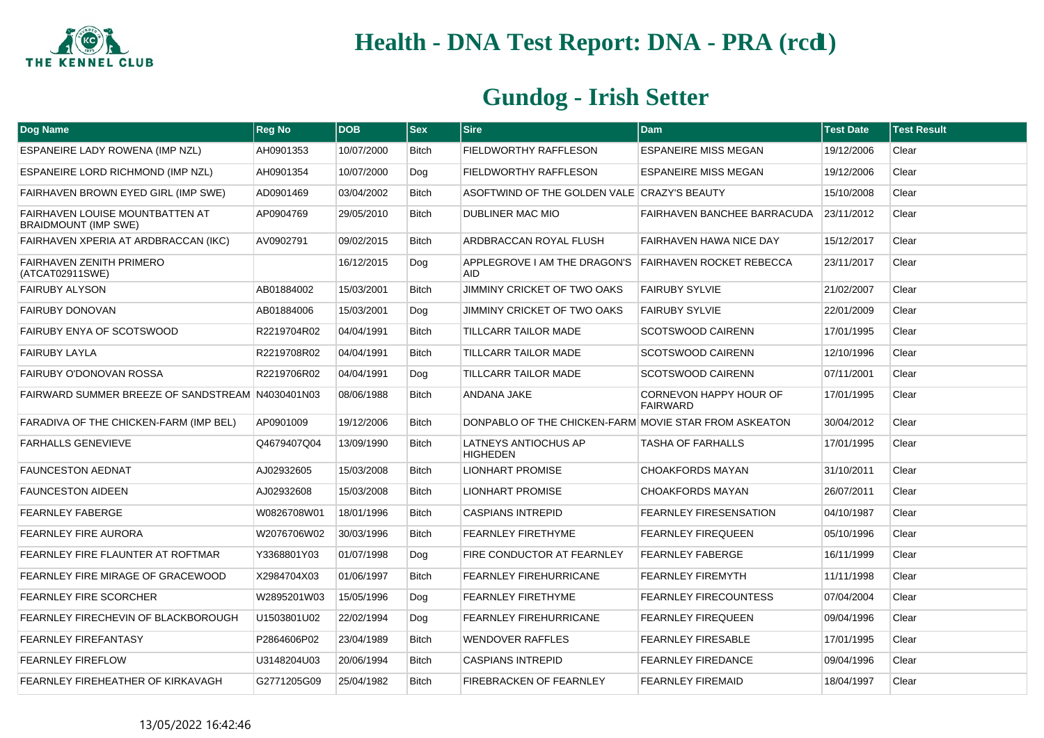

| Dog Name                                                              | <b>Reg No</b> | <b>DOB</b> | <b>Sex</b>   | <b>Sire</b>                                                         | <b>Dam</b>                                | <b>Test Date</b> | <b>Test Result</b> |
|-----------------------------------------------------------------------|---------------|------------|--------------|---------------------------------------------------------------------|-------------------------------------------|------------------|--------------------|
| ESPANEIRE LADY ROWENA (IMP NZL)                                       | AH0901353     | 10/07/2000 | <b>Bitch</b> | FIELDWORTHY RAFFLESON                                               | <b>ESPANEIRE MISS MEGAN</b>               | 19/12/2006       | Clear              |
| ESPANEIRE LORD RICHMOND (IMP NZL)                                     | AH0901354     | 10/07/2000 | Dog          | <b>FIELDWORTHY RAFFLESON</b>                                        | <b>ESPANEIRE MISS MEGAN</b>               | 19/12/2006       | Clear              |
| FAIRHAVEN BROWN EYED GIRL (IMP SWE)                                   | AD0901469     | 03/04/2002 | <b>Bitch</b> | ASOFTWIND OF THE GOLDEN VALE CRAZY'S BEAUTY                         |                                           | 15/10/2008       | Clear              |
| <b>FAIRHAVEN LOUISE MOUNTBATTEN AT</b><br><b>BRAIDMOUNT (IMP SWE)</b> | AP0904769     | 29/05/2010 | <b>Bitch</b> | DUBLINER MAC MIO                                                    | <b>FAIRHAVEN BANCHEE BARRACUDA</b>        | 23/11/2012       | Clear              |
| FAIRHAVEN XPERIA AT ARDBRACCAN (IKC)                                  | AV0902791     | 09/02/2015 | <b>Bitch</b> | ARDBRACCAN ROYAL FLUSH                                              | FAIRHAVEN HAWA NICE DAY                   | 15/12/2017       | Clear              |
| <b>FAIRHAVEN ZENITH PRIMERO</b><br>(ATCAT02911SWE)                    |               | 16/12/2015 | Dog          | APPLEGROVE I AM THE DRAGON'S FAIRHAVEN ROCKET REBECCA<br><b>AID</b> |                                           | 23/11/2017       | Clear              |
| <b>FAIRUBY ALYSON</b>                                                 | AB01884002    | 15/03/2001 | <b>Bitch</b> | <b>JIMMINY CRICKET OF TWO OAKS</b>                                  | <b>FAIRUBY SYLVIE</b>                     | 21/02/2007       | Clear              |
| <b>FAIRUBY DONOVAN</b>                                                | AB01884006    | 15/03/2001 | Dog          | JIMMINY CRICKET OF TWO OAKS                                         | <b>FAIRUBY SYLVIE</b>                     | 22/01/2009       | Clear              |
| FAIRUBY ENYA OF SCOTSWOOD                                             | R2219704R02   | 04/04/1991 | <b>Bitch</b> | <b>TILLCARR TAILOR MADE</b>                                         | <b>SCOTSWOOD CAIRENN</b>                  | 17/01/1995       | Clear              |
| <b>FAIRUBY LAYLA</b>                                                  | R2219708R02   | 04/04/1991 | <b>Bitch</b> | <b>TILLCARR TAILOR MADE</b>                                         | <b>SCOTSWOOD CAIRENN</b>                  | 12/10/1996       | Clear              |
| <b>FAIRUBY O'DONOVAN ROSSA</b>                                        | R2219706R02   | 04/04/1991 | Dog          | <b>TILLCARR TAILOR MADE</b>                                         | <b>SCOTSWOOD CAIRENN</b>                  | 07/11/2001       | Clear              |
| FAIRWARD SUMMER BREEZE OF SANDSTREAM N4030401N03                      |               | 08/06/1988 | Bitch        | ANDANA JAKE                                                         | CORNEVON HAPPY HOUR OF<br><b>FAIRWARD</b> | 17/01/1995       | Clear              |
| FARADIVA OF THE CHICKEN-FARM (IMP BEL)                                | AP0901009     | 19/12/2006 | <b>Bitch</b> | DONPABLO OF THE CHICKEN-FARM MOVIE STAR FROM ASKEATON               |                                           | 30/04/2012       | Clear              |
| <b>FARHALLS GENEVIEVE</b>                                             | Q4679407Q04   | 13/09/1990 | <b>Bitch</b> | <b>LATNEYS ANTIOCHUS AP</b><br><b>HIGHEDEN</b>                      | <b>TASHA OF FARHALLS</b>                  | 17/01/1995       | Clear              |
| <b>FAUNCESTON AEDNAT</b>                                              | AJ02932605    | 15/03/2008 | Bitch        | <b>LIONHART PROMISE</b>                                             | <b>CHOAKFORDS MAYAN</b>                   | 31/10/2011       | Clear              |
| <b>FAUNCESTON AIDEEN</b>                                              | AJ02932608    | 15/03/2008 | <b>Bitch</b> | <b>LIONHART PROMISE</b>                                             | <b>CHOAKFORDS MAYAN</b>                   | 26/07/2011       | Clear              |
| <b>FEARNLEY FABERGE</b>                                               | W0826708W01   | 18/01/1996 | <b>Bitch</b> | <b>CASPIANS INTREPID</b>                                            | <b>FEARNLEY FIRESENSATION</b>             | 04/10/1987       | Clear              |
| <b>FEARNLEY FIRE AURORA</b>                                           | W2076706W02   | 30/03/1996 | <b>Bitch</b> | <b>FEARNLEY FIRETHYME</b>                                           | <b>FEARNLEY FIREQUEEN</b>                 | 05/10/1996       | Clear              |
| FEARNLEY FIRE FLAUNTER AT ROFTMAR                                     | Y3368801Y03   | 01/07/1998 | Dog          | <b>FIRE CONDUCTOR AT FEARNLEY</b>                                   | <b>FEARNLEY FABERGE</b>                   | 16/11/1999       | Clear              |
| FEARNLEY FIRE MIRAGE OF GRACEWOOD                                     | X2984704X03   | 01/06/1997 | <b>Bitch</b> | <b>FEARNLEY FIREHURRICANE</b>                                       | <b>FEARNLEY FIREMYTH</b>                  | 11/11/1998       | Clear              |
| <b>FEARNLEY FIRE SCORCHER</b>                                         | W2895201W03   | 15/05/1996 | Dog          | <b>FEARNLEY FIRETHYME</b>                                           | <b>FEARNLEY FIRECOUNTESS</b>              | 07/04/2004       | Clear              |
| FEARNLEY FIRECHEVIN OF BLACKBOROUGH                                   | U1503801U02   | 22/02/1994 | Dog          | <b>FEARNLEY FIREHURRICANE</b>                                       | <b>FEARNLEY FIREQUEEN</b>                 | 09/04/1996       | Clear              |
| <b>FEARNLEY FIREFANTASY</b>                                           | P2864606P02   | 23/04/1989 | <b>Bitch</b> | <b>WENDOVER RAFFLES</b>                                             | <b>FEARNLEY FIRESABLE</b>                 | 17/01/1995       | Clear              |
| <b>FEARNLEY FIREFLOW</b>                                              | U3148204U03   | 20/06/1994 | Bitch        | <b>CASPIANS INTREPID</b>                                            | <b>FEARNLEY FIREDANCE</b>                 | 09/04/1996       | Clear              |
| FEARNLEY FIREHEATHER OF KIRKAVAGH                                     | G2771205G09   | 25/04/1982 | <b>Bitch</b> | FIREBRACKEN OF FEARNLEY                                             | <b>FEARNLEY FIREMAID</b>                  | 18/04/1997       | Clear              |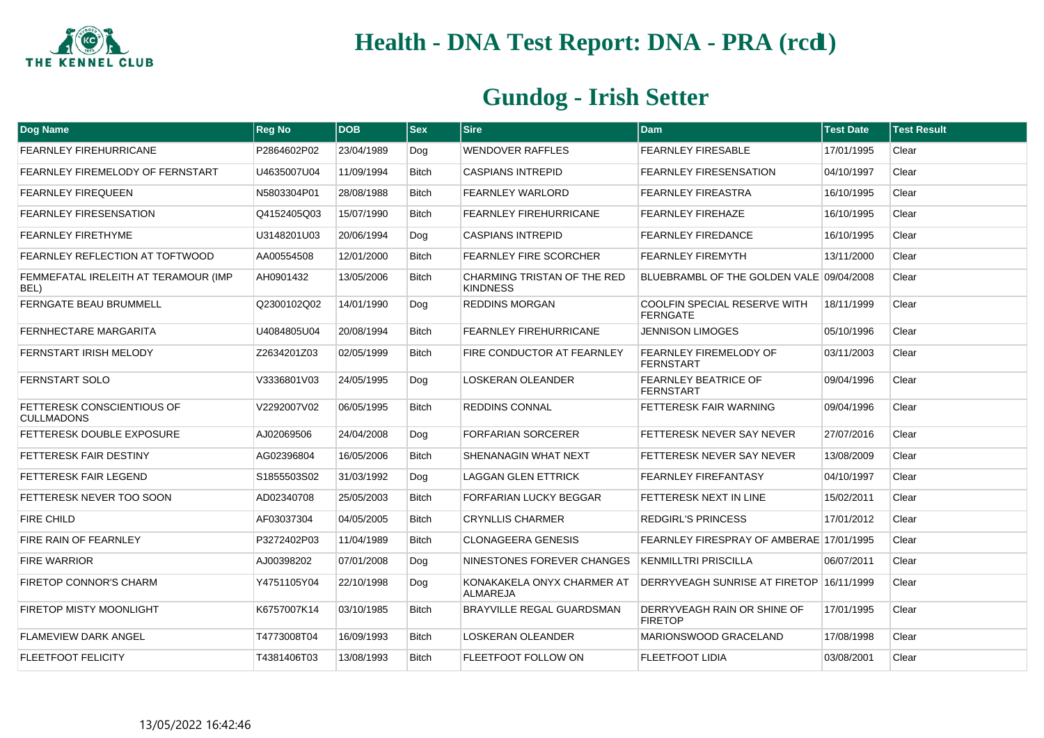

| Dog Name                                               | <b>Reg No</b> | <b>DOB</b> | $ s_{ex} $   | <b>Sire</b>                                    | <b>Dam</b>                                             | <b>Test Date</b> | <b>Test Result</b> |
|--------------------------------------------------------|---------------|------------|--------------|------------------------------------------------|--------------------------------------------------------|------------------|--------------------|
| <b>FEARNLEY FIREHURRICANE</b>                          | P2864602P02   | 23/04/1989 | Dog          | WENDOVER RAFFLES                               | <b>FEARNLEY FIRESABLE</b>                              | 17/01/1995       | Clear              |
| FEARNLEY FIREMELODY OF FERNSTART                       | U4635007U04   | 11/09/1994 | <b>Bitch</b> | <b>CASPIANS INTREPID</b>                       | <b>FEARNLEY FIRESENSATION</b>                          | 04/10/1997       | Clear              |
| <b>FEARNLEY FIREQUEEN</b>                              | N5803304P01   | 28/08/1988 | <b>Bitch</b> | <b>FEARNLEY WARLORD</b>                        | <b>FEARNLEY FIREASTRA</b>                              | 16/10/1995       | Clear              |
| <b>FEARNLEY FIRESENSATION</b>                          | Q4152405Q03   | 15/07/1990 | <b>Bitch</b> | <b>FEARNLEY FIREHURRICANE</b>                  | <b>FEARNLEY FIREHAZE</b>                               | 16/10/1995       | Clear              |
| <b>FEARNLEY FIRETHYME</b>                              | U3148201U03   | 20/06/1994 | Dog          | <b>CASPIANS INTREPID</b>                       | <b>FEARNLEY FIREDANCE</b>                              | 16/10/1995       | Clear              |
| FEARNLEY REFLECTION AT TOFTWOOD                        | AA00554508    | 12/01/2000 | <b>Bitch</b> | FEARNLEY FIRE SCORCHER                         | <b>FEARNLEY FIREMYTH</b>                               | 13/11/2000       | Clear              |
| FEMMEFATAL IRELEITH AT TERAMOUR (IMP<br>BEL)           | AH0901432     | 13/05/2006 | <b>Bitch</b> | CHARMING TRISTAN OF THE RED<br><b>KINDNESS</b> | BLUEBRAMBL OF THE GOLDEN VALE 09/04/2008               |                  | Clear              |
| <b>FERNGATE BEAU BRUMMELL</b>                          | Q2300102Q02   | 14/01/1990 | Dog          | <b>REDDINS MORGAN</b>                          | <b>COOLFIN SPECIAL RESERVE WITH</b><br><b>FERNGATE</b> | 18/11/1999       | Clear              |
| <b>FERNHECTARE MARGARITA</b>                           | U4084805U04   | 20/08/1994 | <b>Bitch</b> | <b>FEARNLEY FIREHURRICANE</b>                  | <b>JENNISON LIMOGES</b>                                | 05/10/1996       | Clear              |
| <b>FERNSTART IRISH MELODY</b>                          | Z2634201Z03   | 02/05/1999 | <b>Bitch</b> | FIRE CONDUCTOR AT FEARNLEY                     | <b>FEARNLEY FIREMELODY OF</b><br><b>FERNSTART</b>      | 03/11/2003       | Clear              |
| FERNSTART SOLO                                         | V3336801V03   | 24/05/1995 | Dog          | LOSKERAN OLEANDER                              | <b>FEARNLEY BEATRICE OF</b><br><b>FERNSTART</b>        | 09/04/1996       | Clear              |
| <b>FETTERESK CONSCIENTIOUS OF</b><br><b>CULLMADONS</b> | V2292007V02   | 06/05/1995 | Bitch        | <b>REDDINS CONNAL</b>                          | FETTERESK FAIR WARNING                                 | 09/04/1996       | Clear              |
| FETTERESK DOUBLE EXPOSURE                              | AJ02069506    | 24/04/2008 | Dog          | <b>FORFARIAN SORCERER</b>                      | FETTERESK NEVER SAY NEVER                              | 27/07/2016       | Clear              |
| FETTERESK FAIR DESTINY                                 | AG02396804    | 16/05/2006 | <b>Bitch</b> | SHENANAGIN WHAT NEXT                           | FETTERESK NEVER SAY NEVER                              | 13/08/2009       | Clear              |
| <b>FETTERESK FAIR LEGEND</b>                           | S1855503S02   | 31/03/1992 | Dog          | <b>LAGGAN GLEN ETTRICK</b>                     | <b>FEARNLEY FIREFANTASY</b>                            | 04/10/1997       | Clear              |
| FETTERESK NEVER TOO SOON                               | AD02340708    | 25/05/2003 | <b>Bitch</b> | FORFARIAN LUCKY BEGGAR                         | FETTERESK NEXT IN LINE                                 | 15/02/2011       | Clear              |
| <b>FIRE CHILD</b>                                      | AF03037304    | 04/05/2005 | <b>Bitch</b> | <b>CRYNLLIS CHARMER</b>                        | <b>REDGIRL'S PRINCESS</b>                              | 17/01/2012       | Clear              |
| FIRE RAIN OF FEARNLEY                                  | P3272402P03   | 11/04/1989 | <b>Bitch</b> | <b>CLONAGEERA GENESIS</b>                      | FEARNLEY FIRESPRAY OF AMBERAE 17/01/1995               |                  | Clear              |
| <b>FIRE WARRIOR</b>                                    | AJ00398202    | 07/01/2008 | Dog          | NINESTONES FOREVER CHANGES                     | <b>KENMILLTRI PRISCILLA</b>                            | 06/07/2011       | Clear              |
| <b>FIRETOP CONNOR'S CHARM</b>                          | Y4751105Y04   | 22/10/1998 | Dog          | KONAKAKELA ONYX CHARMER AT<br>ALMAREJA         | DERRYVEAGH SUNRISE AT FIRETOP 16/11/1999               |                  | Clear              |
| FIRETOP MISTY MOONLIGHT                                | K6757007K14   | 03/10/1985 | <b>Bitch</b> | BRAYVILLE REGAL GUARDSMAN                      | DERRYVEAGH RAIN OR SHINE OF<br><b>FIRETOP</b>          | 17/01/1995       | Clear              |
| <b>FLAMEVIEW DARK ANGEL</b>                            | T4773008T04   | 16/09/1993 | <b>Bitch</b> | <b>LOSKERAN OLEANDER</b>                       | MARIONSWOOD GRACELAND                                  | 17/08/1998       | Clear              |
| <b>FLEETFOOT FELICITY</b>                              | T4381406T03   | 13/08/1993 | <b>Bitch</b> | <b>FLEETFOOT FOLLOW ON</b>                     | <b>FLEETFOOT LIDIA</b>                                 | 03/08/2001       | Clear              |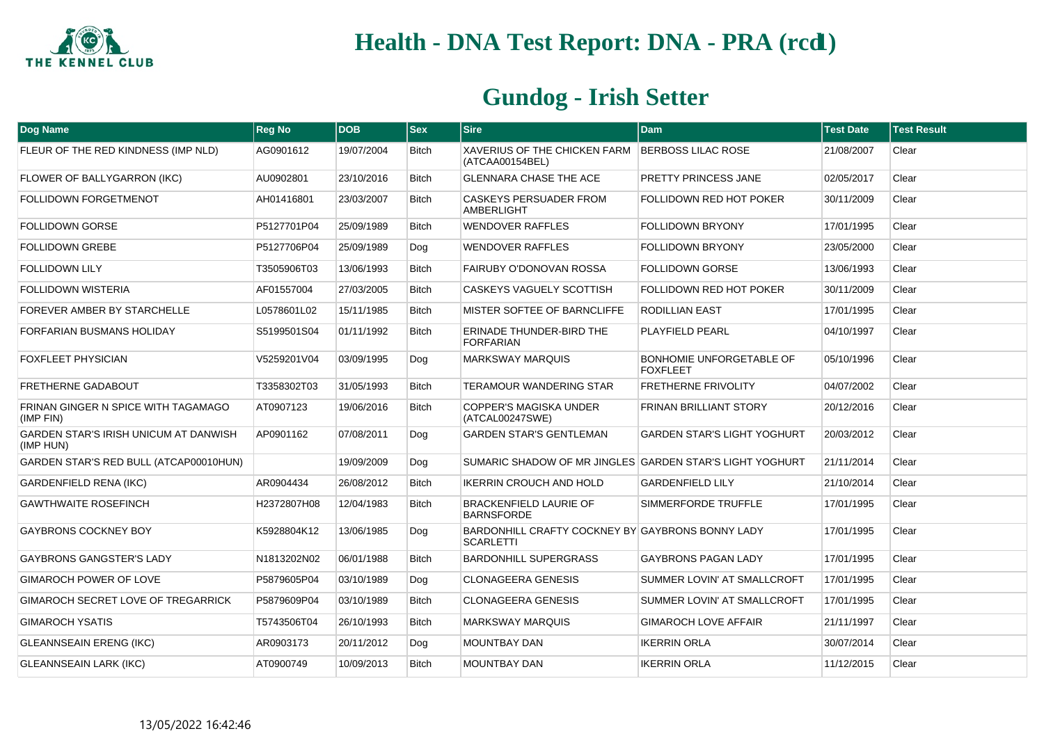

| <b>Dog Name</b>                                           | <b>Reg No</b> | <b>DOB</b> | <b>Sex</b>   | <b>Sire</b>                                                          | <b>Dam</b>                                         | <b>Test Date</b> | <b>Test Result</b> |
|-----------------------------------------------------------|---------------|------------|--------------|----------------------------------------------------------------------|----------------------------------------------------|------------------|--------------------|
| FLEUR OF THE RED KINDNESS (IMP NLD)                       | AG0901612     | 19/07/2004 | <b>Bitch</b> | XAVERIUS OF THE CHICKEN FARM<br>(ATCAA00154BEL)                      | <b>BERBOSS LILAC ROSE</b>                          | 21/08/2007       | Clear              |
| FLOWER OF BALLYGARRON (IKC)                               | AU0902801     | 23/10/2016 | <b>Bitch</b> | <b>GLENNARA CHASE THE ACE</b>                                        | PRETTY PRINCESS JANE                               | 02/05/2017       | Clear              |
| <b>FOLLIDOWN FORGETMENOT</b>                              | AH01416801    | 23/03/2007 | <b>Bitch</b> | <b>CASKEYS PERSUADER FROM</b><br><b>AMBERLIGHT</b>                   | <b>FOLLIDOWN RED HOT POKER</b>                     | 30/11/2009       | Clear              |
| <b>FOLLIDOWN GORSE</b>                                    | P5127701P04   | 25/09/1989 | <b>Bitch</b> | <b>WENDOVER RAFFLES</b>                                              | <b>FOLLIDOWN BRYONY</b>                            | 17/01/1995       | Clear              |
| <b>FOLLIDOWN GREBE</b>                                    | P5127706P04   | 25/09/1989 | Dog          | <b>WENDOVER RAFFLES</b>                                              | <b>FOLLIDOWN BRYONY</b>                            | 23/05/2000       | Clear              |
| <b>FOLLIDOWN LILY</b>                                     | T3505906T03   | 13/06/1993 | <b>Bitch</b> | FAIRUBY O'DONOVAN ROSSA                                              | <b>FOLLIDOWN GORSE</b>                             | 13/06/1993       | Clear              |
| <b>FOLLIDOWN WISTERIA</b>                                 | AF01557004    | 27/03/2005 | <b>Bitch</b> | CASKEYS VAGUELY SCOTTISH                                             | <b>FOLLIDOWN RED HOT POKER</b>                     | 30/11/2009       | Clear              |
| FOREVER AMBER BY STARCHELLE                               | L0578601L02   | 15/11/1985 | <b>Bitch</b> | MISTER SOFTEE OF BARNCLIFFE                                          | RODILLIAN EAST                                     | 17/01/1995       | Clear              |
| FORFARIAN BUSMANS HOLIDAY                                 | S5199501S04   | 01/11/1992 | <b>Bitch</b> | ERINADE THUNDER-BIRD THE<br><b>FORFARIAN</b>                         | <b>PLAYFIELD PEARL</b>                             | 04/10/1997       | Clear              |
| FOXFLEET PHYSICIAN                                        | V5259201V04   | 03/09/1995 | Dog          | <b>MARKSWAY MARQUIS</b>                                              | <b>BONHOMIE UNFORGETABLE OF</b><br><b>FOXFLEET</b> | 05/10/1996       | Clear              |
| <b>FRETHERNE GADABOUT</b>                                 | T3358302T03   | 31/05/1993 | <b>Bitch</b> | <b>TERAMOUR WANDERING STAR</b>                                       | <b>FRETHERNE FRIVOLITY</b>                         | 04/07/2002       | Clear              |
| FRINAN GINGER N SPICE WITH TAGAMAGO<br>(IMP FIN)          | AT0907123     | 19/06/2016 | <b>Bitch</b> | <b>COPPER'S MAGISKA UNDER</b><br>(ATCAL00247SWE)                     | <b>FRINAN BRILLIANT STORY</b>                      | 20/12/2016       | Clear              |
| <b>GARDEN STAR'S IRISH UNICUM AT DANWISH</b><br>(IMP HUN) | AP0901162     | 07/08/2011 | Dog          | <b>GARDEN STAR'S GENTLEMAN</b>                                       | <b>GARDEN STAR'S LIGHT YOGHURT</b>                 | 20/03/2012       | Clear              |
| GARDEN STAR'S RED BULL (ATCAP00010HUN)                    |               | 19/09/2009 | Dog          | SUMARIC SHADOW OF MR JINGLES GARDEN STAR'S LIGHT YOGHURT             |                                                    | 21/11/2014       | Clear              |
| <b>GARDENFIELD RENA (IKC)</b>                             | AR0904434     | 26/08/2012 | <b>Bitch</b> | IKERRIN CROUCH AND HOLD                                              | <b>GARDENFIELD LILY</b>                            | 21/10/2014       | Clear              |
| <b>GAWTHWAITE ROSEFINCH</b>                               | H2372807H08   | 12/04/1983 | <b>Bitch</b> | <b>BRACKENFIELD LAURIE OF</b><br><b>BARNSFORDE</b>                   | SIMMERFORDE TRUFFLE                                | 17/01/1995       | Clear              |
| GAYBRONS COCKNEY BOY                                      | K5928804K12   | 13/06/1985 | Dog          | BARDONHILL CRAFTY COCKNEY BY GAYBRONS BONNY LADY<br><b>SCARLETTI</b> |                                                    | 17/01/1995       | Clear              |
| <b>GAYBRONS GANGSTER'S LADY</b>                           | N1813202N02   | 06/01/1988 | <b>Bitch</b> | <b>BARDONHILL SUPERGRASS</b>                                         | <b>GAYBRONS PAGAN LADY</b>                         | 17/01/1995       | Clear              |
| GIMAROCH POWER OF LOVE                                    | P5879605P04   | 03/10/1989 | Dog          | <b>CLONAGEERA GENESIS</b>                                            | <b>SUMMER LOVIN' AT SMALLCROFT</b>                 | 17/01/1995       | Clear              |
| GIMAROCH SECRET LOVE OF TREGARRICK                        | P5879609P04   | 03/10/1989 | <b>Bitch</b> | <b>CLONAGEERA GENESIS</b>                                            | SUMMER LOVIN' AT SMALLCROFT                        | 17/01/1995       | Clear              |
| <b>GIMAROCH YSATIS</b>                                    | T5743506T04   | 26/10/1993 | <b>Bitch</b> | <b>MARKSWAY MARQUIS</b>                                              | <b>GIMAROCH LOVE AFFAIR</b>                        | 21/11/1997       | Clear              |
| <b>GLEANNSEAIN ERENG (IKC)</b>                            | AR0903173     | 20/11/2012 | Dog          | <b>MOUNTBAY DAN</b>                                                  | <b>IKERRIN ORLA</b>                                | 30/07/2014       | Clear              |
| <b>GLEANNSEAIN LARK (IKC)</b>                             | AT0900749     | 10/09/2013 | <b>Bitch</b> | <b>MOUNTBAY DAN</b>                                                  | <b>IKERRIN ORLA</b>                                | 11/12/2015       | Clear              |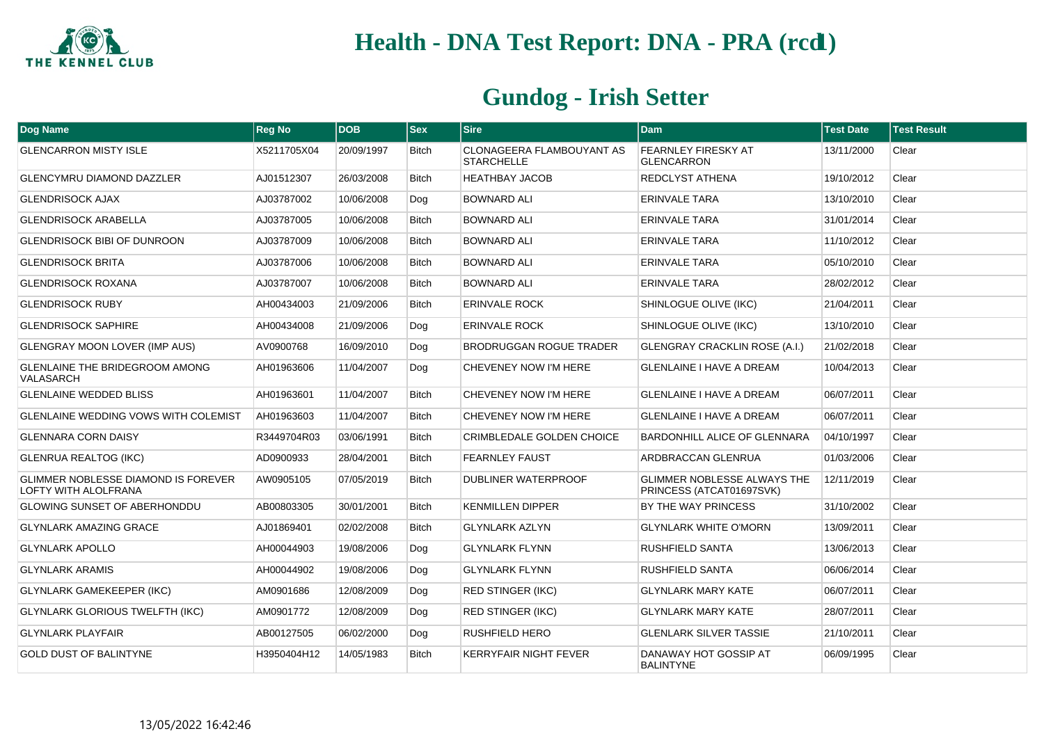

| Dog Name                                                    | <b>Reg No</b> | <b>DOB</b> | <b>Sex</b>   | <b>Sire</b>                                    | <b>Dam</b>                                                     | <b>Test Date</b> | <b>Test Result</b> |
|-------------------------------------------------------------|---------------|------------|--------------|------------------------------------------------|----------------------------------------------------------------|------------------|--------------------|
| <b>GLENCARRON MISTY ISLE</b>                                | X5211705X04   | 20/09/1997 | <b>Bitch</b> | CLONAGEERA FLAMBOUYANT AS<br><b>STARCHELLE</b> | FEARNLEY FIRESKY AT<br><b>GLENCARRON</b>                       | 13/11/2000       | Clear              |
| <b>GLENCYMRU DIAMOND DAZZLER</b>                            | AJ01512307    | 26/03/2008 | <b>Bitch</b> | <b>HEATHBAY JACOB</b>                          | <b>REDCLYST ATHENA</b>                                         | 19/10/2012       | Clear              |
| <b>GLENDRISOCK AJAX</b>                                     | AJ03787002    | 10/06/2008 | Dog          | <b>BOWNARD ALI</b>                             | <b>ERINVALE TARA</b>                                           | 13/10/2010       | Clear              |
| <b>GLENDRISOCK ARABELLA</b>                                 | AJ03787005    | 10/06/2008 | <b>Bitch</b> | <b>BOWNARD ALI</b>                             | <b>ERINVALE TARA</b>                                           | 31/01/2014       | Clear              |
| <b>GLENDRISOCK BIBI OF DUNROON</b>                          | AJ03787009    | 10/06/2008 | <b>Bitch</b> | <b>BOWNARD ALI</b>                             | <b>ERINVALE TARA</b>                                           | 11/10/2012       | Clear              |
| <b>GLENDRISOCK BRITA</b>                                    | AJ03787006    | 10/06/2008 | <b>Bitch</b> | <b>BOWNARD ALI</b>                             | <b>ERINVALE TARA</b>                                           | 05/10/2010       | Clear              |
| <b>GLENDRISOCK ROXANA</b>                                   | AJ03787007    | 10/06/2008 | <b>Bitch</b> | <b>BOWNARD ALI</b>                             | <b>ERINVALE TARA</b>                                           | 28/02/2012       | Clear              |
| <b>GLENDRISOCK RUBY</b>                                     | AH00434003    | 21/09/2006 | <b>Bitch</b> | <b>ERINVALE ROCK</b>                           | SHINLOGUE OLIVE (IKC)                                          | 21/04/2011       | Clear              |
| <b>GLENDRISOCK SAPHIRE</b>                                  | AH00434008    | 21/09/2006 | Dog          | <b>ERINVALE ROCK</b>                           | SHINLOGUE OLIVE (IKC)                                          | 13/10/2010       | Clear              |
| GLENGRAY MOON LOVER (IMP AUS)                               | AV0900768     | 16/09/2010 | Dog          | <b>BRODRUGGAN ROGUE TRADER</b>                 | <b>GLENGRAY CRACKLIN ROSE (A.I.)</b>                           | 21/02/2018       | Clear              |
| <b>GLENLAINE THE BRIDEGROOM AMONG</b><br>VALASARCH          | AH01963606    | 11/04/2007 | Dog          | CHEVENEY NOW I'M HERE                          | <b>GLENLAINE I HAVE A DREAM</b>                                | 10/04/2013       | Clear              |
| <b>GLENLAINE WEDDED BLISS</b>                               | AH01963601    | 11/04/2007 | <b>Bitch</b> | CHEVENEY NOW I'M HERE                          | <b>GLENLAINE I HAVE A DREAM</b>                                | 06/07/2011       | Clear              |
| <b>GLENLAINE WEDDING VOWS WITH COLEMIST</b>                 | AH01963603    | 11/04/2007 | <b>Bitch</b> | CHEVENEY NOW I'M HERE                          | <b>GLENLAINE I HAVE A DREAM</b>                                | 06/07/2011       | Clear              |
| <b>GLENNARA CORN DAISY</b>                                  | R3449704R03   | 03/06/1991 | <b>Bitch</b> | CRIMBLEDALE GOLDEN CHOICE                      | <b>BARDONHILL ALICE OF GLENNARA</b>                            | 04/10/1997       | Clear              |
| <b>GLENRUA REALTOG (IKC)</b>                                | AD0900933     | 28/04/2001 | <b>Bitch</b> | <b>FEARNLEY FAUST</b>                          | ARDBRACCAN GLENRUA                                             | 01/03/2006       | Clear              |
| GLIMMER NOBLESSE DIAMOND IS FOREVER<br>LOFTY WITH ALOLFRANA | AW0905105     | 07/05/2019 | <b>Bitch</b> | DUBLINER WATERPROOF                            | <b>GLIMMER NOBLESSE ALWAYS THE</b><br>PRINCESS (ATCAT01697SVK) | 12/11/2019       | Clear              |
| <b>GLOWING SUNSET OF ABERHONDDU</b>                         | AB00803305    | 30/01/2001 | <b>Bitch</b> | <b>KENMILLEN DIPPER</b>                        | BY THE WAY PRINCESS                                            | 31/10/2002       | Clear              |
| <b>GLYNLARK AMAZING GRACE</b>                               | AJ01869401    | 02/02/2008 | <b>Bitch</b> | <b>GLYNLARK AZLYN</b>                          | <b>GLYNLARK WHITE O'MORN</b>                                   | 13/09/2011       | Clear              |
| <b>GLYNLARK APOLLO</b>                                      | AH00044903    | 19/08/2006 | Dog          | <b>GLYNLARK FLYNN</b>                          | <b>RUSHFIELD SANTA</b>                                         | 13/06/2013       | Clear              |
| <b>GLYNLARK ARAMIS</b>                                      | AH00044902    | 19/08/2006 | Dog          | <b>GLYNLARK FLYNN</b>                          | <b>RUSHFIELD SANTA</b>                                         | 06/06/2014       | Clear              |
| <b>GLYNLARK GAMEKEEPER (IKC)</b>                            | AM0901686     | 12/08/2009 | Dog          | <b>RED STINGER (IKC)</b>                       | <b>GLYNLARK MARY KATE</b>                                      | 06/07/2011       | Clear              |
| <b>GLYNLARK GLORIOUS TWELFTH (IKC)</b>                      | AM0901772     | 12/08/2009 | Dog          | <b>RED STINGER (IKC)</b>                       | <b>GLYNLARK MARY KATE</b>                                      | 28/07/2011       | Clear              |
| <b>GLYNLARK PLAYFAIR</b>                                    | AB00127505    | 06/02/2000 | Dog          | RUSHFIELD HERO                                 | <b>GLENLARK SILVER TASSIE</b>                                  | 21/10/2011       | Clear              |
| <b>GOLD DUST OF BALINTYNE</b>                               | H3950404H12   | 14/05/1983 | <b>Bitch</b> | <b>KERRYFAIR NIGHT FEVER</b>                   | DANAWAY HOT GOSSIP AT<br><b>BALINTYNE</b>                      | 06/09/1995       | Clear              |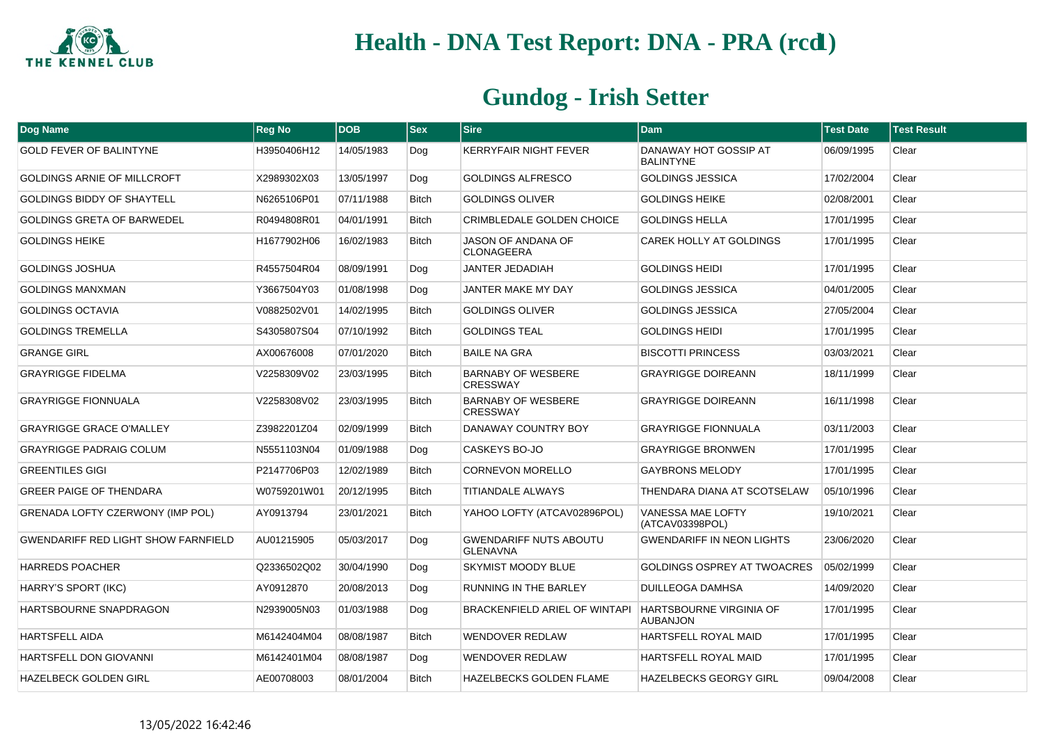

| Dog Name                                   | <b>Reg No</b> | <b>DOB</b> | <b>Sex</b>   | <b>Sire</b>                                      | <b>Dam</b>                                        | <b>Test Date</b> | <b>Test Result</b> |
|--------------------------------------------|---------------|------------|--------------|--------------------------------------------------|---------------------------------------------------|------------------|--------------------|
| <b>GOLD FEVER OF BALINTYNE</b>             | H3950406H12   | 14/05/1983 | Dog          | KERRYFAIR NIGHT FEVER                            | DANAWAY HOT GOSSIP AT<br><b>BALINTYNE</b>         | 06/09/1995       | Clear              |
| GOLDINGS ARNIE OF MILLCROFT                | X2989302X03   | 13/05/1997 | Dog          | <b>GOLDINGS ALFRESCO</b>                         | <b>GOLDINGS JESSICA</b>                           | 17/02/2004       | Clear              |
| <b>GOLDINGS BIDDY OF SHAYTELL</b>          | N6265106P01   | 07/11/1988 | <b>Bitch</b> | <b>GOLDINGS OLIVER</b>                           | <b>GOLDINGS HEIKE</b>                             | 02/08/2001       | Clear              |
| <b>GOLDINGS GRETA OF BARWEDEL</b>          | R0494808R01   | 04/01/1991 | <b>Bitch</b> | CRIMBLEDALE GOLDEN CHOICE                        | <b>GOLDINGS HELLA</b>                             | 17/01/1995       | Clear              |
| <b>GOLDINGS HEIKE</b>                      | H1677902H06   | 16/02/1983 | <b>Bitch</b> | JASON OF ANDANA OF<br><b>CLONAGEERA</b>          | CAREK HOLLY AT GOLDINGS                           | 17/01/1995       | Clear              |
| GOLDINGS JOSHUA                            | R4557504R04   | 08/09/1991 | Dog          | <b>JANTER JEDADIAH</b>                           | <b>GOLDINGS HEIDI</b>                             | 17/01/1995       | Clear              |
| <b>GOLDINGS MANXMAN</b>                    | Y3667504Y03   | 01/08/1998 | Dog          | JANTER MAKE MY DAY                               | <b>GOLDINGS JESSICA</b>                           | 04/01/2005       | Clear              |
| <b>GOLDINGS OCTAVIA</b>                    | V0882502V01   | 14/02/1995 | <b>Bitch</b> | <b>GOLDINGS OLIVER</b>                           | <b>GOLDINGS JESSICA</b>                           | 27/05/2004       | Clear              |
| <b>GOLDINGS TREMELLA</b>                   | S4305807S04   | 07/10/1992 | <b>Bitch</b> | <b>GOLDINGS TEAL</b>                             | <b>GOLDINGS HEIDI</b>                             | 17/01/1995       | Clear              |
| <b>GRANGE GIRL</b>                         | AX00676008    | 07/01/2020 | <b>Bitch</b> | <b>BAILE NA GRA</b>                              | <b>BISCOTTI PRINCESS</b>                          | 03/03/2021       | Clear              |
| <b>GRAYRIGGE FIDELMA</b>                   | V2258309V02   | 23/03/1995 | <b>Bitch</b> | <b>BARNABY OF WESBERE</b><br><b>CRESSWAY</b>     | <b>GRAYRIGGE DOIREANN</b>                         | 18/11/1999       | Clear              |
| <b>GRAYRIGGE FIONNUALA</b>                 | V2258308V02   | 23/03/1995 | <b>Bitch</b> | <b>BARNABY OF WESBERE</b><br><b>CRESSWAY</b>     | <b>GRAYRIGGE DOIREANN</b>                         | 16/11/1998       | Clear              |
| <b>GRAYRIGGE GRACE O'MALLEY</b>            | Z3982201Z04   | 02/09/1999 | <b>Bitch</b> | DANAWAY COUNTRY BOY                              | <b>GRAYRIGGE FIONNUALA</b>                        | 03/11/2003       | Clear              |
| <b>GRAYRIGGE PADRAIG COLUM</b>             | N5551103N04   | 01/09/1988 | Dog          | CASKEYS BO-JO                                    | <b>GRAYRIGGE BRONWEN</b>                          | 17/01/1995       | Clear              |
| <b>GREENTILES GIGI</b>                     | P2147706P03   | 12/02/1989 | <b>Bitch</b> | <b>CORNEVON MORELLO</b>                          | <b>GAYBRONS MELODY</b>                            | 17/01/1995       | Clear              |
| <b>GREER PAIGE OF THENDARA</b>             | W0759201W01   | 20/12/1995 | <b>Bitch</b> | <b>TITIANDALE ALWAYS</b>                         | THENDARA DIANA AT SCOTSELAW                       | 05/10/1996       | Clear              |
| GRENADA LOFTY CZERWONY (IMP POL)           | AY0913794     | 23/01/2021 | <b>Bitch</b> | YAHOO LOFTY (ATCAV02896POL)                      | VANESSA MAE LOFTY<br>(ATCAV03398POL)              | 19/10/2021       | Clear              |
| <b>GWENDARIFF RED LIGHT SHOW FARNFIELD</b> | AU01215905    | 05/03/2017 | Dog          | <b>GWENDARIFF NUTS ABOUTU</b><br><b>GLENAVNA</b> | <b>GWENDARIFF IN NEON LIGHTS</b>                  | 23/06/2020       | Clear              |
| <b>HARREDS POACHER</b>                     | Q2336502Q02   | 30/04/1990 | Dog          | SKYMIST MOODY BLUE                               | <b>GOLDINGS OSPREY AT TWOACRES</b>                | 05/02/1999       | Clear              |
| HARRY'S SPORT (IKC)                        | AY0912870     | 20/08/2013 | Dog          | <b>RUNNING IN THE BARLEY</b>                     | <b>DUILLEOGA DAMHSA</b>                           | 14/09/2020       | Clear              |
| HARTSBOURNE SNAPDRAGON                     | N2939005N03   | 01/03/1988 | Dog          | <b>BRACKENFIELD ARIEL OF WINTAPI</b>             | <b>HARTSBOURNE VIRGINIA OF</b><br><b>AUBANJON</b> | 17/01/1995       | Clear              |
| HARTSFELL AIDA                             | M6142404M04   | 08/08/1987 | <b>Bitch</b> | <b>WENDOVER REDLAW</b>                           | HARTSFELL ROYAL MAID                              | 17/01/1995       | Clear              |
| HARTSFELL DON GIOVANNI                     | M6142401M04   | 08/08/1987 | Dog          | WENDOVER REDLAW                                  | HARTSFELL ROYAL MAID                              | 17/01/1995       | Clear              |
| HAZELBECK GOLDEN GIRL                      | AE00708003    | 08/01/2004 | <b>Bitch</b> | HAZELBECKS GOLDEN FLAME                          | <b>HAZELBECKS GEORGY GIRL</b>                     | 09/04/2008       | Clear              |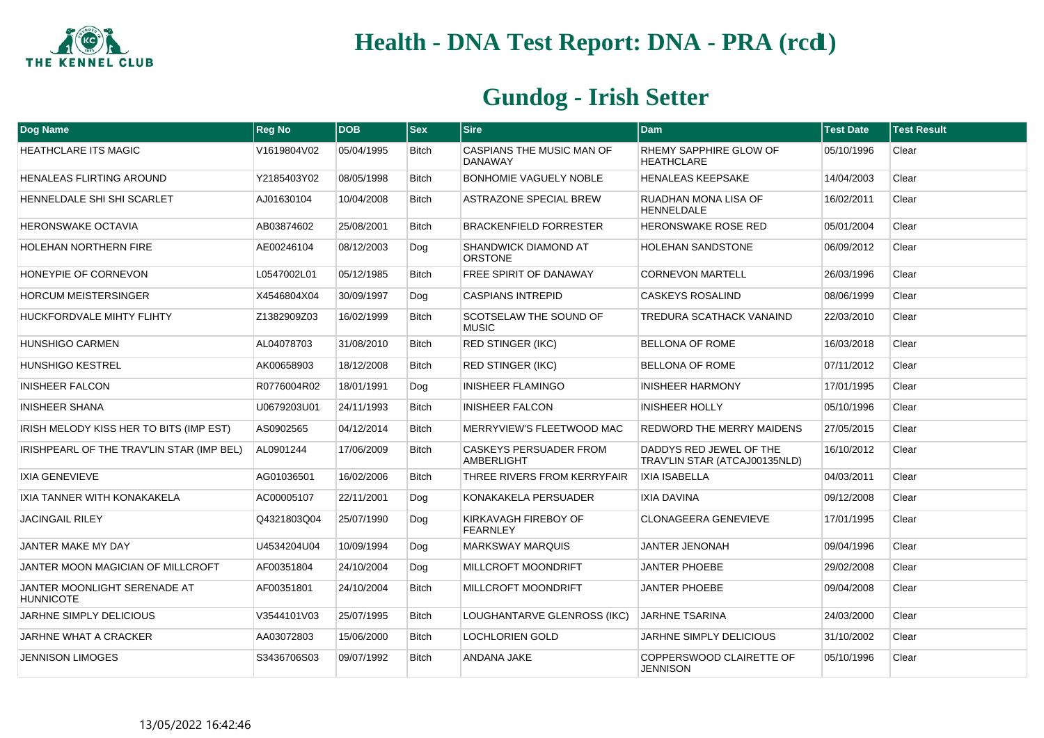

| Dog Name                                         | <b>Reg No</b> | <b>DOB</b> | <b>Sex</b>   | <b>Sire</b>                                   | <b>Dam</b>                                               | <b>Test Date</b> | <b>Test Result</b> |
|--------------------------------------------------|---------------|------------|--------------|-----------------------------------------------|----------------------------------------------------------|------------------|--------------------|
| <b>HEATHCLARE ITS MAGIC</b>                      | V1619804V02   | 05/04/1995 | <b>Bitch</b> | CASPIANS THE MUSIC MAN OF<br><b>DANAWAY</b>   | RHEMY SAPPHIRE GLOW OF<br><b>HEATHCLARE</b>              | 05/10/1996       | Clear              |
| HENALEAS FLIRTING AROUND                         | Y2185403Y02   | 08/05/1998 | <b>Bitch</b> | <b>BONHOMIE VAGUELY NOBLE</b>                 | <b>HENALEAS KEEPSAKE</b>                                 | 14/04/2003       | Clear              |
| HENNELDALE SHI SHI SCARLET                       | AJ01630104    | 10/04/2008 | <b>Bitch</b> | ASTRAZONE SPECIAL BREW                        | RUADHAN MONA LISA OF<br><b>HENNELDALE</b>                | 16/02/2011       | Clear              |
| <b>HERONSWAKE OCTAVIA</b>                        | AB03874602    | 25/08/2001 | <b>Bitch</b> | <b>BRACKENFIELD FORRESTER</b>                 | <b>HERONSWAKE ROSE RED</b>                               | 05/01/2004       | Clear              |
| <b>HOLEHAN NORTHERN FIRE</b>                     | AE00246104    | 08/12/2003 | Dog          | <b>SHANDWICK DIAMOND AT</b><br><b>ORSTONE</b> | <b>HOLEHAN SANDSTONE</b>                                 | 06/09/2012       | Clear              |
| HONEYPIE OF CORNEVON                             | L0547002L01   | 05/12/1985 | Bitch        | FREE SPIRIT OF DANAWAY                        | <b>CORNEVON MARTELL</b>                                  | 26/03/1996       | Clear              |
| <b>HORCUM MEISTERSINGER</b>                      | X4546804X04   | 30/09/1997 | Dog          | <b>CASPIANS INTREPID</b>                      | <b>CASKEYS ROSALIND</b>                                  | 08/06/1999       | Clear              |
| HUCKFORDVALE MIHTY FLIHTY                        | Z1382909Z03   | 16/02/1999 | Bitch        | SCOTSELAW THE SOUND OF<br><b>MUSIC</b>        | TREDURA SCATHACK VANAIND                                 | 22/03/2010       | Clear              |
| <b>HUNSHIGO CARMEN</b>                           | AL04078703    | 31/08/2010 | <b>Bitch</b> | <b>RED STINGER (IKC)</b>                      | <b>BELLONA OF ROME</b>                                   | 16/03/2018       | Clear              |
| <b>HUNSHIGO KESTREL</b>                          | AK00658903    | 18/12/2008 | <b>Bitch</b> | <b>RED STINGER (IKC)</b>                      | <b>BELLONA OF ROME</b>                                   | 07/11/2012       | Clear              |
| <b>INISHEER FALCON</b>                           | R0776004R02   | 18/01/1991 | Dog          | <b>INISHEER FLAMINGO</b>                      | <b>INISHEER HARMONY</b>                                  | 17/01/1995       | Clear              |
| <b>INISHEER SHANA</b>                            | U0679203U01   | 24/11/1993 | <b>Bitch</b> | <b>INISHEER FALCON</b>                        | <b>INISHEER HOLLY</b>                                    | 05/10/1996       | Clear              |
| IRISH MELODY KISS HER TO BITS (IMP EST)          | AS0902565     | 04/12/2014 | Bitch        | MERRYVIEW'S FLEETWOOD MAC                     | REDWORD THE MERRY MAIDENS                                | 27/05/2015       | Clear              |
| IRISHPEARL OF THE TRAV'LIN STAR (IMP BEL)        | AL0901244     | 17/06/2009 | <b>Bitch</b> | <b>CASKEYS PERSUADER FROM</b><br>AMBERLIGHT   | DADDYS RED JEWEL OF THE<br>TRAV'LIN STAR (ATCAJ00135NLD) | 16/10/2012       | Clear              |
| <b>IXIA GENEVIEVE</b>                            | AG01036501    | 16/02/2006 | Bitch        | THREE RIVERS FROM KERRYFAIR                   | <b>IXIA ISABELLA</b>                                     | 04/03/2011       | Clear              |
| IXIA TANNER WITH KONAKAKELA                      | AC00005107    | 22/11/2001 | Dog          | KONAKAKELA PERSUADER                          | <b>IXIA DAVINA</b>                                       | 09/12/2008       | Clear              |
| <b>JACINGAIL RILEY</b>                           | Q4321803Q04   | 25/07/1990 | Dog          | KIRKAVAGH FIREBOY OF<br><b>FEARNLEY</b>       | CLONAGEERA GENEVIEVE                                     | 17/01/1995       | Clear              |
| JANTER MAKE MY DAY                               | U4534204U04   | 10/09/1994 | Dog          | <b>MARKSWAY MARQUIS</b>                       | <b>JANTER JENONAH</b>                                    | 09/04/1996       | Clear              |
| JANTER MOON MAGICIAN OF MILLCROFT                | AF00351804    | 24/10/2004 | Dog          | MILLCROFT MOONDRIFT                           | <b>JANTER PHOEBE</b>                                     | 29/02/2008       | Clear              |
| JANTER MOONLIGHT SERENADE AT<br><b>HUNNICOTE</b> | AF00351801    | 24/10/2004 | Bitch        | MILLCROFT MOONDRIFT                           | <b>JANTER PHOEBE</b>                                     | 09/04/2008       | Clear              |
| <b>JARHNE SIMPLY DELICIOUS</b>                   | V3544101V03   | 25/07/1995 | <b>Bitch</b> | LOUGHANTARVE GLENROSS (IKC)                   | <b>JARHNE TSARINA</b>                                    | 24/03/2000       | Clear              |
| JARHNE WHAT A CRACKER                            | AA03072803    | 15/06/2000 | Bitch        | <b>LOCHLORIEN GOLD</b>                        | JARHNE SIMPLY DELICIOUS                                  | 31/10/2002       | Clear              |
| <b>JENNISON LIMOGES</b>                          | S3436706S03   | 09/07/1992 | Bitch        | ANDANA JAKE                                   | COPPERSWOOD CLAIRETTE OF<br><b>JENNISON</b>              | 05/10/1996       | Clear              |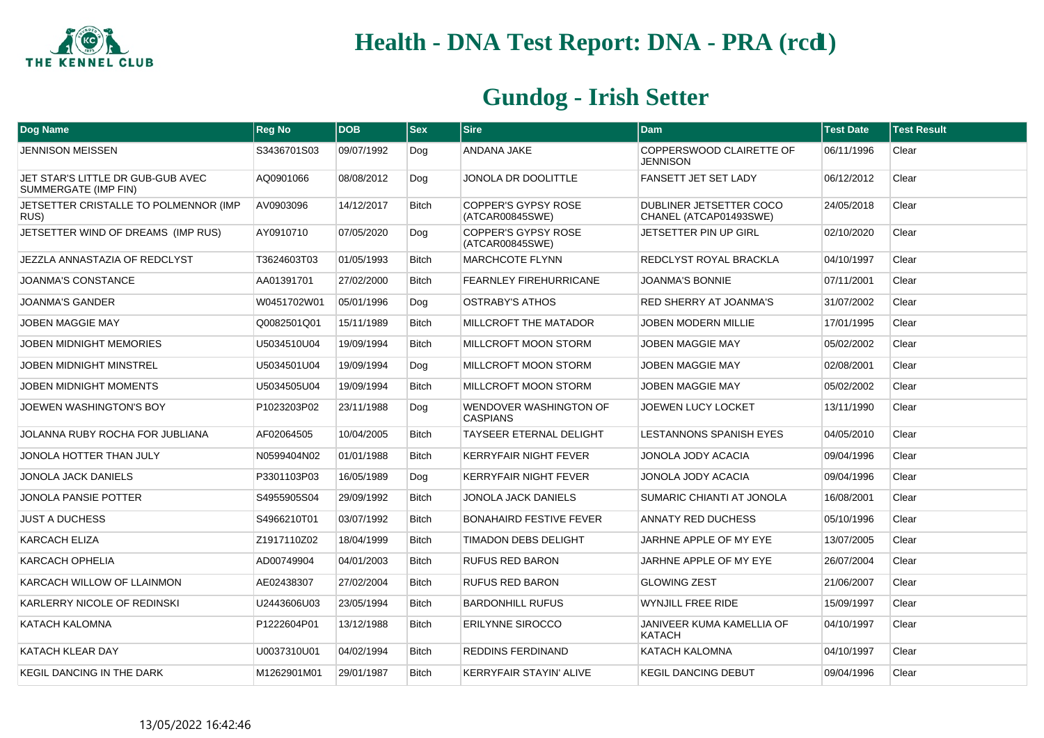

| Dog Name                                                         | <b>Reg No</b> | <b>DOB</b> | <b>Sex</b>   | <b>Sire</b>                                   | <b>Dam</b>                                        | <b>Test Date</b> | <b>Test Result</b> |
|------------------------------------------------------------------|---------------|------------|--------------|-----------------------------------------------|---------------------------------------------------|------------------|--------------------|
| <b>JENNISON MEISSEN</b>                                          | S3436701S03   | 09/07/1992 | Dog          | ANDANA JAKE                                   | COPPERSWOOD CLAIRETTE OF<br><b>JENNISON</b>       | 06/11/1996       | Clear              |
| JET STAR'S LITTLE DR GUB-GUB AVEC<br><b>SUMMERGATE (IMP FIN)</b> | AQ0901066     | 08/08/2012 | Dog          | JONOLA DR DOOLITTLE                           | FANSETT JET SET LADY                              | 06/12/2012       | Clear              |
| JETSETTER CRISTALLE TO POLMENNOR (IMP<br>RUS)                    | AV0903096     | 14/12/2017 | <b>Bitch</b> | <b>COPPER'S GYPSY ROSE</b><br>(ATCAR00845SWE) | DUBLINER JETSETTER COCO<br>CHANEL (ATCAP01493SWE) | 24/05/2018       | Clear              |
| JETSETTER WIND OF DREAMS (IMP RUS)                               | AY0910710     | 07/05/2020 | Dog          | <b>COPPER'S GYPSY ROSE</b><br>(ATCAR00845SWE) | JETSETTER PIN UP GIRL                             | 02/10/2020       | Clear              |
| JEZZLA ANNASTAZIA OF REDCLYST                                    | T3624603T03   | 01/05/1993 | Bitch        | <b>MARCHCOTE FLYNN</b>                        | REDCLYST ROYAL BRACKLA                            | 04/10/1997       | Clear              |
| <b>JOANMA'S CONSTANCE</b>                                        | AA01391701    | 27/02/2000 | <b>Bitch</b> | <b>FEARNLEY FIREHURRICANE</b>                 | <b>JOANMA'S BONNIE</b>                            | 07/11/2001       | Clear              |
| <b>JOANMA'S GANDER</b>                                           | W0451702W01   | 05/01/1996 | Dog          | <b>OSTRABY'S ATHOS</b>                        | <b>RED SHERRY AT JOANMA'S</b>                     | 31/07/2002       | Clear              |
| <b>JOBEN MAGGIE MAY</b>                                          | Q0082501Q01   | 15/11/1989 | <b>Bitch</b> | MILLCROFT THE MATADOR                         | <b>JOBEN MODERN MILLIE</b>                        | 17/01/1995       | Clear              |
| JOBEN MIDNIGHT MEMORIES                                          | U5034510U04   | 19/09/1994 | <b>Bitch</b> | MILLCROFT MOON STORM                          | JOBEN MAGGIE MAY                                  | 05/02/2002       | Clear              |
| JOBEN MIDNIGHT MINSTREL                                          | U5034501U04   | 19/09/1994 | Dog          | MILLCROFT MOON STORM                          | <b>JOBEN MAGGIE MAY</b>                           | 02/08/2001       | Clear              |
| <b>JOBEN MIDNIGHT MOMENTS</b>                                    | U5034505U04   | 19/09/1994 | <b>Bitch</b> | MILLCROFT MOON STORM                          | <b>JOBEN MAGGIE MAY</b>                           | 05/02/2002       | Clear              |
| JOEWEN WASHINGTON'S BOY                                          | P1023203P02   | 23/11/1988 | Dog          | WENDOVER WASHINGTON OF<br><b>CASPIANS</b>     | JOEWEN LUCY LOCKET                                | 13/11/1990       | Clear              |
| JOLANNA RUBY ROCHA FOR JUBLIANA                                  | AF02064505    | 10/04/2005 | <b>Bitch</b> | <b>TAYSEER ETERNAL DELIGHT</b>                | <b>LESTANNONS SPANISH EYES</b>                    | 04/05/2010       | Clear              |
| JONOLA HOTTER THAN JULY                                          | N0599404N02   | 01/01/1988 | <b>Bitch</b> | <b>KERRYFAIR NIGHT FEVER</b>                  | JONOLA JODY ACACIA                                | 09/04/1996       | Clear              |
| <b>JONOLA JACK DANIELS</b>                                       | P3301103P03   | 16/05/1989 | Dog          | <b>KERRYFAIR NIGHT FEVER</b>                  | JONOLA JODY ACACIA                                | 09/04/1996       | Clear              |
| <b>JONOLA PANSIE POTTER</b>                                      | S4955905S04   | 29/09/1992 | <b>Bitch</b> | <b>JONOLA JACK DANIELS</b>                    | SUMARIC CHIANTI AT JONOLA                         | 16/08/2001       | Clear              |
| <b>JUST A DUCHESS</b>                                            | S4966210T01   | 03/07/1992 | <b>Bitch</b> | <b>BONAHAIRD FESTIVE FEVER</b>                | <b>ANNATY RED DUCHESS</b>                         | 05/10/1996       | Clear              |
| <b>KARCACH ELIZA</b>                                             | Z1917110Z02   | 18/04/1999 | Bitch        | <b>TIMADON DEBS DELIGHT</b>                   | JARHNE APPLE OF MY EYE                            | 13/07/2005       | Clear              |
| <b>KARCACH OPHELIA</b>                                           | AD00749904    | 04/01/2003 | <b>Bitch</b> | <b>RUFUS RED BARON</b>                        | JARHNE APPLE OF MY EYE                            | 26/07/2004       | Clear              |
| KARCACH WILLOW OF LLAINMON                                       | AE02438307    | 27/02/2004 | Bitch        | RUFUS RED BARON                               | <b>GLOWING ZEST</b>                               | 21/06/2007       | Clear              |
| KARLERRY NICOLE OF REDINSKI                                      | U2443606U03   | 23/05/1994 | <b>Bitch</b> | <b>BARDONHILL RUFUS</b>                       | <b>WYNJILL FREE RIDE</b>                          | 15/09/1997       | Clear              |
| <b>KATACH KALOMNA</b>                                            | P1222604P01   | 13/12/1988 | <b>Bitch</b> | <b>ERILYNNE SIROCCO</b>                       | JANIVEER KUMA KAMELLIA OF<br><b>KATACH</b>        | 04/10/1997       | Clear              |
| <b>KATACH KLEAR DAY</b>                                          | U0037310U01   | 04/02/1994 | Bitch        | <b>REDDINS FERDINAND</b>                      | KATACH KALOMNA                                    | 04/10/1997       | Clear              |
| <b>KEGIL DANCING IN THE DARK</b>                                 | M1262901M01   | 29/01/1987 | <b>Bitch</b> | <b>KERRYFAIR STAYIN' ALIVE</b>                | <b>KEGIL DANCING DEBUT</b>                        | 09/04/1996       | Clear              |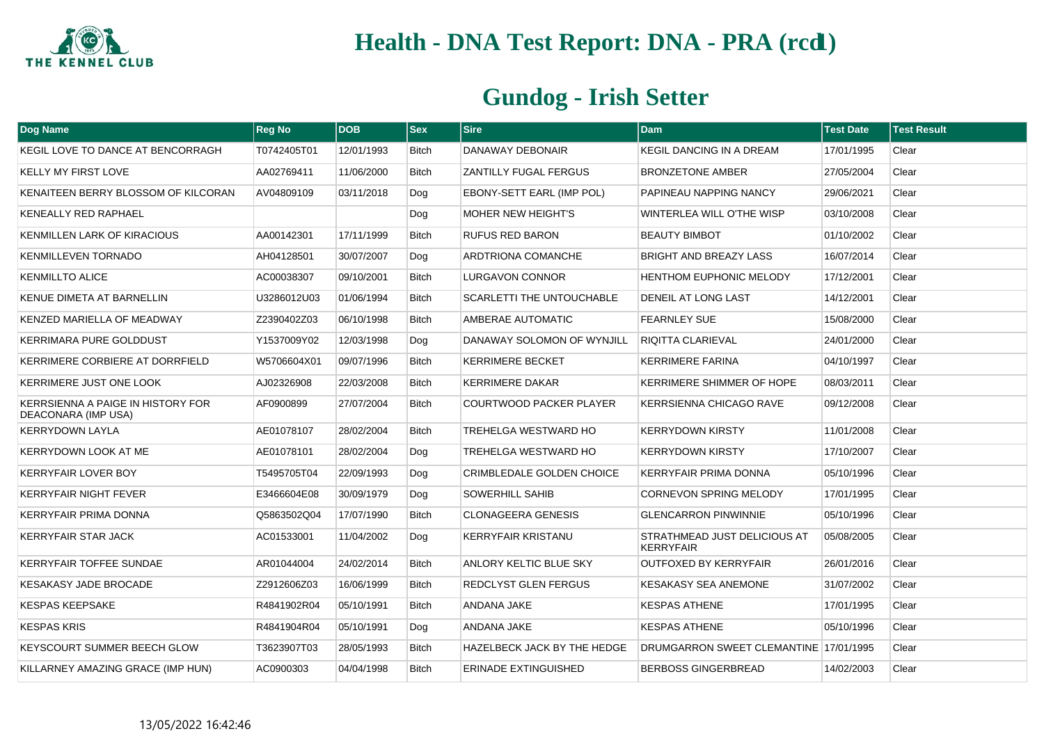

| <b>Dog Name</b>                                                 | <b>Reg No</b> | <b>DOB</b> | <b>Sex</b>   | <b>Sire</b>                      | Dam                                                     | <b>Test Date</b> | <b>Test Result</b> |
|-----------------------------------------------------------------|---------------|------------|--------------|----------------------------------|---------------------------------------------------------|------------------|--------------------|
| KEGIL LOVE TO DANCE AT BENCORRAGH                               | T0742405T01   | 12/01/1993 | Bitch        | DANAWAY DEBONAIR                 | <b>KEGIL DANCING IN A DREAM</b>                         | 17/01/1995       | Clear              |
| <b>KELLY MY FIRST LOVE</b>                                      | AA02769411    | 11/06/2000 | Bitch        | <b>ZANTILLY FUGAL FERGUS</b>     | <b>BRONZETONE AMBER</b>                                 | 27/05/2004       | Clear              |
| KENAITEEN BERRY BLOSSOM OF KILCORAN                             | AV04809109    | 03/11/2018 | Dog          | EBONY-SETT EARL (IMP POL)        | PAPINEAU NAPPING NANCY                                  | 29/06/2021       | Clear              |
| KENEALLY RED RAPHAEL                                            |               |            | Dog          | MOHER NEW HEIGHT'S               | WINTERLEA WILL O'THE WISP                               | 03/10/2008       | Clear              |
| KENMILLEN LARK OF KIRACIOUS                                     | AA00142301    | 17/11/1999 | Bitch        | <b>RUFUS RED BARON</b>           | <b>BEAUTY BIMBOT</b>                                    | 01/10/2002       | Clear              |
| KENMILLEVEN TORNADO                                             | AH04128501    | 30/07/2007 | Dog          | <b>ARDTRIONA COMANCHE</b>        | <b>BRIGHT AND BREAZY LASS</b>                           | 16/07/2014       | Clear              |
| <b>KENMILLTO ALICE</b>                                          | AC00038307    | 09/10/2001 | Bitch        | <b>LURGAVON CONNOR</b>           | <b>HENTHOM EUPHONIC MELODY</b>                          | 17/12/2001       | Clear              |
| KENUE DIMETA AT BARNELLIN                                       | U3286012U03   | 01/06/1994 | Bitch        | <b>SCARLETTI THE UNTOUCHABLE</b> | DENEIL AT LONG LAST                                     | 14/12/2001       | Clear              |
| KENZED MARIELLA OF MEADWAY                                      | Z2390402Z03   | 06/10/1998 | <b>Bitch</b> | AMBERAE AUTOMATIC                | <b>FEARNLEY SUE</b>                                     | 15/08/2000       | Clear              |
| <b>KERRIMARA PURE GOLDDUST</b>                                  | Y1537009Y02   | 12/03/1998 | Dog          | DANAWAY SOLOMON OF WYNJILL       | <b>RIQITTA CLARIEVAL</b>                                | 24/01/2000       | Clear              |
| KERRIMERE CORBIERE AT DORRFIELD                                 | W5706604X01   | 09/07/1996 | <b>Bitch</b> | <b>KERRIMERE BECKET</b>          | <b>KERRIMERE FARINA</b>                                 | 04/10/1997       | Clear              |
| KERRIMERE JUST ONE LOOK                                         | AJ02326908    | 22/03/2008 | <b>Bitch</b> | <b>KERRIMERE DAKAR</b>           | KERRIMERE SHIMMER OF HOPE                               | 08/03/2011       | Clear              |
| <b>KERRSIENNA A PAIGE IN HISTORY FOR</b><br>DEACONARA (IMP USA) | AF0900899     | 27/07/2004 | Bitch        | <b>COURTWOOD PACKER PLAYER</b>   | <b>KERRSIENNA CHICAGO RAVE</b>                          | 09/12/2008       | Clear              |
| <b>KERRYDOWN LAYLA</b>                                          | AE01078107    | 28/02/2004 | <b>Bitch</b> | <b>TREHELGA WESTWARD HO</b>      | <b>KERRYDOWN KIRSTY</b>                                 | 11/01/2008       | Clear              |
| KERRYDOWN LOOK AT ME                                            | AE01078101    | 28/02/2004 | Dog          | <b>TREHELGA WESTWARD HO</b>      | <b>KERRYDOWN KIRSTY</b>                                 | 17/10/2007       | Clear              |
| <b>KERRYFAIR LOVER BOY</b>                                      | T5495705T04   | 22/09/1993 | Dog          | <b>CRIMBLEDALE GOLDEN CHOICE</b> | KERRYFAIR PRIMA DONNA                                   | 05/10/1996       | Clear              |
| <b>KERRYFAIR NIGHT FEVER</b>                                    | E3466604E08   | 30/09/1979 | Dog          | <b>SOWERHILL SAHIB</b>           | <b>CORNEVON SPRING MELODY</b>                           | 17/01/1995       | Clear              |
| <b>KERRYFAIR PRIMA DONNA</b>                                    | Q5863502Q04   | 17/07/1990 | Bitch        | <b>CLONAGEERA GENESIS</b>        | <b>GLENCARRON PINWINNIE</b>                             | 05/10/1996       | Clear              |
| <b>KERRYFAIR STAR JACK</b>                                      | AC01533001    | 11/04/2002 | Dog          | <b>KERRYFAIR KRISTANU</b>        | <b>STRATHMEAD JUST DELICIOUS AT</b><br><b>KERRYFAIR</b> | 05/08/2005       | Clear              |
| <b>KERRYFAIR TOFFEE SUNDAE</b>                                  | AR01044004    | 24/02/2014 | <b>Bitch</b> | <b>ANLORY KELTIC BLUE SKY</b>    | <b>OUTFOXED BY KERRYFAIR</b>                            | 26/01/2016       | Clear              |
| <b>KESAKASY JADE BROCADE</b>                                    | Z2912606Z03   | 16/06/1999 | <b>Bitch</b> | <b>REDCLYST GLEN FERGUS</b>      | <b>KESAKASY SEA ANEMONE</b>                             | 31/07/2002       | Clear              |
| <b>KESPAS KEEPSAKE</b>                                          | R4841902R04   | 05/10/1991 | <b>Bitch</b> | ANDANA JAKE                      | <b>KESPAS ATHENE</b>                                    | 17/01/1995       | Clear              |
| <b>KESPAS KRIS</b>                                              | R4841904R04   | 05/10/1991 | Dog          | ANDANA JAKE                      | <b>KESPAS ATHENE</b>                                    | 05/10/1996       | Clear              |
| <b>KEYSCOURT SUMMER BEECH GLOW</b>                              | T3623907T03   | 28/05/1993 | <b>Bitch</b> | HAZELBECK JACK BY THE HEDGE      | DRUMGARRON SWEET CLEMANTINE 17/01/1995                  |                  | Clear              |
| KILLARNEY AMAZING GRACE (IMP HUN)                               | AC0900303     | 04/04/1998 | <b>Bitch</b> | <b>ERINADE EXTINGUISHED</b>      | <b>BERBOSS GINGERBREAD</b>                              | 14/02/2003       | Clear              |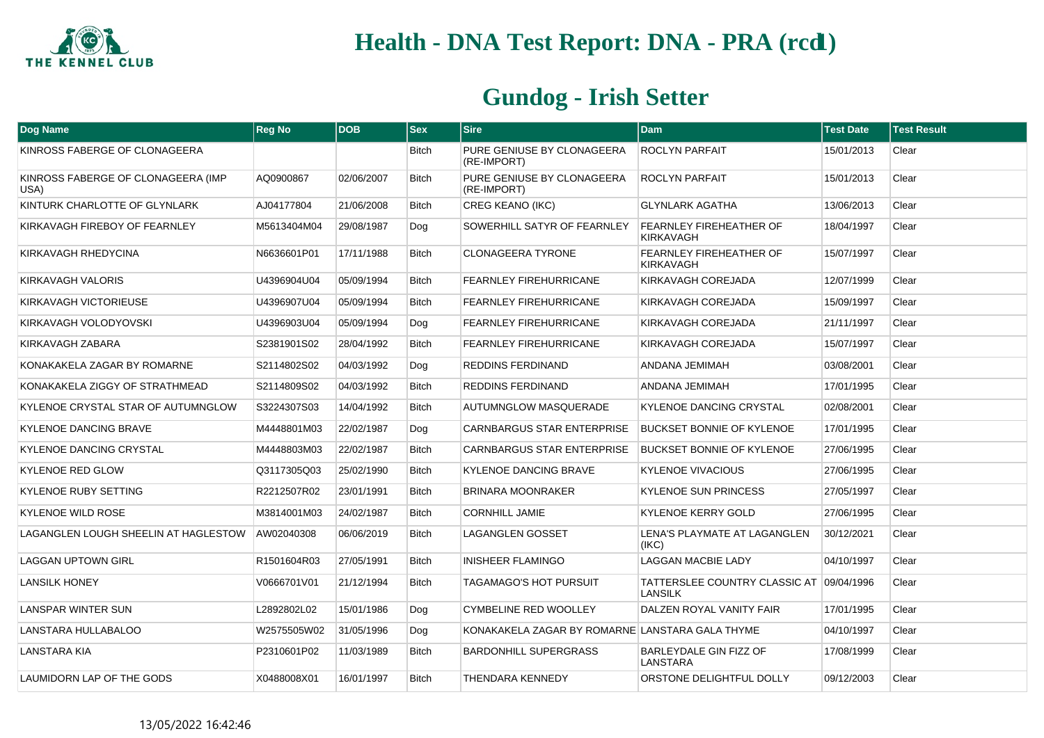

| Dog Name                                   | <b>Reg No</b> | <b>DOB</b> | $ $ Sex      | <b>Sire</b>                                     | <b>Dam</b>                                                 | <b>Test Date</b> | <b>Test Result</b> |
|--------------------------------------------|---------------|------------|--------------|-------------------------------------------------|------------------------------------------------------------|------------------|--------------------|
| KINROSS FABERGE OF CLONAGEERA              |               |            | <b>Bitch</b> | PURE GENIUSE BY CLONAGEERA<br>(RE-IMPORT)       | <b>ROCLYN PARFAIT</b>                                      | 15/01/2013       | Clear              |
| KINROSS FABERGE OF CLONAGEERA (IMP<br>USA) | AQ0900867     | 02/06/2007 | <b>Bitch</b> | PURE GENIUSE BY CLONAGEERA<br>(RE-IMPORT)       | <b>ROCLYN PARFAIT</b>                                      | 15/01/2013       | Clear              |
| KINTURK CHARLOTTE OF GLYNLARK              | AJ04177804    | 21/06/2008 | <b>Bitch</b> | <b>CREG KEANO (IKC)</b>                         | <b>GLYNLARK AGATHA</b>                                     | 13/06/2013       | Clear              |
| KIRKAVAGH FIREBOY OF FEARNLEY              | M5613404M04   | 29/08/1987 | Dog          | SOWERHILL SATYR OF FEARNLEY                     | FEARNLEY FIREHEATHER OF<br>KIRKAVAGH                       | 18/04/1997       | Clear              |
| KIRKAVAGH RHEDYCINA                        | N6636601P01   | 17/11/1988 | <b>Bitch</b> | <b>CLONAGEERA TYRONE</b>                        | FEARNLEY FIREHEATHER OF<br><b>KIRKAVAGH</b>                | 15/07/1997       | Clear              |
| KIRKAVAGH VALORIS                          | U4396904U04   | 05/09/1994 | <b>Bitch</b> | FEARNLEY FIREHURRICANE                          | KIRKAVAGH COREJADA                                         | 12/07/1999       | Clear              |
| KIRKAVAGH VICTORIEUSE                      | U4396907U04   | 05/09/1994 | <b>Bitch</b> | <b>FEARNLEY FIREHURRICANE</b>                   | KIRKAVAGH COREJADA                                         | 15/09/1997       | Clear              |
| KIRKAVAGH VOLODYOVSKI                      | U4396903U04   | 05/09/1994 | Dog          | FEARNLEY FIREHURRICANE                          | KIRKAVAGH COREJADA                                         | 21/11/1997       | Clear              |
| KIRKAVAGH ZABARA                           | S2381901S02   | 28/04/1992 | Bitch        | <b>FEARNLEY FIREHURRICANE</b>                   | KIRKAVAGH COREJADA                                         | 15/07/1997       | Clear              |
| KONAKAKELA ZAGAR BY ROMARNE                | S2114802S02   | 04/03/1992 | Dog          | REDDINS FERDINAND                               | ANDANA JEMIMAH                                             | 03/08/2001       | Clear              |
| KONAKAKELA ZIGGY OF STRATHMEAD             | S2114809S02   | 04/03/1992 | <b>Bitch</b> | REDDINS FERDINAND                               | ANDANA JEMIMAH                                             | 17/01/1995       | Clear              |
| KYLENOE CRYSTAL STAR OF AUTUMNGLOW         | S3224307S03   | 14/04/1992 | <b>Bitch</b> | AUTUMNGLOW MASQUERADE                           | <b>KYLENOE DANCING CRYSTAL</b>                             | 02/08/2001       | Clear              |
| <b>KYLENOE DANCING BRAVE</b>               | M4448801M03   | 22/02/1987 | Dog          | <b>CARNBARGUS STAR ENTERPRISE</b>               | <b>BUCKSET BONNIE OF KYLENOE</b>                           | 17/01/1995       | Clear              |
| <b>KYLENOE DANCING CRYSTAL</b>             | M4448803M03   | 22/02/1987 | <b>Bitch</b> | <b>CARNBARGUS STAR ENTERPRISE</b>               | <b>BUCKSET BONNIE OF KYLENOE</b>                           | 27/06/1995       | Clear              |
| <b>KYLENOE RED GLOW</b>                    | Q3117305Q03   | 25/02/1990 | <b>Bitch</b> | KYLENOE DANCING BRAVE                           | <b>KYLENOE VIVACIOUS</b>                                   | 27/06/1995       | Clear              |
| <b>KYLENOE RUBY SETTING</b>                | R2212507R02   | 23/01/1991 | <b>Bitch</b> | <b>BRINARA MOONRAKER</b>                        | <b>KYLENOE SUN PRINCESS</b>                                | 27/05/1997       | Clear              |
| <b>KYLENOE WILD ROSE</b>                   | M3814001M03   | 24/02/1987 | <b>Bitch</b> | <b>CORNHILL JAMIE</b>                           | <b>KYLENOE KERRY GOLD</b>                                  | 27/06/1995       | Clear              |
| LAGANGLEN LOUGH SHEELIN AT HAGLESTOW       | AW02040308    | 06/06/2019 | <b>Bitch</b> | <b>LAGANGLEN GOSSET</b>                         | LENA'S PLAYMATE AT LAGANGLEN<br>(IKC)                      | 30/12/2021       | Clear              |
| <b>LAGGAN UPTOWN GIRL</b>                  | R1501604R03   | 27/05/1991 | Bitch        | <b>INISHEER FLAMINGO</b>                        | <b>LAGGAN MACBIE LADY</b>                                  | 04/10/1997       | Clear              |
| <b>LANSILK HONEY</b>                       | V0666701V01   | 21/12/1994 | <b>Bitch</b> | <b>TAGAMAGO'S HOT PURSUIT</b>                   | TATTERSLEE COUNTRY CLASSIC AT 09/04/1996<br><b>LANSILK</b> |                  | Clear              |
| <b>LANSPAR WINTER SUN</b>                  | L2892802L02   | 15/01/1986 | Dog          | <b>CYMBELINE RED WOOLLEY</b>                    | DALZEN ROYAL VANITY FAIR                                   | 17/01/1995       | Clear              |
| LANSTARA HULLABALOO                        | W2575505W02   | 31/05/1996 | Dog          | KONAKAKELA ZAGAR BY ROMARNE LANSTARA GALA THYME |                                                            | 04/10/1997       | Clear              |
| LANSTARA KIA                               | P2310601P02   | 11/03/1989 | <b>Bitch</b> | <b>BARDONHILL SUPERGRASS</b>                    | BARLEYDALE GIN FIZZ OF<br>LANSTARA                         | 17/08/1999       | Clear              |
| LAUMIDORN LAP OF THE GODS                  | X0488008X01   | 16/01/1997 | <b>Bitch</b> | <b>THENDARA KENNEDY</b>                         | ORSTONE DELIGHTFUL DOLLY                                   | 09/12/2003       | Clear              |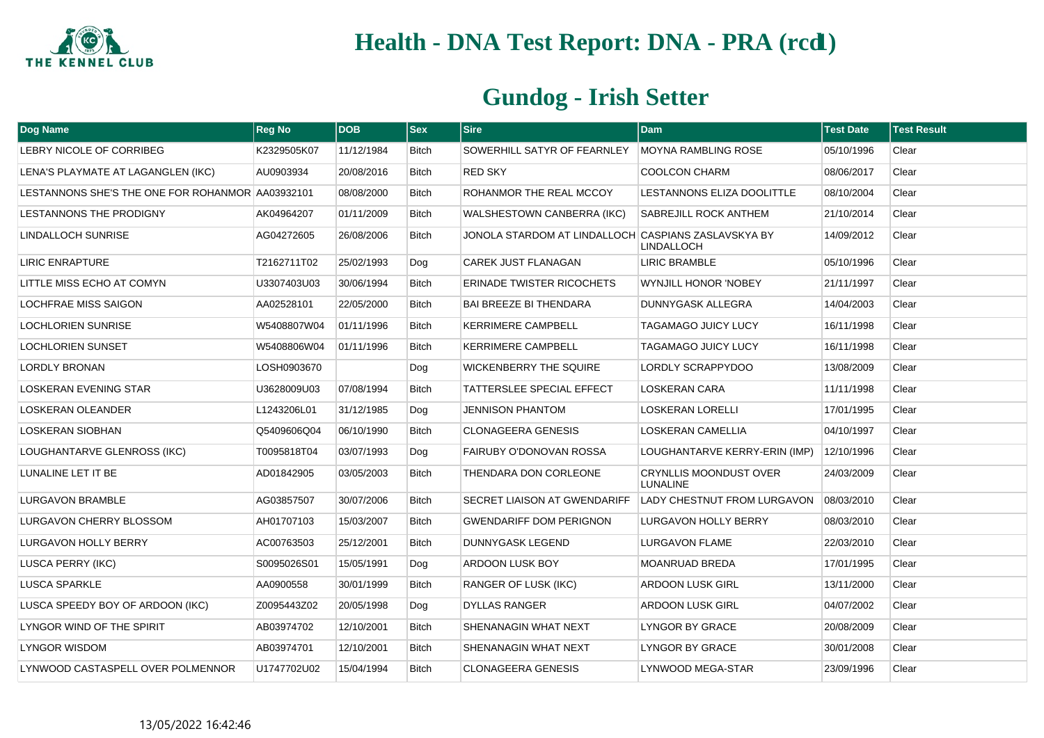

| <b>Dog Name</b>                                  | <b>Reg No</b> | <b>DOB</b> | <b>Sex</b>   | <b>Sire</b>                                         | <b>Dam</b>                                       | <b>Test Date</b> | <b>Test Result</b> |
|--------------------------------------------------|---------------|------------|--------------|-----------------------------------------------------|--------------------------------------------------|------------------|--------------------|
| LEBRY NICOLE OF CORRIBEG                         | K2329505K07   | 11/12/1984 | <b>Bitch</b> | SOWERHILL SATYR OF FEARNLEY                         | <b>MOYNA RAMBLING ROSE</b>                       | 05/10/1996       | Clear              |
| LENA'S PLAYMATE AT LAGANGLEN (IKC)               | AU0903934     | 20/08/2016 | <b>Bitch</b> | <b>RED SKY</b>                                      | <b>COOLCON CHARM</b>                             | 08/06/2017       | Clear              |
| LESTANNONS SHE'S THE ONE FOR ROHANMOR AA03932101 |               | 08/08/2000 | <b>Bitch</b> | ROHANMOR THE REAL MCCOY                             | <b>LESTANNONS ELIZA DOOLITTLE</b>                | 08/10/2004       | Clear              |
| <b>LESTANNONS THE PRODIGNY</b>                   | AK04964207    | 01/11/2009 | <b>Bitch</b> | WALSHESTOWN CANBERRA (IKC)                          | <b>SABREJILL ROCK ANTHEM</b>                     | 21/10/2014       | Clear              |
| <b>LINDALLOCH SUNRISE</b>                        | AG04272605    | 26/08/2006 | <b>Bitch</b> | JONOLA STARDOM AT LINDALLOCH CASPIANS ZASLAVSKYA BY | <b>LINDALLOCH</b>                                | 14/09/2012       | Clear              |
| <b>LIRIC ENRAPTURE</b>                           | T2162711T02   | 25/02/1993 | Dog          | <b>CAREK JUST FLANAGAN</b>                          | <b>LIRIC BRAMBLE</b>                             | 05/10/1996       | Clear              |
| LITTLE MISS ECHO AT COMYN                        | U3307403U03   | 30/06/1994 | <b>Bitch</b> | <b>ERINADE TWISTER RICOCHETS</b>                    | <b>WYNJILL HONOR 'NOBEY</b>                      | 21/11/1997       | Clear              |
| <b>LOCHFRAE MISS SAIGON</b>                      | AA02528101    | 22/05/2000 | <b>Bitch</b> | <b>BAI BREEZE BI THENDARA</b>                       | <b>DUNNYGASK ALLEGRA</b>                         | 14/04/2003       | Clear              |
| LOCHLORIEN SUNRISE                               | W5408807W04   | 01/11/1996 | <b>Bitch</b> | <b>KERRIMERE CAMPBELL</b>                           | <b>TAGAMAGO JUICY LUCY</b>                       | 16/11/1998       | Clear              |
| <b>LOCHLORIEN SUNSET</b>                         | W5408806W04   | 01/11/1996 | <b>Bitch</b> | <b>KERRIMERE CAMPBELL</b>                           | <b>TAGAMAGO JUICY LUCY</b>                       | 16/11/1998       | Clear              |
| <b>LORDLY BRONAN</b>                             | LOSH0903670   |            | Dog          | <b>WICKENBERRY THE SQUIRE</b>                       | LORDLY SCRAPPYDOO                                | 13/08/2009       | Clear              |
| <b>LOSKERAN EVENING STAR</b>                     | U3628009U03   | 07/08/1994 | <b>Bitch</b> | TATTERSLEE SPECIAL EFFECT                           | <b>LOSKERAN CARA</b>                             | 11/11/1998       | Clear              |
| <b>LOSKERAN OLEANDER</b>                         | L1243206L01   | 31/12/1985 | Dog          | <b>JENNISON PHANTOM</b>                             | <b>LOSKERAN LORELLI</b>                          | 17/01/1995       | Clear              |
| LOSKERAN SIOBHAN                                 | Q5409606Q04   | 06/10/1990 | <b>Bitch</b> | <b>CLONAGEERA GENESIS</b>                           | <b>LOSKERAN CAMELLIA</b>                         | 04/10/1997       | Clear              |
| LOUGHANTARVE GLENROSS (IKC)                      | T0095818T04   | 03/07/1993 | Dog          | FAIRUBY O'DONOVAN ROSSA                             | LOUGHANTARVE KERRY-ERIN (IMP)                    | 12/10/1996       | Clear              |
| LUNALINE LET IT BE                               | AD01842905    | 03/05/2003 | <b>Bitch</b> | THENDARA DON CORLEONE                               | <b>CRYNLLIS MOONDUST OVER</b><br><b>LUNALINE</b> | 24/03/2009       | Clear              |
| <b>LURGAVON BRAMBLE</b>                          | AG03857507    | 30/07/2006 | <b>Bitch</b> | SECRET LIAISON AT GWENDARIFF                        | LADY CHESTNUT FROM LURGAVON                      | 08/03/2010       | Clear              |
| LURGAVON CHERRY BLOSSOM                          | AH01707103    | 15/03/2007 | <b>Bitch</b> | <b>GWENDARIFF DOM PERIGNON</b>                      | LURGAVON HOLLY BERRY                             | 08/03/2010       | Clear              |
| LURGAVON HOLLY BERRY                             | AC00763503    | 25/12/2001 | <b>Bitch</b> | DUNNYGASK LEGEND                                    | LURGAVON FLAME                                   | 22/03/2010       | Clear              |
| LUSCA PERRY (IKC)                                | S0095026S01   | 15/05/1991 | Dog          | ARDOON LUSK BOY                                     | <b>MOANRUAD BREDA</b>                            | 17/01/1995       | Clear              |
| LUSCA SPARKLE                                    | AA0900558     | 30/01/1999 | <b>Bitch</b> | <b>RANGER OF LUSK (IKC)</b>                         | ARDOON LUSK GIRL                                 | 13/11/2000       | Clear              |
| LUSCA SPEEDY BOY OF ARDOON (IKC)                 | Z0095443Z02   | 20/05/1998 | Dog          | DYLLAS RANGER                                       | ARDOON LUSK GIRL                                 | 04/07/2002       | Clear              |
| LYNGOR WIND OF THE SPIRIT                        | AB03974702    | 12/10/2001 | <b>Bitch</b> | SHENANAGIN WHAT NEXT                                | LYNGOR BY GRACE                                  | 20/08/2009       | Clear              |
| LYNGOR WISDOM                                    | AB03974701    | 12/10/2001 | <b>Bitch</b> | SHENANAGIN WHAT NEXT                                | LYNGOR BY GRACE                                  | 30/01/2008       | Clear              |
| LYNWOOD CASTASPELL OVER POLMENNOR                | U1747702U02   | 15/04/1994 | <b>Bitch</b> | <b>CLONAGEERA GENESIS</b>                           | LYNWOOD MEGA-STAR                                | 23/09/1996       | Clear              |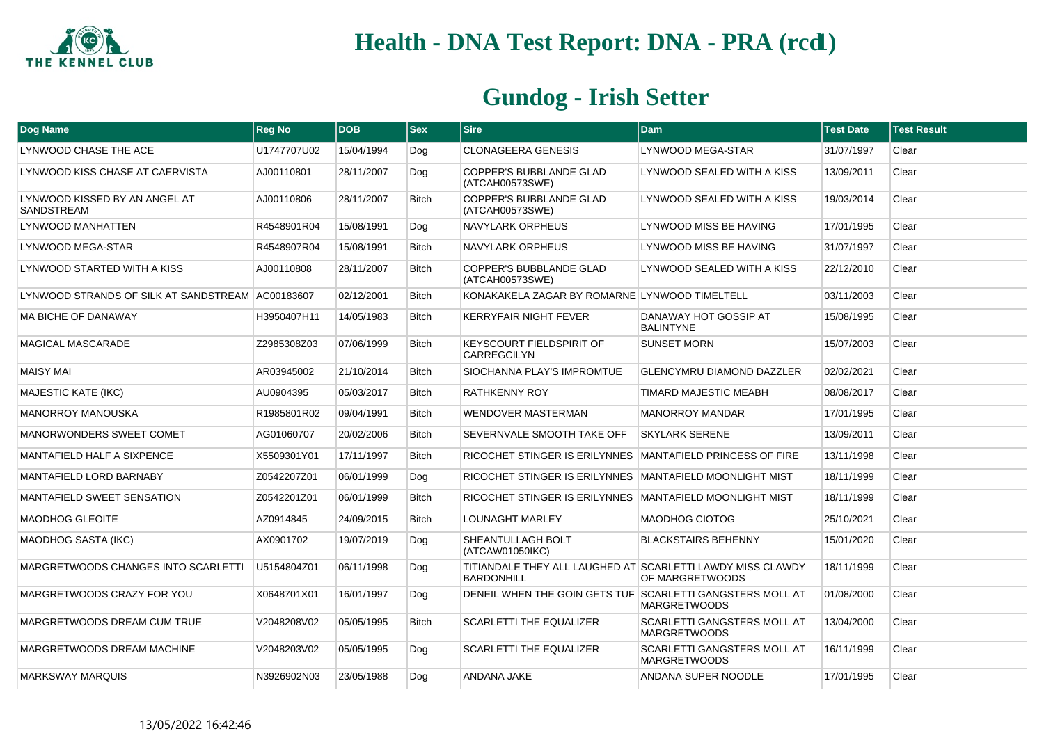

| Dog Name                                           | <b>Reg No</b> | <b>DOB</b> | <b>Sex</b>   | <b>Sire</b>                                                                     | <b>Dam</b>                                                | <b>Test Date</b> | <b>Test Result</b> |
|----------------------------------------------------|---------------|------------|--------------|---------------------------------------------------------------------------------|-----------------------------------------------------------|------------------|--------------------|
| LYNWOOD CHASE THE ACE                              | U1747707U02   | 15/04/1994 | Dog          | <b>CLONAGEERA GENESIS</b>                                                       | LYNWOOD MEGA-STAR                                         | 31/07/1997       | Clear              |
| LYNWOOD KISS CHASE AT CAERVISTA                    | AJ00110801    | 28/11/2007 | Dog          | <b>COPPER'S BUBBLANDE GLAD</b><br>(ATCAH00573SWE)                               | LYNWOOD SEALED WITH A KISS                                | 13/09/2011       | Clear              |
| LYNWOOD KISSED BY AN ANGEL AT<br><b>SANDSTREAM</b> | AJ00110806    | 28/11/2007 | <b>Bitch</b> | COPPER'S BUBBLANDE GLAD<br>(ATCAH00573SWE)                                      | LYNWOOD SEALED WITH A KISS                                | 19/03/2014       | Clear              |
| LYNWOOD MANHATTEN                                  | R4548901R04   | 15/08/1991 | Dog          | <b>NAVYLARK ORPHEUS</b>                                                         | LYNWOOD MISS BE HAVING                                    | 17/01/1995       | Clear              |
| <b>LYNWOOD MEGA-STAR</b>                           | R4548907R04   | 15/08/1991 | <b>Bitch</b> | <b>NAVYLARK ORPHEUS</b>                                                         | LYNWOOD MISS BE HAVING                                    | 31/07/1997       | Clear              |
| LYNWOOD STARTED WITH A KISS                        | AJ00110808    | 28/11/2007 | <b>Bitch</b> | COPPER'S BUBBLANDE GLAD<br>(ATCAH00573SWE)                                      | LYNWOOD SEALED WITH A KISS                                | 22/12/2010       | Clear              |
| LYNWOOD STRANDS OF SILK AT SANDSTREAM AC00183607   |               | 02/12/2001 | <b>Bitch</b> | KONAKAKELA ZAGAR BY ROMARNE LYNWOOD TIMELTELL                                   |                                                           | 03/11/2003       | Clear              |
| <b>MA BICHE OF DANAWAY</b>                         | H3950407H11   | 14/05/1983 | <b>Bitch</b> | <b>KERRYFAIR NIGHT FEVER</b>                                                    | DANAWAY HOT GOSSIP AT<br><b>BALINTYNE</b>                 | 15/08/1995       | Clear              |
| <b>MAGICAL MASCARADE</b>                           | Z2985308Z03   | 07/06/1999 | <b>Bitch</b> | <b>KEYSCOURT FIELDSPIRIT OF</b><br>CARREGCILYN                                  | <b>SUNSET MORN</b>                                        | 15/07/2003       | Clear              |
| <b>MAISY MAI</b>                                   | AR03945002    | 21/10/2014 | <b>Bitch</b> | SIOCHANNA PLAY'S IMPROMTUE                                                      | <b>GLENCYMRU DIAMOND DAZZLER</b>                          | 02/02/2021       | Clear              |
| <b>MAJESTIC KATE (IKC)</b>                         | AU0904395     | 05/03/2017 | <b>Bitch</b> | <b>RATHKENNY ROY</b>                                                            | TIMARD MAJESTIC MEABH                                     | 08/08/2017       | Clear              |
| <b>MANORROY MANOUSKA</b>                           | R1985801R02   | 09/04/1991 | <b>Bitch</b> | WENDOVER MASTERMAN                                                              | <b>MANORROY MANDAR</b>                                    | 17/01/1995       | Clear              |
| MANORWONDERS SWEET COMET                           | AG01060707    | 20/02/2006 | <b>Bitch</b> | SEVERNVALE SMOOTH TAKE OFF                                                      | <b>SKYLARK SERENE</b>                                     | 13/09/2011       | Clear              |
| MANTAFIELD HALF A SIXPENCE                         | X5509301Y01   | 17/11/1997 | <b>Bitch</b> | RICOCHET STINGER IS ERILYNNES MANTAFIELD PRINCESS OF FIRE                       |                                                           | 13/11/1998       | Clear              |
| <b>MANTAFIELD LORD BARNABY</b>                     | Z0542207Z01   | 06/01/1999 | Dog          | RICOCHET STINGER IS ERILYNNES MANTAFIELD MOONLIGHT MIST                         |                                                           | 18/11/1999       | Clear              |
| <b>MANTAFIELD SWEET SENSATION</b>                  | Z0542201Z01   | 06/01/1999 | <b>Bitch</b> | RICOCHET STINGER IS ERILYNNES MANTAFIELD MOONLIGHT MIST                         |                                                           | 18/11/1999       | Clear              |
| MAODHOG GLEOITE                                    | AZ0914845     | 24/09/2015 | <b>Bitch</b> | <b>LOUNAGHT MARLEY</b>                                                          | <b>MAODHOG CIOTOG</b>                                     | 25/10/2021       | Clear              |
| <b>MAODHOG SASTA (IKC)</b>                         | AX0901702     | 19/07/2019 | Dog          | SHEANTULLAGH BOLT<br>(ATCAW01050IKC)                                            | <b>BLACKSTAIRS BEHENNY</b>                                | 15/01/2020       | Clear              |
| MARGRETWOODS CHANGES INTO SCARLETTI                | U5154804Z01   | 06/11/1998 | Dog          | TITIANDALE THEY ALL LAUGHED AT SCARLETTI LAWDY MISS CLAWDY<br><b>BARDONHILL</b> | OF MARGRETWOODS                                           | 18/11/1999       | Clear              |
| MARGRETWOODS CRAZY FOR YOU                         | X0648701X01   | 16/01/1997 | Dog          | DENEIL WHEN THE GOIN GETS TUF SCARLETTI GANGSTERS MOLL AT                       | <b>MARGRETWOODS</b>                                       | 01/08/2000       | Clear              |
| MARGRETWOODS DREAM CUM TRUE                        | V2048208V02   | 05/05/1995 | <b>Bitch</b> | <b>SCARLETTI THE EQUALIZER</b>                                                  | <b>SCARLETTI GANGSTERS MOLL AT</b><br><b>MARGRETWOODS</b> | 13/04/2000       | Clear              |
| MARGRETWOODS DREAM MACHINE                         | V2048203V02   | 05/05/1995 | Dog          | <b>SCARLETTI THE EQUALIZER</b>                                                  | SCARLETTI GANGSTERS MOLL AT<br><b>MARGRETWOODS</b>        | 16/11/1999       | Clear              |
| <b>MARKSWAY MARQUIS</b>                            | N3926902N03   | 23/05/1988 | Dog          | ANDANA JAKE                                                                     | ANDANA SUPER NOODLE                                       | 17/01/1995       | Clear              |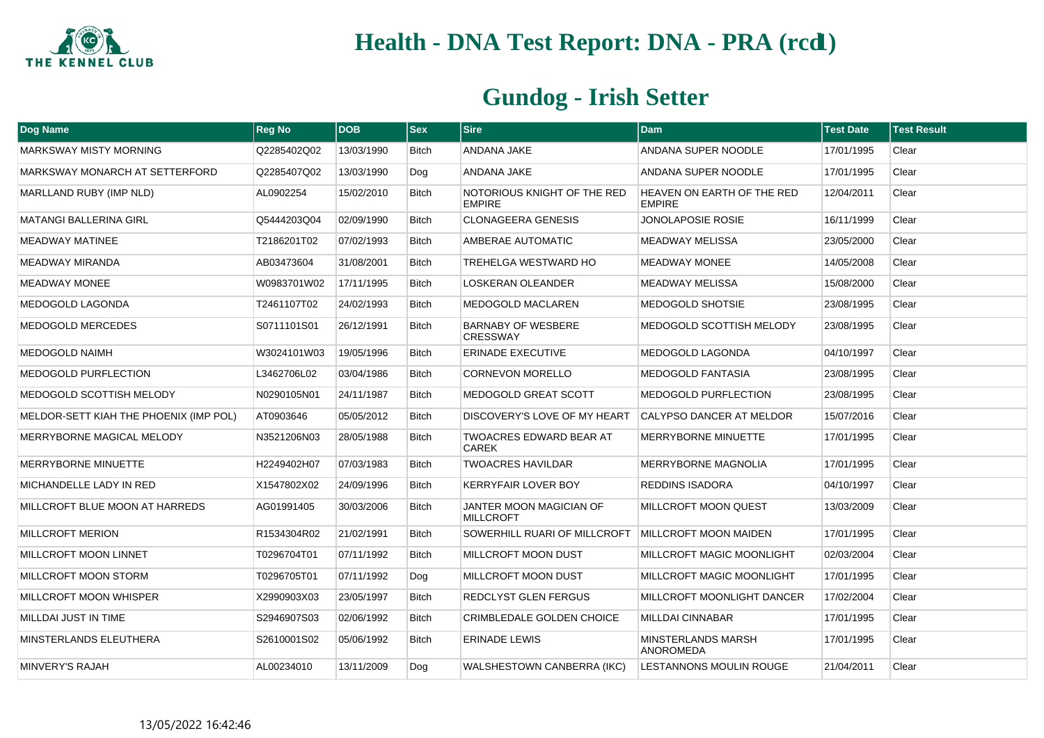

| Dog Name                               | <b>Reg No</b> | <b>DOB</b> | $ s_{ex} $   | <b>Sire</b>                                  | <b>Dam</b>                                         | <b>Test Date</b> | <b>Test Result</b> |
|----------------------------------------|---------------|------------|--------------|----------------------------------------------|----------------------------------------------------|------------------|--------------------|
| <b>MARKSWAY MISTY MORNING</b>          | Q2285402Q02   | 13/03/1990 | <b>Bitch</b> | <b>ANDANA JAKE</b>                           | <b>ANDANA SUPER NOODLE</b>                         | 17/01/1995       | Clear              |
| MARKSWAY MONARCH AT SETTERFORD         | Q2285407Q02   | 13/03/1990 | Dog          | <b>ANDANA JAKE</b>                           | <b>ANDANA SUPER NOODLE</b>                         | 17/01/1995       | Clear              |
| MARLLAND RUBY (IMP NLD)                | AL0902254     | 15/02/2010 | <b>Bitch</b> | NOTORIOUS KNIGHT OF THE RED<br><b>EMPIRE</b> | <b>HEAVEN ON EARTH OF THE RED</b><br><b>EMPIRE</b> | 12/04/2011       | Clear              |
| <b>MATANGI BALLERINA GIRL</b>          | Q5444203Q04   | 02/09/1990 | <b>Bitch</b> | <b>CLONAGEERA GENESIS</b>                    | <b>JONOLAPOSIE ROSIE</b>                           | 16/11/1999       | Clear              |
| <b>MEADWAY MATINEE</b>                 | T2186201T02   | 07/02/1993 | <b>Bitch</b> | AMBERAE AUTOMATIC                            | <b>MEADWAY MELISSA</b>                             | 23/05/2000       | Clear              |
| <b>MEADWAY MIRANDA</b>                 | AB03473604    | 31/08/2001 | <b>Bitch</b> | TREHELGA WESTWARD HO                         | <b>MEADWAY MONEE</b>                               | 14/05/2008       | Clear              |
| <b>MEADWAY MONEE</b>                   | W0983701W02   | 17/11/1995 | <b>Bitch</b> | <b>LOSKERAN OLEANDER</b>                     | <b>MEADWAY MELISSA</b>                             | 15/08/2000       | Clear              |
| <b>MEDOGOLD LAGONDA</b>                | T2461107T02   | 24/02/1993 | <b>Bitch</b> | <b>MEDOGOLD MACLAREN</b>                     | MEDOGOLD SHOTSIE                                   | 23/08/1995       | Clear              |
| MEDOGOLD MERCEDES                      | S0711101S01   | 26/12/1991 | Bitch        | <b>BARNABY OF WESBERE</b><br><b>CRESSWAY</b> | MEDOGOLD SCOTTISH MELODY                           | 23/08/1995       | Clear              |
| <b>MEDOGOLD NAIMH</b>                  | W3024101W03   | 19/05/1996 | <b>Bitch</b> | <b>ERINADE EXECUTIVE</b>                     | <b>MEDOGOLD LAGONDA</b>                            | 04/10/1997       | Clear              |
| MEDOGOLD PURFLECTION                   | L3462706L02   | 03/04/1986 | Bitch        | <b>CORNEVON MORELLO</b>                      | <b>MEDOGOLD FANTASIA</b>                           | 23/08/1995       | Clear              |
| MEDOGOLD SCOTTISH MELODY               | N0290105N01   | 24/11/1987 | <b>Bitch</b> | <b>MEDOGOLD GREAT SCOTT</b>                  | <b>MEDOGOLD PURFLECTION</b>                        | 23/08/1995       | Clear              |
| MELDOR-SETT KIAH THE PHOENIX (IMP POL) | AT0903646     | 05/05/2012 | <b>Bitch</b> | DISCOVERY'S LOVE OF MY HEART                 | CALYPSO DANCER AT MELDOR                           | 15/07/2016       | Clear              |
| MERRYBORNE MAGICAL MELODY              | N3521206N03   | 28/05/1988 | Bitch        | TWOACRES EDWARD BEAR AT<br><b>CAREK</b>      | MERRYBORNE MINUETTE                                | 17/01/1995       | Clear              |
| MERRYBORNE MINUETTE                    | H2249402H07   | 07/03/1983 | <b>Bitch</b> | <b>TWOACRES HAVILDAR</b>                     | <b>MERRYBORNE MAGNOLIA</b>                         | 17/01/1995       | Clear              |
| MICHANDELLE LADY IN RED                | X1547802X02   | 24/09/1996 | Bitch        | <b>KERRYFAIR LOVER BOY</b>                   | <b>REDDINS ISADORA</b>                             | 04/10/1997       | Clear              |
| MILLCROFT BLUE MOON AT HARREDS         | AG01991405    | 30/03/2006 | Bitch        | JANTER MOON MAGICIAN OF<br><b>MILLCROFT</b>  | MILLCROFT MOON QUEST                               | 13/03/2009       | Clear              |
| <b>MILLCROFT MERION</b>                | R1534304R02   | 21/02/1991 | <b>Bitch</b> | SOWERHILL RUARI OF MILLCROFT                 | <b>MILLCROFT MOON MAIDEN</b>                       | 17/01/1995       | Clear              |
| MILLCROFT MOON LINNET                  | T0296704T01   | 07/11/1992 | <b>Bitch</b> | MILLCROFT MOON DUST                          | MILLCROFT MAGIC MOONLIGHT                          | 02/03/2004       | Clear              |
| MILLCROFT MOON STORM                   | T0296705T01   | 07/11/1992 | Dog          | MILLCROFT MOON DUST                          | MILLCROFT MAGIC MOONLIGHT                          | 17/01/1995       | Clear              |
| MILLCROFT MOON WHISPER                 | X2990903X03   | 23/05/1997 | Bitch        | REDCLYST GLEN FERGUS                         | MILLCROFT MOONLIGHT DANCER                         | 17/02/2004       | Clear              |
| MILLDAI JUST IN TIME                   | S2946907S03   | 02/06/1992 | Bitch        | CRIMBLEDALE GOLDEN CHOICE                    | <b>MILLDAI CINNABAR</b>                            | 17/01/1995       | Clear              |
| MINSTERLANDS ELEUTHERA                 | S2610001S02   | 05/06/1992 | Bitch        | <b>ERINADE LEWIS</b>                         | <b>MINSTERLANDS MARSH</b><br><b>ANOROMEDA</b>      | 17/01/1995       | Clear              |
| MINVERY'S RAJAH                        | AL00234010    | 13/11/2009 | Dog          | WALSHESTOWN CANBERRA (IKC)                   | LESTANNONS MOULIN ROUGE                            | 21/04/2011       | Clear              |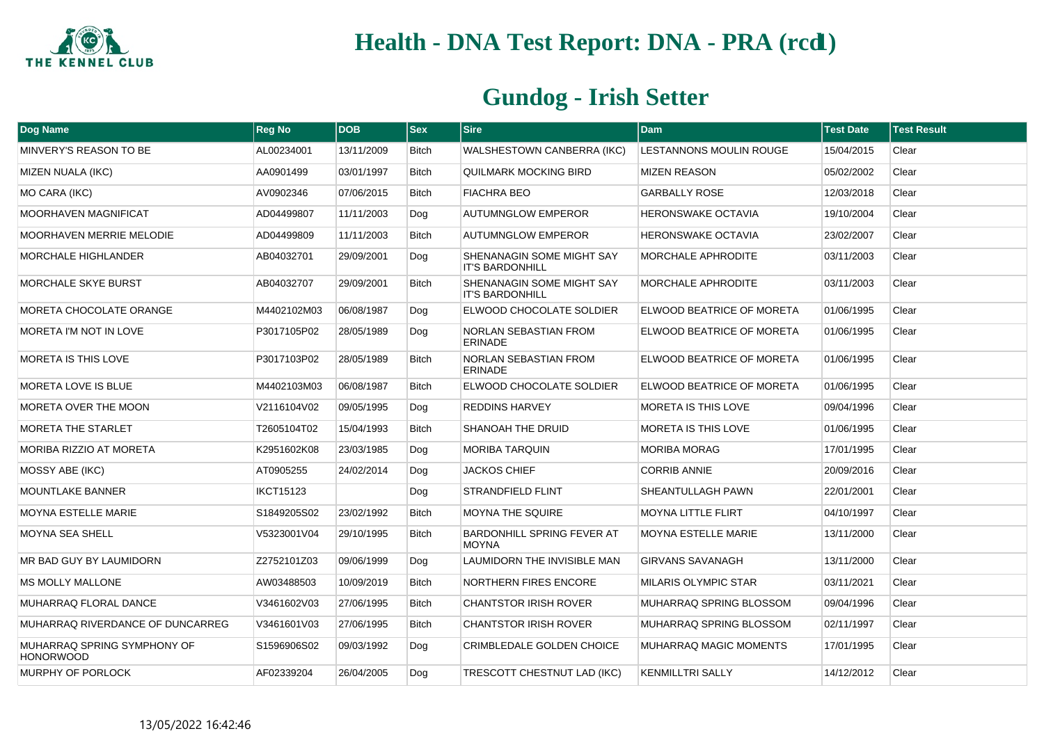

| Dog Name                                        | <b>Reg No</b>    | <b>DOB</b> | <b>Sex</b>   | <b>Sire</b>                                         | <b>Dam</b>                     | <b>Test Date</b> | <b>Test Result</b> |
|-------------------------------------------------|------------------|------------|--------------|-----------------------------------------------------|--------------------------------|------------------|--------------------|
| MINVERY'S REASON TO BE                          | AL00234001       | 13/11/2009 | <b>Bitch</b> | WALSHESTOWN CANBERRA (IKC)                          | <b>LESTANNONS MOULIN ROUGE</b> | 15/04/2015       | Clear              |
| <b>MIZEN NUALA (IKC)</b>                        | AA0901499        | 03/01/1997 | <b>Bitch</b> | QUILMARK MOCKING BIRD                               | <b>MIZEN REASON</b>            | 05/02/2002       | Clear              |
| MO CARA (IKC)                                   | AV0902346        | 07/06/2015 | <b>Bitch</b> | <b>FIACHRA BEO</b>                                  | <b>GARBALLY ROSE</b>           | 12/03/2018       | Clear              |
| MOORHAVEN MAGNIFICAT                            | AD04499807       | 11/11/2003 | Dog          | <b>AUTUMNGLOW EMPEROR</b>                           | <b>HERONSWAKE OCTAVIA</b>      | 19/10/2004       | Clear              |
| <b>MOORHAVEN MERRIE MELODIE</b>                 | AD04499809       | 11/11/2003 | <b>Bitch</b> | <b>AUTUMNGLOW EMPEROR</b>                           | HERONSWAKE OCTAVIA             | 23/02/2007       | Clear              |
| <b>MORCHALE HIGHLANDER</b>                      | AB04032701       | 29/09/2001 | Dog          | SHENANAGIN SOME MIGHT SAY<br><b>IT'S BARDONHILL</b> | <b>MORCHALE APHRODITE</b>      | 03/11/2003       | Clear              |
| <b>MORCHALE SKYE BURST</b>                      | AB04032707       | 29/09/2001 | <b>Bitch</b> | SHENANAGIN SOME MIGHT SAY<br><b>IT'S BARDONHILL</b> | MORCHALE APHRODITE             | 03/11/2003       | Clear              |
| MORETA CHOCOLATE ORANGE                         | M4402102M03      | 06/08/1987 | Dog          | ELWOOD CHOCOLATE SOLDIER                            | ELWOOD BEATRICE OF MORETA      | 01/06/1995       | Clear              |
| MORETA I'M NOT IN LOVE                          | P3017105P02      | 28/05/1989 | Dog          | NORLAN SEBASTIAN FROM<br>ERINADE                    | ELWOOD BEATRICE OF MORETA      | 01/06/1995       | Clear              |
| MORETA IS THIS LOVE                             | P3017103P02      | 28/05/1989 | <b>Bitch</b> | NORLAN SEBASTIAN FROM<br><b>ERINADE</b>             | ELWOOD BEATRICE OF MORETA      | 01/06/1995       | Clear              |
| <b>MORETA LOVE IS BLUE</b>                      | M4402103M03      | 06/08/1987 | <b>Bitch</b> | ELWOOD CHOCOLATE SOLDIER                            | ELWOOD BEATRICE OF MORETA      | 01/06/1995       | Clear              |
| MORETA OVER THE MOON                            | V2116104V02      | 09/05/1995 | Dog          | <b>REDDINS HARVEY</b>                               | <b>MORETA IS THIS LOVE</b>     | 09/04/1996       | Clear              |
| <b>MORETA THE STARLET</b>                       | T2605104T02      | 15/04/1993 | <b>Bitch</b> | SHANOAH THE DRUID                                   | MORETA IS THIS LOVE            | 01/06/1995       | Clear              |
| MORIBA RIZZIO AT MORETA                         | K2951602K08      | 23/03/1985 | Dog          | <b>MORIBA TARQUIN</b>                               | <b>MORIBA MORAG</b>            | 17/01/1995       | Clear              |
| MOSSY ABE (IKC)                                 | AT0905255        | 24/02/2014 | Dog          | <b>JACKOS CHIEF</b>                                 | <b>CORRIB ANNIE</b>            | 20/09/2016       | Clear              |
| <b>MOUNTLAKE BANNER</b>                         | <b>IKCT15123</b> |            | Dog          | <b>STRANDFIELD FLINT</b>                            | SHEANTULLAGH PAWN              | 22/01/2001       | Clear              |
| <b>MOYNA ESTELLE MARIE</b>                      | S1849205S02      | 23/02/1992 | <b>Bitch</b> | MOYNA THE SQUIRE                                    | MOYNA LITTLE FLIRT             | 04/10/1997       | Clear              |
| <b>MOYNA SEA SHELL</b>                          | V5323001V04      | 29/10/1995 | <b>Bitch</b> | <b>BARDONHILL SPRING FEVER AT</b><br><b>MOYNA</b>   | <b>MOYNA ESTELLE MARIE</b>     | 13/11/2000       | Clear              |
| MR BAD GUY BY LAUMIDORN                         | Z2752101Z03      | 09/06/1999 | Dog          | LAUMIDORN THE INVISIBLE MAN                         | <b>GIRVANS SAVANAGH</b>        | 13/11/2000       | Clear              |
| <b>MS MOLLY MALLONE</b>                         | AW03488503       | 10/09/2019 | <b>Bitch</b> | <b>NORTHERN FIRES ENCORE</b>                        | <b>MILARIS OLYMPIC STAR</b>    | 03/11/2021       | Clear              |
| MUHARRAQ FLORAL DANCE                           | V3461602V03      | 27/06/1995 | <b>Bitch</b> | <b>CHANTSTOR IRISH ROVER</b>                        | MUHARRAQ SPRING BLOSSOM        | 09/04/1996       | Clear              |
| MUHARRAQ RIVERDANCE OF DUNCARREG                | V3461601V03      | 27/06/1995 | <b>Bitch</b> | <b>CHANTSTOR IRISH ROVER</b>                        | MUHARRAQ SPRING BLOSSOM        | 02/11/1997       | Clear              |
| MUHARRAQ SPRING SYMPHONY OF<br><b>HONORWOOD</b> | S1596906S02      | 09/03/1992 | Dog          | CRIMBLEDALE GOLDEN CHOICE                           | MUHARRAQ MAGIC MOMENTS         | 17/01/1995       | Clear              |
| MURPHY OF PORLOCK                               | AF02339204       | 26/04/2005 | Dog          | TRESCOTT CHESTNUT LAD (IKC)                         | <b>KENMILLTRI SALLY</b>        | 14/12/2012       | Clear              |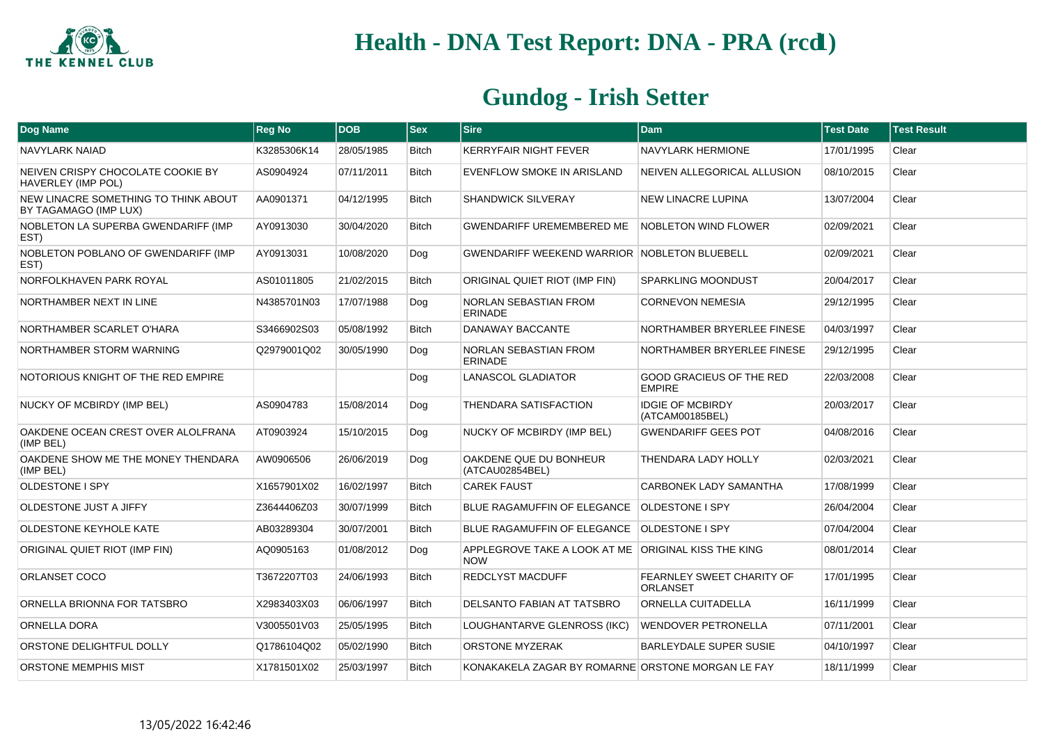

| Dog Name                                                      | <b>Reg No</b> | <b>DOB</b> | <b>Sex</b>   | <b>Sire</b>                                                       | <b>Dam</b>                                       | <b>Test Date</b> | <b>Test Result</b> |
|---------------------------------------------------------------|---------------|------------|--------------|-------------------------------------------------------------------|--------------------------------------------------|------------------|--------------------|
| <b>NAVYLARK NAIAD</b>                                         | K3285306K14   | 28/05/1985 | <b>Bitch</b> | KERRYFAIR NIGHT FEVER                                             | <b>NAVYLARK HERMIONE</b>                         | 17/01/1995       | Clear              |
| NEIVEN CRISPY CHOCOLATE COOKIE BY<br>HAVERLEY (IMP POL)       | AS0904924     | 07/11/2011 | <b>Bitch</b> | EVENFLOW SMOKE IN ARISLAND                                        | NEIVEN ALLEGORICAL ALLUSION                      | 08/10/2015       | Clear              |
| NEW LINACRE SOMETHING TO THINK ABOUT<br>BY TAGAMAGO (IMP LUX) | AA0901371     | 04/12/1995 | <b>Bitch</b> | SHANDWICK SILVERAY                                                | <b>NEW LINACRE LUPINA</b>                        | 13/07/2004       | Clear              |
| NOBLETON LA SUPERBA GWENDARIFF (IMP<br>EST)                   | AY0913030     | 30/04/2020 | <b>Bitch</b> | <b>GWENDARIFF UREMEMBERED ME</b>                                  | NOBLETON WIND FLOWER                             | 02/09/2021       | Clear              |
| NOBLETON POBLANO OF GWENDARIFF (IMP<br>EST)                   | AY0913031     | 10/08/2020 | Dog          | <b>GWENDARIFF WEEKEND WARRIOR NOBLETON BLUEBELL</b>               |                                                  | 02/09/2021       | Clear              |
| NORFOLKHAVEN PARK ROYAL                                       | AS01011805    | 21/02/2015 | <b>Bitch</b> | ORIGINAL QUIET RIOT (IMP FIN)                                     | <b>SPARKLING MOONDUST</b>                        | 20/04/2017       | Clear              |
| NORTHAMBER NEXT IN LINE                                       | N4385701N03   | 17/07/1988 | Dog          | <b>NORLAN SEBASTIAN FROM</b><br><b>ERINADE</b>                    | <b>CORNEVON NEMESIA</b>                          | 29/12/1995       | Clear              |
| NORTHAMBER SCARLET O'HARA                                     | S3466902S03   | 05/08/1992 | Bitch        | DANAWAY BACCANTE                                                  | NORTHAMBER BRYERLEE FINESE                       | 04/03/1997       | Clear              |
| NORTHAMBER STORM WARNING                                      | Q2979001Q02   | 30/05/1990 | Dog          | NORLAN SEBASTIAN FROM<br><b>ERINADE</b>                           | NORTHAMBER BRYERLEE FINESE                       | 29/12/1995       | Clear              |
| NOTORIOUS KNIGHT OF THE RED EMPIRE                            |               |            | Dog          | <b>LANASCOL GLADIATOR</b>                                         | <b>GOOD GRACIEUS OF THE RED</b><br><b>EMPIRE</b> | 22/03/2008       | Clear              |
| NUCKY OF MCBIRDY (IMP BEL)                                    | AS0904783     | 15/08/2014 | Dog          | <b>THENDARA SATISFACTION</b>                                      | <b>IDGIE OF MCBIRDY</b><br>(ATCAM00185BEL)       | 20/03/2017       | Clear              |
| OAKDENE OCEAN CREST OVER ALOLFRANA<br>(IMP BEL)               | AT0903924     | 15/10/2015 | Dog          | NUCKY OF MCBIRDY (IMP BEL)                                        | <b>GWENDARIFF GEES POT</b>                       | 04/08/2016       | Clear              |
| OAKDENE SHOW ME THE MONEY THENDARA<br>(IMP BEL)               | AW0906506     | 26/06/2019 | Dog          | OAKDENE QUE DU BONHEUR<br>(ATCAU02854BEL)                         | <b>THENDARA LADY HOLLY</b>                       | 02/03/2021       | Clear              |
| <b>OLDESTONE I SPY</b>                                        | X1657901X02   | 16/02/1997 | <b>Bitch</b> | <b>CAREK FAUST</b>                                                | CARBONEK LADY SAMANTHA                           | 17/08/1999       | Clear              |
| OLDESTONE JUST A JIFFY                                        | Z3644406Z03   | 30/07/1999 | <b>Bitch</b> | BLUE RAGAMUFFIN OF ELEGANCE OLDESTONE I SPY                       |                                                  | 26/04/2004       | Clear              |
| OLDESTONE KEYHOLE KATE                                        | AB03289304    | 30/07/2001 | <b>Bitch</b> | BLUE RAGAMUFFIN OF ELEGANCE   OLDESTONE I SPY                     |                                                  | 07/04/2004       | Clear              |
| ORIGINAL QUIET RIOT (IMP FIN)                                 | AQ0905163     | 01/08/2012 | Dog          | APPLEGROVE TAKE A LOOK AT ME ORIGINAL KISS THE KING<br><b>NOW</b> |                                                  | 08/01/2014       | Clear              |
| ORLANSET COCO                                                 | T3672207T03   | 24/06/1993 | <b>Bitch</b> | REDCLYST MACDUFF                                                  | FEARNLEY SWEET CHARITY OF<br><b>ORLANSET</b>     | 17/01/1995       | Clear              |
| ORNELLA BRIONNA FOR TATSBRO                                   | X2983403X03   | 06/06/1997 | <b>Bitch</b> | DELSANTO FABIAN AT TATSBRO                                        | ORNELLA CUITADELLA                               | 16/11/1999       | Clear              |
| <b>ORNELLA DORA</b>                                           | V3005501V03   | 25/05/1995 | Bitch        | LOUGHANTARVE GLENROSS (IKC)                                       | WENDOVER PETRONELLA                              | 07/11/2001       | Clear              |
| ORSTONE DELIGHTFUL DOLLY                                      | Q1786104Q02   | 05/02/1990 | Bitch        | ORSTONE MYZERAK                                                   | BARLEYDALE SUPER SUSIE                           | 04/10/1997       | Clear              |
| ORSTONE MEMPHIS MIST                                          | X1781501X02   | 25/03/1997 | Bitch        | KONAKAKELA ZAGAR BY ROMARNE ORSTONE MORGAN LE FAY                 |                                                  | 18/11/1999       | Clear              |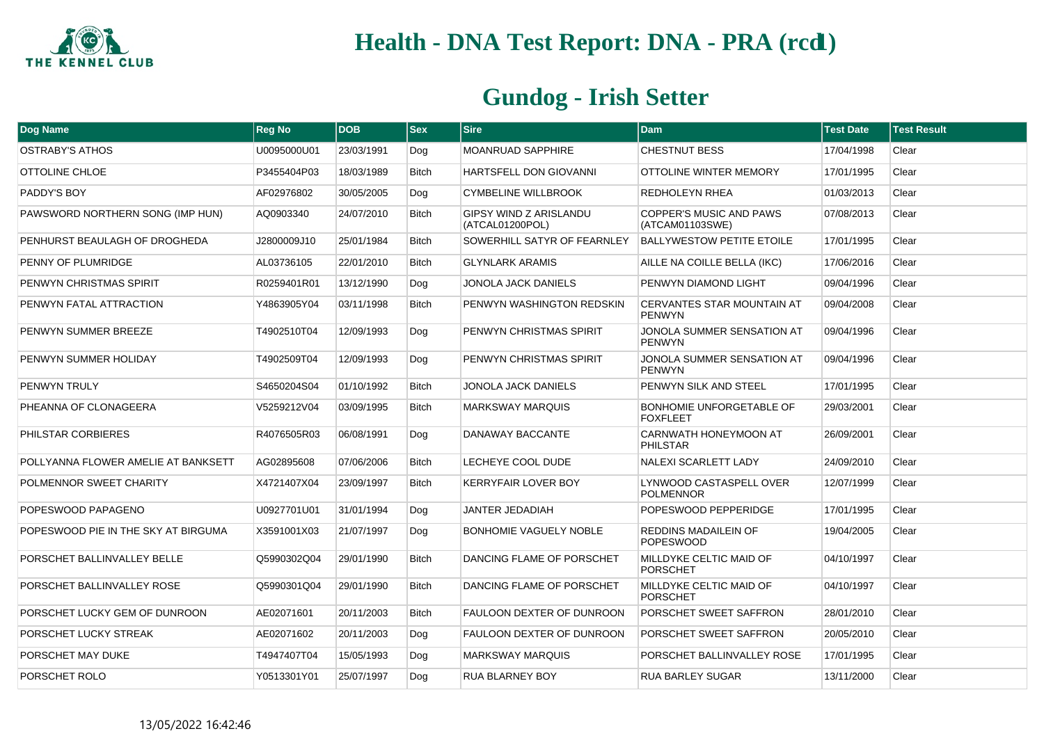

| Dog Name                            | <b>Reg No</b> | <b>DOB</b> | <b>Sex</b>   | <b>Sire</b>                                      | <b>Dam</b>                                         | <b>Test Date</b> | <b>Test Result</b> |
|-------------------------------------|---------------|------------|--------------|--------------------------------------------------|----------------------------------------------------|------------------|--------------------|
| <b>OSTRABY'S ATHOS</b>              | U0095000U01   | 23/03/1991 | Dog          | <b>MOANRUAD SAPPHIRE</b>                         | <b>CHESTNUT BESS</b>                               | 17/04/1998       | Clear              |
| OTTOLINE CHLOE                      | P3455404P03   | 18/03/1989 | <b>Bitch</b> | HARTSFELL DON GIOVANNI                           | OTTOLINE WINTER MEMORY                             | 17/01/1995       | Clear              |
| PADDY'S BOY                         | AF02976802    | 30/05/2005 | Dog          | <b>CYMBELINE WILLBROOK</b>                       | <b>REDHOLEYN RHEA</b>                              | 01/03/2013       | Clear              |
| PAWSWORD NORTHERN SONG (IMP HUN)    | AQ0903340     | 24/07/2010 | <b>Bitch</b> | <b>GIPSY WIND Z ARISLANDU</b><br>(ATCAL01200POL) | <b>COPPER'S MUSIC AND PAWS</b><br>(ATCAM01103SWE)  | 07/08/2013       | Clear              |
| PENHURST BEAULAGH OF DROGHEDA       | J2800009J10   | 25/01/1984 | <b>Bitch</b> | SOWERHILL SATYR OF FEARNLEY                      | <b>BALLYWESTOW PETITE ETOILE</b>                   | 17/01/1995       | Clear              |
| PENNY OF PLUMRIDGE                  | AL03736105    | 22/01/2010 | <b>Bitch</b> | <b>GLYNLARK ARAMIS</b>                           | AILLE NA COILLE BELLA (IKC)                        | 17/06/2016       | Clear              |
| PENWYN CHRISTMAS SPIRIT             | R0259401R01   | 13/12/1990 | Dog          | JONOLA JACK DANIELS                              | PENWYN DIAMOND LIGHT                               | 09/04/1996       | Clear              |
| PENWYN FATAL ATTRACTION             | Y4863905Y04   | 03/11/1998 | <b>Bitch</b> | PENWYN WASHINGTON REDSKIN                        | <b>CERVANTES STAR MOUNTAIN AT</b><br><b>PENWYN</b> | 09/04/2008       | Clear              |
| PENWYN SUMMER BREEZE                | T4902510T04   | 12/09/1993 | Dog          | PENWYN CHRISTMAS SPIRIT                          | JONOLA SUMMER SENSATION AT<br><b>PENWYN</b>        | 09/04/1996       | Clear              |
| PENWYN SUMMER HOLIDAY               | T4902509T04   | 12/09/1993 | Dog          | PENWYN CHRISTMAS SPIRIT                          | JONOLA SUMMER SENSATION AT<br><b>PENWYN</b>        | 09/04/1996       | Clear              |
| <b>PENWYN TRULY</b>                 | S4650204S04   | 01/10/1992 | <b>Bitch</b> | JONOLA JACK DANIELS                              | PENWYN SILK AND STEEL                              | 17/01/1995       | Clear              |
| PHEANNA OF CLONAGEERA               | V5259212V04   | 03/09/1995 | <b>Bitch</b> | <b>MARKSWAY MARQUIS</b>                          | <b>BONHOMIE UNFORGETABLE OF</b><br><b>FOXFLEET</b> | 29/03/2001       | Clear              |
| PHILSTAR CORBIERES                  | R4076505R03   | 06/08/1991 | Dog          | DANAWAY BACCANTE                                 | CARNWATH HONEYMOON AT<br>PHILSTAR                  | 26/09/2001       | Clear              |
| POLLYANNA FLOWER AMELIE AT BANKSETT | AG02895608    | 07/06/2006 | <b>Bitch</b> | LECHEYE COOL DUDE                                | <b>NALEXI SCARLETT LADY</b>                        | 24/09/2010       | Clear              |
| POLMENNOR SWEET CHARITY             | X4721407X04   | 23/09/1997 | <b>Bitch</b> | <b>KERRYFAIR LOVER BOY</b>                       | LYNWOOD CASTASPELL OVER<br><b>POLMENNOR</b>        | 12/07/1999       | Clear              |
| POPESWOOD PAPAGENO                  | U0927701U01   | 31/01/1994 | Dog          | <b>JANTER JEDADIAH</b>                           | POPESWOOD PEPPERIDGE                               | 17/01/1995       | Clear              |
| POPESWOOD PIE IN THE SKY AT BIRGUMA | X3591001X03   | 21/07/1997 | Dog          | <b>BONHOMIE VAGUELY NOBLE</b>                    | REDDINS MADAILEIN OF<br><b>POPESWOOD</b>           | 19/04/2005       | Clear              |
| PORSCHET BALLINVALLEY BELLE         | Q5990302Q04   | 29/01/1990 | <b>Bitch</b> | DANCING FLAME OF PORSCHET                        | MILLDYKE CELTIC MAID OF<br><b>PORSCHET</b>         | 04/10/1997       | Clear              |
| PORSCHET BALLINVALLEY ROSE          | Q5990301Q04   | 29/01/1990 | <b>Bitch</b> | DANCING FLAME OF PORSCHET                        | MILLDYKE CELTIC MAID OF<br><b>PORSCHET</b>         | 04/10/1997       | Clear              |
| PORSCHET LUCKY GEM OF DUNROON       | AE02071601    | 20/11/2003 | <b>Bitch</b> | FAULOON DEXTER OF DUNROON                        | PORSCHET SWEET SAFFRON                             | 28/01/2010       | Clear              |
| PORSCHET LUCKY STREAK               | AE02071602    | 20/11/2003 | Dog          | FAULOON DEXTER OF DUNROON                        | PORSCHET SWEET SAFFRON                             | 20/05/2010       | Clear              |
| PORSCHET MAY DUKE                   | T4947407T04   | 15/05/1993 | Dog          | <b>MARKSWAY MARQUIS</b>                          | PORSCHET BALLINVALLEY ROSE                         | 17/01/1995       | Clear              |
| PORSCHET ROLO                       | Y0513301Y01   | 25/07/1997 | Dog          | RUA BLARNEY BOY                                  | <b>RUA BARLEY SUGAR</b>                            | 13/11/2000       | Clear              |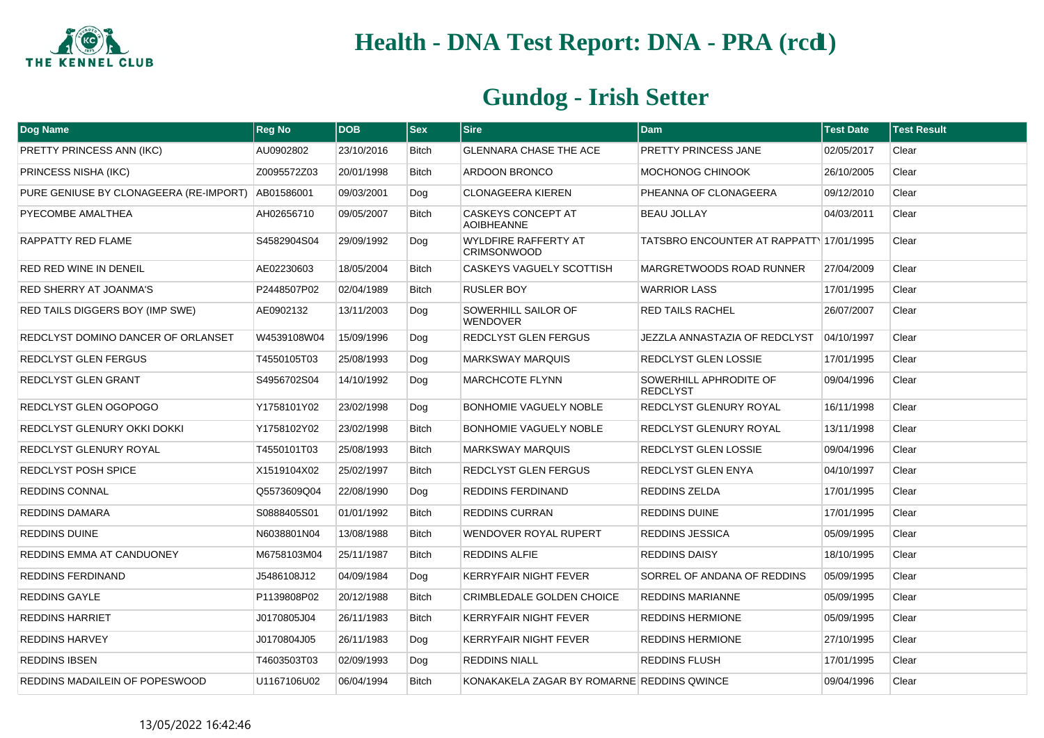

| <b>Dog Name</b>                        | <b>Reg No</b> | <b>DOB</b> | <b>Sex</b>   | <b>Sire</b>                                       | <b>Dam</b>                                | <b>Test Date</b> | <b>Test Result</b> |
|----------------------------------------|---------------|------------|--------------|---------------------------------------------------|-------------------------------------------|------------------|--------------------|
| PRETTY PRINCESS ANN (IKC)              | AU0902802     | 23/10/2016 | Bitch        | <b>GLENNARA CHASE THE ACE</b>                     | PRETTY PRINCESS JANE                      | 02/05/2017       | Clear              |
| PRINCESS NISHA (IKC)                   | Z0095572Z03   | 20/01/1998 | <b>Bitch</b> | <b>ARDOON BRONCO</b>                              | MOCHONOG CHINOOK                          | 26/10/2005       | Clear              |
| PURE GENIUSE BY CLONAGEERA (RE-IMPORT) | AB01586001    | 09/03/2001 | Dog          | <b>CLONAGEERA KIEREN</b>                          | PHEANNA OF CLONAGEERA                     | 09/12/2010       | Clear              |
| PYECOMBE AMALTHEA                      | AH02656710    | 09/05/2007 | Bitch        | CASKEYS CONCEPT AT<br><b>AOIBHEANNE</b>           | <b>BEAU JOLLAY</b>                        | 04/03/2011       | Clear              |
| RAPPATTY RED FLAME                     | S4582904S04   | 29/09/1992 | Dog          | <b>WYLDFIRE RAFFERTY AT</b><br><b>CRIMSONWOOD</b> | TATSBRO ENCOUNTER AT RAPPATT 17/01/1995   |                  | Clear              |
| <b>RED RED WINE IN DENEIL</b>          | AE02230603    | 18/05/2004 | <b>Bitch</b> | CASKEYS VAGUELY SCOTTISH                          | MARGRETWOODS ROAD RUNNER                  | 27/04/2009       | Clear              |
| <b>RED SHERRY AT JOANMA'S</b>          | P2448507P02   | 02/04/1989 | Bitch        | <b>RUSLER BOY</b>                                 | <b>WARRIOR LASS</b>                       | 17/01/1995       | Clear              |
| RED TAILS DIGGERS BOY (IMP SWE)        | AE0902132     | 13/11/2003 | Dog          | SOWERHILL SAILOR OF<br><b>WENDOVER</b>            | <b>RED TAILS RACHEL</b>                   | 26/07/2007       | Clear              |
| REDCLYST DOMINO DANCER OF ORLANSET     | W4539108W04   | 15/09/1996 | Dog          | REDCLYST GLEN FERGUS                              | JEZZLA ANNASTAZIA OF REDCLYST             | 04/10/1997       | Clear              |
| <b>REDCLYST GLEN FERGUS</b>            | T4550105T03   | 25/08/1993 | Dog          | <b>MARKSWAY MARQUIS</b>                           | REDCLYST GLEN LOSSIE                      | 17/01/1995       | Clear              |
| <b>REDCLYST GLEN GRANT</b>             | S4956702S04   | 14/10/1992 | Dog          | <b>MARCHCOTE FLYNN</b>                            | SOWERHILL APHRODITE OF<br><b>REDCLYST</b> | 09/04/1996       | Clear              |
| REDCLYST GLEN OGOPOGO                  | Y1758101Y02   | 23/02/1998 | Dog          | <b>BONHOMIE VAGUELY NOBLE</b>                     | REDCLYST GLENURY ROYAL                    | 16/11/1998       | Clear              |
| REDCLYST GLENURY OKKI DOKKI            | Y1758102Y02   | 23/02/1998 | <b>Bitch</b> | <b>BONHOMIE VAGUELY NOBLE</b>                     | REDCLYST GLENURY ROYAL                    | 13/11/1998       | Clear              |
| REDCLYST GLENURY ROYAL                 | T4550101T03   | 25/08/1993 | Bitch        | <b>MARKSWAY MARQUIS</b>                           | REDCLYST GLEN LOSSIE                      | 09/04/1996       | Clear              |
| <b>REDCLYST POSH SPICE</b>             | X1519104X02   | 25/02/1997 | <b>Bitch</b> | REDCLYST GLEN FERGUS                              | <b>REDCLYST GLEN ENYA</b>                 | 04/10/1997       | Clear              |
| <b>REDDINS CONNAL</b>                  | Q5573609Q04   | 22/08/1990 | Dog          | REDDINS FERDINAND                                 | <b>REDDINS ZELDA</b>                      | 17/01/1995       | Clear              |
| <b>REDDINS DAMARA</b>                  | S0888405S01   | 01/01/1992 | <b>Bitch</b> | REDDINS CURRAN                                    | <b>REDDINS DUINE</b>                      | 17/01/1995       | Clear              |
| REDDINS DUINE                          | N6038801N04   | 13/08/1988 | Bitch        | WENDOVER ROYAL RUPERT                             | <b>REDDINS JESSICA</b>                    | 05/09/1995       | Clear              |
| REDDINS EMMA AT CANDUONEY              | M6758103M04   | 25/11/1987 | <b>Bitch</b> | REDDINS ALFIE                                     | <b>REDDINS DAISY</b>                      | 18/10/1995       | Clear              |
| REDDINS FERDINAND                      | J5486108J12   | 04/09/1984 | Dog          | KERRYFAIR NIGHT FEVER                             | SORREL OF ANDANA OF REDDINS               | 05/09/1995       | Clear              |
| <b>REDDINS GAYLE</b>                   | P1139808P02   | 20/12/1988 | <b>Bitch</b> | CRIMBLEDALE GOLDEN CHOICE                         | <b>REDDINS MARIANNE</b>                   | 05/09/1995       | Clear              |
| <b>REDDINS HARRIET</b>                 | J0170805J04   | 26/11/1983 | Bitch        | KERRYFAIR NIGHT FEVER                             | <b>REDDINS HERMIONE</b>                   | 05/09/1995       | Clear              |
| <b>REDDINS HARVEY</b>                  | J0170804J05   | 26/11/1983 | Dog          | <b>KERRYFAIR NIGHT FEVER</b>                      | <b>REDDINS HERMIONE</b>                   | 27/10/1995       | Clear              |
| <b>REDDINS IBSEN</b>                   | T4603503T03   | 02/09/1993 | Dog          | REDDINS NIALL                                     | <b>REDDINS FLUSH</b>                      | 17/01/1995       | Clear              |
| REDDINS MADAILEIN OF POPESWOOD         | U1167106U02   | 06/04/1994 | <b>Bitch</b> | KONAKAKELA ZAGAR BY ROMARNE REDDINS QWINCE        |                                           | 09/04/1996       | Clear              |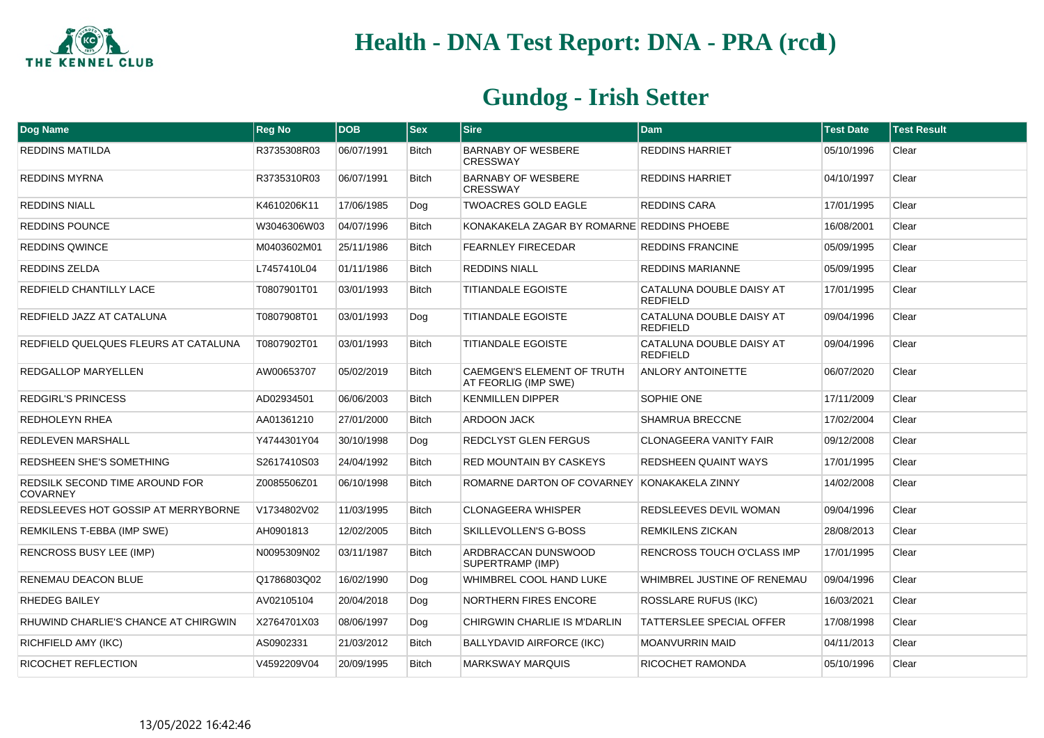

| Dog Name                                          | <b>Reg No</b> | <b>DOB</b> | $ $ Sex      | <b>Sire</b>                                               | <b>Dam</b>                                  | <b>Test Date</b> | <b>Test Result</b> |
|---------------------------------------------------|---------------|------------|--------------|-----------------------------------------------------------|---------------------------------------------|------------------|--------------------|
| REDDINS MATILDA                                   | R3735308R03   | 06/07/1991 | <b>Bitch</b> | <b>BARNABY OF WESBERE</b><br><b>CRESSWAY</b>              | <b>REDDINS HARRIET</b>                      | 05/10/1996       | Clear              |
| <b>REDDINS MYRNA</b>                              | R3735310R03   | 06/07/1991 | <b>Bitch</b> | <b>BARNABY OF WESBERE</b><br><b>CRESSWAY</b>              | <b>REDDINS HARRIET</b>                      | 04/10/1997       | Clear              |
| <b>REDDINS NIALL</b>                              | K4610206K11   | 17/06/1985 | Dog          | <b>TWOACRES GOLD EAGLE</b>                                | REDDINS CARA                                | 17/01/1995       | Clear              |
| <b>REDDINS POUNCE</b>                             | W3046306W03   | 04/07/1996 | <b>Bitch</b> | KONAKAKELA ZAGAR BY ROMARNE REDDINS PHOEBE                |                                             | 16/08/2001       | Clear              |
| <b>REDDINS QWINCE</b>                             | M0403602M01   | 25/11/1986 | <b>Bitch</b> | <b>FEARNLEY FIRECEDAR</b>                                 | <b>REDDINS FRANCINE</b>                     | 05/09/1995       | Clear              |
| <b>REDDINS ZELDA</b>                              | L7457410L04   | 01/11/1986 | <b>Bitch</b> | <b>REDDINS NIALL</b>                                      | <b>REDDINS MARIANNE</b>                     | 05/09/1995       | Clear              |
| REDFIELD CHANTILLY LACE                           | T0807901T01   | 03/01/1993 | <b>Bitch</b> | <b>TITIANDALE EGOISTE</b>                                 | CATALUNA DOUBLE DAISY AT<br><b>REDFIELD</b> | 17/01/1995       | Clear              |
| REDFIELD JAZZ AT CATALUNA                         | T0807908T01   | 03/01/1993 | Dog          | <b>TITIANDALE EGOISTE</b>                                 | CATALUNA DOUBLE DAISY AT<br><b>REDFIELD</b> | 09/04/1996       | Clear              |
| REDFIELD QUELQUES FLEURS AT CATALUNA              | T0807902T01   | 03/01/1993 | <b>Bitch</b> | <b>TITIANDALE EGOISTE</b>                                 | CATALUNA DOUBLE DAISY AT<br><b>REDFIELD</b> | 09/04/1996       | Clear              |
| <b>REDGALLOP MARYELLEN</b>                        | AW00653707    | 05/02/2019 | <b>Bitch</b> | <b>CAEMGEN'S ELEMENT OF TRUTH</b><br>AT FEORLIG (IMP SWE) | <b>ANLORY ANTOINETTE</b>                    | 06/07/2020       | Clear              |
| <b>REDGIRL'S PRINCESS</b>                         | AD02934501    | 06/06/2003 | <b>Bitch</b> | <b>KENMILLEN DIPPER</b>                                   | SOPHIE ONE                                  | 17/11/2009       | Clear              |
| REDHOLEYN RHEA                                    | AA01361210    | 27/01/2000 | <b>Bitch</b> | ARDOON JACK                                               | SHAMRUA BRECCNE                             | 17/02/2004       | Clear              |
| REDLEVEN MARSHALL                                 | Y4744301Y04   | 30/10/1998 | Dog          | REDCLYST GLEN FERGUS                                      | <b>CLONAGEERA VANITY FAIR</b>               | 09/12/2008       | Clear              |
| REDSHEEN SHE'S SOMETHING                          | S2617410S03   | 24/04/1992 | <b>Bitch</b> | RED MOUNTAIN BY CASKEYS                                   | <b>REDSHEEN QUAINT WAYS</b>                 | 17/01/1995       | Clear              |
| REDSILK SECOND TIME AROUND FOR<br><b>COVARNEY</b> | Z0085506Z01   | 06/10/1998 | <b>Bitch</b> | ROMARNE DARTON OF COVARNEY KONAKAKELA ZINNY               |                                             | 14/02/2008       | Clear              |
| REDSLEEVES HOT GOSSIP AT MERRYBORNE               | V1734802V02   | 11/03/1995 | <b>Bitch</b> | <b>CLONAGEERA WHISPER</b>                                 | REDSLEEVES DEVIL WOMAN                      | 09/04/1996       | Clear              |
| REMKILENS T-EBBA (IMP SWE)                        | AH0901813     | 12/02/2005 | <b>Bitch</b> | SKILLEVOLLEN'S G-BOSS                                     | REMKILENS ZICKAN                            | 28/08/2013       | Clear              |
| <b>RENCROSS BUSY LEE (IMP)</b>                    | N0095309N02   | 03/11/1987 | Bitch        | ARDBRACCAN DUNSWOOD<br>SUPERTRAMP (IMP)                   | RENCROSS TOUCH O'CLASS IMP                  | 17/01/1995       | Clear              |
| RENEMAU DEACON BLUE                               | Q1786803Q02   | 16/02/1990 | Dog          | WHIMBREL COOL HAND LUKE                                   | WHIMBREL JUSTINE OF RENEMAU                 | 09/04/1996       | Clear              |
| <b>RHEDEG BAILEY</b>                              | AV02105104    | 20/04/2018 | Dog          | <b>NORTHERN FIRES ENCORE</b>                              | <b>ROSSLARE RUFUS (IKC)</b>                 | 16/03/2021       | Clear              |
| RHUWIND CHARLIE'S CHANCE AT CHIRGWIN              | X2764701X03   | 08/06/1997 | Dog          | CHIRGWIN CHARLIE IS M'DARLIN                              | TATTERSLEE SPECIAL OFFER                    | 17/08/1998       | Clear              |
| RICHFIELD AMY (IKC)                               | AS0902331     | 21/03/2012 | <b>Bitch</b> | <b>BALLYDAVID AIRFORCE (IKC)</b>                          | <b>MOANVURRIN MAID</b>                      | 04/11/2013       | Clear              |
| RICOCHET REFLECTION                               | V4592209V04   | 20/09/1995 | <b>Bitch</b> | <b>MARKSWAY MARQUIS</b>                                   | RICOCHET RAMONDA                            | 05/10/1996       | Clear              |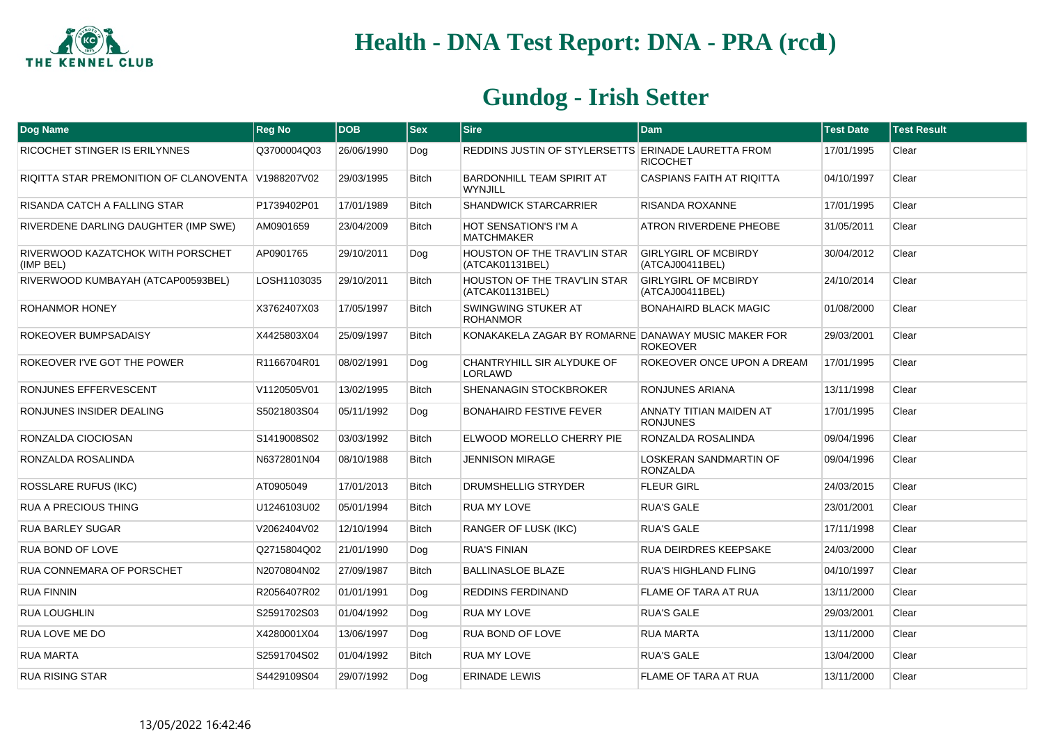

| Dog Name                                           | <b>Reg No</b> | <b>DOB</b> | $ $ Sex      | <b>Sire</b>                                         | <b>Dam</b>                                     | <b>Test Date</b> | <b>Test Result</b> |
|----------------------------------------------------|---------------|------------|--------------|-----------------------------------------------------|------------------------------------------------|------------------|--------------------|
| RICOCHET STINGER IS ERILYNNES                      | Q3700004Q03   | 26/06/1990 | Dog          | REDDINS JUSTIN OF STYLERSETTS ERINADE LAURETTA FROM | <b>RICOCHET</b>                                | 17/01/1995       | Clear              |
| RIQITTA STAR PREMONITION OF CLANOVENTA V1988207V02 |               | 29/03/1995 | <b>Bitch</b> | BARDONHILL TEAM SPIRIT AT<br><b>WYNJILL</b>         | <b>CASPIANS FAITH AT RIQITTA</b>               | 04/10/1997       | Clear              |
| RISANDA CATCH A FALLING STAR                       | P1739402P01   | 17/01/1989 | <b>Bitch</b> | <b>SHANDWICK STARCARRIER</b>                        | <b>RISANDA ROXANNE</b>                         | 17/01/1995       | Clear              |
| RIVERDENE DARLING DAUGHTER (IMP SWE)               | AM0901659     | 23/04/2009 | <b>Bitch</b> | <b>HOT SENSATION'S I'M A</b><br><b>MATCHMAKER</b>   | ATRON RIVERDENE PHEOBE                         | 31/05/2011       | Clear              |
| RIVERWOOD KAZATCHOK WITH PORSCHET<br>(IMP BEL)     | AP0901765     | 29/10/2011 | Dog          | HOUSTON OF THE TRAV'LIN STAR<br>(ATCAK01131BEL)     | <b>GIRLYGIRL OF MCBIRDY</b><br>(ATCAJ00411BEL) | 30/04/2012       | Clear              |
| RIVERWOOD KUMBAYAH (ATCAP00593BEL)                 | LOSH1103035   | 29/10/2011 | <b>Bitch</b> | HOUSTON OF THE TRAV'LIN STAR<br>(ATCAK01131BEL)     | <b>GIRLYGIRL OF MCBIRDY</b><br>(ATCAJ00411BEL) | 24/10/2014       | Clear              |
| ROHANMOR HONEY                                     | X3762407X03   | 17/05/1997 | Bitch        | SWINGWING STUKER AT<br><b>ROHANMOR</b>              | <b>BONAHAIRD BLACK MAGIC</b>                   | 01/08/2000       | Clear              |
| ROKEOVER BUMPSADAISY                               | X4425803X04   | 25/09/1997 | <b>Bitch</b> | KONAKAKELA ZAGAR BY ROMARNE DANAWAY MUSIC MAKER FOR | <b>ROKEOVER</b>                                | 29/03/2001       | Clear              |
| ROKEOVER I'VE GOT THE POWER                        | R1166704R01   | 08/02/1991 | Dog          | CHANTRYHILL SIR ALYDUKE OF<br>LORLAWD               | ROKEOVER ONCE UPON A DREAM                     | 17/01/1995       | Clear              |
| RONJUNES EFFERVESCENT                              | V1120505V01   | 13/02/1995 | Bitch        | SHENANAGIN STOCKBROKER                              | RONJUNES ARIANA                                | 13/11/1998       | Clear              |
| RONJUNES INSIDER DEALING                           | S5021803S04   | 05/11/1992 | Dog          | <b>BONAHAIRD FESTIVE FEVER</b>                      | ANNATY TITIAN MAIDEN AT<br><b>RONJUNES</b>     | 17/01/1995       | Clear              |
| RONZALDA CIOCIOSAN                                 | S1419008S02   | 03/03/1992 | Bitch        | ELWOOD MORELLO CHERRY PIE                           | RONZALDA ROSALINDA                             | 09/04/1996       | Clear              |
| RONZALDA ROSALINDA                                 | N6372801N04   | 08/10/1988 | <b>Bitch</b> | <b>JENNISON MIRAGE</b>                              | LOSKERAN SANDMARTIN OF<br><b>RONZALDA</b>      | 09/04/1996       | Clear              |
| <b>ROSSLARE RUFUS (IKC)</b>                        | AT0905049     | 17/01/2013 | <b>Bitch</b> | DRUMSHELLIG STRYDER                                 | <b>FLEUR GIRL</b>                              | 24/03/2015       | Clear              |
| <b>RUA A PRECIOUS THING</b>                        | U1246103U02   | 05/01/1994 | Bitch        | RUA MY LOVE                                         | <b>RUA'S GALE</b>                              | 23/01/2001       | Clear              |
| <b>RUA BARLEY SUGAR</b>                            | V2062404V02   | 12/10/1994 | <b>Bitch</b> | <b>RANGER OF LUSK (IKC)</b>                         | <b>RUA'S GALE</b>                              | 17/11/1998       | Clear              |
| <b>RUA BOND OF LOVE</b>                            | Q2715804Q02   | 21/01/1990 | Dog          | <b>RUA'S FINIAN</b>                                 | <b>RUA DEIRDRES KEEPSAKE</b>                   | 24/03/2000       | Clear              |
| RUA CONNEMARA OF PORSCHET                          | N2070804N02   | 27/09/1987 | Bitch        | <b>BALLINASLOE BLAZE</b>                            | <b>RUA'S HIGHLAND FLING</b>                    | 04/10/1997       | Clear              |
| <b>RUA FINNIN</b>                                  | R2056407R02   | 01/01/1991 | Dog          | REDDINS FERDINAND                                   | <b>FLAME OF TARA AT RUA</b>                    | 13/11/2000       | Clear              |
| <b>RUA LOUGHLIN</b>                                | S2591702S03   | 01/04/1992 | Dog          | RUA MY LOVE                                         | <b>RUA'S GALE</b>                              | 29/03/2001       | Clear              |
| RUA LOVE ME DO                                     | X4280001X04   | 13/06/1997 | Dog          | <b>RUA BOND OF LOVE</b>                             | <b>RUA MARTA</b>                               | 13/11/2000       | Clear              |
| <b>RUA MARTA</b>                                   | S2591704S02   | 01/04/1992 | Bitch        | RUA MY LOVE                                         | <b>RUA'S GALE</b>                              | 13/04/2000       | Clear              |
| <b>RUA RISING STAR</b>                             | S4429109S04   | 29/07/1992 | Dog          | <b>ERINADE LEWIS</b>                                | <b>FLAME OF TARA AT RUA</b>                    | 13/11/2000       | Clear              |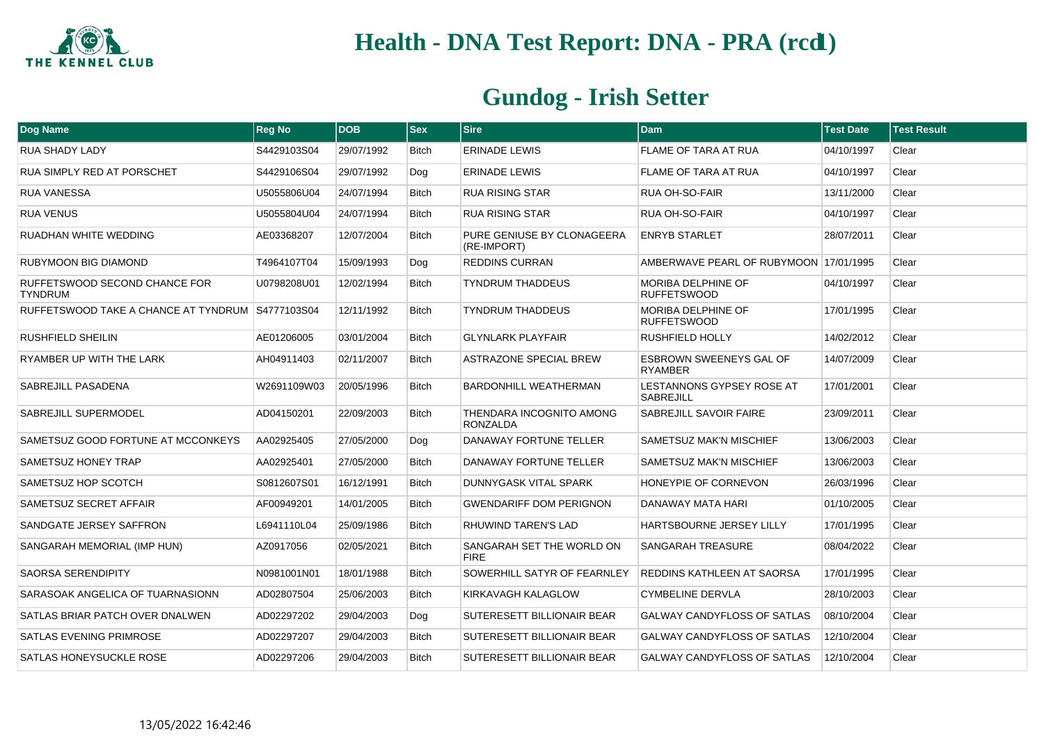

| Dog Name                                         | <b>Reg No</b> | <b>DOB</b> | $ s_{ex} $   | <b>Sire</b>                                 | <b>Dam</b>                                      | <b>Test Date</b> | <b>Test Result</b> |
|--------------------------------------------------|---------------|------------|--------------|---------------------------------------------|-------------------------------------------------|------------------|--------------------|
| <b>RUA SHADY LADY</b>                            | S4429103S04   | 29/07/1992 | <b>Bitch</b> | <b>ERINADE LEWIS</b>                        | <b>FLAME OF TARA AT RUA</b>                     | 04/10/1997       | Clear              |
| RUA SIMPLY RED AT PORSCHET                       | S4429106S04   | 29/07/1992 | Dog          | <b>ERINADE LEWIS</b>                        | FLAME OF TARA AT RUA                            | 04/10/1997       | Clear              |
| <b>RUA VANESSA</b>                               | U5055806U04   | 24/07/1994 | Bitch        | <b>RUA RISING STAR</b>                      | RUA OH-SO-FAIR                                  | 13/11/2000       | Clear              |
| <b>RUA VENUS</b>                                 | U5055804U04   | 24/07/1994 | <b>Bitch</b> | <b>RUA RISING STAR</b>                      | <b>RUA OH-SO-FAIR</b>                           | 04/10/1997       | Clear              |
| RUADHAN WHITE WEDDING                            | AE03368207    | 12/07/2004 | <b>Bitch</b> | PURE GENIUSE BY CLONAGEERA<br>(RE-IMPORT)   | <b>ENRYB STARLET</b>                            | 28/07/2011       | Clear              |
| <b>RUBYMOON BIG DIAMOND</b>                      | T4964107T04   | 15/09/1993 | Dog          | <b>REDDINS CURRAN</b>                       | AMBERWAVE PEARL OF RUBYMOON 17/01/1995          |                  | Clear              |
| RUFFETSWOOD SECOND CHANCE FOR<br><b>TYNDRUM</b>  | U0798208U01   | 12/02/1994 | <b>Bitch</b> | <b>TYNDRUM THADDEUS</b>                     | MORIBA DELPHINE OF<br><b>RUFFETSWOOD</b>        | 04/10/1997       | Clear              |
| RUFFETSWOOD TAKE A CHANCE AT TYNDRUM S4777103S04 |               | 12/11/1992 | <b>Bitch</b> | <b>TYNDRUM THADDEUS</b>                     | <b>MORIBA DELPHINE OF</b><br><b>RUFFETSWOOD</b> | 17/01/1995       | Clear              |
| <b>RUSHFIELD SHEILIN</b>                         | AE01206005    | 03/01/2004 | <b>Bitch</b> | <b>GLYNLARK PLAYFAIR</b>                    | <b>RUSHFIELD HOLLY</b>                          | 14/02/2012       | Clear              |
| RYAMBER UP WITH THE LARK                         | AH04911403    | 02/11/2007 | <b>Bitch</b> | ASTRAZONE SPECIAL BREW                      | ESBROWN SWEENEYS GAL OF<br><b>RYAMBER</b>       | 14/07/2009       | Clear              |
| SABREJILL PASADENA                               | W2691109W03   | 20/05/1996 | <b>Bitch</b> | <b>BARDONHILL WEATHERMAN</b>                | LESTANNONS GYPSEY ROSE AT<br><b>SABREJILL</b>   | 17/01/2001       | Clear              |
| SABREJILL SUPERMODEL                             | AD04150201    | 22/09/2003 | <b>Bitch</b> | THENDARA INCOGNITO AMONG<br><b>RONZALDA</b> | SABREJILL SAVOIR FAIRE                          | 23/09/2011       | Clear              |
| SAMETSUZ GOOD FORTUNE AT MCCONKEYS               | AA02925405    | 27/05/2000 | Dog          | <b>DANAWAY FORTUNE TELLER</b>               | <b>SAMETSUZ MAK'N MISCHIEF</b>                  | 13/06/2003       | Clear              |
| SAMETSUZ HONEY TRAP                              | AA02925401    | 27/05/2000 | <b>Bitch</b> | DANAWAY FORTUNE TELLER                      | SAMETSUZ MAK'N MISCHIEF                         | 13/06/2003       | Clear              |
| SAMETSUZ HOP SCOTCH                              | S0812607S01   | 16/12/1991 | Bitch        | DUNNYGASK VITAL SPARK                       | HONEYPIE OF CORNEVON                            | 26/03/1996       | Clear              |
| SAMETSUZ SECRET AFFAIR                           | AF00949201    | 14/01/2005 | <b>Bitch</b> | <b>GWENDARIFF DOM PERIGNON</b>              | DANAWAY MATA HARI                               | 01/10/2005       | Clear              |
| SANDGATE JERSEY SAFFRON                          | L6941110L04   | 25/09/1986 | <b>Bitch</b> | RHUWIND TAREN'S LAD                         | HARTSBOURNE JERSEY LILLY                        | 17/01/1995       | Clear              |
| SANGARAH MEMORIAL (IMP HUN)                      | AZ0917056     | 02/05/2021 | <b>Bitch</b> | SANGARAH SET THE WORLD ON<br><b>FIRE</b>    | <b>SANGARAH TREASURE</b>                        | 08/04/2022       | Clear              |
| <b>SAORSA SERENDIPITY</b>                        | N0981001N01   | 18/01/1988 | <b>Bitch</b> | SOWERHILL SATYR OF FEARNLEY                 | <b>REDDINS KATHLEEN AT SAORSA</b>               | 17/01/1995       | Clear              |
| SARASOAK ANGELICA OF TUARNASIONN                 | AD02807504    | 25/06/2003 | <b>Bitch</b> | KIRKAVAGH KALAGLOW                          | <b>CYMBELINE DERVLA</b>                         | 28/10/2003       | Clear              |
| SATLAS BRIAR PATCH OVER DNALWEN                  | AD02297202    | 29/04/2003 | Dog          | SUTERESETT BILLIONAIR BEAR                  | <b>GALWAY CANDYFLOSS OF SATLAS</b>              | 08/10/2004       | Clear              |
| SATLAS EVENING PRIMROSE                          | AD02297207    | 29/04/2003 | Bitch        | SUTERESETT BILLIONAIR BEAR                  | <b>GALWAY CANDYFLOSS OF SATLAS</b>              | 12/10/2004       | Clear              |
| SATLAS HONEYSUCKLE ROSE                          | AD02297206    | 29/04/2003 | <b>Bitch</b> | SUTERESETT BILLIONAIR BEAR                  | <b>GALWAY CANDYFLOSS OF SATLAS</b>              | 12/10/2004       | Clear              |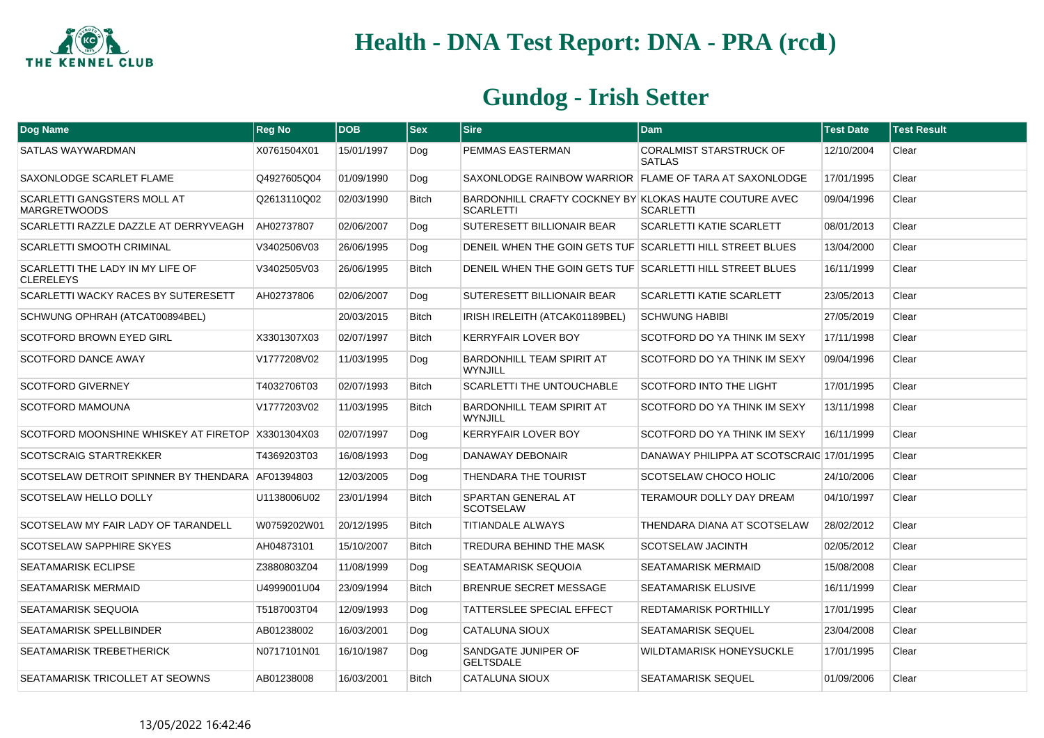

| Dog Name                                                  | <b>Reg No</b> | <b>DOB</b> | <b>Sex</b>   | <b>Sire</b>                                                                | <b>Dam</b>                                      | <b>Test Date</b> | <b>Test Result</b> |
|-----------------------------------------------------------|---------------|------------|--------------|----------------------------------------------------------------------------|-------------------------------------------------|------------------|--------------------|
| SATLAS WAYWARDMAN                                         | X0761504X01   | 15/01/1997 | Dog          | PEMMAS EASTERMAN                                                           | <b>CORALMIST STARSTRUCK OF</b><br><b>SATLAS</b> | 12/10/2004       | Clear              |
| SAXONLODGE SCARLET FLAME                                  | Q4927605Q04   | 01/09/1990 | Dog          | SAXONLODGE RAINBOW WARRIOR FLAME OF TARA AT SAXONLODGE                     |                                                 | 17/01/1995       | Clear              |
| <b>SCARLETTI GANGSTERS MOLL AT</b><br><b>MARGRETWOODS</b> | Q2613110Q02   | 02/03/1990 | <b>Bitch</b> | BARDONHILL CRAFTY COCKNEY BY KLOKAS HAUTE COUTURE AVEC<br><b>SCARLETTI</b> | <b>SCARLETTI</b>                                | 09/04/1996       | Clear              |
| SCARLETTI RAZZLE DAZZLE AT DERRYVEAGH                     | AH02737807    | 02/06/2007 | Dog          | SUTERESETT BILLIONAIR BEAR                                                 | <b>SCARLETTI KATIE SCARLETT</b>                 | 08/01/2013       | Clear              |
| <b>SCARLETTI SMOOTH CRIMINAL</b>                          | V3402506V03   | 26/06/1995 | Dog          | DENEIL WHEN THE GOIN GETS TUF SCARLETTI HILL STREET BLUES                  |                                                 | 13/04/2000       | Clear              |
| SCARLETTI THE LADY IN MY LIFE OF<br><b>CLERELEYS</b>      | V3402505V03   | 26/06/1995 | <b>Bitch</b> | DENEIL WHEN THE GOIN GETS TUF SCARLETTI HILL STREET BLUES                  |                                                 | 16/11/1999       | Clear              |
| <b>SCARLETTI WACKY RACES BY SUTERESETT</b>                | AH02737806    | 02/06/2007 | Dog          | SUTERESETT BILLIONAIR BEAR                                                 | <b>SCARLETTI KATIE SCARLETT</b>                 | 23/05/2013       | Clear              |
| SCHWUNG OPHRAH (ATCAT00894BEL)                            |               | 20/03/2015 | <b>Bitch</b> | IRISH IRELEITH (ATCAK01189BEL)                                             | <b>SCHWUNG HABIBI</b>                           | 27/05/2019       | Clear              |
| <b>SCOTFORD BROWN EYED GIRL</b>                           | X3301307X03   | 02/07/1997 | <b>Bitch</b> | <b>KERRYFAIR LOVER BOY</b>                                                 | SCOTFORD DO YA THINK IM SEXY                    | 17/11/1998       | Clear              |
| <b>SCOTFORD DANCE AWAY</b>                                | V1777208V02   | 11/03/1995 | Dog          | <b>BARDONHILL TEAM SPIRIT AT</b><br><b>WYNJILL</b>                         | SCOTFORD DO YA THINK IM SEXY                    | 09/04/1996       | Clear              |
| <b>SCOTFORD GIVERNEY</b>                                  | T4032706T03   | 02/07/1993 | <b>Bitch</b> | <b>SCARLETTI THE UNTOUCHABLE</b>                                           | <b>SCOTFORD INTO THE LIGHT</b>                  | 17/01/1995       | Clear              |
| <b>SCOTFORD MAMOUNA</b>                                   | V1777203V02   | 11/03/1995 | <b>Bitch</b> | <b>BARDONHILL TEAM SPIRIT AT</b><br><b>WYNJILL</b>                         | SCOTFORD DO YA THINK IM SEXY                    | 13/11/1998       | Clear              |
| SCOTFORD MOONSHINE WHISKEY AT FIRETOP X3301304X03         |               | 02/07/1997 | Dog          | <b>KERRYFAIR LOVER BOY</b>                                                 | SCOTFORD DO YA THINK IM SEXY                    | 16/11/1999       | Clear              |
| <b>SCOTSCRAIG STARTREKKER</b>                             | T4369203T03   | 16/08/1993 | Dog          | DANAWAY DEBONAIR                                                           | DANAWAY PHILIPPA AT SCOTSCRAIC 17/01/1995       |                  | Clear              |
| SCOTSELAW DETROIT SPINNER BY THENDARA AF01394803          |               | 12/03/2005 | Dog          | THENDARA THE TOURIST                                                       | SCOTSELAW CHOCO HOLIC                           | 24/10/2006       | Clear              |
| SCOTSELAW HELLO DOLLY                                     | U1138006U02   | 23/01/1994 | <b>Bitch</b> | SPARTAN GENERAL AT<br><b>SCOTSELAW</b>                                     | TERAMOUR DOLLY DAY DREAM                        | 04/10/1997       | Clear              |
| SCOTSELAW MY FAIR LADY OF TARANDELL                       | W0759202W01   | 20/12/1995 | <b>Bitch</b> | <b>TITIANDALE ALWAYS</b>                                                   | THENDARA DIANA AT SCOTSELAW                     | 28/02/2012       | Clear              |
| SCOTSELAW SAPPHIRE SKYES                                  | AH04873101    | 15/10/2007 | <b>Bitch</b> | TREDURA BEHIND THE MASK                                                    | SCOTSELAW JACINTH                               | 02/05/2012       | Clear              |
| <b>SEATAMARISK ECLIPSE</b>                                | Z3880803Z04   | 11/08/1999 | Dog          | <b>SEATAMARISK SEQUOIA</b>                                                 | <b>SEATAMARISK MERMAID</b>                      | 15/08/2008       | Clear              |
| SEATAMARISK MERMAID                                       | U4999001U04   | 23/09/1994 | <b>Bitch</b> | BRENRUE SECRET MESSAGE                                                     | SEATAMARISK ELUSIVE                             | 16/11/1999       | Clear              |
| SEATAMARISK SEQUOIA                                       | T5187003T04   | 12/09/1993 | Dog          | TATTERSLEE SPECIAL EFFECT                                                  | REDTAMARISK PORTHILLY                           | 17/01/1995       | Clear              |
| SEATAMARISK SPELLBINDER                                   | AB01238002    | 16/03/2001 | Dog          | <b>CATALUNA SIOUX</b>                                                      | <b>SEATAMARISK SEQUEL</b>                       | 23/04/2008       | Clear              |
| SEATAMARISK TREBETHERICK                                  | N0717101N01   | 16/10/1987 | Dog          | SANDGATE JUNIPER OF<br><b>GELTSDALE</b>                                    | WILDTAMARISK HONEYSUCKLE                        | 17/01/1995       | Clear              |
| <b>SEATAMARISK TRICOLLET AT SEOWNS</b>                    | AB01238008    | 16/03/2001 | <b>Bitch</b> | <b>CATALUNA SIOUX</b>                                                      | <b>SEATAMARISK SEQUEL</b>                       | 01/09/2006       | Clear              |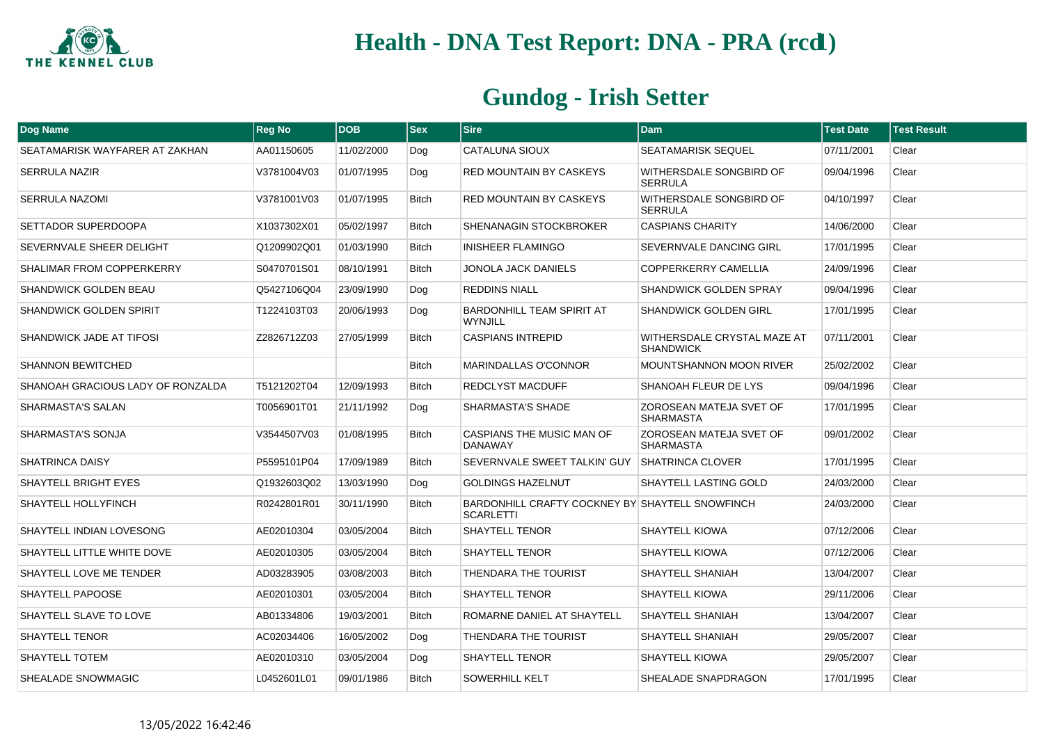

| Dog Name                          | <b>Reg No</b> | <b>DOB</b> | <b>Sex</b>   | <b>Sire</b>                                                         | <b>Dam</b>                                         | <b>Test Date</b> | <b>Test Result</b> |
|-----------------------------------|---------------|------------|--------------|---------------------------------------------------------------------|----------------------------------------------------|------------------|--------------------|
| SEATAMARISK WAYFARER AT ZAKHAN    | AA01150605    | 11/02/2000 | Dog          | CATALUNA SIOUX                                                      | <b>SEATAMARISK SEQUEL</b>                          | 07/11/2001       | Clear              |
| <b>SERRULA NAZIR</b>              | V3781004V03   | 01/07/1995 | Dog          | <b>RED MOUNTAIN BY CASKEYS</b>                                      | WITHERSDALE SONGBIRD OF<br><b>SERRULA</b>          | 09/04/1996       | Clear              |
| <b>SERRULA NAZOMI</b>             | V3781001V03   | 01/07/1995 | <b>Bitch</b> | <b>RED MOUNTAIN BY CASKEYS</b>                                      | WITHERSDALE SONGBIRD OF<br><b>SERRULA</b>          | 04/10/1997       | Clear              |
| SETTADOR SUPERDOOPA               | X1037302X01   | 05/02/1997 | <b>Bitch</b> | SHENANAGIN STOCKBROKER                                              | <b>CASPIANS CHARITY</b>                            | 14/06/2000       | Clear              |
| SEVERNVALE SHEER DELIGHT          | Q1209902Q01   | 01/03/1990 | <b>Bitch</b> | <b>INISHEER FLAMINGO</b>                                            | SEVERNVALE DANCING GIRL                            | 17/01/1995       | Clear              |
| SHALIMAR FROM COPPERKERRY         | S0470701S01   | 08/10/1991 | <b>Bitch</b> | JONOLA JACK DANIELS                                                 | <b>COPPERKERRY CAMELLIA</b>                        | 24/09/1996       | Clear              |
| <b>SHANDWICK GOLDEN BEAU</b>      | Q5427106Q04   | 23/09/1990 | Dog          | <b>REDDINS NIALL</b>                                                | <b>SHANDWICK GOLDEN SPRAY</b>                      | 09/04/1996       | Clear              |
| <b>SHANDWICK GOLDEN SPIRIT</b>    | T1224103T03   | 20/06/1993 | Dog          | <b>BARDONHILL TEAM SPIRIT AT</b><br><b>WYNJILL</b>                  | <b>SHANDWICK GOLDEN GIRL</b>                       | 17/01/1995       | Clear              |
| SHANDWICK JADE AT TIFOSI          | Z2826712Z03   | 27/05/1999 | <b>Bitch</b> | <b>CASPIANS INTREPID</b>                                            | WITHERSDALE CRYSTAL MAZE AT<br><b>SHANDWICK</b>    | 07/11/2001       | Clear              |
| <b>SHANNON BEWITCHED</b>          |               |            | <b>Bitch</b> | <b>MARINDALLAS O'CONNOR</b>                                         | <b>MOUNTSHANNON MOON RIVER</b>                     | 25/02/2002       | Clear              |
| SHANOAH GRACIOUS LADY OF RONZALDA | T5121202T04   | 12/09/1993 | <b>Bitch</b> | <b>REDCLYST MACDUFF</b>                                             | SHANOAH FLEUR DE LYS                               | 09/04/1996       | Clear              |
| SHARMASTA'S SALAN                 | T0056901T01   | 21/11/1992 | Dog          | <b>SHARMASTA'S SHADE</b>                                            | ZOROSEAN MATEJA SVET OF<br><b>SHARMASTA</b>        | 17/01/1995       | Clear              |
| SHARMASTA'S SONJA                 | V3544507V03   | 01/08/1995 | <b>Bitch</b> | CASPIANS THE MUSIC MAN OF<br><b>DANAWAY</b>                         | <b>ZOROSEAN MATEJA SVET OF</b><br><b>SHARMASTA</b> | 09/01/2002       | Clear              |
| SHATRINCA DAISY                   | P5595101P04   | 17/09/1989 | <b>Bitch</b> | SEVERNVALE SWEET TALKIN' GUY                                        | <b>SHATRINCA CLOVER</b>                            | 17/01/1995       | Clear              |
| <b>SHAYTELL BRIGHT EYES</b>       | Q1932603Q02   | 13/03/1990 | Dog          | <b>GOLDINGS HAZELNUT</b>                                            | SHAYTELL LASTING GOLD                              | 24/03/2000       | Clear              |
| SHAYTELL HOLLYFINCH               | R0242801R01   | 30/11/1990 | <b>Bitch</b> | BARDONHILL CRAFTY COCKNEY BY SHAYTELL SNOWFINCH<br><b>SCARLETTI</b> |                                                    | 24/03/2000       | Clear              |
| SHAYTELL INDIAN LOVESONG          | AE02010304    | 03/05/2004 | <b>Bitch</b> | <b>SHAYTELL TENOR</b>                                               | <b>SHAYTELL KIOWA</b>                              | 07/12/2006       | Clear              |
| SHAYTELL LITTLE WHITE DOVE        | AE02010305    | 03/05/2004 | <b>Bitch</b> | <b>SHAYTELL TENOR</b>                                               | <b>SHAYTELL KIOWA</b>                              | 07/12/2006       | Clear              |
| SHAYTELL LOVE ME TENDER           | AD03283905    | 03/08/2003 | <b>Bitch</b> | THENDARA THE TOURIST                                                | SHAYTELL SHANIAH                                   | 13/04/2007       | Clear              |
| SHAYTELL PAPOOSE                  | AE02010301    | 03/05/2004 | <b>Bitch</b> | <b>SHAYTELL TENOR</b>                                               | <b>SHAYTELL KIOWA</b>                              | 29/11/2006       | Clear              |
| SHAYTELL SLAVE TO LOVE            | AB01334806    | 19/03/2001 | <b>Bitch</b> | ROMARNE DANIEL AT SHAYTELL                                          | SHAYTELL SHANIAH                                   | 13/04/2007       | Clear              |
| <b>SHAYTELL TENOR</b>             | AC02034406    | 16/05/2002 | Dog          | THENDARA THE TOURIST                                                | SHAYTELL SHANIAH                                   | 29/05/2007       | Clear              |
| <b>SHAYTELL TOTEM</b>             | AE02010310    | 03/05/2004 | Dog          | <b>SHAYTELL TENOR</b>                                               | <b>SHAYTELL KIOWA</b>                              | 29/05/2007       | Clear              |
| SHEALADE SNOWMAGIC                | L0452601L01   | 09/01/1986 | <b>Bitch</b> | <b>SOWERHILL KELT</b>                                               | SHEALADE SNAPDRAGON                                | 17/01/1995       | Clear              |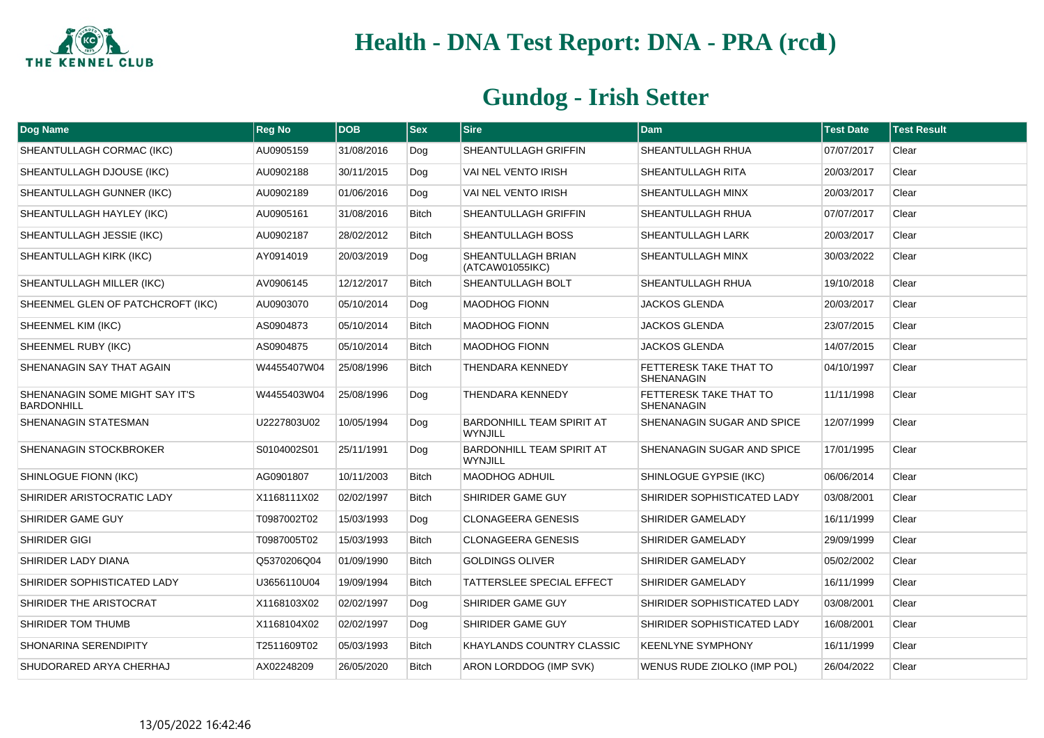

| <b>Dog Name</b>                                     | <b>Reg No</b> | <b>DOB</b> | <b>Sex</b>   | <b>Sire</b>                                        | <b>Dam</b>                                  | <b>Test Date</b> | <b>Test Result</b> |
|-----------------------------------------------------|---------------|------------|--------------|----------------------------------------------------|---------------------------------------------|------------------|--------------------|
| SHEANTULLAGH CORMAC (IKC)                           | AU0905159     | 31/08/2016 | Dog          | SHEANTULLAGH GRIFFIN                               | <b>SHEANTULLAGH RHUA</b>                    | 07/07/2017       | Clear              |
| SHEANTULLAGH DJOUSE (IKC)                           | AU0902188     | 30/11/2015 | Dog          | VAI NEL VENTO IRISH                                | SHEANTULLAGH RITA                           | 20/03/2017       | Clear              |
| SHEANTULLAGH GUNNER (IKC)                           | AU0902189     | 01/06/2016 | Dog          | VAI NEL VENTO IRISH                                | SHEANTULLAGH MINX                           | 20/03/2017       | Clear              |
| SHEANTULLAGH HAYLEY (IKC)                           | AU0905161     | 31/08/2016 | <b>Bitch</b> | SHEANTULLAGH GRIFFIN                               | SHEANTULLAGH RHUA                           | 07/07/2017       | Clear              |
| SHEANTULLAGH JESSIE (IKC)                           | AU0902187     | 28/02/2012 | Bitch        | SHEANTULLAGH BOSS                                  | <b>SHEANTULLAGH LARK</b>                    | 20/03/2017       | Clear              |
| SHEANTULLAGH KIRK (IKC)                             | AY0914019     | 20/03/2019 | Dog          | SHEANTULLAGH BRIAN<br>(ATCAW01055IKC)              | <b>SHEANTULLAGH MINX</b>                    | 30/03/2022       | Clear              |
| SHEANTULLAGH MILLER (IKC)                           | AV0906145     | 12/12/2017 | <b>Bitch</b> | SHEANTULLAGH BOLT                                  | SHEANTULLAGH RHUA                           | 19/10/2018       | Clear              |
| SHEENMEL GLEN OF PATCHCROFT (IKC)                   | AU0903070     | 05/10/2014 | Dog          | <b>MAODHOG FIONN</b>                               | <b>JACKOS GLENDA</b>                        | 20/03/2017       | Clear              |
| SHEENMEL KIM (IKC)                                  | AS0904873     | 05/10/2014 | <b>Bitch</b> | <b>MAODHOG FIONN</b>                               | <b>JACKOS GLENDA</b>                        | 23/07/2015       | Clear              |
| SHEENMEL RUBY (IKC)                                 | AS0904875     | 05/10/2014 | Bitch        | <b>MAODHOG FIONN</b>                               | <b>JACKOS GLENDA</b>                        | 14/07/2015       | Clear              |
| SHENANAGIN SAY THAT AGAIN                           | W4455407W04   | 25/08/1996 | <b>Bitch</b> | THENDARA KENNEDY                                   | FETTERESK TAKE THAT TO<br><b>SHENANAGIN</b> | 04/10/1997       | Clear              |
| SHENANAGIN SOME MIGHT SAY IT'S<br><b>BARDONHILL</b> | W4455403W04   | 25/08/1996 | Dog          | THENDARA KENNEDY                                   | FETTERESK TAKE THAT TO<br><b>SHENANAGIN</b> | 11/11/1998       | Clear              |
| SHENANAGIN STATESMAN                                | U2227803U02   | 10/05/1994 | Dog          | <b>BARDONHILL TEAM SPIRIT AT</b><br><b>WYNJILL</b> | SHENANAGIN SUGAR AND SPICE                  | 12/07/1999       | Clear              |
| SHENANAGIN STOCKBROKER                              | S0104002S01   | 25/11/1991 | Dog          | BARDONHILL TEAM SPIRIT AT<br><b>WYNJILL</b>        | SHENANAGIN SUGAR AND SPICE                  | 17/01/1995       | Clear              |
| SHINLOGUE FIONN (IKC)                               | AG0901807     | 10/11/2003 | <b>Bitch</b> | <b>MAODHOG ADHUIL</b>                              | SHINLOGUE GYPSIE (IKC)                      | 06/06/2014       | Clear              |
| SHIRIDER ARISTOCRATIC LADY                          | X1168111X02   | 02/02/1997 | <b>Bitch</b> | SHIRIDER GAME GUY                                  | SHIRIDER SOPHISTICATED LADY                 | 03/08/2001       | Clear              |
| SHIRIDER GAME GUY                                   | T0987002T02   | 15/03/1993 | Dog          | <b>CLONAGEERA GENESIS</b>                          | SHIRIDER GAMELADY                           | 16/11/1999       | Clear              |
| SHIRIDER GIGI                                       | T0987005T02   | 15/03/1993 | <b>Bitch</b> | <b>CLONAGEERA GENESIS</b>                          | SHIRIDER GAMELADY                           | 29/09/1999       | Clear              |
| SHIRIDER LADY DIANA                                 | Q5370206Q04   | 01/09/1990 | <b>Bitch</b> | <b>GOLDINGS OLIVER</b>                             | SHIRIDER GAMELADY                           | 05/02/2002       | Clear              |
| SHIRIDER SOPHISTICATED LADY                         | U3656110U04   | 19/09/1994 | <b>Bitch</b> | TATTERSLEE SPECIAL EFFECT                          | SHIRIDER GAMELADY                           | 16/11/1999       | Clear              |
| SHIRIDER THE ARISTOCRAT                             | X1168103X02   | 02/02/1997 | Dog          | SHIRIDER GAME GUY                                  | SHIRIDER SOPHISTICATED LADY                 | 03/08/2001       | Clear              |
| SHIRIDER TOM THUMB                                  | X1168104X02   | 02/02/1997 | Dog          | SHIRIDER GAME GUY                                  | SHIRIDER SOPHISTICATED LADY                 | 16/08/2001       | Clear              |
| SHONARINA SERENDIPITY                               | T2511609T02   | 05/03/1993 | <b>Bitch</b> | KHAYLANDS COUNTRY CLASSIC                          | <b>KEENLYNE SYMPHONY</b>                    | 16/11/1999       | Clear              |
| SHUDORARED ARYA CHERHAJ                             | AX02248209    | 26/05/2020 | <b>Bitch</b> | ARON LORDDOG (IMP SVK)                             | WENUS RUDE ZIOLKO (IMP POL)                 | 26/04/2022       | Clear              |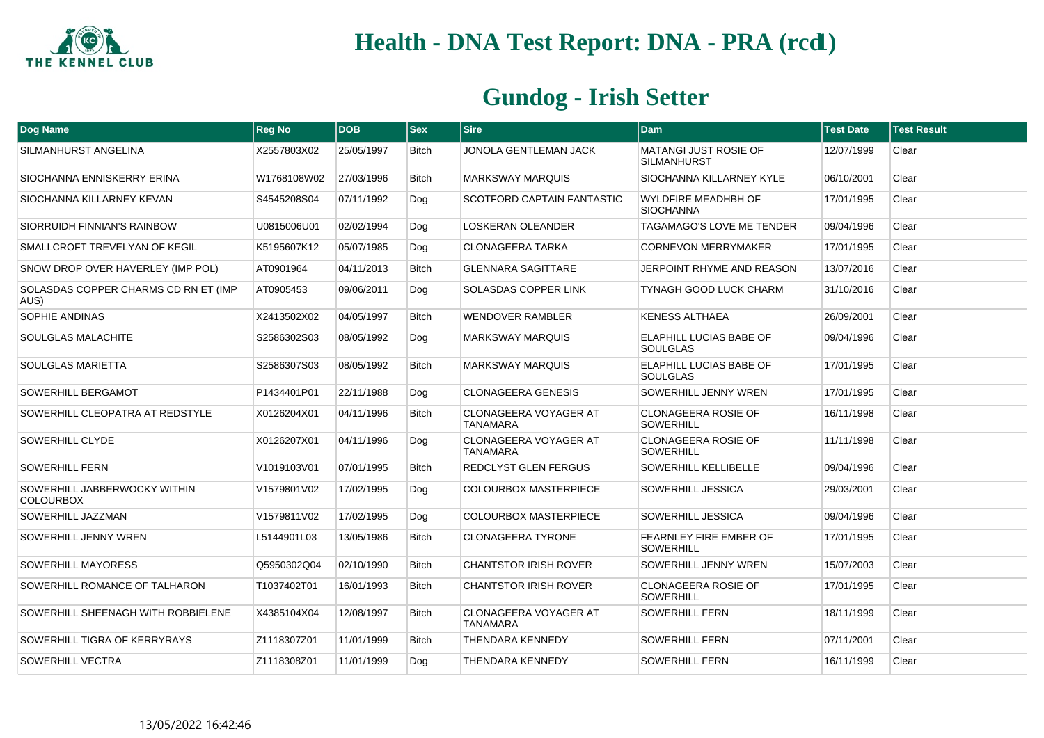

| Dog Name                                         | <b>Reg No</b> | <b>DOB</b> | <b>Sex</b>   | $ S$ ire                                        | Dam                                            | <b>Test Date</b> | <b>Test Result</b> |
|--------------------------------------------------|---------------|------------|--------------|-------------------------------------------------|------------------------------------------------|------------------|--------------------|
| SILMANHURST ANGELINA                             | X2557803X02   | 25/05/1997 | <b>Bitch</b> | JONOLA GENTLEMAN JACK                           | MATANGI JUST ROSIE OF<br><b>SILMANHURST</b>    | 12/07/1999       | Clear              |
| SIOCHANNA ENNISKERRY ERINA                       | W1768108W02   | 27/03/1996 | <b>Bitch</b> | <b>MARKSWAY MARQUIS</b>                         | SIOCHANNA KILLARNEY KYLE                       | 06/10/2001       | Clear              |
| SIOCHANNA KILLARNEY KEVAN                        | S4545208S04   | 07/11/1992 | Dog          | SCOTFORD CAPTAIN FANTASTIC                      | <b>WYLDFIRE MEADHBH OF</b><br><b>SIOCHANNA</b> | 17/01/1995       | Clear              |
| SIORRUIDH FINNIAN'S RAINBOW                      | U0815006U01   | 02/02/1994 | Dog          | <b>LOSKERAN OLEANDER</b>                        | TAGAMAGO'S LOVE ME TENDER                      | 09/04/1996       | Clear              |
| <b>SMALLCROFT TREVELYAN OF KEGIL</b>             | K5195607K12   | 05/07/1985 | Dog          | <b>CLONAGEERA TARKA</b>                         | <b>CORNEVON MERRYMAKER</b>                     | 17/01/1995       | Clear              |
| SNOW DROP OVER HAVERLEY (IMP POL)                | AT0901964     | 04/11/2013 | <b>Bitch</b> | <b>GLENNARA SAGITTARE</b>                       | JERPOINT RHYME AND REASON                      | 13/07/2016       | Clear              |
| SOLASDAS COPPER CHARMS CD RN ET (IMP<br>AUS)     | AT0905453     | 09/06/2011 | Dog          | SOLASDAS COPPER LINK                            | TYNAGH GOOD LUCK CHARM                         | 31/10/2016       | Clear              |
| SOPHIE ANDINAS                                   | X2413502X02   | 04/05/1997 | <b>Bitch</b> | <b>WENDOVER RAMBLER</b>                         | KENESS ALTHAEA                                 | 26/09/2001       | Clear              |
| SOULGLAS MALACHITE                               | S2586302S03   | 08/05/1992 | Dog          | <b>MARKSWAY MARQUIS</b>                         | ELAPHILL LUCIAS BABE OF<br><b>SOULGLAS</b>     | 09/04/1996       | Clear              |
| SOULGLAS MARIETTA                                | S2586307S03   | 08/05/1992 | <b>Bitch</b> | <b>MARKSWAY MARQUIS</b>                         | ELAPHILL LUCIAS BABE OF<br><b>SOULGLAS</b>     | 17/01/1995       | Clear              |
| SOWERHILL BERGAMOT                               | P1434401P01   | 22/11/1988 | Dog          | <b>CLONAGEERA GENESIS</b>                       | SOWERHILL JENNY WREN                           | 17/01/1995       | Clear              |
| SOWERHILL CLEOPATRA AT REDSTYLE                  | X0126204X01   | 04/11/1996 | <b>Bitch</b> | <b>CLONAGEERA VOYAGER AT</b><br><b>TANAMARA</b> | <b>CLONAGEERA ROSIE OF</b><br><b>SOWERHILL</b> | 16/11/1998       | Clear              |
| SOWERHILL CLYDE                                  | X0126207X01   | 04/11/1996 | Dog          | <b>CLONAGEERA VOYAGER AT</b><br><b>TANAMARA</b> | <b>CLONAGEERA ROSIE OF</b><br><b>SOWERHILL</b> | 11/11/1998       | Clear              |
| <b>SOWERHILL FERN</b>                            | V1019103V01   | 07/01/1995 | <b>Bitch</b> | REDCLYST GLEN FERGUS                            | <b>SOWERHILL KELLIBELLE</b>                    | 09/04/1996       | Clear              |
| SOWERHILL JABBERWOCKY WITHIN<br><b>COLOURBOX</b> | V1579801V02   | 17/02/1995 | Dog          | <b>COLOURBOX MASTERPIECE</b>                    | SOWERHILL JESSICA                              | 29/03/2001       | Clear              |
| SOWERHILL JAZZMAN                                | V1579811V02   | 17/02/1995 | Dog          | COLOURBOX MASTERPIECE                           | SOWERHILL JESSICA                              | 09/04/1996       | Clear              |
| SOWERHILL JENNY WREN                             | L5144901L03   | 13/05/1986 | <b>Bitch</b> | <b>CLONAGEERA TYRONE</b>                        | FEARNLEY FIRE EMBER OF<br><b>SOWERHILL</b>     | 17/01/1995       | Clear              |
| SOWERHILL MAYORESS                               | Q5950302Q04   | 02/10/1990 | <b>Bitch</b> | <b>CHANTSTOR IRISH ROVER</b>                    | SOWERHILL JENNY WREN                           | 15/07/2003       | Clear              |
| SOWERHILL ROMANCE OF TALHARON                    | T1037402T01   | 16/01/1993 | <b>Bitch</b> | <b>CHANTSTOR IRISH ROVER</b>                    | <b>CLONAGEERA ROSIE OF</b><br><b>SOWERHILL</b> | 17/01/1995       | Clear              |
| SOWERHILL SHEENAGH WITH ROBBIELENE               | X4385104X04   | 12/08/1997 | <b>Bitch</b> | <b>CLONAGEERA VOYAGER AT</b><br><b>TANAMARA</b> | <b>SOWERHILL FERN</b>                          | 18/11/1999       | Clear              |
| SOWERHILL TIGRA OF KERRYRAYS                     | Z1118307Z01   | 11/01/1999 | <b>Bitch</b> | <b>THENDARA KENNEDY</b>                         | <b>SOWERHILL FERN</b>                          | 07/11/2001       | Clear              |
| SOWERHILL VECTRA                                 | Z1118308Z01   | 11/01/1999 | Dog          | THENDARA KENNEDY                                | <b>SOWERHILL FERN</b>                          | 16/11/1999       | Clear              |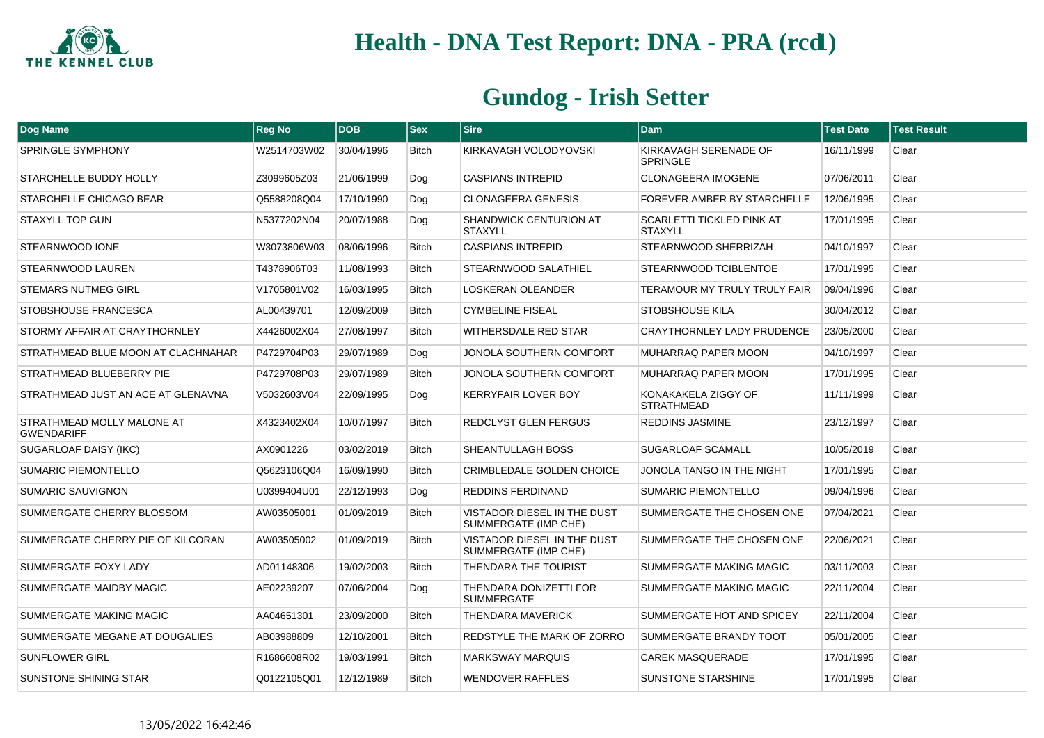

| Dog Name                                        | <b>Reg No</b> | <b>DOB</b> | <b>Sex</b>   | <b>Sire</b>                                         | <b>Dam</b>                                         | <b>Test Date</b> | <b>Test Result</b> |
|-------------------------------------------------|---------------|------------|--------------|-----------------------------------------------------|----------------------------------------------------|------------------|--------------------|
| <b>SPRINGLE SYMPHONY</b>                        | W2514703W02   | 30/04/1996 | <b>Bitch</b> | KIRKAVAGH VOLODYOVSKI                               | KIRKAVAGH SERENADE OF<br><b>SPRINGLE</b>           | 16/11/1999       | Clear              |
| STARCHELLE BUDDY HOLLY                          | Z3099605Z03   | 21/06/1999 | Dog          | <b>CASPIANS INTREPID</b>                            | <b>CLONAGEERA IMOGENE</b>                          | 07/06/2011       | Clear              |
| STARCHELLE CHICAGO BEAR                         | Q5588208Q04   | 17/10/1990 | Dog          | <b>CLONAGEERA GENESIS</b>                           | FOREVER AMBER BY STARCHELLE                        | 12/06/1995       | Clear              |
| <b>STAXYLL TOP GUN</b>                          | N5377202N04   | 20/07/1988 | Dog          | SHANDWICK CENTURION AT<br><b>STAXYLL</b>            | <b>SCARLETTI TICKLED PINK AT</b><br><b>STAXYLL</b> | 17/01/1995       | Clear              |
| STEARNWOOD IONE                                 | W3073806W03   | 08/06/1996 | <b>Bitch</b> | <b>CASPIANS INTREPID</b>                            | STEARNWOOD SHERRIZAH                               | 04/10/1997       | Clear              |
| STEARNWOOD LAUREN                               | T4378906T03   | 11/08/1993 | <b>Bitch</b> | STEARNWOOD SALATHIEL                                | STEARNWOOD TCIBLENTOE                              | 17/01/1995       | Clear              |
| <b>STEMARS NUTMEG GIRL</b>                      | V1705801V02   | 16/03/1995 | <b>Bitch</b> | <b>LOSKERAN OLEANDER</b>                            | TERAMOUR MY TRULY TRULY FAIR                       | 09/04/1996       | Clear              |
| STOBSHOUSE FRANCESCA                            | AL00439701    | 12/09/2009 | <b>Bitch</b> | <b>CYMBELINE FISEAL</b>                             | <b>STOBSHOUSE KILA</b>                             | 30/04/2012       | Clear              |
| STORMY AFFAIR AT CRAYTHORNLEY                   | X4426002X04   | 27/08/1997 | <b>Bitch</b> | WITHERSDALE RED STAR                                | CRAYTHORNLEY LADY PRUDENCE                         | 23/05/2000       | Clear              |
| STRATHMEAD BLUE MOON AT CLACHNAHAR              | P4729704P03   | 29/07/1989 | Dog          | JONOLA SOUTHERN COMFORT                             | MUHARRAQ PAPER MOON                                | 04/10/1997       | Clear              |
| STRATHMEAD BLUEBERRY PIE                        | P4729708P03   | 29/07/1989 | <b>Bitch</b> | JONOLA SOUTHERN COMFORT                             | MUHARRAQ PAPER MOON                                | 17/01/1995       | Clear              |
| STRATHMEAD JUST AN ACE AT GLENAVNA              | V5032603V04   | 22/09/1995 | Dog          | <b>KERRYFAIR LOVER BOY</b>                          | KONAKAKELA ZIGGY OF<br><b>STRATHMEAD</b>           | 11/11/1999       | Clear              |
| STRATHMEAD MOLLY MALONE AT<br><b>GWENDARIFF</b> | X4323402X04   | 10/07/1997 | <b>Bitch</b> | REDCLYST GLEN FERGUS                                | REDDINS JASMINE                                    | 23/12/1997       | Clear              |
| SUGARLOAF DAISY (IKC)                           | AX0901226     | 03/02/2019 | <b>Bitch</b> | SHEANTULLAGH BOSS                                   | <b>SUGARLOAF SCAMALL</b>                           | 10/05/2019       | Clear              |
| <b>SUMARIC PIEMONTELLO</b>                      | Q5623106Q04   | 16/09/1990 | <b>Bitch</b> | <b>CRIMBLEDALE GOLDEN CHOICE</b>                    | JONOLA TANGO IN THE NIGHT                          | 17/01/1995       | Clear              |
| SUMARIC SAUVIGNON                               | U0399404U01   | 22/12/1993 | Dog          | <b>REDDINS FERDINAND</b>                            | <b>SUMARIC PIEMONTELLO</b>                         | 09/04/1996       | Clear              |
| SUMMERGATE CHERRY BLOSSOM                       | AW03505001    | 01/09/2019 | <b>Bitch</b> | VISTADOR DIESEL IN THE DUST<br>SUMMERGATE (IMP CHE) | SUMMERGATE THE CHOSEN ONE                          | 07/04/2021       | Clear              |
| SUMMERGATE CHERRY PIE OF KILCORAN               | AW03505002    | 01/09/2019 | <b>Bitch</b> | VISTADOR DIESEL IN THE DUST<br>SUMMERGATE (IMP CHE) | SUMMERGATE THE CHOSEN ONE                          | 22/06/2021       | Clear              |
| <b>SUMMERGATE FOXY LADY</b>                     | AD01148306    | 19/02/2003 | <b>Bitch</b> | THENDARA THE TOURIST                                | <b>SUMMERGATE MAKING MAGIC</b>                     | 03/11/2003       | Clear              |
| SUMMERGATE MAIDBY MAGIC                         | AE02239207    | 07/06/2004 | Dog          | THENDARA DONIZETTI FOR<br><b>SUMMERGATE</b>         | SUMMERGATE MAKING MAGIC                            | 22/11/2004       | Clear              |
| SUMMERGATE MAKING MAGIC                         | AA04651301    | 23/09/2000 | <b>Bitch</b> | THENDARA MAVERICK                                   | SUMMERGATE HOT AND SPICEY                          | 22/11/2004       | Clear              |
| SUMMERGATE MEGANE AT DOUGALIES                  | AB03988809    | 12/10/2001 | <b>Bitch</b> | REDSTYLE THE MARK OF ZORRO                          | SUMMERGATE BRANDY TOOT                             | 05/01/2005       | Clear              |
| <b>SUNFLOWER GIRL</b>                           | R1686608R02   | 19/03/1991 | <b>Bitch</b> | <b>MARKSWAY MARQUIS</b>                             | <b>CAREK MASQUERADE</b>                            | 17/01/1995       | Clear              |
| <b>SUNSTONE SHINING STAR</b>                    | Q0122105Q01   | 12/12/1989 | <b>Bitch</b> | <b>WENDOVER RAFFLES</b>                             | <b>SUNSTONE STARSHINE</b>                          | 17/01/1995       | Clear              |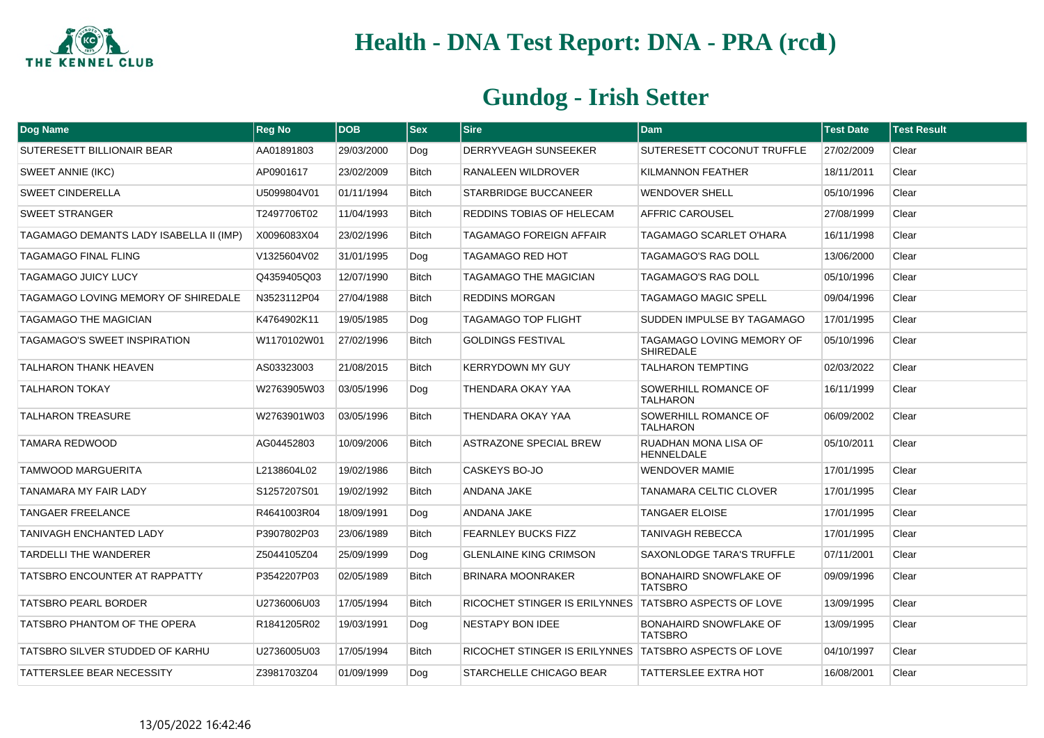

| Dog Name                                | <b>Reg No</b> | <b>DOB</b> | <b>Sex</b>   | <b>Sire</b>                                           | <b>Dam</b>                                      | <b>Test Date</b> | <b>Test Result</b> |
|-----------------------------------------|---------------|------------|--------------|-------------------------------------------------------|-------------------------------------------------|------------------|--------------------|
| SUTERESETT BILLIONAIR BEAR              | AA01891803    | 29/03/2000 | Dog          | DERRYVEAGH SUNSEEKER                                  | SUTERESETT COCONUT TRUFFLE                      | 27/02/2009       | Clear              |
| SWEET ANNIE (IKC)                       | AP0901617     | 23/02/2009 | <b>Bitch</b> | RANALEEN WILDROVER                                    | KILMANNON FEATHER                               | 18/11/2011       | Clear              |
| <b>SWEET CINDERELLA</b>                 | U5099804V01   | 01/11/1994 | <b>Bitch</b> | STARBRIDGE BUCCANEER                                  | <b>WENDOVER SHELL</b>                           | 05/10/1996       | Clear              |
| <b>SWEET STRANGER</b>                   | T2497706T02   | 11/04/1993 | <b>Bitch</b> | REDDINS TOBIAS OF HELECAM                             | AFFRIC CAROUSEL                                 | 27/08/1999       | Clear              |
| TAGAMAGO DEMANTS LADY ISABELLA II (IMP) | X0096083X04   | 23/02/1996 | <b>Bitch</b> | TAGAMAGO FOREIGN AFFAIR                               | TAGAMAGO SCARLET O'HARA                         | 16/11/1998       | Clear              |
| <b>TAGAMAGO FINAL FLING</b>             | V1325604V02   | 31/01/1995 | Dog          | TAGAMAGO RED HOT                                      | <b>TAGAMAGO'S RAG DOLL</b>                      | 13/06/2000       | Clear              |
| <b>TAGAMAGO JUICY LUCY</b>              | Q4359405Q03   | 12/07/1990 | <b>Bitch</b> | TAGAMAGO THE MAGICIAN                                 | TAGAMAGO'S RAG DOLL                             | 05/10/1996       | Clear              |
| TAGAMAGO LOVING MEMORY OF SHIREDALE     | N3523112P04   | 27/04/1988 | <b>Bitch</b> | <b>REDDINS MORGAN</b>                                 | <b>TAGAMAGO MAGIC SPELL</b>                     | 09/04/1996       | Clear              |
| <b>TAGAMAGO THE MAGICIAN</b>            | K4764902K11   | 19/05/1985 | Dog          | <b>TAGAMAGO TOP FLIGHT</b>                            | SUDDEN IMPULSE BY TAGAMAGO                      | 17/01/1995       | Clear              |
| TAGAMAGO'S SWEET INSPIRATION            | W1170102W01   | 27/02/1996 | <b>Bitch</b> | <b>GOLDINGS FESTIVAL</b>                              | TAGAMAGO LOVING MEMORY OF<br><b>SHIREDALE</b>   | 05/10/1996       | Clear              |
| <b>TALHARON THANK HEAVEN</b>            | AS03323003    | 21/08/2015 | <b>Bitch</b> | <b>KERRYDOWN MY GUY</b>                               | <b>TALHARON TEMPTING</b>                        | 02/03/2022       | Clear              |
| <b>TALHARON TOKAY</b>                   | W2763905W03   | 03/05/1996 | Dog          | THENDARA OKAY YAA                                     | SOWERHILL ROMANCE OF<br><b>TALHARON</b>         | 16/11/1999       | Clear              |
| <b>TALHARON TREASURE</b>                | W2763901W03   | 03/05/1996 | <b>Bitch</b> | THENDARA OKAY YAA                                     | SOWERHILL ROMANCE OF<br><b>TALHARON</b>         | 06/09/2002       | Clear              |
| TAMARA REDWOOD                          | AG04452803    | 10/09/2006 | <b>Bitch</b> | <b>ASTRAZONE SPECIAL BREW</b>                         | RUADHAN MONA LISA OF<br><b>HENNELDALE</b>       | 05/10/2011       | Clear              |
| <b>TAMWOOD MARGUERITA</b>               | L2138604L02   | 19/02/1986 | <b>Bitch</b> | CASKEYS BO-JO                                         | <b>WENDOVER MAMIE</b>                           | 17/01/1995       | Clear              |
| TANAMARA MY FAIR LADY                   | S1257207S01   | 19/02/1992 | <b>Bitch</b> | ANDANA JAKE                                           | TANAMARA CELTIC CLOVER                          | 17/01/1995       | Clear              |
| <b>TANGAER FREELANCE</b>                | R4641003R04   | 18/09/1991 | Dog          | ANDANA JAKE                                           | <b>TANGAER ELOISE</b>                           | 17/01/1995       | Clear              |
| TANIVAGH ENCHANTED LADY                 | P3907802P03   | 23/06/1989 | <b>Bitch</b> | <b>FEARNLEY BUCKS FIZZ</b>                            | TANIVAGH REBECCA                                | 17/01/1995       | Clear              |
| <b>TARDELLI THE WANDERER</b>            | Z5044105Z04   | 25/09/1999 | Dog          | <b>GLENLAINE KING CRIMSON</b>                         | SAXONLODGE TARA'S TRUFFLE                       | 07/11/2001       | Clear              |
| <b>TATSBRO ENCOUNTER AT RAPPATTY</b>    | P3542207P03   | 02/05/1989 | <b>Bitch</b> | <b>BRINARA MOONRAKER</b>                              | BONAHAIRD SNOWFLAKE OF<br><b>TATSBRO</b>        | 09/09/1996       | Clear              |
| <b>TATSBRO PEARL BORDER</b>             | U2736006U03   | 17/05/1994 | <b>Bitch</b> | RICOCHET STINGER IS ERILYNNES TATSBRO ASPECTS OF LOVE |                                                 | 13/09/1995       | Clear              |
| TATSBRO PHANTOM OF THE OPERA            | R1841205R02   | 19/03/1991 | Dog          | <b>NESTAPY BON IDEE</b>                               | <b>BONAHAIRD SNOWFLAKE OF</b><br><b>TATSBRO</b> | 13/09/1995       | Clear              |
| TATSBRO SILVER STUDDED OF KARHU         | U2736005U03   | 17/05/1994 | <b>Bitch</b> | RICOCHET STINGER IS ERILYNNES TATSBRO ASPECTS OF LOVE |                                                 | 04/10/1997       | Clear              |
| <b>TATTERSLEE BEAR NECESSITY</b>        | Z3981703Z04   | 01/09/1999 | Dog          | STARCHELLE CHICAGO BEAR                               | <b>TATTERSLEE EXTRA HOT</b>                     | 16/08/2001       | Clear              |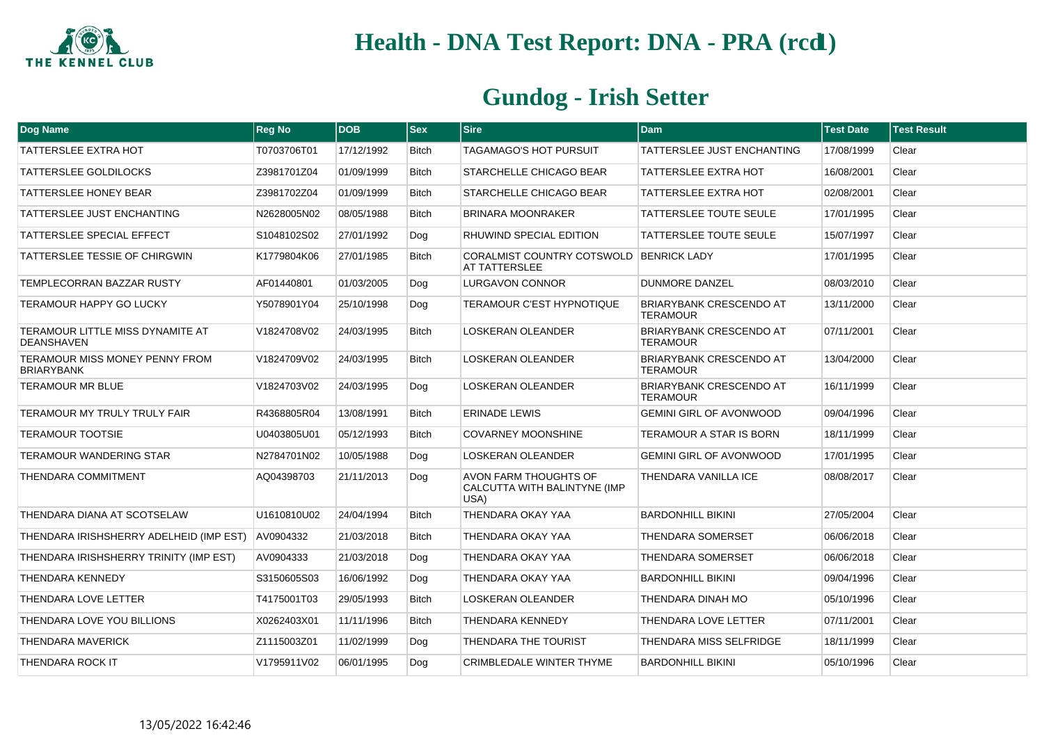

| Dog Name                                              | <b>Reg No</b> | <b>DOB</b> | $ $ Sex      | <b>Sire</b>                                                   | <b>Dam</b>                                        | <b>Test Date</b> | <b>Test Result</b> |
|-------------------------------------------------------|---------------|------------|--------------|---------------------------------------------------------------|---------------------------------------------------|------------------|--------------------|
| <b>TATTERSLEE EXTRA HOT</b>                           | T0703706T01   | 17/12/1992 | <b>Bitch</b> | TAGAMAGO'S HOT PURSUIT                                        | TATTERSLEE JUST ENCHANTING                        | 17/08/1999       | Clear              |
| TATTERSLEE GOLDILOCKS                                 | Z3981701Z04   | 01/09/1999 | Bitch        | STARCHELLE CHICAGO BEAR                                       | <b>TATTERSLEE EXTRA HOT</b>                       | 16/08/2001       | Clear              |
| TATTERSLEE HONEY BEAR                                 | Z3981702Z04   | 01/09/1999 | <b>Bitch</b> | STARCHELLE CHICAGO BEAR                                       | <b>TATTERSLEE EXTRA HOT</b>                       | 02/08/2001       | Clear              |
| TATTERSLEE JUST ENCHANTING                            | N2628005N02   | 08/05/1988 | <b>Bitch</b> | <b>BRINARA MOONRAKER</b>                                      | <b>TATTERSLEE TOUTE SEULE</b>                     | 17/01/1995       | Clear              |
| <b>TATTERSLEE SPECIAL EFFECT</b>                      | S1048102S02   | 27/01/1992 | Dog          | RHUWIND SPECIAL EDITION                                       | <b>TATTERSLEE TOUTE SEULE</b>                     | 15/07/1997       | Clear              |
| TATTERSLEE TESSIE OF CHIRGWIN                         | K1779804K06   | 27/01/1985 | <b>Bitch</b> | CORALMIST COUNTRY COTSWOLD BENRICK LADY<br>AT TATTERSLEE      |                                                   | 17/01/1995       | Clear              |
| <b>TEMPLECORRAN BAZZAR RUSTY</b>                      | AF01440801    | 01/03/2005 | Dog          | <b>LURGAVON CONNOR</b>                                        | <b>DUNMORE DANZEL</b>                             | 08/03/2010       | Clear              |
| <b>TERAMOUR HAPPY GO LUCKY</b>                        | Y5078901Y04   | 25/10/1998 | Dog          | TERAMOUR C'EST HYPNOTIQUE                                     | <b>BRIARYBANK CRESCENDO AT</b><br><b>TERAMOUR</b> | 13/11/2000       | Clear              |
| TERAMOUR LITTLE MISS DYNAMITE AT<br><b>DEANSHAVEN</b> | V1824708V02   | 24/03/1995 | <b>Bitch</b> | <b>LOSKERAN OLEANDER</b>                                      | <b>BRIARYBANK CRESCENDO AT</b><br><b>TERAMOUR</b> | 07/11/2001       | Clear              |
| TERAMOUR MISS MONEY PENNY FROM<br><b>BRIARYBANK</b>   | V1824709V02   | 24/03/1995 | <b>Bitch</b> | <b>LOSKERAN OLEANDER</b>                                      | <b>BRIARYBANK CRESCENDO AT</b><br><b>TERAMOUR</b> | 13/04/2000       | Clear              |
| TERAMOUR MR BLUE                                      | V1824703V02   | 24/03/1995 | Dog          | <b>LOSKERAN OLEANDER</b>                                      | <b>BRIARYBANK CRESCENDO AT</b><br>TERAMOUR        | 16/11/1999       | Clear              |
| TERAMOUR MY TRULY TRULY FAIR                          | R4368805R04   | 13/08/1991 | <b>Bitch</b> | <b>ERINADE LEWIS</b>                                          | <b>GEMINI GIRL OF AVONWOOD</b>                    | 09/04/1996       | Clear              |
| <b>TERAMOUR TOOTSIE</b>                               | U0403805U01   | 05/12/1993 | <b>Bitch</b> | <b>COVARNEY MOONSHINE</b>                                     | TERAMOUR A STAR IS BORN                           | 18/11/1999       | Clear              |
| TERAMOUR WANDERING STAR                               | N2784701N02   | 10/05/1988 | Dog          | <b>LOSKERAN OLEANDER</b>                                      | <b>GEMINI GIRL OF AVONWOOD</b>                    | 17/01/1995       | Clear              |
| THENDARA COMMITMENT                                   | AQ04398703    | 21/11/2013 | Dog          | AVON FARM THOUGHTS OF<br>CALCUTTA WITH BALINTYNE (IMP<br>USA) | THENDARA VANILLA ICE                              | 08/08/2017       | Clear              |
| THENDARA DIANA AT SCOTSELAW                           | U1610810U02   | 24/04/1994 | <b>Bitch</b> | THENDARA OKAY YAA                                             | <b>BARDONHILL BIKINI</b>                          | 27/05/2004       | Clear              |
| THENDARA IRISHSHERRY ADELHEID (IMP EST)               | AV0904332     | 21/03/2018 | <b>Bitch</b> | THENDARA OKAY YAA                                             | <b>THENDARA SOMERSET</b>                          | 06/06/2018       | Clear              |
| THENDARA IRISHSHERRY TRINITY (IMP EST)                | AV0904333     | 21/03/2018 | Dog          | THENDARA OKAY YAA                                             | <b>THENDARA SOMERSET</b>                          | 06/06/2018       | Clear              |
| THENDARA KENNEDY                                      | S3150605S03   | 16/06/1992 | Dog          | THENDARA OKAY YAA                                             | <b>BARDONHILL BIKINI</b>                          | 09/04/1996       | Clear              |
| THENDARA LOVE LETTER                                  | T4175001T03   | 29/05/1993 | <b>Bitch</b> | LOSKERAN OLEANDER                                             | THENDARA DINAH MO                                 | 05/10/1996       | Clear              |
| THENDARA LOVE YOU BILLIONS                            | X0262403X01   | 11/11/1996 | Bitch        | THENDARA KENNEDY                                              | THENDARA LOVE LETTER                              | 07/11/2001       | Clear              |
| <b>THENDARA MAVERICK</b>                              | Z1115003Z01   | 11/02/1999 | Dog          | THENDARA THE TOURIST                                          | <b>THENDARA MISS SELFRIDGE</b>                    | 18/11/1999       | Clear              |
| THENDARA ROCK IT                                      | V1795911V02   | 06/01/1995 | Dog          | CRIMBLEDALE WINTER THYME                                      | <b>BARDONHILL BIKINI</b>                          | 05/10/1996       | Clear              |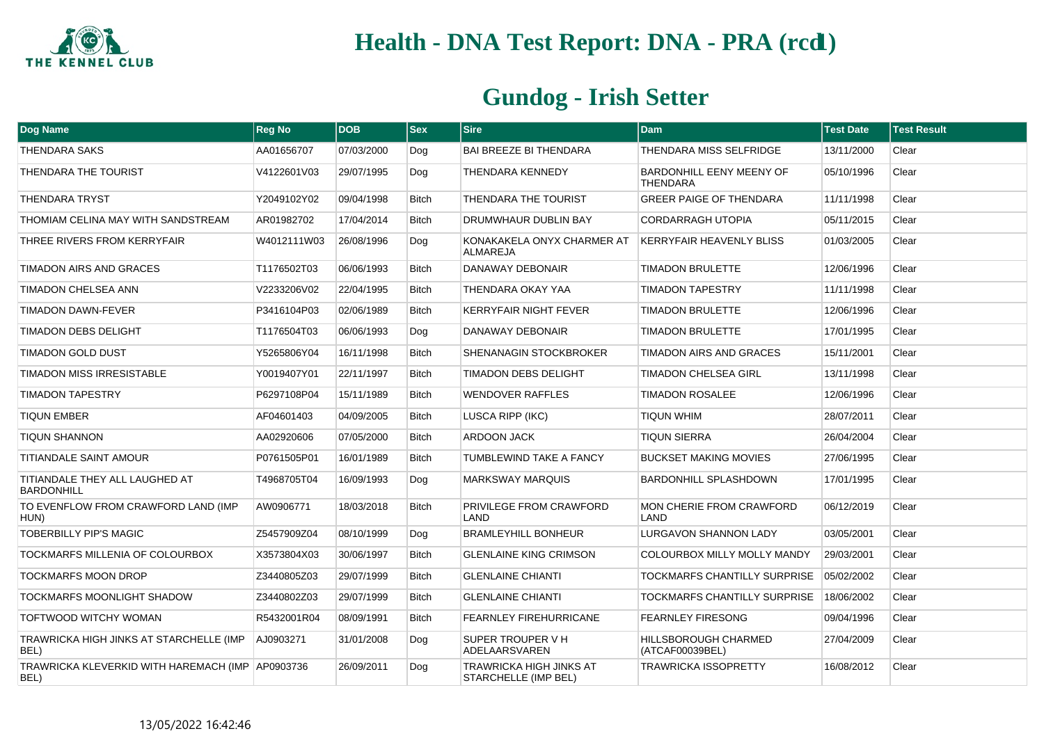

| Dog Name                                                 | <b>Reg No</b> | <b>DOB</b> | $ $ Sex      | <b>Sire</b>                                     | <b>Dam</b>                                         | <b>Test Date</b> | <b>Test Result</b> |
|----------------------------------------------------------|---------------|------------|--------------|-------------------------------------------------|----------------------------------------------------|------------------|--------------------|
| <b>THENDARA SAKS</b>                                     | AA01656707    | 07/03/2000 | Dog          | <b>BAI BREEZE BI THENDARA</b>                   | THENDARA MISS SELFRIDGE                            | 13/11/2000       | Clear              |
| THENDARA THE TOURIST                                     | V4122601V03   | 29/07/1995 | Dog          | <b>THENDARA KENNEDY</b>                         | <b>BARDONHILL EENY MEENY OF</b><br><b>THENDARA</b> | 05/10/1996       | Clear              |
| THENDARA TRYST                                           | Y2049102Y02   | 09/04/1998 | <b>Bitch</b> | THENDARA THE TOURIST                            | <b>GREER PAIGE OF THENDARA</b>                     | 11/11/1998       | Clear              |
| THOMIAM CELINA MAY WITH SANDSTREAM                       | AR01982702    | 17/04/2014 | <b>Bitch</b> | DRUMWHAUR DUBLIN BAY                            | <b>CORDARRAGH UTOPIA</b>                           | 05/11/2015       | Clear              |
| THREE RIVERS FROM KERRYFAIR                              | W4012111W03   | 26/08/1996 | Dog          | KONAKAKELA ONYX CHARMER AT<br><b>ALMAREJA</b>   | <b>KERRYFAIR HEAVENLY BLISS</b>                    | 01/03/2005       | Clear              |
| TIMADON AIRS AND GRACES                                  | T1176502T03   | 06/06/1993 | <b>Bitch</b> | DANAWAY DEBONAIR                                | <b>TIMADON BRULETTE</b>                            | 12/06/1996       | Clear              |
| TIMADON CHELSEA ANN                                      | V2233206V02   | 22/04/1995 | <b>Bitch</b> | THENDARA OKAY YAA                               | <b>TIMADON TAPESTRY</b>                            | 11/11/1998       | Clear              |
| <b>TIMADON DAWN-FEVER</b>                                | P3416104P03   | 02/06/1989 | <b>Bitch</b> | <b>KERRYFAIR NIGHT FEVER</b>                    | <b>TIMADON BRULETTE</b>                            | 12/06/1996       | Clear              |
| TIMADON DEBS DELIGHT                                     | T1176504T03   | 06/06/1993 | Dog          | DANAWAY DEBONAIR                                | <b>TIMADON BRULETTE</b>                            | 17/01/1995       | Clear              |
| <b>TIMADON GOLD DUST</b>                                 | Y5265806Y04   | 16/11/1998 | <b>Bitch</b> | SHENANAGIN STOCKBROKER                          | <b>TIMADON AIRS AND GRACES</b>                     | 15/11/2001       | Clear              |
| <b>TIMADON MISS IRRESISTABLE</b>                         | Y0019407Y01   | 22/11/1997 | <b>Bitch</b> | TIMADON DEBS DELIGHT                            | <b>TIMADON CHELSEA GIRL</b>                        | 13/11/1998       | Clear              |
| <b>TIMADON TAPESTRY</b>                                  | P6297108P04   | 15/11/1989 | <b>Bitch</b> | <b>WENDOVER RAFFLES</b>                         | <b>TIMADON ROSALEE</b>                             | 12/06/1996       | Clear              |
| <b>TIQUN EMBER</b>                                       | AF04601403    | 04/09/2005 | <b>Bitch</b> | <b>LUSCA RIPP (IKC)</b>                         | <b>TIQUN WHIM</b>                                  | 28/07/2011       | Clear              |
| <b>TIQUN SHANNON</b>                                     | AA02920606    | 07/05/2000 | Bitch        | <b>ARDOON JACK</b>                              | <b>TIQUN SIERRA</b>                                | 26/04/2004       | Clear              |
| TITIANDALE SAINT AMOUR                                   | P0761505P01   | 16/01/1989 | <b>Bitch</b> | TUMBLEWIND TAKE A FANCY                         | <b>BUCKSET MAKING MOVIES</b>                       | 27/06/1995       | Clear              |
| TITIANDALE THEY ALL LAUGHED AT<br><b>BARDONHILL</b>      | T4968705T04   | 16/09/1993 | Dog          | <b>MARKSWAY MARQUIS</b>                         | <b>BARDONHILL SPLASHDOWN</b>                       | 17/01/1995       | Clear              |
| TO EVENFLOW FROM CRAWFORD LAND (IMP<br>HUN)              | AW0906771     | 18/03/2018 | <b>Bitch</b> | PRIVILEGE FROM CRAWFORD<br>I AND                | <b>MON CHERIE FROM CRAWFORD</b><br>I AND           | 06/12/2019       | Clear              |
| <b>TOBERBILLY PIP'S MAGIC</b>                            | Z5457909Z04   | 08/10/1999 | Dog          | <b>BRAMLEYHILL BONHEUR</b>                      | <b>LURGAVON SHANNON LADY</b>                       | 03/05/2001       | Clear              |
| TOCKMARFS MILLENIA OF COLOURBOX                          | X3573804X03   | 30/06/1997 | <b>Bitch</b> | <b>GLENLAINE KING CRIMSON</b>                   | COLOURBOX MILLY MOLLY MANDY                        | 29/03/2001       | Clear              |
| <b>TOCKMARFS MOON DROP</b>                               | Z3440805Z03   | 29/07/1999 | <b>Bitch</b> | <b>GLENLAINE CHIANTI</b>                        | TOCKMARFS CHANTILLY SURPRISE                       | 05/02/2002       | Clear              |
| TOCKMARFS MOONLIGHT SHADOW                               | Z3440802Z03   | 29/07/1999 | <b>Bitch</b> | <b>GLENLAINE CHIANTI</b>                        | TOCKMARFS CHANTILLY SURPRISE                       | 18/06/2002       | Clear              |
| TOFTWOOD WITCHY WOMAN                                    | R5432001R04   | 08/09/1991 | <b>Bitch</b> | FEARNLEY FIREHURRICANE                          | <b>FEARNLEY FIRESONG</b>                           | 09/04/1996       | Clear              |
| TRAWRICKA HIGH JINKS AT STARCHELLE (IMP<br>BEL)          | AJ0903271     | 31/01/2008 | Dog          | SUPER TROUPER V H<br>ADELAARSVAREN              | <b>HILLSBOROUGH CHARMED</b><br>(ATCAF00039BEL)     | 27/04/2009       | Clear              |
| TRAWRICKA KLEVERKID WITH HAREMACH (IMP AP0903736<br>BEL) |               | 26/09/2011 | Dog          | TRAWRICKA HIGH JINKS AT<br>STARCHELLE (IMP BEL) | <b>TRAWRICKA ISSOPRETTY</b>                        | 16/08/2012       | Clear              |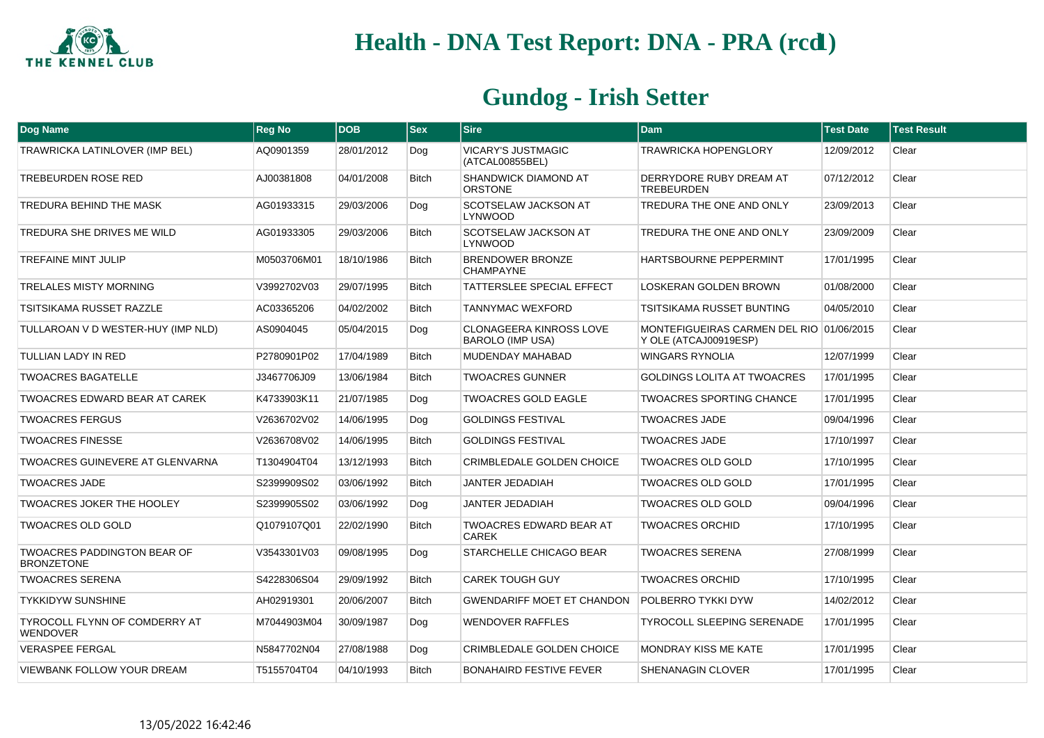

| <b>Dog Name</b>                                         | <b>Reg No</b> | <b>DOB</b> | <b>Sex</b>   | <b>Sire</b>                                               | <b>Dam</b>                                                        | <b>Test Date</b> | <b>Test Result</b> |
|---------------------------------------------------------|---------------|------------|--------------|-----------------------------------------------------------|-------------------------------------------------------------------|------------------|--------------------|
| TRAWRICKA LATINLOVER (IMP BEL)                          | AQ0901359     | 28/01/2012 | Dog          | <b>VICARY'S JUSTMAGIC</b><br>(ATCAL00855BEL)              | <b>TRAWRICKA HOPENGLORY</b>                                       | 12/09/2012       | Clear              |
| TREBEURDEN ROSE RED                                     | AJ00381808    | 04/01/2008 | <b>Bitch</b> | SHANDWICK DIAMOND AT<br><b>ORSTONE</b>                    | DERRYDORE RUBY DREAM AT<br><b>TREBEURDEN</b>                      | 07/12/2012       | Clear              |
| TREDURA BEHIND THE MASK                                 | AG01933315    | 29/03/2006 | Dog          | SCOTSELAW JACKSON AT<br><b>LYNWOOD</b>                    | TREDURA THE ONE AND ONLY                                          | 23/09/2013       | Clear              |
| TREDURA SHE DRIVES ME WILD                              | AG01933305    | 29/03/2006 | <b>Bitch</b> | SCOTSELAW JACKSON AT<br><b>LYNWOOD</b>                    | TREDURA THE ONE AND ONLY                                          | 23/09/2009       | Clear              |
| <b>TREFAINE MINT JULIP</b>                              | M0503706M01   | 18/10/1986 | <b>Bitch</b> | BRENDOWER BRONZE<br><b>CHAMPAYNE</b>                      | HARTSBOURNE PEPPERMINT                                            | 17/01/1995       | Clear              |
| <b>TRELALES MISTY MORNING</b>                           | V3992702V03   | 29/07/1995 | <b>Bitch</b> | TATTERSLEE SPECIAL EFFECT                                 | LOSKERAN GOLDEN BROWN                                             | 01/08/2000       | Clear              |
| <b>TSITSIKAMA RUSSET RAZZLE</b>                         | AC03365206    | 04/02/2002 | <b>Bitch</b> | <b>TANNYMAC WEXFORD</b>                                   | TSITSIKAMA RUSSET BUNTING                                         | 04/05/2010       | Clear              |
| TULLAROAN V D WESTER-HUY (IMP NLD)                      | AS0904045     | 05/04/2015 | Dog          | <b>CLONAGEERA KINROSS LOVE</b><br><b>BAROLO (IMP USA)</b> | MONTEFIGUEIRAS CARMEN DEL RIO 01/06/2015<br>Y OLE (ATCAJ00919ESP) |                  | Clear              |
| TULLIAN LADY IN RED                                     | P2780901P02   | 17/04/1989 | <b>Bitch</b> | MUDENDAY MAHABAD                                          | <b>WINGARS RYNOLIA</b>                                            | 12/07/1999       | Clear              |
| <b>TWOACRES BAGATELLE</b>                               | J3467706J09   | 13/06/1984 | <b>Bitch</b> | <b>TWOACRES GUNNER</b>                                    | <b>GOLDINGS LOLITA AT TWOACRES</b>                                | 17/01/1995       | Clear              |
| <b>TWOACRES EDWARD BEAR AT CAREK</b>                    | K4733903K11   | 21/07/1985 | Dog          | <b>TWOACRES GOLD EAGLE</b>                                | <b>TWOACRES SPORTING CHANCE</b>                                   | 17/01/1995       | Clear              |
| <b>TWOACRES FERGUS</b>                                  | V2636702V02   | 14/06/1995 | Dog          | <b>GOLDINGS FESTIVAL</b>                                  | <b>TWOACRES JADE</b>                                              | 09/04/1996       | Clear              |
| <b>TWOACRES FINESSE</b>                                 | V2636708V02   | 14/06/1995 | <b>Bitch</b> | <b>GOLDINGS FESTIVAL</b>                                  | <b>TWOACRES JADE</b>                                              | 17/10/1997       | Clear              |
| <b>TWOACRES GUINEVERE AT GLENVARNA</b>                  | T1304904T04   | 13/12/1993 | <b>Bitch</b> | <b>CRIMBLEDALE GOLDEN CHOICE</b>                          | <b>TWOACRES OLD GOLD</b>                                          | 17/10/1995       | Clear              |
| <b>TWOACRES JADE</b>                                    | S2399909S02   | 03/06/1992 | <b>Bitch</b> | JANTER JEDADIAH                                           | <b>TWOACRES OLD GOLD</b>                                          | 17/01/1995       | Clear              |
| <b>TWOACRES JOKER THE HOOLEY</b>                        | S2399905S02   | 03/06/1992 | Dog          | <b>JANTER JEDADIAH</b>                                    | <b>TWOACRES OLD GOLD</b>                                          | 09/04/1996       | Clear              |
| <b>TWOACRES OLD GOLD</b>                                | Q1079107Q01   | 22/02/1990 | <b>Bitch</b> | TWOACRES EDWARD BEAR AT<br>CAREK                          | <b>TWOACRES ORCHID</b>                                            | 17/10/1995       | Clear              |
| <b>TWOACRES PADDINGTON BEAR OF</b><br><b>BRONZETONE</b> | V3543301V03   | 09/08/1995 | Dog          | STARCHELLE CHICAGO BEAR                                   | <b>TWOACRES SERENA</b>                                            | 27/08/1999       | Clear              |
| <b>TWOACRES SERENA</b>                                  | S4228306S04   | 29/09/1992 | <b>Bitch</b> | <b>CAREK TOUGH GUY</b>                                    | <b>TWOACRES ORCHID</b>                                            | 17/10/1995       | Clear              |
| <b>TYKKIDYW SUNSHINE</b>                                | AH02919301    | 20/06/2007 | <b>Bitch</b> | <b>GWENDARIFF MOET ET CHANDON</b>                         | <b>POLBERRO TYKKI DYW</b>                                         | 14/02/2012       | Clear              |
| TYROCOLL FLYNN OF COMDERRY AT<br><b>WENDOVER</b>        | M7044903M04   | 30/09/1987 | Dog          | <b>WENDOVER RAFFLES</b>                                   | <b>TYROCOLL SLEEPING SERENADE</b>                                 | 17/01/1995       | Clear              |
| <b>VERASPEE FERGAL</b>                                  | N5847702N04   | 27/08/1988 | Dog          | <b>CRIMBLEDALE GOLDEN CHOICE</b>                          | <b>MONDRAY KISS ME KATE</b>                                       | 17/01/1995       | Clear              |
| <b>VIEWBANK FOLLOW YOUR DREAM</b>                       | T5155704T04   | 04/10/1993 | <b>Bitch</b> | <b>BONAHAIRD FESTIVE FEVER</b>                            | <b>SHENANAGIN CLOVER</b>                                          | 17/01/1995       | Clear              |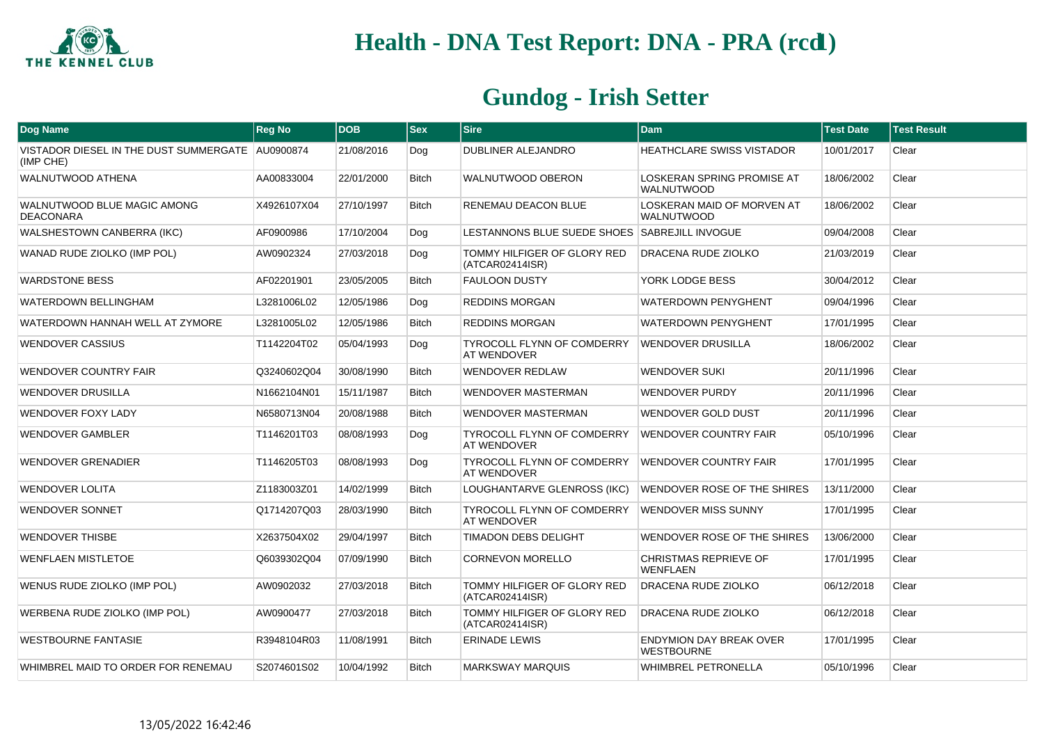

| <b>Dog Name</b>                                               | <b>Reg No</b> | <b>DOB</b> | $ $ Sex      | <b>Sire</b>                                      | <b>Dam</b>                                          | <b>Test Date</b> | <b>Test Result</b> |
|---------------------------------------------------------------|---------------|------------|--------------|--------------------------------------------------|-----------------------------------------------------|------------------|--------------------|
| VISTADOR DIESEL IN THE DUST SUMMERGATE AU0900874<br>(IMP CHE) |               | 21/08/2016 | Dog          | <b>DUBLINER ALEJANDRO</b>                        | <b>HEATHCLARE SWISS VISTADOR</b>                    | 10/01/2017       | Clear              |
| <b>WALNUTWOOD ATHENA</b>                                      | AA00833004    | 22/01/2000 | <b>Bitch</b> | WALNUTWOOD OBERON                                | LOSKERAN SPRING PROMISE AT<br>WALNUTWOOD            | 18/06/2002       | Clear              |
| WALNUTWOOD BLUE MAGIC AMONG<br><b>DEACONARA</b>               | X4926107X04   | 27/10/1997 | <b>Bitch</b> | RENEMAU DEACON BLUE                              | LOSKERAN MAID OF MORVEN AT<br><b>WALNUTWOOD</b>     | 18/06/2002       | Clear              |
| <b>WALSHESTOWN CANBERRA (IKC)</b>                             | AF0900986     | 17/10/2004 | Dog          | LESTANNONS BLUE SUEDE SHOES SABREJILL INVOGUE    |                                                     | 09/04/2008       | Clear              |
| WANAD RUDE ZIOLKO (IMP POL)                                   | AW0902324     | 27/03/2018 | Dog          | TOMMY HILFIGER OF GLORY RED<br>(ATCAR02414ISR)   | DRACENA RUDE ZIOLKO                                 | 21/03/2019       | Clear              |
| <b>WARDSTONE BESS</b>                                         | AF02201901    | 23/05/2005 | <b>Bitch</b> | <b>FAULOON DUSTY</b>                             | YORK LODGE BESS                                     | 30/04/2012       | Clear              |
| <b>WATERDOWN BELLINGHAM</b>                                   | L3281006L02   | 12/05/1986 | Dog          | <b>REDDINS MORGAN</b>                            | <b>WATERDOWN PENYGHENT</b>                          | 09/04/1996       | Clear              |
| WATERDOWN HANNAH WELL AT ZYMORE                               | L3281005L02   | 12/05/1986 | <b>Bitch</b> | <b>REDDINS MORGAN</b>                            | <b>WATERDOWN PENYGHENT</b>                          | 17/01/1995       | Clear              |
| <b>WENDOVER CASSIUS</b>                                       | T1142204T02   | 05/04/1993 | Dog          | TYROCOLL FLYNN OF COMDERRY<br><b>AT WENDOVER</b> | <b>WENDOVER DRUSILLA</b>                            | 18/06/2002       | Clear              |
| <b>WENDOVER COUNTRY FAIR</b>                                  | Q3240602Q04   | 30/08/1990 | <b>Bitch</b> | <b>WENDOVER REDLAW</b>                           | <b>WENDOVER SUKI</b>                                | 20/11/1996       | Clear              |
| <b>WENDOVER DRUSILLA</b>                                      | N1662104N01   | 15/11/1987 | <b>Bitch</b> | WENDOVER MASTERMAN                               | <b>WENDOVER PURDY</b>                               | 20/11/1996       | Clear              |
| <b>WENDOVER FOXY LADY</b>                                     | N6580713N04   | 20/08/1988 | <b>Bitch</b> | WENDOVER MASTERMAN                               | WENDOVER GOLD DUST                                  | 20/11/1996       | Clear              |
| <b>WENDOVER GAMBLER</b>                                       | T1146201T03   | 08/08/1993 | Dog          | TYROCOLL FLYNN OF COMDERRY<br><b>AT WENDOVER</b> | <b>WENDOVER COUNTRY FAIR</b>                        | 05/10/1996       | Clear              |
| <b>WENDOVER GRENADIER</b>                                     | T1146205T03   | 08/08/1993 | Dog          | TYROCOLL FLYNN OF COMDERRY<br>AT WENDOVER        | <b>WENDOVER COUNTRY FAIR</b>                        | 17/01/1995       | Clear              |
| <b>WENDOVER LOLITA</b>                                        | Z1183003Z01   | 14/02/1999 | <b>Bitch</b> | LOUGHANTARVE GLENROSS (IKC)                      | WENDOVER ROSE OF THE SHIRES                         | 13/11/2000       | Clear              |
| <b>WENDOVER SONNET</b>                                        | Q1714207Q03   | 28/03/1990 | <b>Bitch</b> | TYROCOLL FLYNN OF COMDERRY<br>AT WENDOVER        | <b>WENDOVER MISS SUNNY</b>                          | 17/01/1995       | Clear              |
| <b>WENDOVER THISBE</b>                                        | X2637504X02   | 29/04/1997 | <b>Bitch</b> | TIMADON DEBS DELIGHT                             | WENDOVER ROSE OF THE SHIRES                         | 13/06/2000       | Clear              |
| <b>WENFLAEN MISTLETOE</b>                                     | Q6039302Q04   | 07/09/1990 | <b>Bitch</b> | <b>CORNEVON MORELLO</b>                          | CHRISTMAS REPRIEVE OF<br><b>WENFLAEN</b>            | 17/01/1995       | Clear              |
| WENUS RUDE ZIOLKO (IMP POL)                                   | AW0902032     | 27/03/2018 | <b>Bitch</b> | TOMMY HILFIGER OF GLORY RED<br>(ATCAR02414ISR)   | DRACENA RUDE ZIOLKO                                 | 06/12/2018       | Clear              |
| WERBENA RUDE ZIOLKO (IMP POL)                                 | AW0900477     | 27/03/2018 | <b>Bitch</b> | TOMMY HILFIGER OF GLORY RED<br>(ATCAR02414ISR)   | <b>DRACENA RUDE ZIOLKO</b>                          | 06/12/2018       | Clear              |
| <b>WESTBOURNE FANTASIE</b>                                    | R3948104R03   | 11/08/1991 | <b>Bitch</b> | <b>ERINADE LEWIS</b>                             | <b>ENDYMION DAY BREAK OVER</b><br><b>WESTBOURNE</b> | 17/01/1995       | Clear              |
| WHIMBREL MAID TO ORDER FOR RENEMAU                            | S2074601S02   | 10/04/1992 | <b>Bitch</b> | <b>MARKSWAY MARQUIS</b>                          | WHIMBREL PETRONELLA                                 | 05/10/1996       | Clear              |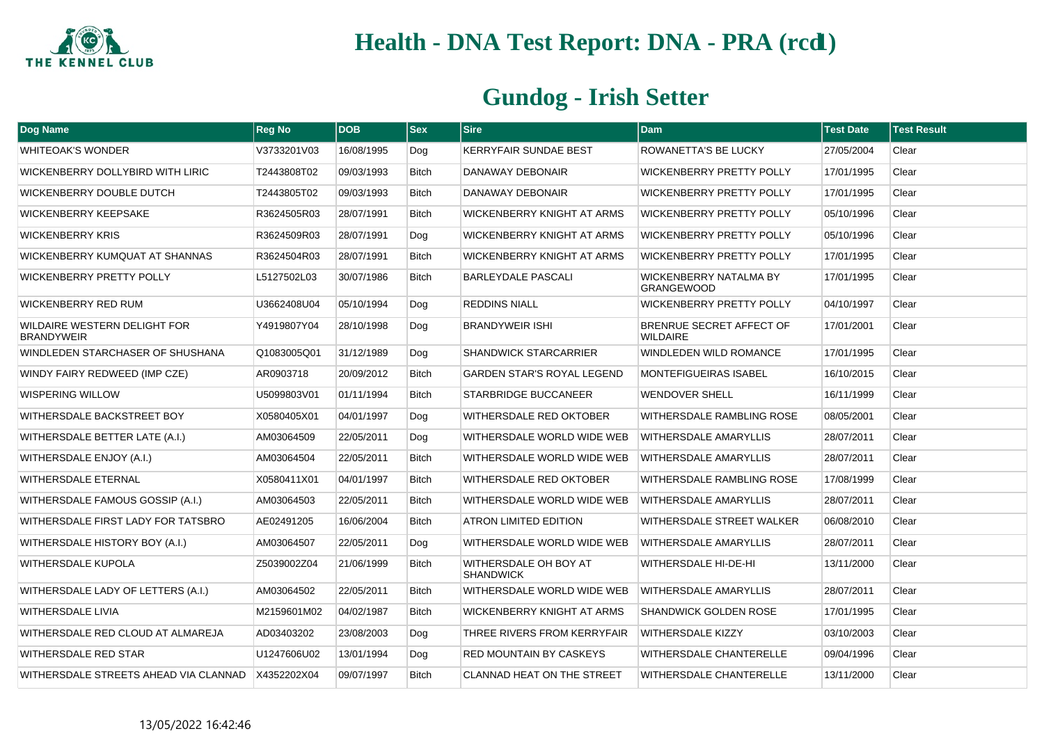

| Dog Name                                          | <b>Reg No</b> | <b>DOB</b> | <b>Sex</b>   | <b>Sire</b>                               | <b>Dam</b>                                         | <b>Test Date</b> | <b>Test Result</b> |
|---------------------------------------------------|---------------|------------|--------------|-------------------------------------------|----------------------------------------------------|------------------|--------------------|
| <b>WHITEOAK'S WONDER</b>                          | V3733201V03   | 16/08/1995 | Dog          | KERRYFAIR SUNDAE BEST                     | ROWANETTA'S BE LUCKY                               | 27/05/2004       | Clear              |
| WICKENBERRY DOLLYBIRD WITH LIRIC                  | T2443808T02   | 09/03/1993 | <b>Bitch</b> | DANAWAY DEBONAIR                          | WICKENBERRY PRETTY POLLY                           | 17/01/1995       | Clear              |
| WICKENBERRY DOUBLE DUTCH                          | T2443805T02   | 09/03/1993 | <b>Bitch</b> | DANAWAY DEBONAIR                          | <b>WICKENBERRY PRETTY POLLY</b>                    | 17/01/1995       | Clear              |
| <b>WICKENBERRY KEEPSAKE</b>                       | R3624505R03   | 28/07/1991 | <b>Bitch</b> | WICKENBERRY KNIGHT AT ARMS                | <b>WICKENBERRY PRETTY POLLY</b>                    | 05/10/1996       | Clear              |
| <b>WICKENBERRY KRIS</b>                           | R3624509R03   | 28/07/1991 | Dog          | WICKENBERRY KNIGHT AT ARMS                | <b>WICKENBERRY PRETTY POLLY</b>                    | 05/10/1996       | Clear              |
| WICKENBERRY KUMQUAT AT SHANNAS                    | R3624504R03   | 28/07/1991 | Bitch        | WICKENBERRY KNIGHT AT ARMS                | <b>WICKENBERRY PRETTY POLLY</b>                    | 17/01/1995       | Clear              |
| <b>WICKENBERRY PRETTY POLLY</b>                   | L5127502L03   | 30/07/1986 | <b>Bitch</b> | <b>BARLEYDALE PASCALI</b>                 | <b>WICKENBERRY NATALMA BY</b><br><b>GRANGEWOOD</b> | 17/01/1995       | Clear              |
| <b>WICKENBERRY RED RUM</b>                        | U3662408U04   | 05/10/1994 | Dog          | <b>REDDINS NIALL</b>                      | <b>WICKENBERRY PRETTY POLLY</b>                    | 04/10/1997       | Clear              |
| WILDAIRE WESTERN DELIGHT FOR<br><b>BRANDYWEIR</b> | Y4919807Y04   | 28/10/1998 | Dog          | BRANDYWEIR ISHI                           | BRENRUE SECRET AFFECT OF<br><b>WILDAIRE</b>        | 17/01/2001       | Clear              |
| WINDLEDEN STARCHASER OF SHUSHANA                  | Q1083005Q01   | 31/12/1989 | Dog          | <b>SHANDWICK STARCARRIER</b>              | WINDLEDEN WILD ROMANCE                             | 17/01/1995       | Clear              |
| WINDY FAIRY REDWEED (IMP CZE)                     | AR0903718     | 20/09/2012 | <b>Bitch</b> | <b>GARDEN STAR'S ROYAL LEGEND</b>         | <b>MONTEFIGUEIRAS ISABEL</b>                       | 16/10/2015       | Clear              |
| WISPERING WILLOW                                  | U5099803V01   | 01/11/1994 | <b>Bitch</b> | STARBRIDGE BUCCANEER                      | <b>WENDOVER SHELL</b>                              | 16/11/1999       | Clear              |
| WITHERSDALE BACKSTREET BOY                        | X0580405X01   | 04/01/1997 | Dog          | WITHERSDALE RED OKTOBER                   | WITHERSDALE RAMBLING ROSE                          | 08/05/2001       | Clear              |
| WITHERSDALE BETTER LATE (A.I.)                    | AM03064509    | 22/05/2011 | Dog          | WITHERSDALE WORLD WIDE WEB                | <b>WITHERSDALE AMARYLLIS</b>                       | 28/07/2011       | Clear              |
| WITHERSDALE ENJOY (A.I.)                          | AM03064504    | 22/05/2011 | Bitch        | WITHERSDALE WORLD WIDE WEB                | <b>WITHERSDALE AMARYLLIS</b>                       | 28/07/2011       | Clear              |
| <b>WITHERSDALE ETERNAL</b>                        | X0580411X01   | 04/01/1997 | <b>Bitch</b> | WITHERSDALE RED OKTOBER                   | WITHERSDALE RAMBLING ROSE                          | 17/08/1999       | Clear              |
| WITHERSDALE FAMOUS GOSSIP (A.I.)                  | AM03064503    | 22/05/2011 | <b>Bitch</b> | WITHERSDALE WORLD WIDE WEB                | <b>WITHERSDALE AMARYLLIS</b>                       | 28/07/2011       | Clear              |
| WITHERSDALE FIRST LADY FOR TATSBRO                | AE02491205    | 16/06/2004 | <b>Bitch</b> | <b>ATRON LIMITED EDITION</b>              | WITHERSDALE STREET WALKER                          | 06/08/2010       | Clear              |
| WITHERSDALE HISTORY BOY (A.I.)                    | AM03064507    | 22/05/2011 | Dog          | WITHERSDALE WORLD WIDE WEB                | <b>WITHERSDALE AMARYLLIS</b>                       | 28/07/2011       | Clear              |
| WITHERSDALE KUPOLA                                | Z5039002Z04   | 21/06/1999 | <b>Bitch</b> | WITHERSDALE OH BOY AT<br><b>SHANDWICK</b> | WITHERSDALE HI-DE-HI                               | 13/11/2000       | Clear              |
| WITHERSDALE LADY OF LETTERS (A.I.)                | AM03064502    | 22/05/2011 | <b>Bitch</b> | WITHERSDALE WORLD WIDE WEB                | <b>WITHERSDALE AMARYLLIS</b>                       | 28/07/2011       | Clear              |
| WITHERSDALE LIVIA                                 | M2159601M02   | 04/02/1987 | <b>Bitch</b> | WICKENBERRY KNIGHT AT ARMS                | <b>SHANDWICK GOLDEN ROSE</b>                       | 17/01/1995       | Clear              |
| WITHERSDALE RED CLOUD AT ALMAREJA                 | AD03403202    | 23/08/2003 | Dog          | THREE RIVERS FROM KERRYFAIR               | <b>WITHERSDALE KIZZY</b>                           | 03/10/2003       | Clear              |
| WITHERSDALE RED STAR                              | U1247606U02   | 13/01/1994 | Dog          | RED MOUNTAIN BY CASKEYS                   | WITHERSDALE CHANTERELLE                            | 09/04/1996       | Clear              |
| WITHERSDALE STREETS AHEAD VIA CLANNAD             | X4352202X04   | 09/07/1997 | <b>Bitch</b> | <b>CLANNAD HEAT ON THE STREET</b>         | WITHERSDALE CHANTERELLE                            | 13/11/2000       | Clear              |